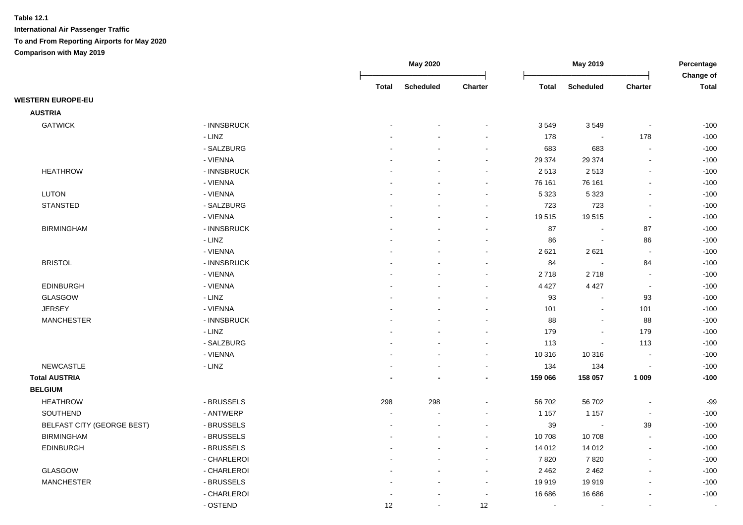|                                   |             |              | May 2020         |         |              | May 2019                 |                          | Percentage<br>Change of |
|-----------------------------------|-------------|--------------|------------------|---------|--------------|--------------------------|--------------------------|-------------------------|
|                                   |             | <b>Total</b> | <b>Scheduled</b> | Charter | <b>Total</b> | <b>Scheduled</b>         | <b>Charter</b>           | <b>Total</b>            |
| <b>WESTERN EUROPE-EU</b>          |             |              |                  |         |              |                          |                          |                         |
| <b>AUSTRIA</b>                    |             |              |                  |         |              |                          |                          |                         |
| <b>GATWICK</b>                    | - INNSBRUCK |              |                  |         | 3549         | 3549                     | $\blacksquare$           | $-100$                  |
|                                   | - LINZ      |              |                  |         | 178          | $\bullet$                | 178                      | $-100$                  |
|                                   | - SALZBURG  |              |                  |         | 683          | 683                      | $\blacksquare$           | $-100$                  |
|                                   | - VIENNA    |              |                  |         | 29 374       | 29 374                   | $\blacksquare$           | $-100$                  |
| <b>HEATHROW</b>                   | - INNSBRUCK |              |                  |         | 2513         | 2513                     | $\blacksquare$           | $-100$                  |
|                                   | - VIENNA    |              |                  |         | 76 161       | 76 161                   | $\blacksquare$           | $-100$                  |
| <b>LUTON</b>                      | - VIENNA    |              |                  |         | 5 3 2 3      | 5 3 2 3                  | ä,                       | $-100$                  |
| <b>STANSTED</b>                   | - SALZBURG  |              |                  |         | 723          | 723                      | ä,                       | $-100$                  |
|                                   | - VIENNA    |              |                  |         | 19515        | 19515                    | $\blacksquare$           | $-100$                  |
| <b>BIRMINGHAM</b>                 | - INNSBRUCK |              |                  |         | 87           | $\sim$                   | 87                       | $-100$                  |
|                                   | - LINZ      |              |                  |         | 86           | $\bullet$                | 86                       | $-100$                  |
|                                   | - VIENNA    |              |                  |         | 2621         | 2621                     | $\sim$                   | $-100$                  |
| <b>BRISTOL</b>                    | - INNSBRUCK |              |                  |         | 84           | $\sim$                   | 84                       | $-100$                  |
|                                   | - VIENNA    |              |                  | $\sim$  | 2718         | 2718                     | $\sim$                   | $-100$                  |
| <b>EDINBURGH</b>                  | - VIENNA    |              |                  |         | 4 4 2 7      | 4 4 2 7                  | $\sim$                   | $-100$                  |
| GLASGOW                           | - LINZ      |              |                  |         | 93           | $\sim$                   | 93                       | $-100$                  |
| <b>JERSEY</b>                     | - VIENNA    |              |                  |         | 101          | $\bullet$                | 101                      | $-100$                  |
| <b>MANCHESTER</b>                 | - INNSBRUCK |              |                  |         | 88           | $\sim$                   | 88                       | $-100$                  |
|                                   | - LINZ      |              |                  |         | 179          | $\sim$                   | 179                      | $-100$                  |
|                                   | - SALZBURG  |              |                  |         | 113          | $\Delta$                 | 113                      | $-100$                  |
|                                   | - VIENNA    |              |                  | $\sim$  | 10 316       | 10 316                   | $\overline{\phantom{a}}$ | $-100$                  |
| <b>NEWCASTLE</b>                  | - LINZ      |              |                  |         | 134          | 134                      | $\overline{\phantom{a}}$ | $-100$                  |
| <b>Total AUSTRIA</b>              |             |              |                  |         | 159 066      | 158 057                  | 1 0 0 9                  | $-100$                  |
| <b>BELGIUM</b>                    |             |              |                  |         |              |                          |                          |                         |
| <b>HEATHROW</b>                   | - BRUSSELS  | 298          | 298              |         | 56 702       | 56 702                   | $\blacksquare$           | $-99$                   |
| SOUTHEND                          | - ANTWERP   | $\sim$       |                  |         | 1 1 5 7      | 1 1 5 7                  | $\blacksquare$           | $-100$                  |
| <b>BELFAST CITY (GEORGE BEST)</b> | - BRUSSELS  |              |                  |         | 39           | $\overline{\phantom{a}}$ | 39                       | $-100$                  |
| <b>BIRMINGHAM</b>                 | - BRUSSELS  |              |                  |         | 10 708       | 10708                    | $\blacksquare$           | $-100$                  |
| <b>EDINBURGH</b>                  | - BRUSSELS  |              |                  |         | 14 012       | 14 012                   | $\blacksquare$           | $-100$                  |
|                                   | - CHARLEROI |              |                  |         | 7820         | 7820                     | $\blacksquare$           | $-100$                  |
| <b>GLASGOW</b>                    | - CHARLEROI |              |                  | $\sim$  | 2 4 6 2      | 2 4 6 2                  | $\blacksquare$           | $-100$                  |
| <b>MANCHESTER</b>                 | - BRUSSELS  |              |                  | $\sim$  | 19 919       | 19919                    | $\overline{a}$           | $-100$                  |
|                                   | - CHARLEROI |              |                  | $\sim$  | 16 686       | 16 686                   | ä,                       | $-100$                  |
|                                   | - OSTEND    | 12           | $\sim$           | 12      | $\sim$       | $\blacksquare$           | $\sim$                   | $\blacksquare$          |
|                                   |             |              |                  |         |              |                          |                          |                         |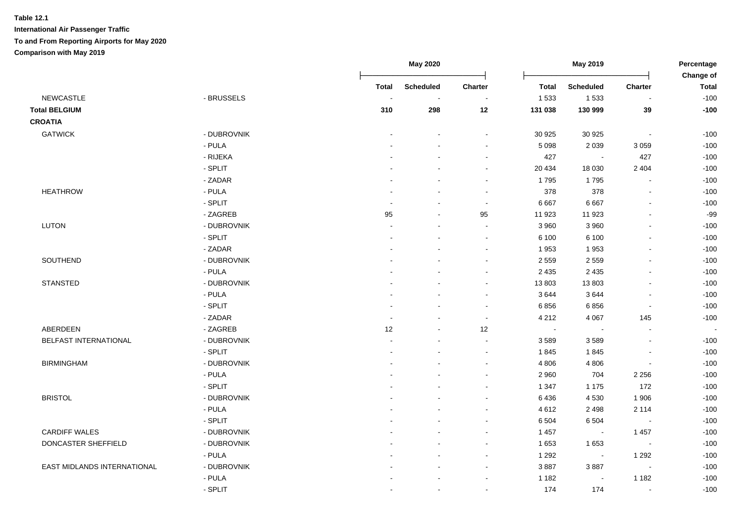|                              |             |                | <b>May 2020</b>  |                          | May 2019     |                          |                          |                           |
|------------------------------|-------------|----------------|------------------|--------------------------|--------------|--------------------------|--------------------------|---------------------------|
|                              |             | <b>Total</b>   | <b>Scheduled</b> | Charter                  | <b>Total</b> | <b>Scheduled</b>         | Charter                  | Change of<br><b>Total</b> |
| <b>NEWCASTLE</b>             | - BRUSSELS  | $\sim$         | $\sim$           | $\blacksquare$           | 1 5 3 3      | 1 5 3 3                  | $\blacksquare$           | $-100$                    |
| <b>Total BELGIUM</b>         |             | 310            | 298              | 12                       | 131 038      | 130 999                  | 39                       | $-100$                    |
| <b>CROATIA</b>               |             |                |                  |                          |              |                          |                          |                           |
| <b>GATWICK</b>               | - DUBROVNIK |                |                  | $\sim$                   | 30 925       | 30 925                   | $\mathbf{r}$             | $-100$                    |
|                              | - PULA      |                |                  | $\sim$                   | 5 0 9 8      | 2 0 3 9                  | 3 0 5 9                  | $-100$                    |
|                              | - RIJEKA    |                |                  |                          | 427          | $\sim$                   | 427                      | $-100$                    |
|                              | - SPLIT     |                |                  | $\blacksquare$           | 20 4 34      | 18 0 30                  | 2 4 0 4                  | $-100$                    |
|                              | - ZADAR     |                |                  |                          | 1795         | 1795                     | $\overline{a}$           | $-100$                    |
| <b>HEATHROW</b>              | - PULA      |                |                  | $\sim$                   | 378          | 378                      | $\overline{a}$           | $-100$                    |
|                              | - SPLIT     | $\sim$         |                  | $\sim$                   | 6667         | 6 6 6 7                  | $\mathbf{r}$             | $-100$                    |
|                              | - ZAGREB    | 95             | $\sim$           | 95                       | 11 923       | 11 923                   | $\overline{a}$           | $-99$                     |
| <b>LUTON</b>                 | - DUBROVNIK | $\overline{a}$ |                  | $\sim$                   | 3 9 6 0      | 3 9 6 0                  | $\overline{a}$           | $-100$                    |
|                              | - SPLIT     | $\blacksquare$ |                  | $\sim$                   | 6 100        | 6 100                    | $\blacksquare$           | $-100$                    |
|                              | - ZADAR     |                |                  | $\sim$                   | 1953         | 1953                     | $\overline{a}$           | $-100$                    |
| SOUTHEND                     | - DUBROVNIK |                |                  |                          | 2 5 5 9      | 2 5 5 9                  | $\blacksquare$           | $-100$                    |
|                              | - PULA      |                |                  | $\overline{\phantom{a}}$ | 2 4 3 5      | 2 4 3 5                  | $\blacksquare$           | $-100$                    |
| <b>STANSTED</b>              | - DUBROVNIK |                |                  | $\sim$                   | 13 803       | 13803                    | $\overline{a}$           | $-100$                    |
|                              | - PULA      |                |                  | $\sim$                   | 3644         | 3644                     | $\overline{a}$           | $-100$                    |
|                              | - SPLIT     |                |                  | $\sim$                   | 6856         | 6856                     | $\sim$                   | $-100$                    |
|                              | - ZADAR     | $\blacksquare$ |                  | $\sim$                   | 4 2 1 2      | 4 0 6 7                  | 145                      | $-100$                    |
| ABERDEEN                     | - ZAGREB    | 12             |                  | 12                       | $\sim$       | $\blacksquare$           |                          |                           |
| <b>BELFAST INTERNATIONAL</b> | - DUBROVNIK |                |                  | $\sim$                   | 3589         | 3589                     | $\overline{a}$           | $-100$                    |
|                              | - SPLIT     |                |                  | $\sim$                   | 1845         | 1845                     | $\overline{\phantom{a}}$ | $-100$                    |
| <b>BIRMINGHAM</b>            | - DUBROVNIK |                |                  | $\sim$                   | 4 8 0 6      | 4 8 0 6                  | ÷,                       | $-100$                    |
|                              | - PULA      |                |                  | $\sim$                   | 2 9 6 0      | 704                      | 2 2 5 6                  | $-100$                    |
|                              | - SPLIT     |                |                  | $\sim$                   | 1 3 4 7      | 1 1 7 5                  | 172                      | $-100$                    |
| <b>BRISTOL</b>               | - DUBROVNIK |                |                  | $\sim$                   | 6436         | 4 5 3 0                  | 1906                     | $-100$                    |
|                              | - PULA      |                |                  | $\sim$                   | 4612         | 2 4 9 8                  | 2 1 1 4                  | $-100$                    |
|                              | - SPLIT     |                |                  |                          | 6 5 0 4      | 6 5 0 4                  | $\sim$                   | $-100$                    |
| <b>CARDIFF WALES</b>         | - DUBROVNIK |                |                  | $\sim$                   | 1 4 5 7      | $\sim$                   | 1 4 5 7                  | $-100$                    |
| DONCASTER SHEFFIELD          | - DUBROVNIK | $\overline{a}$ |                  | $\sim$                   | 1653         | 1653                     | $\sim$                   | $-100$                    |
|                              | - PULA      | ÷              |                  | $\sim$                   | 1 2 9 2      | $\sim$                   | 1 2 9 2                  | $-100$                    |
| EAST MIDLANDS INTERNATIONAL  | - DUBROVNIK |                |                  | $\sim$                   | 3887         | 3887                     | $\blacksquare$           | $-100$                    |
|                              | - PULA      |                |                  | $\sim$                   | 1 1 8 2      | $\overline{\phantom{a}}$ | 1 1 8 2                  | $-100$                    |
|                              | - SPLIT     | $\blacksquare$ | $\sim$           | $\sim$                   | 174          | 174                      | $\sim$                   | $-100$                    |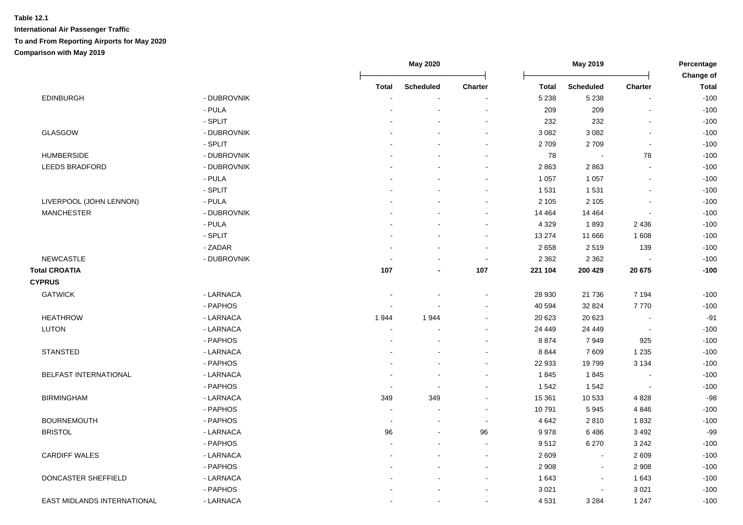|                              |             |              | <b>May 2020</b>  | May 2019                 |              |                          | Percentage<br>Change of |              |
|------------------------------|-------------|--------------|------------------|--------------------------|--------------|--------------------------|-------------------------|--------------|
|                              |             | <b>Total</b> | <b>Scheduled</b> | <b>Charter</b>           | <b>Total</b> | <b>Scheduled</b>         | Charter                 | <b>Total</b> |
| <b>EDINBURGH</b>             | - DUBROVNIK |              |                  |                          | 5 2 3 8      | 5 2 3 8                  |                         | $-100$       |
|                              | - PULA      |              |                  | $\overline{\phantom{a}}$ | 209          | 209                      |                         | $-100$       |
|                              | - SPLIT     |              |                  | $\overline{\phantom{a}}$ | 232          | 232                      |                         | $-100$       |
| GLASGOW                      | - DUBROVNIK |              |                  | $\blacksquare$           | 3 0 8 2      | 3 0 8 2                  |                         | $-100$       |
|                              | - SPLIT     |              |                  |                          | 2709         | 2709                     |                         | $-100$       |
| <b>HUMBERSIDE</b>            | - DUBROVNIK |              |                  |                          | 78           | $\overline{\phantom{a}}$ | 78                      | $-100$       |
| LEEDS BRADFORD               | - DUBROVNIK |              |                  |                          | 2863         | 2863                     |                         | $-100$       |
|                              | - PULA      |              |                  |                          | 1 0 5 7      | 1 0 5 7                  |                         | $-100$       |
|                              | - SPLIT     |              |                  | $\sim$                   | 1 5 3 1      | 1 5 3 1                  |                         | $-100$       |
| LIVERPOOL (JOHN LENNON)      | - PULA      |              |                  | $\blacksquare$           | 2 1 0 5      | 2 1 0 5                  |                         | $-100$       |
| <b>MANCHESTER</b>            | - DUBROVNIK |              |                  | $\blacksquare$           | 14 4 64      | 14 4 64                  |                         | $-100$       |
|                              | - PULA      |              |                  | $\overline{\phantom{a}}$ | 4 3 2 9      | 1893                     | 2 4 3 6                 | $-100$       |
|                              | - SPLIT     |              |                  | $\sim$                   | 13 274       | 11 666                   | 1608                    | $-100$       |
|                              | - ZADAR     |              |                  | $\sim$                   | 2658         | 2519                     | 139                     | $-100$       |
| <b>NEWCASTLE</b>             | - DUBROVNIK |              |                  | $\sim$                   | 2 3 6 2      | 2 3 6 2                  |                         | $-100$       |
| <b>Total CROATIA</b>         |             | 107          |                  | 107                      | 221 104      | 200 429                  | 20 675                  | $-100$       |
| <b>CYPRUS</b>                |             |              |                  |                          |              |                          |                         |              |
| <b>GATWICK</b>               | - LARNACA   |              |                  | $\overline{\phantom{a}}$ | 28 930       | 21 7 36                  | 7 1 9 4                 | $-100$       |
|                              | - PAPHOS    |              |                  | $\sim$                   | 40 594       | 32 824                   | 7770                    | $-100$       |
| <b>HEATHROW</b>              | - LARNACA   | 1944         | 1944             | $\sim$                   | 20 623       | 20 623                   |                         | $-91$        |
| <b>LUTON</b>                 | - LARNACA   |              |                  | $\blacksquare$           | 24 449       | 24 449                   |                         | $-100$       |
|                              | - PAPHOS    |              |                  |                          | 8874         | 7949                     | 925                     | $-100$       |
| <b>STANSTED</b>              | - LARNACA   |              |                  |                          | 8844         | 7609                     | 1 2 3 5                 | $-100$       |
|                              | - PAPHOS    |              |                  |                          | 22 933       | 19799                    | 3 1 3 4                 | $-100$       |
| <b>BELFAST INTERNATIONAL</b> | - LARNACA   |              |                  | $\blacksquare$           | 1845         | 1845                     |                         | $-100$       |
|                              | - PAPHOS    |              |                  | $\blacksquare$           | 1542         | 1542                     |                         | $-100$       |
| <b>BIRMINGHAM</b>            | - LARNACA   | 349          | 349              | $\blacksquare$           | 15 361       | 10 533                   | 4 8 2 8                 | $-98$        |
|                              | - PAPHOS    |              |                  | $\blacksquare$           | 10791        | 5945                     | 4846                    | $-100$       |
| <b>BOURNEMOUTH</b>           | - PAPHOS    | $\sim$       |                  | $\sim$                   | 4 6 4 2      | 2810                     | 1832                    | $-100$       |
| <b>BRISTOL</b>               | - LARNACA   | 96           |                  | 96                       | 9978         | 6486                     | 3 4 9 2                 | $-99$        |
|                              | - PAPHOS    |              |                  | $\sim$                   | 9512         | 6 2 7 0                  | 3 2 4 2                 | $-100$       |
| <b>CARDIFF WALES</b>         | - LARNACA   |              |                  | $\overline{\phantom{a}}$ | 2 6 0 9      | $\blacksquare$           | 2609                    | $-100$       |
|                              | - PAPHOS    |              |                  | $\blacksquare$           | 2 9 0 8      | $\blacksquare$           | 2 9 0 8                 | $-100$       |
| DONCASTER SHEFFIELD          | - LARNACA   |              |                  | $\blacksquare$           | 1 643        | $\blacksquare$           | 1643                    | $-100$       |
|                              | - PAPHOS    |              |                  |                          | 3 0 21       |                          | 3 0 21                  | $-100$       |
| EAST MIDLANDS INTERNATIONAL  | - LARNACA   |              |                  |                          | 4 5 31       | 3 2 8 4                  | 1 2 4 7                 | $-100$       |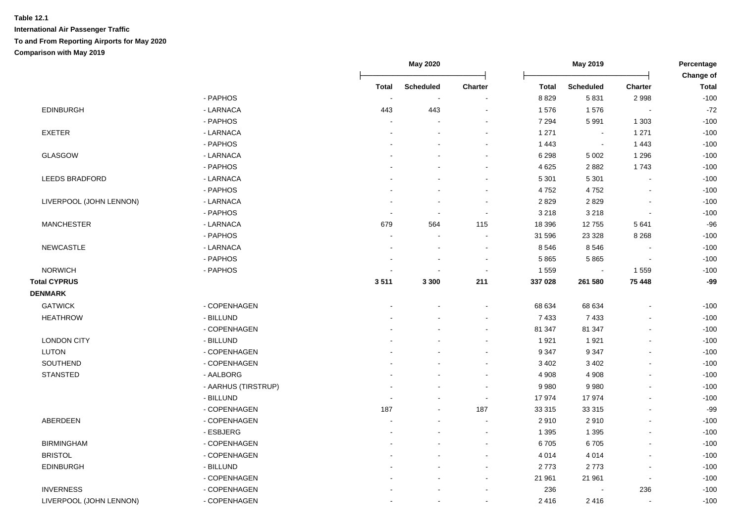|                         |                     |                          | <b>May 2020</b>          |                | May 2019     |                          |                          | Percentage<br>Change of |
|-------------------------|---------------------|--------------------------|--------------------------|----------------|--------------|--------------------------|--------------------------|-------------------------|
|                         |                     | <b>Total</b>             | Scheduled                | <b>Charter</b> | <b>Total</b> | <b>Scheduled</b>         | Charter                  | <b>Total</b>            |
|                         | - PAPHOS            | $\overline{\phantom{a}}$ | $\sim$                   |                | 8 8 2 9      | 5831                     | 2998                     | $-100$                  |
| <b>EDINBURGH</b>        | - LARNACA           | 443                      | 443                      |                | 1576         | 1576                     |                          | $-72$                   |
|                         | - PAPHOS            |                          |                          |                | 7 2 9 4      | 5991                     | 1 3 0 3                  | $-100$                  |
| <b>EXETER</b>           | - LARNACA           |                          |                          |                | 1 2 7 1      | $\overline{\phantom{a}}$ | 1 2 7 1                  | $-100$                  |
|                         | - PAPHOS            |                          |                          |                | 1 4 4 3      | $\overline{\phantom{a}}$ | 1443                     | $-100$                  |
| GLASGOW                 | - LARNACA           |                          |                          |                | 6 2 9 8      | 5 0 0 2                  | 1 2 9 6                  | $-100$                  |
|                         | - PAPHOS            |                          |                          | $\sim$         | 4 6 25       | 2882                     | 1743                     | $-100$                  |
| <b>LEEDS BRADFORD</b>   | - LARNACA           |                          |                          |                | 5 3 0 1      | 5 3 0 1                  | $\overline{a}$           | $-100$                  |
|                         | - PAPHOS            |                          |                          | $\sim$         | 4752         | 4752                     | $\overline{a}$           | $-100$                  |
| LIVERPOOL (JOHN LENNON) | - LARNACA           |                          |                          | $\sim$         | 2829         | 2829                     |                          | $-100$                  |
|                         | - PAPHOS            | $\overline{\phantom{a}}$ | $\blacksquare$           | $\sim$         | 3 2 1 8      | 3 2 1 8                  | $\overline{a}$           | $-100$                  |
| <b>MANCHESTER</b>       | - LARNACA           | 679                      | 564                      | 115            | 18 39 6      | 12755                    | 5641                     | $-96$                   |
|                         | - PAPHOS            | $\overline{\phantom{a}}$ | $\overline{\phantom{a}}$ |                | 31 596       | 23 3 28                  | 8 2 6 8                  | $-100$                  |
| NEWCASTLE               | - LARNACA           |                          |                          |                | 8546         | 8546                     |                          | $-100$                  |
|                         | - PAPHOS            |                          |                          |                | 5865         | 5865                     |                          | $-100$                  |
| <b>NORWICH</b>          | - PAPHOS            |                          | ÷                        | $\sim$         | 1 5 5 9      | $\overline{\phantom{a}}$ | 1559                     | $-100$                  |
| <b>Total CYPRUS</b>     |                     | 3511                     | 3 3 0 0                  | 211            | 337 028      | 261 580                  | 75 448                   | $-99$                   |
| <b>DENMARK</b>          |                     |                          |                          |                |              |                          |                          |                         |
| <b>GATWICK</b>          | - COPENHAGEN        |                          |                          |                | 68 634       | 68 634                   |                          | $-100$                  |
| <b>HEATHROW</b>         | - BILLUND           |                          |                          |                | 7 4 3 3      | 7 4 3 3                  |                          | $-100$                  |
|                         | - COPENHAGEN        |                          |                          |                | 81 347       | 81 347                   | $\blacksquare$           | $-100$                  |
| <b>LONDON CITY</b>      | - BILLUND           |                          |                          |                | 1921         | 1921                     |                          | $-100$                  |
| <b>LUTON</b>            | - COPENHAGEN        |                          |                          |                | 9 3 4 7      | 9 3 4 7                  | $\blacksquare$           | $-100$                  |
| SOUTHEND                | - COPENHAGEN        |                          |                          |                | 3 4 0 2      | 3 4 0 2                  |                          | $-100$                  |
| <b>STANSTED</b>         | - AALBORG           |                          |                          |                | 4 9 0 8      | 4 9 0 8                  |                          | $-100$                  |
|                         | - AARHUS (TIRSTRUP) |                          |                          |                | 9980         | 9980                     |                          | $-100$                  |
|                         | - BILLUND           |                          |                          | $\sim$         | 17974        | 17974                    |                          | $-100$                  |
|                         | - COPENHAGEN        | 187                      |                          | 187            | 33 315       | 33 315                   |                          | $-99$                   |
| ABERDEEN                | - COPENHAGEN        |                          |                          |                | 2910         | 2910                     | $\overline{a}$           | $-100$                  |
|                         | - ESBJERG           |                          |                          |                | 1 3 9 5      | 1 3 9 5                  |                          | $-100$                  |
| <b>BIRMINGHAM</b>       | - COPENHAGEN        |                          |                          |                | 6705         | 6705                     |                          | $-100$                  |
| <b>BRISTOL</b>          | - COPENHAGEN        |                          |                          |                | 4 0 1 4      | 4 0 1 4                  |                          | $-100$                  |
| <b>EDINBURGH</b>        | - BILLUND           |                          |                          | $\sim$         | 2773         | 2773                     | $\blacksquare$           | $-100$                  |
|                         | - COPENHAGEN        |                          |                          |                | 21 961       | 21 961                   | $\blacksquare$           | $-100$                  |
| <b>INVERNESS</b>        | - COPENHAGEN        |                          |                          |                | 236          | $\blacksquare$           | 236                      | $-100$                  |
| LIVERPOOL (JOHN LENNON) | - COPENHAGEN        | $\blacksquare$           | $\blacksquare$           |                | 2416         | 2416                     | $\overline{\phantom{a}}$ | $-100$                  |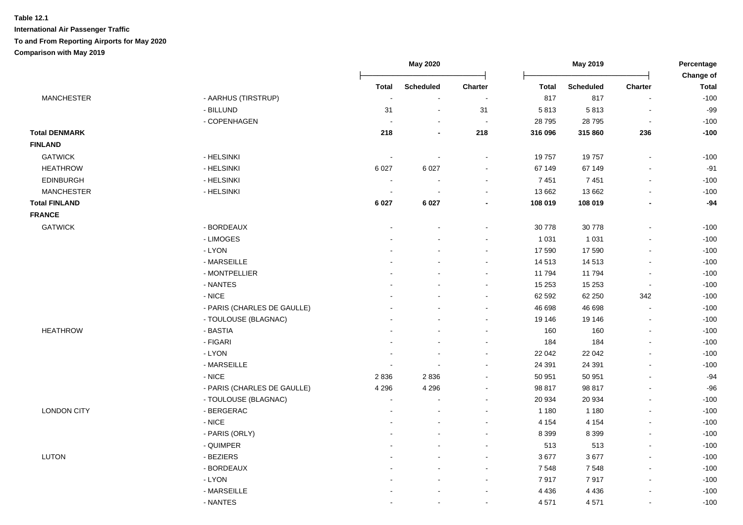|                      |                             |                | <b>May 2020</b>          |                          | May 2019     |                  | Percentage     |                           |
|----------------------|-----------------------------|----------------|--------------------------|--------------------------|--------------|------------------|----------------|---------------------------|
|                      |                             | <b>Total</b>   | <b>Scheduled</b>         | Charter                  | <b>Total</b> | <b>Scheduled</b> | Charter        | Change of<br><b>Total</b> |
| <b>MANCHESTER</b>    | - AARHUS (TIRSTRUP)         |                | $\overline{\phantom{a}}$ | $\overline{\phantom{a}}$ | 817          | 817              | L,             | $-100$                    |
|                      | - BILLUND                   | 31             | $\sim$                   | 31                       | 5813         | 5813             | $\blacksquare$ | $-99$                     |
|                      | - COPENHAGEN                |                | $\overline{\phantom{a}}$ | $\sim$                   | 28 7 95      | 28 7 95          | $\sim$         | $-100$                    |
| <b>Total DENMARK</b> |                             | 218            | $\overline{\phantom{a}}$ | 218                      | 316 096      | 315 860          | 236            | $-100$                    |
| <b>FINLAND</b>       |                             |                |                          |                          |              |                  |                |                           |
| <b>GATWICK</b>       | - HELSINKI                  | $\blacksquare$ | $\overline{\phantom{a}}$ | $\sim$                   | 19757        | 19757            |                | $-100$                    |
| <b>HEATHROW</b>      | - HELSINKI                  | 6 0 27         | 6 0 27                   | $\sim$                   | 67 149       | 67 149           | ä,             | $-91$                     |
| <b>EDINBURGH</b>     | - HELSINKI                  | $\sim$         | $\overline{\phantom{a}}$ | $\blacksquare$           | 7 4 5 1      | 7451             | $\overline{a}$ | $-100$                    |
| <b>MANCHESTER</b>    | - HELSINKI                  | $\sim$         | $\blacksquare$           | $\overline{\phantom{a}}$ | 13 662       | 13 662           | $\blacksquare$ | $-100$                    |
| <b>Total FINLAND</b> |                             | 6 0 27         | 6 0 2 7                  | $\blacksquare$           | 108 019      | 108 019          | $\blacksquare$ | $-94$                     |
| <b>FRANCE</b>        |                             |                |                          |                          |              |                  |                |                           |
| <b>GATWICK</b>       | - BORDEAUX                  |                |                          |                          | 30 778       | 30 778           | $\overline{a}$ | $-100$                    |
|                      | - LIMOGES                   |                |                          | $\blacksquare$           | 1 0 3 1      | 1 0 3 1          | $\blacksquare$ | $-100$                    |
|                      | - LYON                      |                |                          | ä,                       | 17 590       | 17 590           | ä,             | $-100$                    |
|                      | - MARSEILLE                 |                |                          | $\blacksquare$           | 14 513       | 14 513           | ä,             | $-100$                    |
|                      | - MONTPELLIER               |                |                          | $\blacksquare$           | 11 794       | 11794            | $\blacksquare$ | $-100$                    |
|                      | - NANTES                    |                |                          | $\overline{a}$           | 15 253       | 15 253           | $\sim$         | $-100$                    |
|                      | $-$ NICE                    |                |                          | ä,                       | 62 592       | 62 250           | 342            | $-100$                    |
|                      | - PARIS (CHARLES DE GAULLE) |                |                          |                          | 46 698       | 46 698           |                | $-100$                    |
|                      | - TOULOUSE (BLAGNAC)        |                |                          | $\blacksquare$           | 19 14 6      | 19 14 6          | $\blacksquare$ | $-100$                    |
| <b>HEATHROW</b>      | - BASTIA                    |                |                          | $\blacksquare$           | 160          | 160              | ä,             | $-100$                    |
|                      | - FIGARI                    |                |                          | $\blacksquare$           | 184          | 184              | $\blacksquare$ | $-100$                    |
|                      | - LYON                      |                | $\overline{a}$           | $\blacksquare$           | 22 042       | 22 042           | ä,             | $-100$                    |
|                      | - MARSEILLE                 |                | $\overline{a}$           | ä,                       | 24 391       | 24 391           | ä,             | $-100$                    |
|                      | $-$ NICE                    | 2836           | 2836                     | $\blacksquare$           | 50 951       | 50 951           | $\overline{a}$ | $-94$                     |
|                      | - PARIS (CHARLES DE GAULLE) | 4 2 9 6        | 4 2 9 6                  | $\blacksquare$           | 98 817       | 98 817           | $\overline{a}$ | $-96$                     |
|                      | - TOULOUSE (BLAGNAC)        | $\sim$         | $\overline{\phantom{a}}$ | $\blacksquare$           | 20 934       | 20 934           | ä,             | $-100$                    |
| <b>LONDON CITY</b>   | - BERGERAC                  | $\sim$         | $\overline{a}$           | $\sim$                   | 1 1 8 0      | 1 1 8 0          | ä,             | $-100$                    |
|                      | $-$ NICE                    |                | $\blacksquare$           | $\sim$                   | 4 1 5 4      | 4 1 5 4          | ä,             | $-100$                    |
|                      | - PARIS (ORLY)              |                |                          | $\overline{\phantom{a}}$ | 8 3 9 9      | 8 3 9 9          | L,             | $-100$                    |
|                      | - QUIMPER                   |                | $\overline{a}$           | $\overline{a}$           | 513          | 513              | $\overline{a}$ | $-100$                    |
| <b>LUTON</b>         | - BEZIERS                   |                | $\overline{a}$           | $\blacksquare$           | 3677         | 3677             | $\overline{a}$ | $-100$                    |
|                      | - BORDEAUX                  |                | $\blacksquare$           | $\blacksquare$           | 7 5 4 8      | 7548             | $\blacksquare$ | $-100$                    |
|                      | - LYON                      |                | $\blacksquare$           | $\blacksquare$           | 7917         | 7917             | $\blacksquare$ | $-100$                    |
|                      | - MARSEILLE                 |                |                          | $\blacksquare$           | 4 4 3 6      | 4 4 3 6          | ä,             | $-100$                    |
|                      | - NANTES                    |                | $\overline{a}$           | $\blacksquare$           | 4571         | 4571             | ä,             | $-100$                    |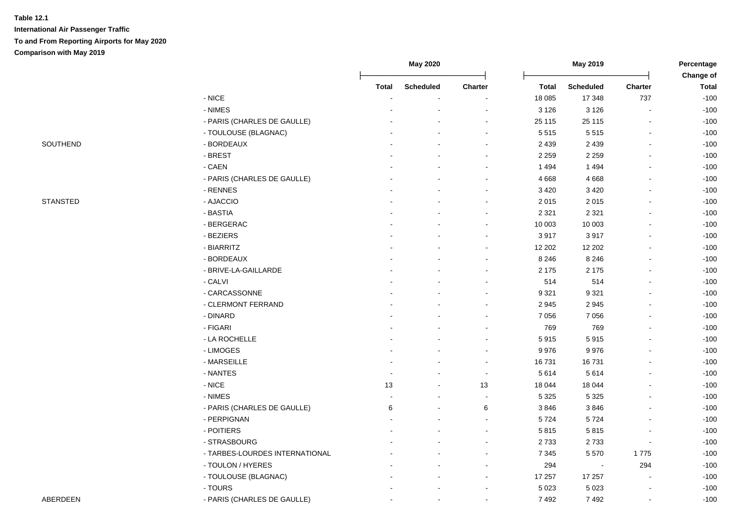|                 |                                | May 2020     |                  | May 2019       |         |                          | Percentage<br>Change of |              |
|-----------------|--------------------------------|--------------|------------------|----------------|---------|--------------------------|-------------------------|--------------|
|                 |                                | <b>Total</b> | <b>Scheduled</b> | Charter        | Total   | <b>Scheduled</b>         | Charter                 | <b>Total</b> |
|                 | $-$ NICE                       |              |                  |                | 18 0 85 | 17 348                   | 737                     | $-100$       |
|                 | - NIMES                        |              |                  |                | 3 1 2 6 | 3 1 2 6                  | ÷,                      | $-100$       |
|                 | - PARIS (CHARLES DE GAULLE)    |              |                  |                | 25 115  | 25 115                   | ä,                      | $-100$       |
|                 | - TOULOUSE (BLAGNAC)           |              |                  |                | 5 5 1 5 | 5515                     | $\sim$                  | $-100$       |
| SOUTHEND        | - BORDEAUX                     |              |                  |                | 2 4 3 9 | 2 4 3 9                  | ä,                      | $-100$       |
|                 | - BREST                        |              |                  |                | 2 2 5 9 | 2 2 5 9                  |                         | $-100$       |
|                 | - CAEN                         |              |                  |                | 1 4 9 4 | 1 4 9 4                  | $\blacksquare$          | $-100$       |
|                 | - PARIS (CHARLES DE GAULLE)    |              |                  |                | 4 6 6 8 | 4 6 6 8                  | $\blacksquare$          | $-100$       |
|                 | - RENNES                       |              |                  |                | 3 4 2 0 | 3 4 2 0                  | $\overline{a}$          | $-100$       |
| <b>STANSTED</b> | - AJACCIO                      |              |                  |                | 2 0 1 5 | 2015                     |                         | $-100$       |
|                 | - BASTIA                       |              |                  |                | 2 3 2 1 | 2 3 2 1                  | $\overline{a}$          | $-100$       |
|                 | - BERGERAC                     |              |                  |                | 10 003  | 10 003                   | $\blacksquare$          | $-100$       |
|                 | - BEZIERS                      |              |                  |                | 3917    | 3917                     | ä,                      | $-100$       |
|                 | - BIARRITZ                     |              |                  |                | 12 20 2 | 12 20 2                  | ä,                      | $-100$       |
|                 | - BORDEAUX                     |              |                  |                | 8 2 4 6 | 8 2 4 6                  | $\blacksquare$          | $-100$       |
|                 | - BRIVE-LA-GAILLARDE           |              |                  |                | 2 175   | 2 1 7 5                  | $\blacksquare$          | $-100$       |
|                 | - CALVI                        |              |                  |                | 514     | 514                      | $\overline{a}$          | $-100$       |
|                 | - CARCASSONNE                  |              |                  |                | 9 3 21  | 9 3 21                   |                         | $-100$       |
|                 | - CLERMONT FERRAND             |              |                  |                | 2 9 4 5 | 2945                     |                         | $-100$       |
|                 | - DINARD                       |              |                  |                | 7 0 5 6 | 7 0 5 6                  | $\blacksquare$          | $-100$       |
|                 | - FIGARI                       |              |                  |                | 769     | 769                      | $\blacksquare$          | $-100$       |
|                 | - LA ROCHELLE                  |              |                  |                | 5915    | 5915                     | $\blacksquare$          | $-100$       |
|                 | - LIMOGES                      |              |                  |                | 9976    | 9976                     | ä,                      | $-100$       |
|                 | - MARSEILLE                    |              |                  |                | 16731   | 16731                    | $\blacksquare$          | $-100$       |
|                 | - NANTES                       |              |                  | $\sim$         | 5 6 1 4 | 5614                     | $\blacksquare$          | $-100$       |
|                 | $-$ NICE                       | 13           |                  | 13             | 18 044  | 18 044                   |                         | $-100$       |
|                 | - NIMES                        |              |                  | $\blacksquare$ | 5 3 2 5 | 5 3 2 5                  |                         | $-100$       |
|                 | - PARIS (CHARLES DE GAULLE)    | 6            |                  | 6              | 3846    | 3846                     |                         | $-100$       |
|                 | - PERPIGNAN                    |              |                  | $\sim$         | 5724    | 5724                     | Ĭ.                      | $-100$       |
|                 | - POITIERS                     |              |                  |                | 5815    | 5815                     |                         | $-100$       |
|                 | - STRASBOURG                   |              |                  |                | 2733    | 2733                     | $\blacksquare$          | $-100$       |
|                 | - TARBES-LOURDES INTERNATIONAL |              |                  |                | 7 3 4 5 | 5570                     | 1775                    | $-100$       |
|                 | - TOULON / HYERES              |              |                  |                | 294     | $\overline{\phantom{a}}$ | 294                     | $-100$       |
|                 | - TOULOUSE (BLAGNAC)           |              |                  |                | 17 257  | 17 257                   |                         | $-100$       |
|                 | - TOURS                        |              |                  |                | 5 0 23  | 5 0 23                   |                         | $-100$       |
| <b>ABERDEEN</b> | - PARIS (CHARLES DE GAULLE)    |              |                  |                | 7492    | 7492                     | $\blacksquare$          | $-100$       |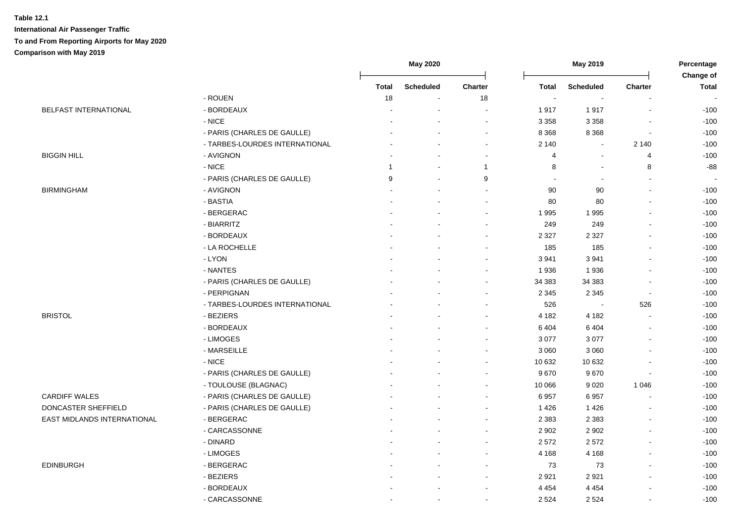|                             |                                | <b>May 2020</b> |                  |                |                      | May 2019                 |                          | Percentage<br>Change of |  |
|-----------------------------|--------------------------------|-----------------|------------------|----------------|----------------------|--------------------------|--------------------------|-------------------------|--|
|                             |                                | <b>Total</b>    | <b>Scheduled</b> | Charter        | Total                | <b>Scheduled</b>         | Charter                  | <b>Total</b>            |  |
|                             | - ROUEN                        | 18              | $\blacksquare$   | 18             | $\ddot{\phantom{a}}$ | $\overline{\phantom{a}}$ |                          |                         |  |
| BELFAST INTERNATIONAL       | - BORDEAUX                     |                 |                  |                | 1917                 | 1917                     |                          | $-100$                  |  |
|                             | - NICE                         |                 |                  |                | 3 3 5 8              | 3 3 5 8                  |                          | $-100$                  |  |
|                             | - PARIS (CHARLES DE GAULLE)    |                 |                  | $\sim$         | 8 3 6 8              | 8 3 6 8                  | $\overline{\phantom{a}}$ | $-100$                  |  |
|                             | - TARBES-LOURDES INTERNATIONAL |                 |                  | $\blacksquare$ | 2 140                | $\mathbf{r}$             | 2 1 4 0                  | $-100$                  |  |
| <b>BIGGIN HILL</b>          | - AVIGNON                      |                 | $\blacksquare$   | $\blacksquare$ | 4                    | $\blacksquare$           | $\overline{4}$           | $-100$                  |  |
|                             | $-$ NICE                       | $\overline{1}$  | $\blacksquare$   | $\overline{1}$ | 8                    | $\blacksquare$           | 8                        | $-88$                   |  |
|                             | - PARIS (CHARLES DE GAULLE)    | 9               | $\blacksquare$   | 9              |                      | $\sim$                   | $\sim$                   |                         |  |
| <b>BIRMINGHAM</b>           | - AVIGNON                      |                 | $\overline{a}$   | $\blacksquare$ | 90                   | 90                       |                          | $-100$                  |  |
|                             | - BASTIA                       |                 | $\overline{a}$   | $\mathbf{r}$   | 80                   | 80                       |                          | $-100$                  |  |
|                             | - BERGERAC                     |                 |                  | $\sim$         | 1995                 | 1995                     | $\overline{\phantom{a}}$ | $-100$                  |  |
|                             | - BIARRITZ                     |                 |                  | $\blacksquare$ | 249                  | 249                      |                          | $-100$                  |  |
|                             | - BORDEAUX                     |                 |                  | $\blacksquare$ | 2 3 2 7              | 2 3 2 7                  |                          | $-100$                  |  |
|                             | - LA ROCHELLE                  |                 |                  | $\sim$         | 185                  | 185                      |                          | $-100$                  |  |
|                             | - LYON                         |                 |                  | $\overline{a}$ | 3 9 4 1              | 3941                     |                          | $-100$                  |  |
|                             | - NANTES                       |                 |                  | $\overline{a}$ | 1936                 | 1936                     |                          | $-100$                  |  |
|                             | - PARIS (CHARLES DE GAULLE)    |                 |                  | ÷              | 34 383               | 34 383                   |                          | $-100$                  |  |
|                             | - PERPIGNAN                    |                 |                  | $\overline{a}$ | 2 3 4 5              | 2 3 4 5                  | $\sim$                   | $-100$                  |  |
|                             | - TARBES-LOURDES INTERNATIONAL |                 |                  | $\overline{a}$ | 526                  | $\blacksquare$           | 526                      | $-100$                  |  |
| <b>BRISTOL</b>              | - BEZIERS                      |                 | ÷                | $\blacksquare$ | 4 1 8 2              | 4 1 8 2                  | $\blacksquare$           | $-100$                  |  |
|                             | - BORDEAUX                     |                 |                  | $\blacksquare$ | 6 4 0 4              | 6 4 0 4                  |                          | $-100$                  |  |
|                             | - LIMOGES                      |                 |                  | $\blacksquare$ | 3 0 7 7              | 3 0 7 7                  |                          | $-100$                  |  |
|                             | - MARSEILLE                    |                 |                  | $\blacksquare$ | 3 0 6 0              | 3 0 6 0                  |                          | $-100$                  |  |
|                             | $-$ NICE                       |                 |                  | $\sim$         | 10 632               | 10 632                   |                          | $-100$                  |  |
|                             | - PARIS (CHARLES DE GAULLE)    |                 |                  | $\blacksquare$ | 9670                 | 9670                     | $\overline{\phantom{a}}$ | $-100$                  |  |
|                             | - TOULOUSE (BLAGNAC)           |                 |                  | $\blacksquare$ | 10 066               | 9 0 2 0                  | 1 0 4 6                  | $-100$                  |  |
| <b>CARDIFF WALES</b>        | - PARIS (CHARLES DE GAULLE)    |                 |                  | $\mathbf{r}$   | 6957                 | 6957                     |                          | $-100$                  |  |
| DONCASTER SHEFFIELD         | - PARIS (CHARLES DE GAULLE)    |                 |                  | $\blacksquare$ | 1426                 | 1426                     |                          | $-100$                  |  |
| EAST MIDLANDS INTERNATIONAL | - BERGERAC                     |                 |                  | $\overline{a}$ | 2 3 8 3              | 2 3 8 3                  |                          | $-100$                  |  |
|                             | - CARCASSONNE                  |                 |                  | $\blacksquare$ | 2 9 0 2              | 2 9 0 2                  | $\overline{\phantom{a}}$ | $-100$                  |  |
|                             | - DINARD                       |                 |                  | $\blacksquare$ | 2 5 7 2              | 2572                     | $\overline{\phantom{a}}$ | $-100$                  |  |
|                             | - LIMOGES                      |                 |                  | $\blacksquare$ | 4 1 6 8              | 4 1 6 8                  | $\blacksquare$           | $-100$                  |  |
| <b>EDINBURGH</b>            | - BERGERAC                     |                 | $\blacksquare$   | $\blacksquare$ | 73                   | 73                       | $\blacksquare$           | $-100$                  |  |
|                             | - BEZIERS                      |                 | $\overline{a}$   | $\blacksquare$ | 2921                 | 2921                     |                          | $-100$                  |  |
|                             | - BORDEAUX                     |                 |                  | $\blacksquare$ | 4 4 5 4              | 4 4 5 4                  |                          | $-100$                  |  |
|                             | - CARCASSONNE                  |                 | $\blacksquare$   | $\blacksquare$ | 2 5 2 4              | 2 5 2 4                  |                          | $-100$                  |  |
|                             |                                |                 |                  |                |                      |                          |                          |                         |  |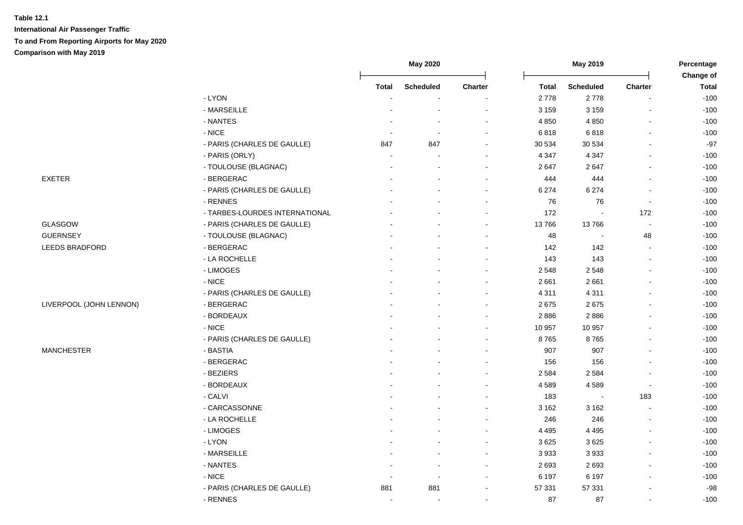|                         |                                | <b>May 2020</b>          |                          |                          | May 2019     |                  | Percentage<br>Change of |              |
|-------------------------|--------------------------------|--------------------------|--------------------------|--------------------------|--------------|------------------|-------------------------|--------------|
|                         |                                | <b>Total</b>             | <b>Scheduled</b>         | <b>Charter</b>           | <b>Total</b> | <b>Scheduled</b> | Charter                 | <b>Total</b> |
|                         | - LYON                         | $\blacksquare$           | $\sim$                   | $\blacksquare$           | 2778         | 2778             |                         | $-100$       |
|                         | - MARSEILLE                    |                          | $\blacksquare$           | $\blacksquare$           | 3 1 5 9      | 3 1 5 9          | $\blacksquare$          | $-100$       |
|                         | - NANTES                       |                          | $\sim$                   | $\blacksquare$           | 4 8 5 0      | 4 8 5 0          | $\overline{a}$          | $-100$       |
|                         | $-$ NICE                       |                          | $\sim$                   |                          | 6818         | 6818             |                         | $-100$       |
|                         | - PARIS (CHARLES DE GAULLE)    | 847                      | 847                      | $\overline{a}$           | 30 534       | 30 534           |                         | $-97$        |
|                         | - PARIS (ORLY)                 | $\sim$                   | ÷                        | $\overline{a}$           | 4 3 4 7      | 4 3 4 7          | $\overline{a}$          | $-100$       |
|                         | - TOULOUSE (BLAGNAC)           |                          | ÷,                       | $\sim$                   | 2647         | 2647             | L.                      | $-100$       |
| <b>EXETER</b>           | - BERGERAC                     |                          |                          | $\blacksquare$           | 444          | 444              | ä,                      | $-100$       |
|                         | - PARIS (CHARLES DE GAULLE)    |                          | $\overline{a}$           | $\blacksquare$           | 6 2 7 4      | 6 2 7 4          | $\blacksquare$          | $-100$       |
|                         | - RENNES                       |                          |                          | $\blacksquare$           | 76           | 76               | $\blacksquare$          | $-100$       |
|                         | - TARBES-LOURDES INTERNATIONAL |                          |                          |                          | 172          |                  | 172                     | $-100$       |
| <b>GLASGOW</b>          | - PARIS (CHARLES DE GAULLE)    |                          |                          | $\blacksquare$           | 13766        | 13766            | ÷,                      | $-100$       |
| <b>GUERNSEY</b>         | - TOULOUSE (BLAGNAC)           |                          |                          | ۰                        | 48           |                  | 48                      | $-100$       |
| LEEDS BRADFORD          | - BERGERAC                     |                          |                          | $\blacksquare$           | 142          | 142              | $\sim$                  | $-100$       |
|                         | - LA ROCHELLE                  |                          |                          | ä,                       | 143          | 143              | $\blacksquare$          | $-100$       |
|                         | - LIMOGES                      |                          |                          |                          | 2 5 4 8      | 2548             |                         | $-100$       |
|                         | $-$ NICE                       |                          |                          |                          | 2 6 6 1      | 2 6 6 1          |                         | $-100$       |
|                         | - PARIS (CHARLES DE GAULLE)    |                          |                          |                          | 4 3 1 1      | 4 3 1 1          |                         | $-100$       |
| LIVERPOOL (JOHN LENNON) | - BERGERAC                     |                          |                          | $\sim$                   | 2675         | 2675             | $\blacksquare$          | $-100$       |
|                         | - BORDEAUX                     |                          |                          | $\sim$                   | 2886         | 2886             |                         | $-100$       |
|                         | $-$ NICE                       |                          |                          | $\blacksquare$           | 10 957       | 10 957           |                         | $-100$       |
|                         | - PARIS (CHARLES DE GAULLE)    |                          |                          | $\blacksquare$           | 8765         | 8765             | ä,                      | $-100$       |
| <b>MANCHESTER</b>       | - BASTIA                       |                          |                          |                          | 907          | 907              | L.                      | $-100$       |
|                         | - BERGERAC                     |                          |                          |                          | 156          | 156              |                         | $-100$       |
|                         | - BEZIERS                      |                          |                          |                          | 2 5 8 4      | 2 5 8 4          |                         | $-100$       |
|                         | - BORDEAUX                     |                          |                          | $\blacksquare$           | 4589         | 4589             | $\sim$                  | $-100$       |
|                         | - CALVI                        |                          |                          | ۰                        | 183          | $\blacksquare$   | 183                     | $-100$       |
|                         | - CARCASSONNE                  |                          |                          | $\blacksquare$           | 3 1 6 2      | 3 1 6 2          |                         | $-100$       |
|                         | - LA ROCHELLE                  |                          |                          |                          | 246          | 246              | $\overline{a}$          | $-100$       |
|                         | - LIMOGES                      |                          |                          | ä,                       | 4 4 9 5      | 4 4 9 5          | L.                      | $-100$       |
|                         | - LYON                         |                          |                          |                          | 3 6 2 5      | 3625             |                         | $-100$       |
|                         | - MARSEILLE                    |                          | $\overline{a}$           | $\sim$                   | 3 9 3 3      | 3933             |                         | $-100$       |
|                         | - NANTES                       |                          | $\sim$                   | $\sim$                   | 2693         | 2693             | $\blacksquare$          | $-100$       |
|                         | $-$ NICE                       | $\blacksquare$           | $\overline{\phantom{a}}$ | $\blacksquare$           | 6 197        | 6 1 9 7          | $\blacksquare$          | $-100$       |
|                         | - PARIS (CHARLES DE GAULLE)    | 881                      | 881                      | $\overline{\phantom{0}}$ | 57 331       | 57 331           | $\overline{a}$          | $-98$        |
|                         | - RENNES                       | $\overline{\phantom{a}}$ | $\sim$                   | $\blacksquare$           | 87           | 87               | $\blacksquare$          | $-100$       |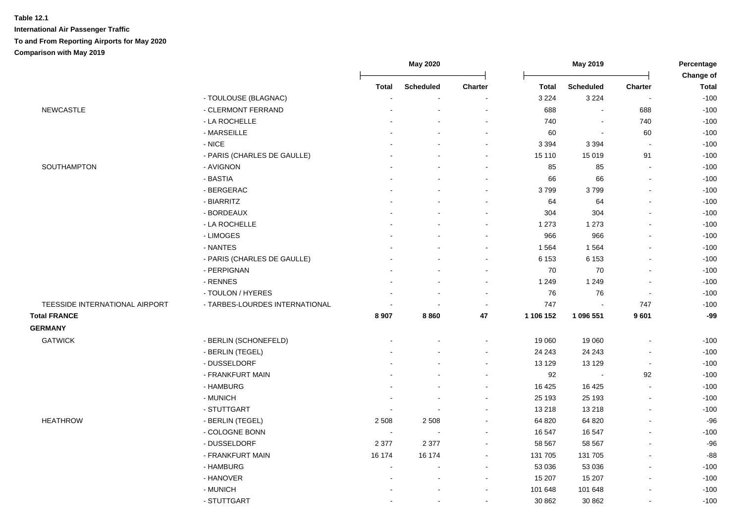|                                |                                |              | May 2020         |                |              | May 2019                 |                          | Percentage<br>Change of |
|--------------------------------|--------------------------------|--------------|------------------|----------------|--------------|--------------------------|--------------------------|-------------------------|
|                                |                                | <b>Total</b> | <b>Scheduled</b> | Charter        | <b>Total</b> | <b>Scheduled</b>         | Charter                  | <b>Total</b>            |
|                                | - TOULOUSE (BLAGNAC)           |              |                  |                | 3 2 2 4      | 3 2 2 4                  |                          | $-100$                  |
| <b>NEWCASTLE</b>               | - CLERMONT FERRAND             |              |                  |                | 688          |                          | 688                      | $-100$                  |
|                                | - LA ROCHELLE                  |              |                  | $\sim$         | 740          | $\overline{\phantom{a}}$ | 740                      | $-100$                  |
|                                | - MARSEILLE                    |              |                  |                | 60           | $\sim$                   | 60                       | $-100$                  |
|                                | - NICE                         |              |                  | $\sim$         | 3 3 9 4      | 3 3 9 4                  | $\sim$                   | $-100$                  |
|                                | - PARIS (CHARLES DE GAULLE)    |              |                  | $\sim$         | 15 110       | 15 019                   | 91                       | $-100$                  |
| SOUTHAMPTON                    | - AVIGNON                      |              |                  |                | 85           | 85                       |                          | $-100$                  |
|                                | - BASTIA                       |              |                  | $\sim$         | 66           | 66                       |                          | $-100$                  |
|                                | - BERGERAC                     |              |                  | $\sim$         | 3799         | 3799                     |                          | $-100$                  |
|                                | - BIARRITZ                     |              |                  | $\sim$         | 64           | 64                       |                          | $-100$                  |
|                                | - BORDEAUX                     |              |                  |                | 304          | 304                      |                          | $-100$                  |
|                                | - LA ROCHELLE                  |              |                  |                | 1 2 7 3      | 1 2 7 3                  |                          | $-100$                  |
|                                | - LIMOGES                      |              |                  |                | 966          | 966                      |                          | $-100$                  |
|                                | - NANTES                       |              |                  |                | 1 5 6 4      | 1564                     |                          | $-100$                  |
|                                | - PARIS (CHARLES DE GAULLE)    |              |                  | $\sim$         | 6 1 5 3      | 6 1 5 3                  |                          | $-100$                  |
|                                | - PERPIGNAN                    |              |                  |                | 70           | 70                       |                          | $-100$                  |
|                                | - RENNES                       |              |                  | $\sim$         | 1 2 4 9      | 1 2 4 9                  |                          | $-100$                  |
|                                | - TOULON / HYERES              |              |                  | $\sim$         | 76           | 76                       | $\overline{\phantom{a}}$ | $-100$                  |
| TEESSIDE INTERNATIONAL AIRPORT | - TARBES-LOURDES INTERNATIONAL |              |                  | $\sim$         | 747          |                          | 747                      | $-100$                  |
| <b>Total FRANCE</b>            |                                | 8 9 0 7      | 8860             | 47             | 1 106 152    | 1 096 551                | 9601                     | $-99$                   |
| <b>GERMANY</b>                 |                                |              |                  |                |              |                          |                          |                         |
| <b>GATWICK</b>                 | - BERLIN (SCHONEFELD)          |              |                  | $\sim$         | 19 060       | 19 060                   | $\blacksquare$           | $-100$                  |
|                                | - BERLIN (TEGEL)               |              |                  |                | 24 24 3      | 24 24 3                  |                          | $-100$                  |
|                                | - DUSSELDORF                   |              |                  | $\sim$         | 13 129       | 13 1 29                  | $\sim$                   | $-100$                  |
|                                | - FRANKFURT MAIN               |              |                  | $\sim$         | 92           |                          | 92                       | $-100$                  |
|                                | - HAMBURG                      |              |                  | $\blacksquare$ | 16 4 25      | 16 4 25                  |                          | $-100$                  |
|                                | - MUNICH                       |              |                  |                | 25 193       | 25 193                   |                          | $-100$                  |
|                                | - STUTTGART                    |              |                  |                | 13 218       | 13 218                   |                          | $-100$                  |
| <b>HEATHROW</b>                | - BERLIN (TEGEL)               | 2 5 0 8      | 2 5 0 8          |                | 64 820       | 64 820                   |                          | $-96$                   |
|                                | - COLOGNE BONN                 | $\sim$       |                  |                | 16 547       | 16 547                   |                          | $-100$                  |
|                                | - DUSSELDORF                   | 2 3 7 7      | 2 3 7 7          | $\sim$         | 58 567       | 58 567                   |                          | $-96$                   |
|                                | - FRANKFURT MAIN               | 16 174       | 16 174           | $\blacksquare$ | 131 705      | 131 705                  |                          | $-88$                   |
|                                | - HAMBURG                      |              |                  | $\sim$         | 53 036       | 53 036                   |                          | $-100$                  |
|                                | - HANOVER                      |              |                  | $\sim$         | 15 207       | 15 207                   | $\sim$                   | $-100$                  |
|                                | - MUNICH                       |              |                  | $\sim$         | 101 648      | 101 648                  |                          | $-100$                  |
|                                | - STUTTGART                    |              |                  | $\sim$         | 30 862       | 30 862                   |                          | $-100$                  |
|                                |                                |              |                  |                |              |                          |                          |                         |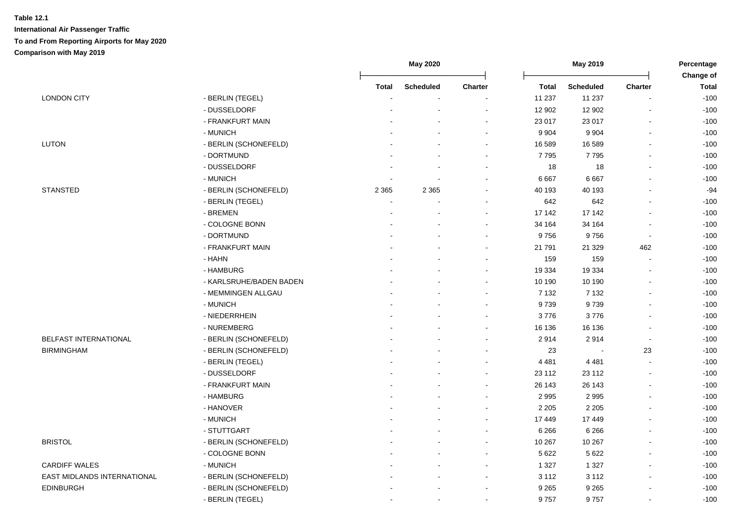|                             |                         | <b>May 2020</b> |                  | May 2019       |         |                  | Percentage               |                           |
|-----------------------------|-------------------------|-----------------|------------------|----------------|---------|------------------|--------------------------|---------------------------|
|                             |                         | Total           | <b>Scheduled</b> | <b>Charter</b> | Total   | <b>Scheduled</b> | <b>Charter</b>           | Change of<br><b>Total</b> |
| <b>LONDON CITY</b>          | - BERLIN (TEGEL)        |                 |                  |                | 11 237  | 11 237           | ÷,                       | $-100$                    |
|                             | - DUSSELDORF            |                 |                  |                | 12 902  | 12 902           |                          | $-100$                    |
|                             | - FRANKFURT MAIN        |                 |                  |                | 23 017  | 23 017           |                          | $-100$                    |
|                             | - MUNICH                |                 |                  |                | 9 9 0 4 | 9 9 0 4          | ÷,                       | $-100$                    |
| <b>LUTON</b>                | - BERLIN (SCHONEFELD)   |                 |                  | ÷              | 16 589  | 16 589           | $\overline{a}$           | $-100$                    |
|                             | - DORTMUND              |                 |                  | $\blacksquare$ | 7795    | 7795             | $\sim$                   | $-100$                    |
|                             | - DUSSELDORF            |                 |                  | ÷,             | 18      | 18               | $\blacksquare$           | $-100$                    |
|                             | - MUNICH                |                 |                  | ۰              | 6 6 6 7 | 6 6 6 7          | $\blacksquare$           | $-100$                    |
| <b>STANSTED</b>             | - BERLIN (SCHONEFELD)   | 2 3 6 5         | 2 3 6 5          | $\sim$         | 40 193  | 40 193           | $\sim$                   | $-94$                     |
|                             | - BERLIN (TEGEL)        |                 |                  |                | 642     | 642              |                          | $-100$                    |
|                             | - BREMEN                |                 |                  | ۰              | 17 142  | 17 142           |                          | $-100$                    |
|                             | - COLOGNE BONN          |                 |                  | $\blacksquare$ | 34 164  | 34 164           | $\overline{\phantom{a}}$ | $-100$                    |
|                             | - DORTMUND              |                 |                  | $\blacksquare$ | 9756    | 9756             | $\overline{\phantom{a}}$ | $-100$                    |
|                             | - FRANKFURT MAIN        |                 |                  | ۰              | 21 791  | 21 3 29          | 462                      | $-100$                    |
|                             | - HAHN                  |                 |                  | ۰              | 159     | 159              |                          | $-100$                    |
|                             | - HAMBURG               |                 |                  |                | 19 334  | 19 3 34          |                          | $-100$                    |
|                             | - KARLSRUHE/BADEN BADEN |                 |                  | ä,             | 10 190  | 10 190           |                          | $-100$                    |
|                             | - MEMMINGEN ALLGAU      |                 |                  | ÷              | 7 1 3 2 | 7 1 3 2          | ÷                        | $-100$                    |
|                             | - MUNICH                |                 |                  | ÷              | 9739    | 9739             | $\sim$                   | $-100$                    |
|                             | - NIEDERRHEIN           |                 |                  | $\blacksquare$ | 3776    | 3776             |                          | $-100$                    |
|                             | - NUREMBERG             |                 |                  | $\blacksquare$ | 16 136  | 16 136           | $\blacksquare$           | $-100$                    |
| BELFAST INTERNATIONAL       | - BERLIN (SCHONEFELD)   |                 |                  | $\sim$         | 2914    | 2914             | $\sim$                   | $-100$                    |
| <b>BIRMINGHAM</b>           | - BERLIN (SCHONEFELD)   |                 |                  |                | 23      |                  | 23                       | $-100$                    |
|                             | - BERLIN (TEGEL)        |                 |                  | $\blacksquare$ | 4 4 8 1 | 4 4 8 1          | $\blacksquare$           | $-100$                    |
|                             | - DUSSELDORF            |                 |                  | $\blacksquare$ | 23 112  | 23 112           | $\blacksquare$           | $-100$                    |
|                             | - FRANKFURT MAIN        |                 |                  | $\blacksquare$ | 26 143  | 26 143           | $\blacksquare$           | $-100$                    |
|                             | - HAMBURG               |                 |                  | $\blacksquare$ | 2 9 9 5 | 2995             |                          | $-100$                    |
|                             | - HANOVER               |                 |                  | $\blacksquare$ | 2 2 0 5 | 2 2 0 5          |                          | $-100$                    |
|                             | - MUNICH                |                 |                  |                | 17 449  | 17 449           |                          | $-100$                    |
|                             | - STUTTGART             |                 |                  | $\blacksquare$ | 6 2 6 6 | 6 2 6 6          | $\blacksquare$           | $-100$                    |
| <b>BRISTOL</b>              | - BERLIN (SCHONEFELD)   |                 |                  |                | 10 267  | 10 267           | $\sim$                   | $-100$                    |
|                             | - COLOGNE BONN          |                 |                  | $\blacksquare$ | 5 6 22  | 5 6 22           | $\blacksquare$           | $-100$                    |
| <b>CARDIFF WALES</b>        | - MUNICH                |                 |                  | $\blacksquare$ | 1 3 2 7 | 1 3 2 7          | $\blacksquare$           | $-100$                    |
| EAST MIDLANDS INTERNATIONAL | - BERLIN (SCHONEFELD)   |                 |                  | $\blacksquare$ | 3 1 1 2 | 3 1 1 2          | $\overline{\phantom{a}}$ | $-100$                    |
| EDINBURGH                   | - BERLIN (SCHONEFELD)   |                 |                  | $\sim$         | 9 2 6 5 | 9 2 6 5          |                          | $-100$                    |
|                             | - BERLIN (TEGEL)        |                 |                  | $\sim$         | 9757    | 9757             |                          | $-100$                    |
|                             |                         |                 |                  |                |         |                  |                          |                           |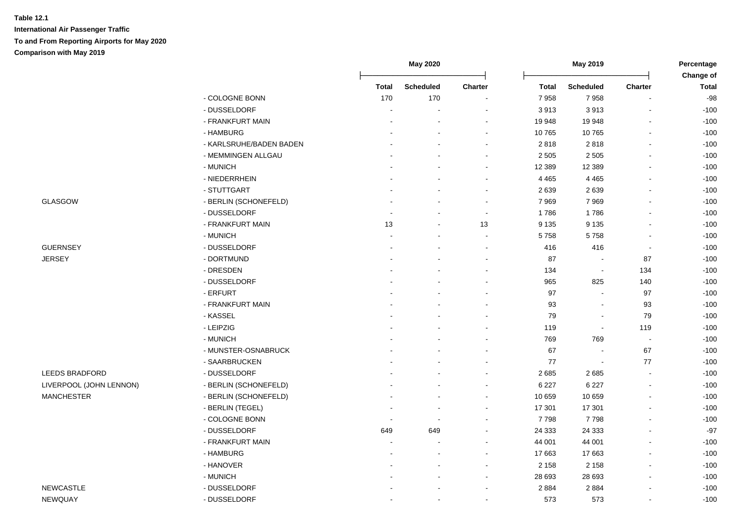|                         |                         |                          | <b>May 2020</b>          |                          | May 2019     |                          | Percentage     |                           |
|-------------------------|-------------------------|--------------------------|--------------------------|--------------------------|--------------|--------------------------|----------------|---------------------------|
|                         |                         | <b>Total</b>             | <b>Scheduled</b>         | Charter                  | <b>Total</b> | <b>Scheduled</b>         | <b>Charter</b> | Change of<br><b>Total</b> |
|                         | - COLOGNE BONN          | 170                      | 170                      |                          | 7958         | 7958                     |                | $-98$                     |
|                         | - DUSSELDORF            |                          |                          |                          | 3913         | 3913                     |                | $-100$                    |
|                         | - FRANKFURT MAIN        |                          |                          |                          | 19 948       | 19 948                   |                | $-100$                    |
|                         | - HAMBURG               |                          |                          |                          | 10765        | 10765                    |                | $-100$                    |
|                         | - KARLSRUHE/BADEN BADEN |                          |                          | ÷                        | 2818         | 2818                     |                | $-100$                    |
|                         | - MEMMINGEN ALLGAU      |                          |                          | $\sim$                   | 2 5 0 5      | 2 5 0 5                  |                | $-100$                    |
|                         | - MUNICH                |                          |                          | $\overline{\phantom{a}}$ | 12 3 8 9     | 12 3 8 9                 |                | $-100$                    |
|                         | - NIEDERRHEIN           |                          |                          | $\overline{\phantom{a}}$ | 4 4 6 5      | 4 4 6 5                  |                | $-100$                    |
|                         | - STUTTGART             |                          |                          | $\blacksquare$           | 2639         | 2639                     |                | $-100$                    |
| GLASGOW                 | - BERLIN (SCHONEFELD)   |                          |                          | $\sim$                   | 7969         | 7969                     |                | $-100$                    |
|                         | - DUSSELDORF            |                          |                          | $\overline{\phantom{a}}$ | 1786         | 1786                     |                | $-100$                    |
|                         | - FRANKFURT MAIN        | 13                       |                          | 13                       | 9 1 3 5      | 9 1 3 5                  |                | $-100$                    |
|                         | - MUNICH                |                          | $\overline{a}$           | $\sim$                   | 5758         | 5758                     | $\sim$         | $-100$                    |
| <b>GUERNSEY</b>         | - DUSSELDORF            |                          |                          | $\overline{\phantom{a}}$ | 416          | 416                      | $\blacksquare$ | $-100$                    |
| <b>JERSEY</b>           | - DORTMUND              |                          |                          | $\overline{\phantom{a}}$ | 87           |                          | 87             | $-100$                    |
|                         | - DRESDEN               |                          |                          | $\sim$                   | 134          | $\blacksquare$           | 134            | $-100$                    |
|                         | - DUSSELDORF            |                          |                          | $\sim$                   | 965          | 825                      | 140            | $-100$                    |
|                         | - ERFURT                |                          |                          |                          | 97           |                          | 97             | $-100$                    |
|                         | - FRANKFURT MAIN        |                          |                          |                          | 93           |                          | 93             | $-100$                    |
|                         | - KASSEL                |                          |                          | $\sim$                   | 79           | $\overline{\phantom{a}}$ | 79             | $-100$                    |
|                         | - LEIPZIG               |                          |                          | $\sim$                   | 119          | $\blacksquare$           | 119            | $-100$                    |
|                         | - MUNICH                |                          |                          | $\sim$                   | 769          | 769                      | $\sim$         | $-100$                    |
|                         | - MUNSTER-OSNABRUCK     |                          |                          | $\overline{\phantom{a}}$ | 67           |                          | 67             | $-100$                    |
|                         | - SAARBRUCKEN           |                          |                          | $\sim$                   | 77           | $\blacksquare$           | 77             | $-100$                    |
| LEEDS BRADFORD          | - DUSSELDORF            |                          |                          |                          | 2685         | 2685                     |                | $-100$                    |
| LIVERPOOL (JOHN LENNON) | - BERLIN (SCHONEFELD)   |                          |                          | $\overline{\phantom{a}}$ | 6 2 2 7      | 6 2 2 7                  |                | $-100$                    |
| <b>MANCHESTER</b>       | - BERLIN (SCHONEFELD)   |                          |                          |                          | 10 659       | 10 659                   |                | $-100$                    |
|                         | - BERLIN (TEGEL)        |                          |                          |                          | 17 301       | 17 301                   |                | $-100$                    |
|                         | - COLOGNE BONN          | $\overline{\phantom{a}}$ | $\overline{\phantom{a}}$ | $\sim$                   | 7798         | 7798                     |                | $-100$                    |
|                         | - DUSSELDORF            | 649                      | 649                      | $\sim$                   | 24 3 33      | 24 3 33                  |                | $-97$                     |
|                         | - FRANKFURT MAIN        |                          |                          | $\overline{\phantom{a}}$ | 44 001       | 44 001                   |                | $-100$                    |
|                         | - HAMBURG               |                          |                          | $\overline{\phantom{a}}$ | 17 663       | 17663                    |                | $-100$                    |
|                         | - HANOVER               |                          |                          |                          | 2 1 5 8      | 2 1 5 8                  |                | $-100$                    |
|                         | - MUNICH                |                          |                          |                          | 28 693       | 28 693                   |                | $-100$                    |
| <b>NEWCASTLE</b>        | - DUSSELDORF            |                          |                          |                          | 2884         | 2884                     |                | $-100$                    |
| NEWQUAY                 | - DUSSELDORF            |                          | $\overline{a}$           | $\sim$                   | 573          | 573                      |                | $-100$                    |
|                         |                         |                          |                          |                          |              |                          |                |                           |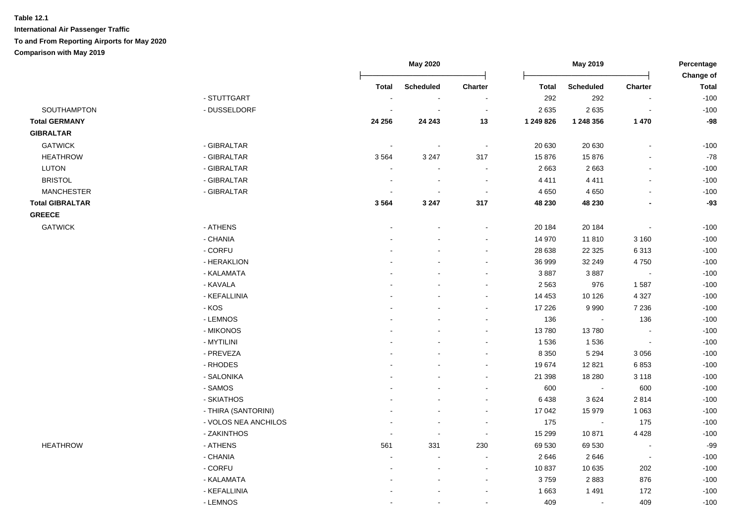|                        |                      | May 2020       |                          |                | May 2019  | Percentage<br>Change of  |                          |              |
|------------------------|----------------------|----------------|--------------------------|----------------|-----------|--------------------------|--------------------------|--------------|
|                        |                      | <b>Total</b>   | <b>Scheduled</b>         | Charter        | Total     | <b>Scheduled</b>         | Charter                  | <b>Total</b> |
|                        | - STUTTGART          |                |                          |                | 292       | 292                      | $\blacksquare$           | $-100$       |
| SOUTHAMPTON            | - DUSSELDORF         | $\blacksquare$ | $\blacksquare$           | $\blacksquare$ | 2635      | 2635                     | $\overline{\phantom{a}}$ | $-100$       |
| <b>Total GERMANY</b>   |                      | 24 256         | 24 24 3                  | 13             | 1 249 826 | 1 248 356                | 1 4 7 0                  | $-98$        |
| <b>GIBRALTAR</b>       |                      |                |                          |                |           |                          |                          |              |
| <b>GATWICK</b>         | - GIBRALTAR          | $\sim$         | $\overline{\phantom{a}}$ | $\sim$         | 20 630    | 20 630                   | $\sim$                   | $-100$       |
| <b>HEATHROW</b>        | - GIBRALTAR          | 3564           | 3 2 4 7                  | 317            | 15876     | 15876                    | $\sim$                   | $-78$        |
| LUTON                  | - GIBRALTAR          | $\blacksquare$ | $\blacksquare$           | $\blacksquare$ | 2 6 6 3   | 2663                     | $\blacksquare$           | $-100$       |
| <b>BRISTOL</b>         | - GIBRALTAR          | $\blacksquare$ | $\blacksquare$           | $\blacksquare$ | 4 4 1 1   | 4 4 1 1                  | $\blacksquare$           | $-100$       |
| <b>MANCHESTER</b>      | - GIBRALTAR          | $\blacksquare$ | $\blacksquare$           | $\blacksquare$ | 4 6 5 0   | 4 6 5 0                  | $\blacksquare$           | $-100$       |
| <b>Total GIBRALTAR</b> |                      | 3564           | 3 2 4 7                  | 317            | 48 230    | 48 230                   | $\blacksquare$           | $-93$        |
| <b>GREECE</b>          |                      |                |                          |                |           |                          |                          |              |
| <b>GATWICK</b>         | - ATHENS             |                |                          | $\blacksquare$ | 20 184    | 20 184                   | $\overline{\phantom{a}}$ | $-100$       |
|                        | - CHANIA             |                |                          | $\blacksquare$ | 14 970    | 11810                    | 3 1 6 0                  | $-100$       |
|                        | - CORFU              |                |                          | $\overline{a}$ | 28 638    | 22 3 25                  | 6313                     | $-100$       |
|                        | - HERAKLION          |                |                          | $\blacksquare$ | 36 999    | 32 249                   | 4750                     | $-100$       |
|                        | - KALAMATA           |                |                          | $\blacksquare$ | 3887      | 3887                     | $\blacksquare$           | $-100$       |
|                        | - KAVALA             |                |                          | $\overline{a}$ | 2 5 6 3   | 976                      | 1587                     | $-100$       |
|                        | - KEFALLINIA         |                |                          | $\sim$         | 14 453    | 10 126                   | 4 3 2 7                  | $-100$       |
|                        | - KOS                |                |                          | $\overline{a}$ | 17 226    | 9990                     | 7 2 3 6                  | $-100$       |
|                        | - LEMNOS             |                |                          |                | 136       | $\overline{\phantom{a}}$ | 136                      | $-100$       |
|                        | - MIKONOS            |                |                          | $\blacksquare$ | 13780     | 13780                    | $\overline{\phantom{a}}$ | $-100$       |
|                        | - MYTILINI           |                |                          | $\overline{a}$ | 1 5 3 6   | 1536                     | $\blacksquare$           | $-100$       |
|                        | - PREVEZA            |                |                          | $\overline{a}$ | 8 3 5 0   | 5 2 9 4                  | 3 0 5 6                  | $-100$       |
|                        | - RHODES             |                |                          | $\blacksquare$ | 19674     | 12821                    | 6853                     | $-100$       |
|                        | - SALONIKA           |                |                          | $\sim$         | 21 398    | 18 280                   | 3 1 1 8                  | $-100$       |
|                        | - SAMOS              |                |                          | $\blacksquare$ | 600       | $\sim$                   | 600                      | $-100$       |
|                        | - SKIATHOS           |                |                          | $\blacksquare$ | 6 4 38    | 3624                     | 2814                     | $-100$       |
|                        | - THIRA (SANTORINI)  |                | $\overline{\phantom{a}}$ | $\blacksquare$ | 17 042    | 15 979                   | 1 0 6 3                  | $-100$       |
|                        | - VOLOS NEA ANCHILOS |                | $\blacksquare$           | $\blacksquare$ | 175       | $\blacksquare$           | 175                      | $-100$       |
|                        | - ZAKINTHOS          | $\blacksquare$ | $\blacksquare$           | $\blacksquare$ | 15 299    | 10871                    | 4 4 2 8                  | $-100$       |
| <b>HEATHROW</b>        | - ATHENS             | 561            | 331                      | 230            | 69 530    | 69 530                   | $\overline{\phantom{a}}$ | $-99$        |
|                        | - CHANIA             |                | $\sim$                   | $\sim$         | 2 6 4 6   | 2646                     | $\overline{\phantom{a}}$ | $-100$       |
|                        | - CORFU              | ÷              | $\blacksquare$           | $\sim$         | 10837     | 10 635                   | 202                      | $-100$       |
|                        | - KALAMATA           |                | $\blacksquare$           | $\sim$         | 3759      | 2883                     | 876                      | $-100$       |
|                        | - KEFALLINIA         |                | $\blacksquare$           | $\overline{a}$ | 1 6 6 3   | 1 4 9 1                  | 172                      | $-100$       |
|                        | - LEMNOS             | $\blacksquare$ | $\blacksquare$           | $\blacksquare$ | 409       | $\blacksquare$           | 409                      | $-100$       |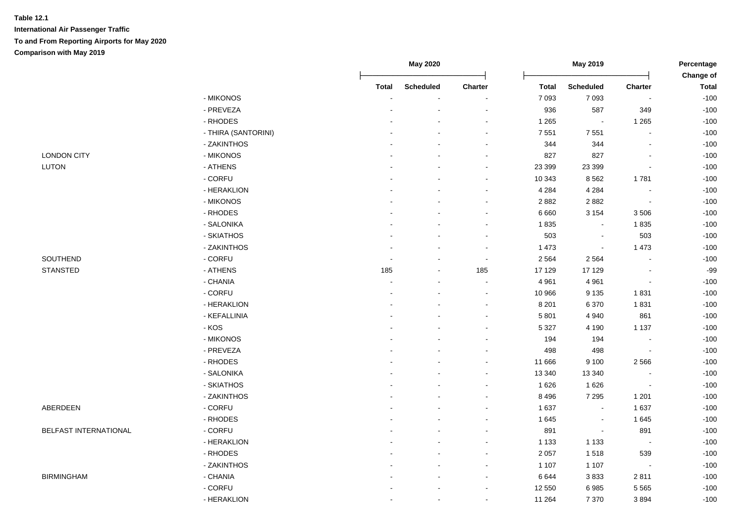|                       |                     |        |                  |                          |              |                  | Change of                |              |
|-----------------------|---------------------|--------|------------------|--------------------------|--------------|------------------|--------------------------|--------------|
|                       |                     | Total  | <b>Scheduled</b> | Charter                  | <b>Total</b> | <b>Scheduled</b> | Charter                  | <b>Total</b> |
|                       | - MIKONOS           |        |                  |                          | 7 0 9 3      | 7 0 9 3          | $\sim$                   | $-100$       |
|                       | - PREVEZA           |        |                  |                          | 936          | 587              | 349                      | $-100$       |
|                       | - RHODES            |        |                  | $\blacksquare$           | 1 2 6 5      | $\blacksquare$   | 1 2 6 5                  | $-100$       |
|                       | - THIRA (SANTORINI) |        |                  | $\blacksquare$           | 7 5 5 1      | 7 5 5 1          | $\sim$                   | $-100$       |
|                       | - ZAKINTHOS         |        |                  | $\sim$                   | 344          | 344              | $\blacksquare$           | $-100$       |
| <b>LONDON CITY</b>    | - MIKONOS           |        |                  | $\sim$                   | 827          | 827              | $\overline{\phantom{a}}$ | $-100$       |
| LUTON                 | - ATHENS            |        |                  | $\sim$                   | 23 399       | 23 399           | $\blacksquare$           | $-100$       |
|                       | - CORFU             |        |                  | $\sim$                   | 10 343       | 8562             | 1781                     | $-100$       |
|                       | - HERAKLION         |        |                  | $\overline{\phantom{a}}$ | 4 2 8 4      | 4 2 8 4          | $\sim$                   | $-100$       |
|                       | - MIKONOS           |        |                  | $\blacksquare$           | 2 8 8 2      | 2882             | $\sim$                   | $-100$       |
|                       | - RHODES            |        |                  | $\sim$                   | 6 6 6 0      | 3 1 5 4          | 3 5 0 6                  | $-100$       |
|                       | - SALONIKA          |        |                  | $\sim$                   | 1835         | $\blacksquare$   | 1835                     | $-100$       |
|                       | - SKIATHOS          |        |                  | $\blacksquare$           | 503          | $\blacksquare$   | 503                      | $-100$       |
|                       | - ZAKINTHOS         |        | $\blacksquare$   | $\blacksquare$           | 1 4 7 3      | $\sim$           | 1 4 7 3                  | $-100$       |
| SOUTHEND              | - CORFU             | $\sim$ | $\blacksquare$   | $\blacksquare$           | 2 5 6 4      | 2 5 6 4          | $\sim$                   | $-100$       |
| <b>STANSTED</b>       | - ATHENS            | 185    |                  | 185                      | 17 129       | 17 129           |                          | $-99$        |
|                       | - CHANIA            |        |                  | $\ddot{\phantom{0}}$     | 4 9 6 1      | 4 9 6 1          | $\blacksquare$           | $-100$       |
|                       | - CORFU             |        |                  | $\blacksquare$           | 10 966       | 9 1 3 5          | 1831                     | $-100$       |
|                       | - HERAKLION         |        |                  | $\blacksquare$           | 8 2 0 1      | 6 3 7 0          | 1831                     | $-100$       |
|                       | - KEFALLINIA        |        |                  | $\sim$                   | 5 8 0 1      | 4 9 4 0          | 861                      | $-100$       |
|                       | - KOS               |        |                  |                          | 5 3 2 7      | 4 1 9 0          | 1 1 3 7                  | $-100$       |
|                       | - MIKONOS           |        |                  |                          | 194          | 194              |                          | $-100$       |
|                       | - PREVEZA           |        |                  |                          | 498          | 498              | $\sim$                   | $-100$       |
|                       | - RHODES            |        |                  | $\overline{a}$           | 11 666       | 9 1 0 0          | 2 5 6 6                  | $-100$       |
|                       | - SALONIKA          |        |                  | $\sim$                   | 13 340       | 13 340           |                          | $-100$       |
|                       | - SKIATHOS          |        |                  | $\sim$                   | 1 6 2 6      | 1626             | $\mathbf{r}$             | $-100$       |
|                       | - ZAKINTHOS         |        |                  | $\sim$                   | 8 4 9 6      | 7 2 9 5          | 1 2 0 1                  | $-100$       |
| ABERDEEN              | - CORFU             |        |                  | $\overline{\phantom{a}}$ | 1 637        | $\sim$           | 1 6 3 7                  | $-100$       |
|                       | - RHODES            |        |                  | $\blacksquare$           | 1 6 4 5      | $\sim$           | 1645                     | $-100$       |
| BELFAST INTERNATIONAL | - CORFU             |        |                  | $\sim$                   | 891          | $\sim$           | 891                      | $-100$       |
|                       | - HERAKLION         |        |                  | $\overline{\phantom{a}}$ | 1 1 3 3      | 1 1 3 3          | $\sim$                   | $-100$       |
|                       | - RHODES            |        |                  | $\blacksquare$           | 2 0 5 7      | 1518             | 539                      | $-100$       |
|                       | - ZAKINTHOS         |        |                  | $\blacksquare$           | 1 1 0 7      | 1 1 0 7          | $\sim$                   | $-100$       |
| <b>BIRMINGHAM</b>     | - CHANIA            |        |                  | $\sim$                   | 6 6 4 4      | 3833             | 2811                     | $-100$       |
|                       | - CORFU             |        |                  | $\blacksquare$           | 12 550       | 6985             | 5 5 6 5                  | $-100$       |
|                       | - HERAKLION         |        |                  | $\blacksquare$           | 11 264       | 7 3 7 0          | 3894                     | $-100$       |
|                       |                     |        |                  |                          |              |                  |                          |              |

**May 2020 May 2019 Percentage**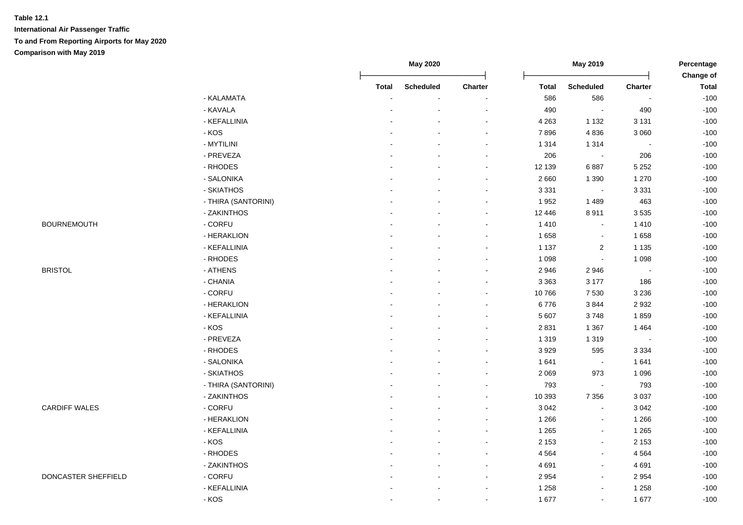|                      |                     | May 2020<br>May 2019 |                  |                | Percentage   |                  |                          |                           |
|----------------------|---------------------|----------------------|------------------|----------------|--------------|------------------|--------------------------|---------------------------|
|                      |                     | <b>Total</b>         | <b>Scheduled</b> | Charter        | <b>Total</b> | <b>Scheduled</b> | Charter                  | Change of<br><b>Total</b> |
|                      | - KALAMATA          |                      |                  |                | 586          | 586              |                          | $-100$                    |
|                      | - KAVALA            |                      |                  | L,             | 490          | $\sim$           | 490                      | $-100$                    |
|                      | - KEFALLINIA        |                      |                  | $\blacksquare$ | 4 2 6 3      | 1 1 3 2          | 3 1 3 1                  | $-100$                    |
|                      | $-KOS$              |                      |                  | $\blacksquare$ | 7896         | 4836             | 3 0 6 0                  | $-100$                    |
|                      | - MYTILINI          |                      |                  | $\sim$         | 1 3 1 4      | 1 3 1 4          | $\blacksquare$           | $-100$                    |
|                      | - PREVEZA           |                      |                  | $\blacksquare$ | 206          | $\sim$           | 206                      | $-100$                    |
|                      | - RHODES            |                      |                  | $\blacksquare$ | 12 139       | 6887             | 5 2 5 2                  | $-100$                    |
|                      | - SALONIKA          |                      |                  | $\blacksquare$ | 2 6 6 0      | 1 3 9 0          | 1 2 7 0                  | $-100$                    |
|                      | - SKIATHOS          |                      |                  | $\blacksquare$ | 3 3 3 1      | $\sim$           | 3 3 3 1                  | $-100$                    |
|                      | - THIRA (SANTORINI) |                      |                  | $\blacksquare$ | 1952         | 1489             | 463                      | $-100$                    |
|                      | - ZAKINTHOS         |                      |                  | $\blacksquare$ | 12 446       | 8911             | 3535                     | $-100$                    |
| <b>BOURNEMOUTH</b>   | - CORFU             |                      |                  | $\blacksquare$ | 1 4 1 0      | $\blacksquare$   | 1 4 1 0                  | $-100$                    |
|                      | - HERAKLION         |                      |                  | $\blacksquare$ | 1 6 5 8      | $\blacksquare$   | 1658                     | $-100$                    |
|                      | - KEFALLINIA        |                      |                  |                | 1 1 3 7      | $\overline{2}$   | 1 1 3 5                  | $-100$                    |
|                      | - RHODES            |                      |                  |                | 1 0 9 8      | $\sim$           | 1 0 9 8                  | $-100$                    |
| <b>BRISTOL</b>       | - ATHENS            |                      |                  |                | 2 9 4 6      | 2946             | $\overline{\phantom{a}}$ | $-100$                    |
|                      | - CHANIA            |                      |                  | $\blacksquare$ | 3 3 6 3      | 3 1 7 7          | 186                      | $-100$                    |
|                      | - CORFU             |                      |                  | $\blacksquare$ | 10766        | 7 5 3 0          | 3 2 3 6                  | $-100$                    |
|                      | - HERAKLION         |                      |                  | $\overline{a}$ | 6776         | 3844             | 2932                     | $-100$                    |
|                      | - KEFALLINIA        |                      |                  | $\overline{a}$ | 5 607        | 3748             | 1859                     | $-100$                    |
|                      | $-KOS$              |                      |                  | $\blacksquare$ | 2 8 3 1      | 1 3 6 7          | 1 4 6 4                  | $-100$                    |
|                      | - PREVEZA           |                      |                  | $\blacksquare$ | 1 3 1 9      | 1 3 1 9          | $\tilde{\phantom{a}}$    | $-100$                    |
|                      | - RHODES            |                      |                  | $\blacksquare$ | 3929         | 595              | 3 3 3 4                  | $-100$                    |
|                      | - SALONIKA          |                      |                  |                | 1 641        | $\sim$           | 1641                     | $-100$                    |
|                      | - SKIATHOS          |                      |                  | $\overline{a}$ | 2 0 6 9      | 973              | 1 0 9 6                  | $-100$                    |
|                      | - THIRA (SANTORINI) |                      |                  | $\blacksquare$ | 793          | $\sim$           | 793                      | $-100$                    |
|                      | - ZAKINTHOS         |                      |                  | $\blacksquare$ | 10 393       | 7 3 5 6          | 3 0 3 7                  | $-100$                    |
| <b>CARDIFF WALES</b> | - CORFU             |                      |                  | $\blacksquare$ | 3 0 4 2      | $\blacksquare$   | 3 0 4 2                  | $-100$                    |
|                      | - HERAKLION         |                      |                  |                | 1 2 6 6      | $\blacksquare$   | 1 2 6 6                  | $-100$                    |
|                      | - KEFALLINIA        |                      |                  | $\blacksquare$ | 1 2 6 5      | $\blacksquare$   | 1 2 6 5                  | $-100$                    |
|                      | $-KOS$              |                      |                  |                | 2 1 5 3      | ä,               | 2 1 5 3                  | $-100$                    |
|                      | - RHODES            |                      |                  | $\sim$         | 4 5 6 4      | $\overline{a}$   | 4 5 6 4                  | $-100$                    |
|                      | - ZAKINTHOS         |                      |                  | $\sim$         | 4 6 9 1      | $\mathbf{r}$     | 4 6 9 1                  | $-100$                    |
| DONCASTER SHEFFIELD  | - CORFU             |                      |                  | $\blacksquare$ | 2 9 5 4      | $\blacksquare$   | 2 9 5 4                  | $-100$                    |
|                      | - KEFALLINIA        |                      | $\blacksquare$   | $\blacksquare$ | 1 2 5 8      | $\blacksquare$   | 1 2 5 8                  | $-100$                    |
|                      | - KOS               |                      | $\blacksquare$   | $\blacksquare$ | 1 677        | $\blacksquare$   | 1677                     | $-100$                    |
|                      |                     |                      |                  |                |              |                  |                          |                           |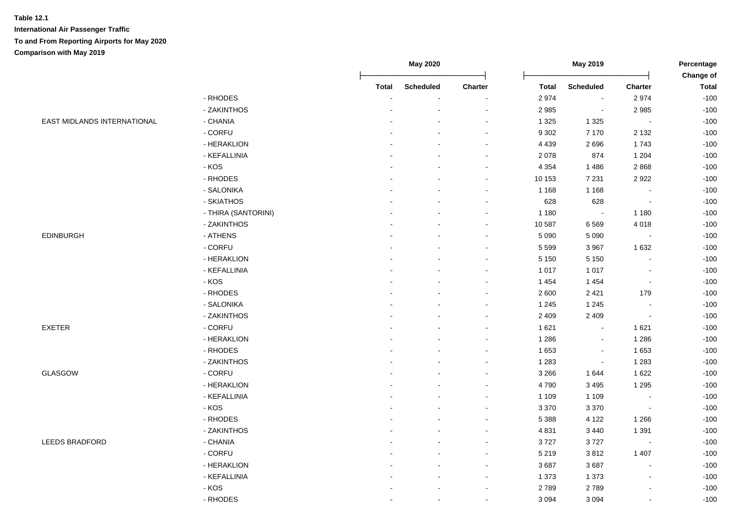|                             |                     |                | May 2020       |                          | May 2019     |                  | Percentage     |                           |
|-----------------------------|---------------------|----------------|----------------|--------------------------|--------------|------------------|----------------|---------------------------|
|                             |                     | <b>Total</b>   | Scheduled      | Charter                  | <b>Total</b> | <b>Scheduled</b> | Charter        | Change of<br><b>Total</b> |
|                             | - RHODES            |                |                |                          | 2974         | $\sim$           | 2974           | $-100$                    |
|                             | - ZAKINTHOS         |                |                | $\sim$                   | 2 9 8 5      | $\blacksquare$   | 2 9 8 5        | $-100$                    |
| EAST MIDLANDS INTERNATIONAL | - CHANIA            |                |                | $\overline{\phantom{a}}$ | 1 3 2 5      | 1 3 2 5          | $\blacksquare$ | $-100$                    |
|                             | - CORFU             |                |                | $\sim$                   | 9 3 0 2      | 7 1 7 0          | 2 1 3 2        | $-100$                    |
|                             | - HERAKLION         |                |                | $\blacksquare$           | 4 4 3 9      | 2696             | 1743           | $-100$                    |
|                             | - KEFALLINIA        |                |                | $\blacksquare$           | 2 0 7 8      | 874              | 1 2 0 4        | $-100$                    |
|                             | - KOS               |                |                | $\sim$                   | 4 3 5 4      | 1 4 8 6          | 2868           | $-100$                    |
|                             | - RHODES            |                |                | $\sim$                   | 10 153       | 7 2 3 1          | 2922           | $-100$                    |
|                             | - SALONIKA          |                |                | $\overline{\phantom{a}}$ | 1 1 6 8      | 1 1 6 8          | $\blacksquare$ | $-100$                    |
|                             | - SKIATHOS          |                |                | $\overline{\phantom{a}}$ | 628          | 628              | $\blacksquare$ | $-100$                    |
|                             | - THIRA (SANTORINI) |                |                | $\sim$                   | 1 1 8 0      | $\blacksquare$   | 1 1 8 0        | $-100$                    |
|                             | - ZAKINTHOS         |                |                | $\overline{\phantom{a}}$ | 10 587       | 6569             | 4 0 18         | $-100$                    |
| EDINBURGH                   | - ATHENS            |                |                | $\overline{\phantom{a}}$ | 5 0 9 0      | 5 0 9 0          | $\blacksquare$ | $-100$                    |
|                             | - CORFU             |                |                |                          | 5 5 9 9      | 3 9 6 7          | 1 6 3 2        | $-100$                    |
|                             | - HERAKLION         |                |                |                          | 5 1 5 0      | 5 1 5 0          |                | $-100$                    |
|                             | - KEFALLINIA        |                |                | $\overline{\phantom{a}}$ | 1 0 1 7      | 1 0 1 7          | $\blacksquare$ | $-100$                    |
|                             | - KOS               |                |                | $\sim$                   | 1 4 5 4      | 1 4 5 4          | $\blacksquare$ | $-100$                    |
|                             | - RHODES            |                |                | $\sim$                   | 2 600        | 2 4 2 1          | 179            | $-100$                    |
|                             | - SALONIKA          |                |                | $\sim$                   | 1 2 4 5      | 1 2 4 5          | $\sim$         | $-100$                    |
|                             | - ZAKINTHOS         |                |                | $\blacksquare$           | 2 4 0 9      | 2 4 0 9          | $\blacksquare$ | $-100$                    |
| <b>EXETER</b>               | - CORFU             |                |                | $\blacksquare$           | 1 6 2 1      | $\sim$           | 1 6 2 1        | $-100$                    |
|                             | - HERAKLION         |                |                | $\overline{\phantom{a}}$ | 1 2 8 6      | $\blacksquare$   | 1 2 8 6        | $-100$                    |
|                             | - RHODES            |                |                | $\sim$                   | 1 6 5 3      | $\sim$           | 1653           | $-100$                    |
|                             | - ZAKINTHOS         |                |                | $\sim$                   | 1 2 8 3      | $\sim$           | 1 2 8 3        | $-100$                    |
| GLASGOW                     | - CORFU             |                |                |                          | 3 2 6 6      | 1644             | 1 6 2 2        | $-100$                    |
|                             | - HERAKLION         |                |                | $\overline{\phantom{a}}$ | 4790         | 3 4 9 5          | 1 2 9 5        | $-100$                    |
|                             | - KEFALLINIA        |                |                | $\blacksquare$           | 1 1 0 9      | 1 1 0 9          | $\sim$         | $-100$                    |
|                             | - KOS               |                |                | $\overline{\phantom{a}}$ | 3 3 7 0      | 3 3 7 0          | $\blacksquare$ | $-100$                    |
|                             | - RHODES            |                |                |                          | 5 3 8 8      | 4 1 2 2          | 1 2 6 6        | $-100$                    |
|                             | - ZAKINTHOS         |                |                |                          | 4 8 31       | 3 4 4 0          | 1 3 9 1        | $-100$                    |
| LEEDS BRADFORD              | - CHANIA            |                |                | $\sim$                   | 3727         | 3727             | $\blacksquare$ | $-100$                    |
|                             | - CORFU             |                |                | $\sim$                   | 5 2 1 9      | 3812             | 1 4 0 7        | $-100$                    |
|                             | - HERAKLION         |                |                | $\overline{\phantom{a}}$ | 3687         | 3687             |                | $-100$                    |
|                             | - KEFALLINIA        |                |                | $\sim$                   | 1 3 7 3      | 1 3 7 3          |                | $-100$                    |
|                             | $-KOS$              |                |                | $\sim$                   | 2789         | 2789             |                | $-100$                    |
|                             | - RHODES            | $\blacksquare$ | $\blacksquare$ | $\blacksquare$           | 3 0 9 4      | 3 0 9 4          |                | $-100$                    |
|                             |                     |                |                |                          |              |                  |                |                           |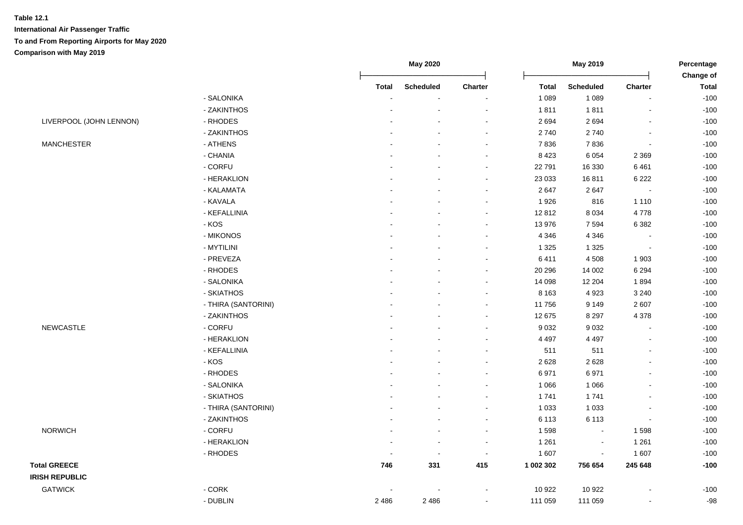|                         |                     |                          | May 2020         |                          |              | May 2019                    |                          | Percentage<br>Change of |  |
|-------------------------|---------------------|--------------------------|------------------|--------------------------|--------------|-----------------------------|--------------------------|-------------------------|--|
|                         |                     | <b>Total</b>             | <b>Scheduled</b> | Charter                  | <b>Total</b> | <b>Scheduled</b>            | Charter                  | <b>Total</b>            |  |
|                         | - SALONIKA          |                          |                  |                          | 1 0 8 9      | 1 0 8 9                     | $\overline{a}$           | $-100$                  |  |
|                         | - ZAKINTHOS         |                          |                  |                          | 1811         | 1811                        | $\sim$                   | $-100$                  |  |
| LIVERPOOL (JOHN LENNON) | - RHODES            |                          |                  |                          | 2694         | 2694                        | $\sim$                   | $-100$                  |  |
|                         | - ZAKINTHOS         |                          |                  | $\blacksquare$           | 2740         | 2740                        | $\blacksquare$           | $-100$                  |  |
| <b>MANCHESTER</b>       | - ATHENS            |                          |                  | $\overline{\phantom{a}}$ | 7836         | 7836                        | $\blacksquare$           | $-100$                  |  |
|                         | - CHANIA            |                          |                  | $\sim$                   | 8 4 2 3      | 6 0 5 4                     | 2 3 6 9                  | $-100$                  |  |
|                         | - CORFU             |                          |                  |                          | 22 791       | 16 330                      | 6461                     | $-100$                  |  |
|                         | - HERAKLION         |                          |                  | $\sim$                   | 23 033       | 16811                       | 6 2 2 2                  | $-100$                  |  |
|                         | - KALAMATA          |                          |                  | $\sim$                   | 2647         | 2647                        | $\overline{\phantom{a}}$ | $-100$                  |  |
|                         | - KAVALA            |                          |                  | $\overline{\phantom{a}}$ | 1926         | 816                         | 1 1 1 0                  | $-100$                  |  |
|                         | - KEFALLINIA        |                          |                  |                          | 12812        | 8 0 3 4                     | 4778                     | $-100$                  |  |
|                         | - KOS               |                          |                  | $\sim$                   | 13 976       | 7594                        | 6 3 8 2                  | $-100$                  |  |
|                         | - MIKONOS           |                          |                  |                          | 4 3 4 6      | 4 3 4 6                     |                          | $-100$                  |  |
|                         | - MYTILINI          |                          |                  | $\sim$                   | 1 3 2 5      | 1 3 2 5                     | $\sim$                   | $-100$                  |  |
|                         | - PREVEZA           |                          |                  | $\sim$                   | 6411         | 4 5 0 8                     | 1 9 0 3                  | $-100$                  |  |
|                         | - RHODES            |                          |                  |                          | 20 29 6      | 14 002                      | 6 2 9 4                  | $-100$                  |  |
|                         | - SALONIKA          |                          |                  | $\blacksquare$           | 14 098       | 12 204                      | 1894                     | $-100$                  |  |
|                         | - SKIATHOS          |                          |                  | $\overline{\phantom{a}}$ | 8 1 6 3      | 4 9 2 3                     | 3 2 4 0                  | $-100$                  |  |
|                         | - THIRA (SANTORINI) |                          |                  | $\overline{\phantom{a}}$ | 11756        | 9 1 4 9                     | 2607                     | $-100$                  |  |
|                         | - ZAKINTHOS         |                          |                  | $\blacksquare$           | 12 675       | 8 2 9 7                     | 4 3 7 8                  | $-100$                  |  |
| <b>NEWCASTLE</b>        | - CORFU             |                          |                  | $\sim$                   | 9 0 3 2      | 9 0 3 2                     | $\blacksquare$           | $-100$                  |  |
|                         | - HERAKLION         |                          |                  | $\blacksquare$           | 4 4 9 7      | 4 4 9 7                     | $\overline{\phantom{a}}$ | $-100$                  |  |
|                         | - KEFALLINIA        |                          |                  | $\blacksquare$           | 511          | 511                         | $\blacksquare$           | $-100$                  |  |
|                         | $-KOS$              |                          |                  |                          | 2628         | 2628                        | $\blacksquare$           | $-100$                  |  |
|                         | - RHODES            |                          |                  |                          | 6971         | 6971                        | $\blacksquare$           | $-100$                  |  |
|                         | - SALONIKA          |                          |                  |                          | 1 0 6 6      | 1 0 6 6                     | $\overline{a}$           | $-100$                  |  |
|                         | - SKIATHOS          |                          |                  |                          | 1741         | 1741                        | $\overline{a}$           | $-100$                  |  |
|                         | - THIRA (SANTORINI) |                          |                  |                          | 1 0 3 3      | 1 0 3 3                     | $\blacksquare$           | $-100$                  |  |
|                         | - ZAKINTHOS         |                          |                  |                          | 6 1 1 3      | 6 1 1 3                     | $\tilde{\phantom{a}}$    | $-100$                  |  |
| <b>NORWICH</b>          | - CORFU             |                          |                  | $\blacksquare$           | 1 5 9 8      | $\mathcal{L}_{\mathcal{A}}$ | 1598                     | $-100$                  |  |
|                         | - HERAKLION         | $\overline{\phantom{a}}$ | $\blacksquare$   | $\blacksquare$           | 1 2 6 1      | $\sim$                      | 1 2 6 1                  | $-100$                  |  |
|                         | - RHODES            |                          | $\sim$           | $\sim$                   | 1 607        | $\mathcal{L}_{\mathcal{A}}$ | 1607                     | $-100$                  |  |
| <b>Total GREECE</b>     |                     | 746                      | 331              | 415                      | 1 002 302    | 756 654                     | 245 648                  | $-100$                  |  |
| <b>IRISH REPUBLIC</b>   |                     |                          |                  |                          |              |                             |                          |                         |  |
| <b>GATWICK</b>          | - CORK              |                          |                  |                          | 10 922       | 10 922                      |                          | $-100$                  |  |
|                         | - DUBLIN            | 2486                     | 2486             | $\sim$                   | 111 059      | 111 059                     | $\blacksquare$           | $-98$                   |  |
|                         |                     |                          |                  |                          |              |                             |                          |                         |  |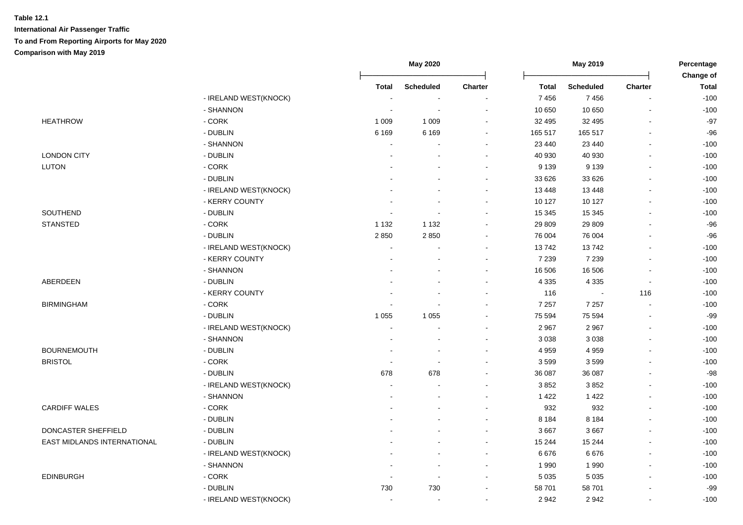|                             |                         |                          | <b>May 2020</b>          |                          | May 2019     |                  |                | Percentage                |  |
|-----------------------------|-------------------------|--------------------------|--------------------------|--------------------------|--------------|------------------|----------------|---------------------------|--|
|                             |                         | <b>Total</b>             | <b>Scheduled</b>         | Charter                  | <b>Total</b> | <b>Scheduled</b> | Charter        | Change of<br><b>Total</b> |  |
|                             | - IRELAND WEST(KNOCK)   |                          | $\sim$                   |                          | 7456         | 7456             | $\sim$         | $-100$                    |  |
|                             | - SHANNON               |                          | L,                       | $\blacksquare$           | 10 650       | 10 650           | ä,             | $-100$                    |  |
| <b>HEATHROW</b>             | - CORK                  | 1 0 0 9                  | 1 0 0 9                  |                          | 32 495       | 32 495           |                | $-97$                     |  |
|                             | - DUBLIN                | 6 1 6 9                  | 6 1 6 9                  |                          | 165 517      | 165 517          | $\blacksquare$ | $-96$                     |  |
|                             | - SHANNON               | ÷                        |                          | $\sim$                   | 23 440       | 23 440           | $\overline{a}$ | $-100$                    |  |
| <b>LONDON CITY</b>          | - DUBLIN                | $\overline{a}$           |                          | $\sim$                   | 40 930       | 40 930           | $\sim$         | $-100$                    |  |
| <b>LUTON</b>                | $-CORK$                 |                          |                          | $\sim$                   | 9 1 3 9      | 9 1 3 9          | $\overline{a}$ | $-100$                    |  |
|                             | - DUBLIN                |                          |                          | $\sim$                   | 33 626       | 33 6 26          | $\blacksquare$ | $-100$                    |  |
|                             | - IRELAND WEST(KNOCK)   |                          |                          | $\sim$                   | 13 4 48      | 13 4 48          | $\blacksquare$ | $-100$                    |  |
|                             | - KERRY COUNTY          |                          |                          | $\blacksquare$           | 10 127       | 10 127           | ä,             | $-100$                    |  |
| SOUTHEND                    | - DUBLIN                |                          | $\overline{a}$           | $\sim$                   | 15 345       | 15 345           | $\blacksquare$ | $-100$                    |  |
| <b>STANSTED</b>             | - CORK                  | 1 1 3 2                  | 1 1 3 2                  | $\sim$                   | 29 809       | 29 809           | $\blacksquare$ | $-96$                     |  |
|                             | - DUBLIN                | 2850                     | 2850                     |                          | 76 004       | 76 004           | ä,             | $-96$                     |  |
|                             | - IRELAND WEST(KNOCK)   | $\blacksquare$           |                          | $\sim$                   | 13742        | 13742            | ä,             | $-100$                    |  |
|                             | - KERRY COUNTY          |                          |                          |                          | 7 2 3 9      | 7 2 3 9          |                | $-100$                    |  |
|                             | - SHANNON               |                          |                          |                          | 16 506       | 16 506           |                | $-100$                    |  |
| <b>ABERDEEN</b>             | - DUBLIN                |                          |                          | $\sim$                   | 4 3 3 5      | 4 3 3 5          | $\sim$         | $-100$                    |  |
|                             | - KERRY COUNTY          |                          |                          | $\overline{\phantom{a}}$ | 116          | $\sim$           | 116            | $-100$                    |  |
| <b>BIRMINGHAM</b>           | $\text{-}\mathsf{CORK}$ |                          |                          | $\overline{\phantom{a}}$ | 7 2 5 7      | 7 2 5 7          | $\sim$         | $-100$                    |  |
|                             | - DUBLIN                | 1 0 5 5                  | 1 0 5 5                  | $\sim$                   | 75 594       | 75 594           | $\overline{a}$ | $-99$                     |  |
|                             | - IRELAND WEST(KNOCK)   | $\blacksquare$           |                          | $\blacksquare$           | 2 9 6 7      | 2967             | $\overline{a}$ | $-100$                    |  |
|                             | - SHANNON               |                          |                          | $\blacksquare$           | 3 0 38       | 3 0 38           | ä,             | $-100$                    |  |
| <b>BOURNEMOUTH</b>          | - DUBLIN                |                          | $\blacksquare$           | $\sim$                   | 4 9 5 9      | 4 9 5 9          | $\blacksquare$ | $-100$                    |  |
| <b>BRISTOL</b>              | - CORK                  | $\overline{\phantom{a}}$ | $\overline{\phantom{a}}$ | $\sim$                   | 3599         | 3599             | $\blacksquare$ | $-100$                    |  |
|                             | - DUBLIN                | 678                      | 678                      | $\sim$                   | 36 087       | 36 087           | $\overline{a}$ | $-98$                     |  |
|                             | - IRELAND WEST(KNOCK)   | $\blacksquare$           |                          |                          | 3852         | 3852             | $\blacksquare$ | $-100$                    |  |
|                             | - SHANNON               |                          |                          | $\sim$                   | 1 4 2 2      | 1 4 2 2          | ä,             | $-100$                    |  |
| <b>CARDIFF WALES</b>        | - CORK                  |                          |                          |                          | 932          | 932              | $\overline{a}$ | $-100$                    |  |
|                             | - DUBLIN                |                          |                          | $\sim$                   | 8 1 8 4      | 8 1 8 4          | ÷.             | $-100$                    |  |
| DONCASTER SHEFFIELD         | - DUBLIN                |                          |                          | $\sim$                   | 3 6 6 7      | 3667             | $\overline{a}$ | $-100$                    |  |
| EAST MIDLANDS INTERNATIONAL | - DUBLIN                |                          |                          | $\sim$                   | 15 244       | 15 244           | $\blacksquare$ | $-100$                    |  |
|                             | - IRELAND WEST(KNOCK)   |                          |                          | $\sim$                   | 6676         | 6676             | ä,             | $-100$                    |  |
|                             | - SHANNON               |                          | $\sim$                   | $\sim$                   | 1 9 9 0      | 1990             | $\blacksquare$ | $-100$                    |  |
| <b>EDINBURGH</b>            | - CORK                  | $\sim$                   | $\sim$                   | $\sim$                   | 5 0 3 5      | 5 0 3 5          | $\blacksquare$ | $-100$                    |  |
|                             | - DUBLIN                | 730                      | 730                      | $\sim$                   | 58 701       | 58 701           |                | $-99$                     |  |
|                             | - IRELAND WEST(KNOCK)   | $\sim$                   | $\sim$                   | $\sim$                   | 2942         | 2942             | $\blacksquare$ | $-100$                    |  |
|                             |                         |                          |                          |                          |              |                  |                |                           |  |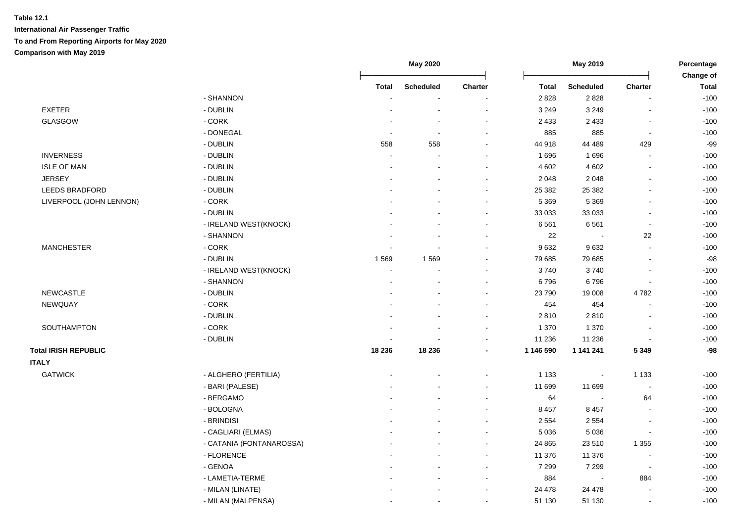|                             |                          |                | May 2020                 | May 2019                 |              |                  | Percentage                   |                           |
|-----------------------------|--------------------------|----------------|--------------------------|--------------------------|--------------|------------------|------------------------------|---------------------------|
|                             |                          | <b>Total</b>   | <b>Scheduled</b>         | <b>Charter</b>           | <b>Total</b> | <b>Scheduled</b> | <b>Charter</b>               | Change of<br><b>Total</b> |
|                             | - SHANNON                |                |                          |                          | 2828         | 2828             |                              | $-100$                    |
| <b>EXETER</b>               | - DUBLIN                 |                |                          |                          | 3 2 4 9      | 3 2 4 9          |                              | $-100$                    |
| <b>GLASGOW</b>              | - CORK                   |                | $\overline{a}$           | ÷,                       | 2 4 3 3      | 2 4 3 3          | $\overline{a}$               | $-100$                    |
|                             | - DONEGAL                |                | $\sim$                   | $\blacksquare$           | 885          | 885              | $\blacksquare$               | $-100$                    |
|                             | - DUBLIN                 | 558            | 558                      | $\sim$                   | 44 918       | 44 489           | 429                          | $-99$                     |
| <b>INVERNESS</b>            | - DUBLIN                 | $\sim$         | $\overline{\phantom{a}}$ | $\blacksquare$           | 1696         | 1696             | $\blacksquare$               | $-100$                    |
| <b>ISLE OF MAN</b>          | - DUBLIN                 |                | $\blacksquare$           | $\sim$                   | 4 6 0 2      | 4 6 0 2          | $\blacksquare$               | $-100$                    |
| <b>JERSEY</b>               | - DUBLIN                 |                |                          |                          | 2 0 4 8      | 2 0 4 8          | ä,                           | $-100$                    |
| LEEDS BRADFORD              | - DUBLIN                 |                |                          | ä,                       | 25 382       | 25 382           | $\blacksquare$               | $-100$                    |
| LIVERPOOL (JOHN LENNON)     | - CORK                   |                |                          | $\blacksquare$           | 5 3 6 9      | 5 3 6 9          | $\blacksquare$               | $-100$                    |
|                             | - DUBLIN                 |                |                          | $\blacksquare$           | 33 033       | 33 033           | $\blacksquare$               | $-100$                    |
|                             | - IRELAND WEST(KNOCK)    |                |                          | $\overline{\phantom{a}}$ | 6561         | 6561             | $\blacksquare$               | $-100$                    |
|                             | - SHANNON                |                |                          |                          | 22           |                  | 22                           | $-100$                    |
| <b>MANCHESTER</b>           | - CORK                   |                |                          |                          | 9632         | 9632             |                              | $-100$                    |
|                             | - DUBLIN                 | 1569           | 1569                     | $\overline{a}$           | 79 685       | 79 685           | ÷.                           | $-98$                     |
|                             | - IRELAND WEST(KNOCK)    | $\overline{a}$ | $\overline{a}$           | $\sim$                   | 3740         | 3740             | ÷.                           | $-100$                    |
|                             | - SHANNON                |                |                          | $\sim$                   | 6796         | 6796             | L,                           | $-100$                    |
| <b>NEWCASTLE</b>            | - DUBLIN                 |                |                          | $\blacksquare$           | 23 790       | 19 008           | 4782                         | $-100$                    |
| NEWQUAY                     | - CORK                   |                |                          | ٠                        | 454          | 454              | $\qquad \qquad \blacksquare$ | $-100$                    |
|                             | - DUBLIN                 |                |                          | ä,                       | 2810         | 2810             | $\blacksquare$               | $-100$                    |
| SOUTHAMPTON                 | - CORK                   |                |                          | $\blacksquare$           | 1 370        | 1 3 7 0          | $\overline{a}$               | $-100$                    |
|                             | - DUBLIN                 |                |                          | ٠                        | 11 236       | 11 236           | $\blacksquare$               | $-100$                    |
| <b>Total IRISH REPUBLIC</b> |                          | 18 236         | 18 236                   | $\overline{\phantom{a}}$ | 1 146 590    | 1 141 241        | 5 3 4 9                      | $-98$                     |
| <b>ITALY</b>                |                          |                |                          |                          |              |                  |                              |                           |
| <b>GATWICK</b>              | - ALGHERO (FERTILIA)     |                |                          | $\blacksquare$           | 1 1 3 3      | $\blacksquare$   | 1 1 3 3                      | $-100$                    |
|                             | - BARI (PALESE)          |                |                          | ۰                        | 11 699       | 11 699           | $\blacksquare$               | $-100$                    |
|                             | - BERGAMO                |                |                          |                          | 64           |                  | 64                           | $-100$                    |
|                             | - BOLOGNA                |                |                          |                          | 8 4 5 7      | 8 4 5 7          |                              | $-100$                    |
|                             | - BRINDISI               |                |                          | $\overline{\phantom{a}}$ | 2 5 5 4      | 2 5 5 4          |                              | $-100$                    |
|                             | - CAGLIARI (ELMAS)       |                |                          | $\overline{\phantom{a}}$ | 5 0 36       | 5 0 3 6          | L,                           | $-100$                    |
|                             | - CATANIA (FONTANAROSSA) |                |                          | $\sim$                   | 24 8 65      | 23510            | 1 3 5 5                      | $-100$                    |
|                             | - FLORENCE               |                |                          | $\blacksquare$           | 11 376       | 11 376           | $\blacksquare$               | $-100$                    |
|                             | - GENOA                  |                |                          | $\blacksquare$           | 7 2 9 9      | 7 2 9 9          | $\sim$                       | $-100$                    |
|                             | - LAMETIA-TERME          |                |                          | $\blacksquare$           | 884          |                  | 884                          | $-100$                    |
|                             | - MILAN (LINATE)         |                |                          | $\blacksquare$           | 24 478       | 24 478           | $\blacksquare$               | $-100$                    |
|                             | - MILAN (MALPENSA)       |                |                          | $\blacksquare$           | 51 130       | 51 130           | $\blacksquare$               | $-100$                    |
|                             |                          |                |                          |                          |              |                  |                              |                           |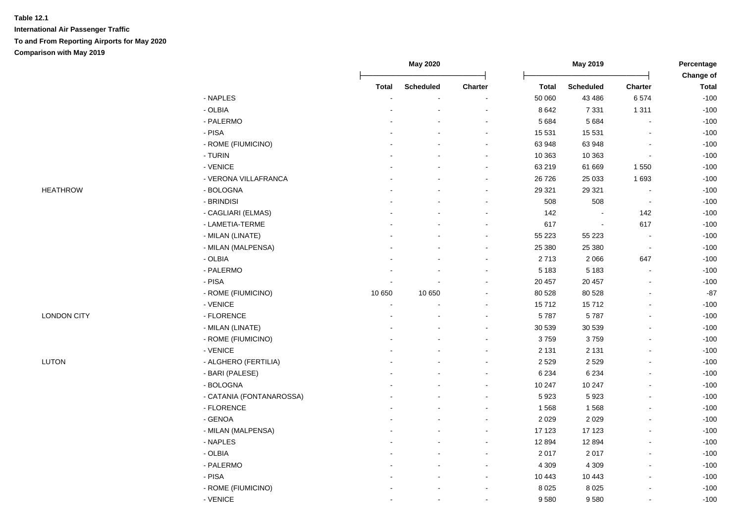|                    |                          |              | May 2020         |                          |              | May 2019                 |                          | Percentage<br>Change of |  |
|--------------------|--------------------------|--------------|------------------|--------------------------|--------------|--------------------------|--------------------------|-------------------------|--|
|                    |                          | <b>Total</b> | <b>Scheduled</b> | Charter                  | <b>Total</b> | <b>Scheduled</b>         | <b>Charter</b>           | <b>Total</b>            |  |
|                    | - NAPLES                 |              |                  |                          | 50 060       | 43 4 86                  | 6574                     | $-100$                  |  |
|                    | - OLBIA                  |              |                  |                          | 8 6 4 2      | 7 3 3 1                  | 1 3 1 1                  | $-100$                  |  |
|                    | - PALERMO                |              |                  | ÷                        | 5 6 8 4      | 5 6 8 4                  | L,                       | $-100$                  |  |
|                    | - PISA                   |              |                  | $\blacksquare$           | 15 5 31      | 15 5 31                  | $\blacksquare$           | $-100$                  |  |
|                    | - ROME (FIUMICINO)       |              |                  | $\blacksquare$           | 63 948       | 63 948                   | $\overline{a}$           | $-100$                  |  |
|                    | - TURIN                  |              |                  | $\blacksquare$           | 10 363       | 10 363                   | $\blacksquare$           | $-100$                  |  |
|                    | - VENICE                 |              |                  | $\blacksquare$           | 63 219       | 61 669                   | 1 5 5 0                  | $-100$                  |  |
|                    | - VERONA VILLAFRANCA     |              |                  | $\blacksquare$           | 26 7 26      | 25 033                   | 1693                     | $-100$                  |  |
| <b>HEATHROW</b>    | - BOLOGNA                |              |                  | $\overline{\phantom{a}}$ | 29 3 21      | 29 3 21                  | $\overline{\phantom{a}}$ | $-100$                  |  |
|                    | - BRINDISI               |              |                  |                          | 508          | 508                      | $\blacksquare$           | $-100$                  |  |
|                    | - CAGLIARI (ELMAS)       |              |                  | $\blacksquare$           | 142          | $\blacksquare$           | 142                      | $-100$                  |  |
|                    | - LAMETIA-TERME          |              |                  | $\blacksquare$           | 617          | $\overline{\phantom{a}}$ | 617                      | $-100$                  |  |
|                    | - MILAN (LINATE)         |              |                  | $\blacksquare$           | 55 223       | 55 223                   |                          | $-100$                  |  |
|                    | - MILAN (MALPENSA)       |              |                  | $\blacksquare$           | 25 380       | 25 380                   | $\overline{\phantom{a}}$ | $-100$                  |  |
|                    | - OLBIA                  |              |                  | $\blacksquare$           | 2713         | 2 0 6 6                  | 647                      | $-100$                  |  |
|                    | - PALERMO                |              |                  |                          | 5 1 8 3      | 5 1 8 3                  |                          | $-100$                  |  |
|                    | $-$ PISA                 |              |                  |                          | 20 457       | 20 457                   |                          | $-100$                  |  |
|                    | - ROME (FIUMICINO)       | 10 650       | 10 650           |                          | 80 528       | 80 528                   |                          | $-87$                   |  |
|                    | - VENICE                 |              |                  | $\overline{a}$           | 15712        | 15712                    | $\overline{a}$           | $-100$                  |  |
| <b>LONDON CITY</b> | - FLORENCE               |              |                  | $\blacksquare$           | 5787         | 5787                     | $\overline{\phantom{a}}$ | $-100$                  |  |
|                    | - MILAN (LINATE)         |              |                  | $\blacksquare$           | 30 539       | 30 539                   | $\blacksquare$           | $-100$                  |  |
|                    | - ROME (FIUMICINO)       |              |                  | $\blacksquare$           | 3759         | 3759                     |                          | $-100$                  |  |
|                    | - VENICE                 |              |                  | $\blacksquare$           | 2 1 3 1      | 2 1 3 1                  |                          | $-100$                  |  |
| LUTON              | - ALGHERO (FERTILIA)     |              |                  | $\blacksquare$           | 2 5 2 9      | 2 5 2 9                  |                          | $-100$                  |  |
|                    | - BARI (PALESE)          |              |                  | $\blacksquare$           | 6 2 3 4      | 6 2 3 4                  |                          | $-100$                  |  |
|                    | - BOLOGNA                |              |                  | $\blacksquare$           | 10 247       | 10 247                   |                          | $-100$                  |  |
|                    | - CATANIA (FONTANAROSSA) |              |                  | $\blacksquare$           | 5923         | 5923                     |                          | $-100$                  |  |
|                    | - FLORENCE               |              |                  | $\blacksquare$           | 1568         | 1568                     | $\blacksquare$           | $-100$                  |  |
|                    | - GENOA                  |              |                  | $\blacksquare$           | 2 0 2 9      | 2 0 2 9                  |                          | $-100$                  |  |
|                    | - MILAN (MALPENSA)       |              |                  | $\blacksquare$           | 17 123       | 17 123                   |                          | $-100$                  |  |
|                    | - NAPLES                 |              |                  | $\blacksquare$           | 12 8 94      | 12 8 94                  |                          | $-100$                  |  |
|                    | - OLBIA                  |              |                  |                          | 2 0 1 7      | 2017                     |                          | $-100$                  |  |
|                    | - PALERMO                |              |                  |                          | 4 3 0 9      | 4 3 0 9                  |                          | $-100$                  |  |
|                    | $-$ PISA                 |              |                  |                          | 10 443       | 10 443                   |                          | $-100$                  |  |
|                    | - ROME (FIUMICINO)       |              |                  | $\overline{a}$           | 8 0 2 5      | 8 0 2 5                  |                          | $-100$                  |  |
|                    | - VENICE                 |              |                  | $\blacksquare$           | 9580         | 9580                     | $\mathbf{r}$             | $-100$                  |  |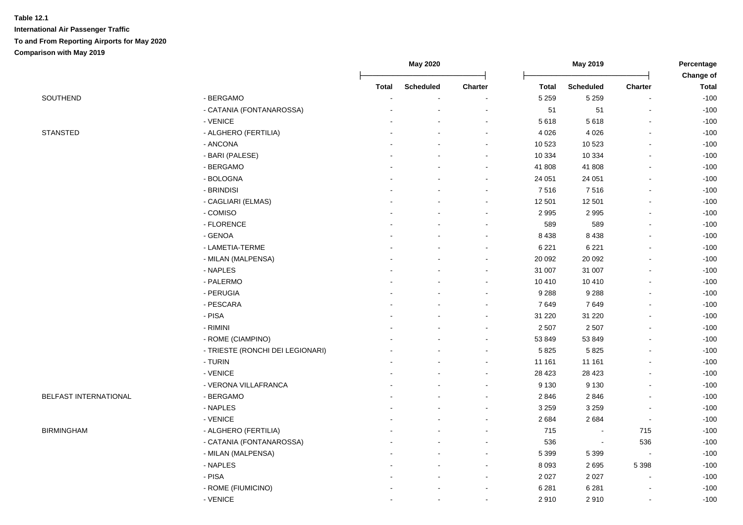|                       |                                  |              | <b>May 2020</b>  |                          |              | May 2019                 |                | Percentage                |
|-----------------------|----------------------------------|--------------|------------------|--------------------------|--------------|--------------------------|----------------|---------------------------|
|                       |                                  | <b>Total</b> | <b>Scheduled</b> | Charter                  | <b>Total</b> | <b>Scheduled</b>         | <b>Charter</b> | Change of<br><b>Total</b> |
| SOUTHEND              | - BERGAMO                        |              |                  |                          | 5 2 5 9      | 5 2 5 9                  |                | $-100$                    |
|                       | - CATANIA (FONTANAROSSA)         |              |                  |                          | 51           | 51                       |                | $-100$                    |
|                       | - VENICE                         |              |                  | $\blacksquare$           | 5 6 18       | 5618                     |                | $-100$                    |
| <b>STANSTED</b>       | - ALGHERO (FERTILIA)             |              |                  |                          | 4 0 26       | 4 0 2 6                  |                | $-100$                    |
|                       | - ANCONA                         |              |                  |                          | 10 523       | 10 523                   |                | $-100$                    |
|                       | - BARI (PALESE)                  |              |                  |                          | 10 334       | 10 3 34                  |                | $-100$                    |
|                       | - BERGAMO                        |              |                  | $\blacksquare$           | 41 808       | 41 808                   |                | $-100$                    |
|                       | - BOLOGNA                        |              |                  | $\blacksquare$           | 24 051       | 24 051                   | $\blacksquare$ | $-100$                    |
|                       | - BRINDISI                       |              |                  | $\blacksquare$           | 7516         | 7516                     | $\blacksquare$ | $-100$                    |
|                       | - CAGLIARI (ELMAS)               |              |                  | $\blacksquare$           | 12 501       | 12 501                   | $\overline{a}$ | $-100$                    |
|                       | - COMISO                         |              |                  | $\overline{\phantom{a}}$ | 2 9 9 5      | 2 9 9 5                  |                | $-100$                    |
|                       | - FLORENCE                       |              |                  | $\blacksquare$           | 589          | 589                      |                | $-100$                    |
|                       | - GENOA                          |              |                  | $\blacksquare$           | 8 4 3 8      | 8 4 3 8                  |                | $-100$                    |
|                       | - LAMETIA-TERME                  |              |                  |                          | 6 2 2 1      | 6 2 2 1                  |                | $-100$                    |
|                       | - MILAN (MALPENSA)               |              |                  | $\blacksquare$           | 20 092       | 20 092                   |                | $-100$                    |
|                       | - NAPLES                         |              |                  | $\blacksquare$           | 31 007       | 31 007                   | $\blacksquare$ | $-100$                    |
|                       | - PALERMO                        |              |                  | $\blacksquare$           | 10 410       | 10 410                   | $\blacksquare$ | $-100$                    |
|                       | - PERUGIA                        |              |                  | $\blacksquare$           | 9 2 8 8      | 9 2 8 8                  |                | $-100$                    |
|                       | - PESCARA                        |              |                  | $\blacksquare$           | 7649         | 7649                     |                | $-100$                    |
|                       | $-$ PISA                         |              |                  | $\blacksquare$           | 31 2 20      | 31 2 20                  |                | $-100$                    |
|                       | - RIMINI                         |              |                  |                          | 2 5 0 7      | 2 5 0 7                  |                | $-100$                    |
|                       | - ROME (CIAMPINO)                |              |                  |                          | 53 849       | 53 849                   |                | $-100$                    |
|                       | - TRIESTE (RONCHI DEI LEGIONARI) |              |                  | ÷                        | 5 8 2 5      | 5825                     |                | $-100$                    |
|                       | - TURIN                          |              |                  | $\blacksquare$           | 11 161       | 11 161                   |                | $-100$                    |
|                       | - VENICE                         |              |                  | $\overline{a}$           | 28 4 23      | 28 4 23                  |                | $-100$                    |
|                       | - VERONA VILLAFRANCA             |              |                  | $\blacksquare$           | 9 1 3 0      | 9 1 3 0                  |                | $-100$                    |
| BELFAST INTERNATIONAL | - BERGAMO                        |              |                  | $\blacksquare$           | 2846         | 2846                     |                | $-100$                    |
|                       | - NAPLES                         |              |                  | $\blacksquare$           | 3 2 5 9      | 3 2 5 9                  |                | $-100$                    |
|                       | - VENICE                         |              |                  | $\blacksquare$           | 2684         | 2684                     | $\blacksquare$ | $-100$                    |
| <b>BIRMINGHAM</b>     | - ALGHERO (FERTILIA)             |              |                  |                          | 715          | $\overline{\phantom{a}}$ | 715            | $-100$                    |
|                       | - CATANIA (FONTANAROSSA)         |              |                  | $\blacksquare$           | 536          | $\blacksquare$           | 536            | $-100$                    |
|                       | - MILAN (MALPENSA)               |              |                  | $\blacksquare$           | 5 3 9 9      | 5 3 9 9                  |                | $-100$                    |
|                       | - NAPLES                         |              |                  | $\blacksquare$           | 8 0 9 3      | 2695                     | 5 3 9 8        | $-100$                    |
|                       | - PISA                           |              |                  | $\overline{\phantom{a}}$ | 2 0 2 7      | 2 0 2 7                  |                | $-100$                    |
|                       | - ROME (FIUMICINO)               |              |                  |                          | 6 2 8 1      | 6 2 8 1                  |                | $-100$                    |
|                       | - VENICE                         |              |                  |                          | 2910         | 2910                     |                | $-100$                    |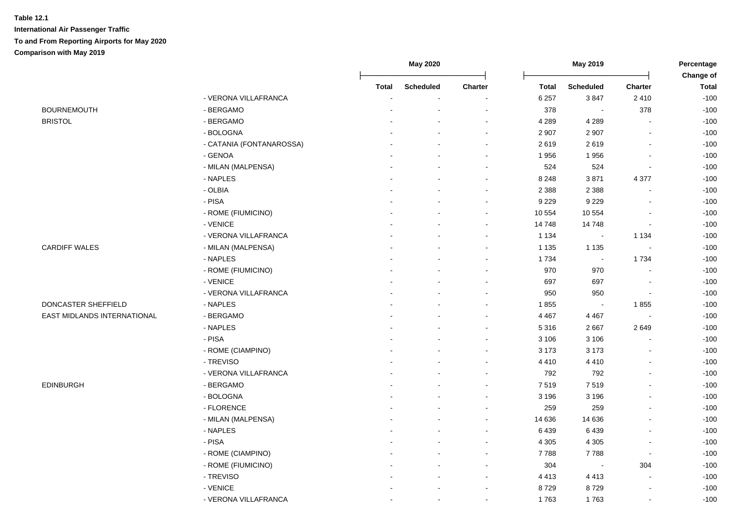|                             |                          |              | May 2020         |                          |              | May 2019                 |                          | Percentage                |
|-----------------------------|--------------------------|--------------|------------------|--------------------------|--------------|--------------------------|--------------------------|---------------------------|
|                             |                          | <b>Total</b> | <b>Scheduled</b> | Charter                  | <b>Total</b> | <b>Scheduled</b>         | <b>Charter</b>           | Change of<br><b>Total</b> |
|                             | - VERONA VILLAFRANCA     |              |                  |                          | 6 2 5 7      | 3847                     | 2410                     | $-100$                    |
| <b>BOURNEMOUTH</b>          | - BERGAMO                |              |                  |                          | 378          |                          | 378                      | $-100$                    |
| <b>BRISTOL</b>              | - BERGAMO                |              |                  | ÷.                       | 4 2 8 9      | 4 2 8 9                  |                          | $-100$                    |
|                             | - BOLOGNA                |              |                  | $\sim$                   | 2 9 0 7      | 2 9 0 7                  | $\blacksquare$           | $-100$                    |
|                             | - CATANIA (FONTANAROSSA) |              |                  | $\blacksquare$           | 2619         | 2619                     | $\blacksquare$           | $-100$                    |
|                             | - GENOA                  |              |                  | $\blacksquare$           | 1956         | 1956                     | $\overline{\phantom{a}}$ | $-100$                    |
|                             | - MILAN (MALPENSA)       |              |                  | $\overline{a}$           | 524          | 524                      | $\overline{\phantom{a}}$ | $-100$                    |
|                             | - NAPLES                 |              |                  | $\sim$                   | 8 2 4 8      | 3871                     | 4 3 7 7                  | $-100$                    |
|                             | - OLBIA                  |              |                  |                          | 2 3 8 8      | 2 3 8 8                  | $\blacksquare$           | $-100$                    |
|                             | - PISA                   |              |                  |                          | 9 2 2 9      | 9 2 2 9                  | $\overline{\phantom{a}}$ | $-100$                    |
|                             | - ROME (FIUMICINO)       |              |                  | $\blacksquare$           | 10 554       | 10 554                   |                          | $-100$                    |
|                             | - VENICE                 |              |                  | $\overline{\phantom{a}}$ | 14 748       | 14748                    | $\overline{\phantom{a}}$ | $-100$                    |
|                             | - VERONA VILLAFRANCA     |              |                  |                          | 1 1 3 4      | $\overline{\phantom{a}}$ | 1 1 3 4                  | $-100$                    |
| <b>CARDIFF WALES</b>        | - MILAN (MALPENSA)       |              |                  |                          | 1 1 3 5      | 1 1 3 5                  | $\overline{\phantom{a}}$ | $-100$                    |
|                             | - NAPLES                 |              |                  |                          | 1734         | $\sim$                   | 1734                     | $-100$                    |
|                             | - ROME (FIUMICINO)       |              |                  |                          | 970          | 970                      |                          | $-100$                    |
|                             | - VENICE                 |              |                  |                          | 697          | 697                      | $\blacksquare$           | $-100$                    |
|                             | - VERONA VILLAFRANCA     |              |                  | $\sim$                   | 950          | 950                      | $\blacksquare$           | $-100$                    |
| DONCASTER SHEFFIELD         | - NAPLES                 |              |                  |                          | 1855         | $\blacksquare$           | 1855                     | $-100$                    |
| EAST MIDLANDS INTERNATIONAL | - BERGAMO                |              |                  | $\overline{\phantom{a}}$ | 4 4 6 7      | 4 4 6 7                  | $\blacksquare$           | $-100$                    |
|                             | - NAPLES                 |              |                  | $\sim$                   | 5 3 1 6      | 2667                     | 2649                     | $-100$                    |
|                             | - PISA                   |              |                  |                          | 3 1 0 6      | 3 1 0 6                  |                          | $-100$                    |
|                             | - ROME (CIAMPINO)        |              |                  |                          | 3 1 7 3      | 3 1 7 3                  | $\overline{\phantom{a}}$ | $-100$                    |
|                             | - TREVISO                |              |                  |                          | 4 4 1 0      | 4 4 1 0                  |                          | $-100$                    |
|                             | - VERONA VILLAFRANCA     |              |                  |                          | 792          | 792                      |                          | $-100$                    |
| <b>EDINBURGH</b>            | - BERGAMO                |              |                  |                          | 7519         | 7519                     |                          | $-100$                    |
|                             | - BOLOGNA                |              |                  |                          | 3 1 9 6      | 3 1 9 6                  |                          | $-100$                    |
|                             | - FLORENCE               |              |                  |                          | 259          | 259                      | $\blacksquare$           | $-100$                    |
|                             | - MILAN (MALPENSA)       |              |                  |                          | 14 636       | 14 636                   |                          | $-100$                    |
|                             | - NAPLES                 |              |                  |                          | 6 4 3 9      | 6439                     |                          | $-100$                    |
|                             | - PISA                   |              |                  | $\overline{a}$           | 4 3 0 5      | 4 3 0 5                  | $\overline{\phantom{a}}$ | $-100$                    |
|                             | - ROME (CIAMPINO)        |              |                  | $\sim$                   | 7788         | 7788                     | $\sim$                   | $-100$                    |
|                             | - ROME (FIUMICINO)       |              |                  | $\overline{\phantom{a}}$ | 304          |                          | 304                      | $-100$                    |
|                             | - TREVISO                |              |                  | $\blacksquare$           | 4 4 1 3      | 4 4 1 3                  | $\blacksquare$           | $-100$                    |
|                             | - VENICE                 |              |                  | $\sim$                   | 8729         | 8729                     | $\overline{\phantom{a}}$ | $-100$                    |
|                             | - VERONA VILLAFRANCA     |              | $\blacksquare$   | $\overline{\phantom{a}}$ | 1763         | 1763                     | $\blacksquare$           | $-100$                    |
|                             |                          |              |                  |                          |              |                          |                          |                           |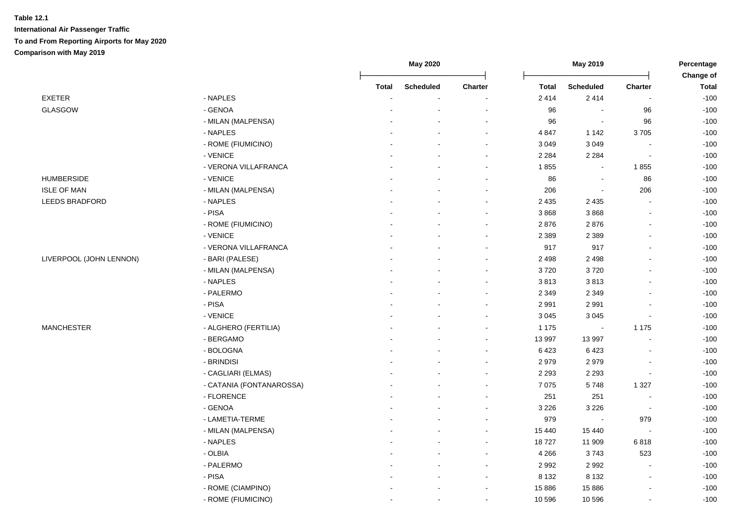|                         |                          |              | <b>May 2020</b>  |                          | May 2019     |                          | Percentage               |                           |
|-------------------------|--------------------------|--------------|------------------|--------------------------|--------------|--------------------------|--------------------------|---------------------------|
|                         |                          | <b>Total</b> | <b>Scheduled</b> | Charter                  | <b>Total</b> | <b>Scheduled</b>         | Charter                  | Change of<br><b>Total</b> |
| <b>EXETER</b>           | - NAPLES                 |              |                  |                          | 2414         | 2414                     |                          | $-100$                    |
| <b>GLASGOW</b>          | - GENOA                  |              |                  |                          | 96           |                          | 96                       | $-100$                    |
|                         | - MILAN (MALPENSA)       |              |                  |                          | 96           |                          | 96                       | $-100$                    |
|                         | - NAPLES                 |              |                  | $\overline{\phantom{a}}$ | 4 8 4 7      | 1 1 4 2                  | 3705                     | $-100$                    |
|                         | - ROME (FIUMICINO)       |              |                  | $\sim$                   | 3 0 4 9      | 3 0 4 9                  |                          | $-100$                    |
|                         | - VENICE                 |              |                  | $\blacksquare$           | 2 2 8 4      | 2 2 8 4                  | $\blacksquare$           | $-100$                    |
|                         | - VERONA VILLAFRANCA     |              |                  | $\blacksquare$           | 1855         | $\blacksquare$           | 1855                     | $-100$                    |
| <b>HUMBERSIDE</b>       | - VENICE                 |              |                  | $\sim$                   | 86           | $\overline{\phantom{a}}$ | 86                       | $-100$                    |
| <b>ISLE OF MAN</b>      | - MILAN (MALPENSA)       |              |                  | $\overline{\phantom{a}}$ | 206          | $\blacksquare$           | 206                      | $-100$                    |
| LEEDS BRADFORD          | - NAPLES                 |              |                  | $\blacksquare$           | 2 4 3 5      | 2 4 3 5                  |                          | $-100$                    |
|                         | - PISA                   |              |                  | $\overline{\phantom{a}}$ | 3868         | 3868                     | $\overline{a}$           | $-100$                    |
|                         | - ROME (FIUMICINO)       |              |                  | $\blacksquare$           | 2876         | 2876                     | $\blacksquare$           | $-100$                    |
|                         | - VENICE                 |              |                  | $\blacksquare$           | 2 3 8 9      | 2 3 8 9                  | $\blacksquare$           | $-100$                    |
|                         | - VERONA VILLAFRANCA     |              |                  | $\overline{a}$           | 917          | 917                      | $\blacksquare$           | $-100$                    |
| LIVERPOOL (JOHN LENNON) | - BARI (PALESE)          |              |                  | $\sim$                   | 2498         | 2 4 9 8                  | $\blacksquare$           | $-100$                    |
|                         | - MILAN (MALPENSA)       |              |                  |                          | 3720         | 3720                     |                          | $-100$                    |
|                         | - NAPLES                 |              |                  | $\overline{\phantom{a}}$ | 3813         | 3813                     |                          | $-100$                    |
|                         | - PALERMO                |              |                  | $\sim$                   | 2 3 4 9      | 2 3 4 9                  |                          | $-100$                    |
|                         | - PISA                   |              |                  | $\sim$                   | 2 9 9 1      | 2991                     |                          | $-100$                    |
|                         | - VENICE                 |              |                  | $\overline{a}$           | 3 0 4 5      | 3 0 4 5                  | L,                       | $-100$                    |
| <b>MANCHESTER</b>       | - ALGHERO (FERTILIA)     |              |                  | $\overline{\phantom{a}}$ | 1 1 7 5      | $\bullet$                | 1 1 7 5                  | $-100$                    |
|                         | - BERGAMO                |              |                  |                          | 13 997       | 13 997                   | $\mathbf{r}$             | $-100$                    |
|                         | - BOLOGNA                |              |                  |                          | 6423         | 6423                     |                          | $-100$                    |
|                         | - BRINDISI               |              |                  | $\blacksquare$           | 2979         | 2979                     | $\blacksquare$           | $-100$                    |
|                         | - CAGLIARI (ELMAS)       |              |                  | $\sim$                   | 2 2 9 3      | 2 2 9 3                  | $\overline{a}$           | $-100$                    |
|                         | - CATANIA (FONTANAROSSA) |              |                  | $\overline{\phantom{a}}$ | 7 0 7 5      | 5748                     | 1 3 2 7                  | $-100$                    |
|                         | - FLORENCE               |              |                  | $\overline{\phantom{a}}$ | 251          | 251                      | $\overline{a}$           | $-100$                    |
|                         | - GENOA                  |              |                  |                          | 3 2 2 6      | 3 2 2 6                  | $\overline{\phantom{a}}$ | $-100$                    |
|                         | - LAMETIA-TERME          |              |                  |                          | 979          |                          | 979                      | $-100$                    |
|                         | - MILAN (MALPENSA)       |              |                  | $\blacksquare$           | 15 440       | 15 4 40                  |                          | $-100$                    |
|                         | - NAPLES                 |              |                  | $\blacksquare$           | 18727        | 11 909                   | 6818                     | $-100$                    |
|                         | - OLBIA                  |              |                  | $\blacksquare$           | 4 2 6 6      | 3743                     | 523                      | $-100$                    |
|                         | - PALERMO                |              |                  | $\blacksquare$           | 2 9 9 2      | 2992                     | $\overline{a}$           | $-100$                    |
|                         | - PISA                   |              |                  | $\overline{\phantom{a}}$ | 8 1 3 2      | 8 1 3 2                  | $\blacksquare$           | $-100$                    |
|                         | - ROME (CIAMPINO)        |              |                  | $\overline{\phantom{a}}$ | 15 8 86      | 15886                    | $\blacksquare$           | $-100$                    |
|                         | - ROME (FIUMICINO)       |              |                  | $\sim$                   | 10 596       | 10 596                   | $\sim$                   | $-100$                    |
|                         |                          |              |                  |                          |              |                          |                          |                           |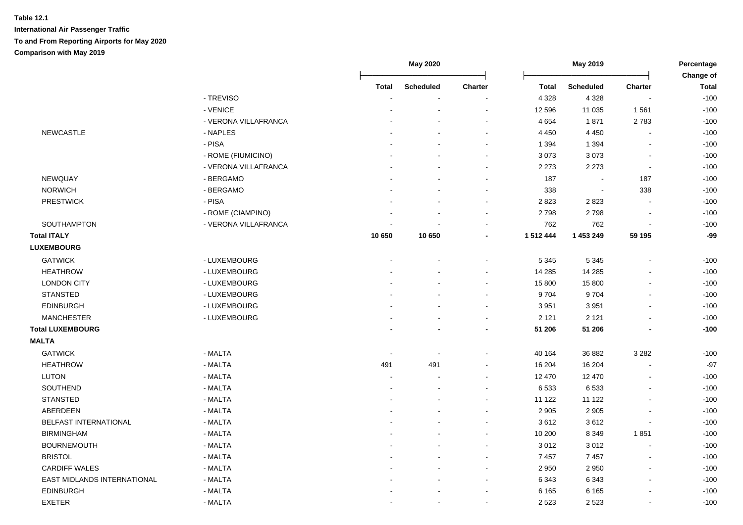|                             |                      |        | May 2020         |                          |              | May 2019         |                          | Percentage<br>Change of |  |
|-----------------------------|----------------------|--------|------------------|--------------------------|--------------|------------------|--------------------------|-------------------------|--|
|                             |                      | Total  | <b>Scheduled</b> | <b>Charter</b>           | <b>Total</b> | <b>Scheduled</b> | Charter                  | <b>Total</b>            |  |
|                             | - TREVISO            |        |                  |                          | 4 3 2 8      | 4 3 2 8          |                          | $-100$                  |  |
|                             | - VENICE             |        |                  | ÷.                       | 12 596       | 11 0 35          | 1561                     | $-100$                  |  |
|                             | - VERONA VILLAFRANCA |        |                  | $\overline{\phantom{a}}$ | 4 6 5 4      | 1871             | 2783                     | $-100$                  |  |
| <b>NEWCASTLE</b>            | - NAPLES             |        |                  | $\blacksquare$           | 4 4 5 0      | 4 4 5 0          | $\blacksquare$           | $-100$                  |  |
|                             | - PISA               |        |                  | $\blacksquare$           | 1 3 9 4      | 1 3 9 4          |                          | $-100$                  |  |
|                             | - ROME (FIUMICINO)   |        |                  | $\sim$                   | 3 0 7 3      | 3073             | $\overline{\phantom{a}}$ | $-100$                  |  |
|                             | - VERONA VILLAFRANCA |        |                  | $\blacksquare$           | 2 2 7 3      | 2 2 7 3          | $\blacksquare$           | $-100$                  |  |
| NEWQUAY                     | - BERGAMO            |        |                  | $\blacksquare$           | 187          | $\blacksquare$   | 187                      | $-100$                  |  |
| <b>NORWICH</b>              | - BERGAMO            |        |                  | $\blacksquare$           | 338          | $\blacksquare$   | 338                      | $-100$                  |  |
| <b>PRESTWICK</b>            | - PISA               |        |                  | $\blacksquare$           | 2823         | 2823             | $\blacksquare$           | $-100$                  |  |
|                             | - ROME (CIAMPINO)    |        |                  | $\blacksquare$           | 2798         | 2798             |                          | $-100$                  |  |
| SOUTHAMPTON                 | - VERONA VILLAFRANCA |        |                  | $\overline{a}$           | 762          | 762              |                          | $-100$                  |  |
| <b>Total ITALY</b>          |                      | 10 650 | 10 650           | $\blacksquare$           | 1512444      | 1 453 249        | 59 195                   | $-99$                   |  |
| <b>LUXEMBOURG</b>           |                      |        |                  |                          |              |                  |                          |                         |  |
| <b>GATWICK</b>              | - LUXEMBOURG         |        |                  | $\blacksquare$           | 5 3 4 5      | 5 3 4 5          |                          | $-100$                  |  |
| <b>HEATHROW</b>             | - LUXEMBOURG         |        |                  | $\blacksquare$           | 14 285       | 14 28 5          |                          | $-100$                  |  |
| <b>LONDON CITY</b>          | - LUXEMBOURG         |        |                  | $\blacksquare$           | 15 800       | 15 800           |                          | $-100$                  |  |
| <b>STANSTED</b>             | - LUXEMBOURG         |        |                  | $\blacksquare$           | 9704         | 9704             |                          | $-100$                  |  |
| <b>EDINBURGH</b>            | - LUXEMBOURG         |        |                  | $\blacksquare$           | 3 9 5 1      | 3 9 5 1          |                          | $-100$                  |  |
| <b>MANCHESTER</b>           | - LUXEMBOURG         |        |                  | $\blacksquare$           | 2 1 2 1      | 2 1 2 1          |                          | $-100$                  |  |
| <b>Total LUXEMBOURG</b>     |                      |        |                  | $\overline{a}$           | 51 206       | 51 206           |                          | $-100$                  |  |
| <b>MALTA</b>                |                      |        |                  |                          |              |                  |                          |                         |  |
| <b>GATWICK</b>              | - MALTA              |        |                  |                          | 40 164       | 36 882           | 3 2 8 2                  | $-100$                  |  |
| <b>HEATHROW</b>             | - MALTA              | 491    | 491              |                          | 16 204       | 16 204           |                          | $-97$                   |  |
| <b>LUTON</b>                | - MALTA              |        |                  | $\blacksquare$           | 12 470       | 12 470           |                          | $-100$                  |  |
| SOUTHEND                    | - MALTA              |        |                  | $\blacksquare$           | 6533         | 6533             |                          | $-100$                  |  |
| <b>STANSTED</b>             | - MALTA              |        |                  | $\sim$                   | 11 122       | 11 122           |                          | $-100$                  |  |
| ABERDEEN                    | - MALTA              |        |                  | $\blacksquare$           | 2 9 0 5      | 2 9 0 5          |                          | $-100$                  |  |
| BELFAST INTERNATIONAL       | - MALTA              |        |                  | $\blacksquare$           | 3612         | 3612             | $\overline{\phantom{a}}$ | $-100$                  |  |
| <b>BIRMINGHAM</b>           | - MALTA              |        |                  | $\blacksquare$           | 10 200       | 8 3 4 9          | 1851                     | $-100$                  |  |
| <b>BOURNEMOUTH</b>          | - MALTA              |        |                  | $\blacksquare$           | 3 0 1 2      | 3012             | $\sim$                   | $-100$                  |  |
| <b>BRISTOL</b>              | - MALTA              |        |                  | $\blacksquare$           | 7457         | 7457             | $\overline{\phantom{a}}$ | $-100$                  |  |
| <b>CARDIFF WALES</b>        | - MALTA              |        |                  | $\blacksquare$           | 2 9 5 0      | 2 9 5 0          |                          | $-100$                  |  |
| EAST MIDLANDS INTERNATIONAL | - MALTA              |        |                  | $\blacksquare$           | 6 3 4 3      | 6 3 4 3          |                          | $-100$                  |  |
| EDINBURGH                   | - MALTA              |        |                  |                          | 6 1 6 5      | 6 1 6 5          |                          | $-100$                  |  |
| <b>EXETER</b>               | - MALTA              |        |                  | $\blacksquare$           | 2 5 2 3      | 2 5 2 3          |                          | $-100$                  |  |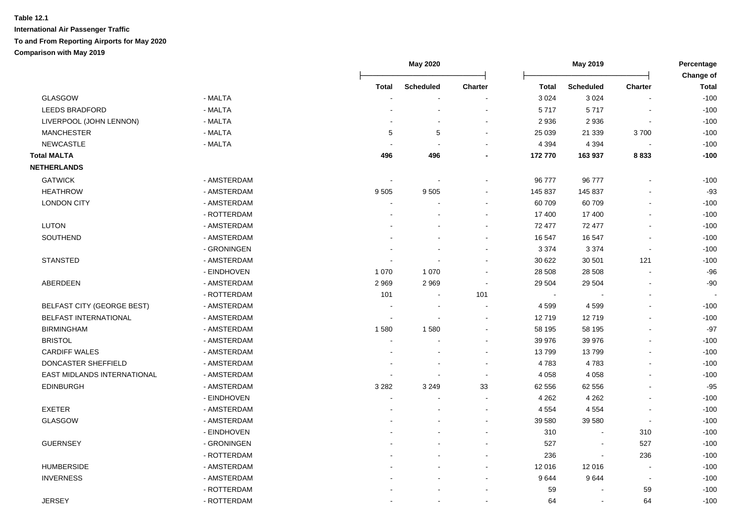|                                   |             |            | <b>May 2020</b>  |                          | May 2019     |                  | Percentage<br>Change of  |              |
|-----------------------------------|-------------|------------|------------------|--------------------------|--------------|------------------|--------------------------|--------------|
|                                   |             | Total      | <b>Scheduled</b> | <b>Charter</b>           | <b>Total</b> | <b>Scheduled</b> | <b>Charter</b>           | <b>Total</b> |
| <b>GLASGOW</b>                    | - MALTA     |            |                  | $\blacksquare$           | 3 0 2 4      | 3 0 2 4          |                          | $-100$       |
| <b>LEEDS BRADFORD</b>             | - MALTA     |            |                  | $\overline{a}$           | 5717         | 5717             |                          | $-100$       |
| LIVERPOOL (JOHN LENNON)           | - MALTA     |            |                  | $\overline{a}$           | 2 9 3 6      | 2936             |                          | $-100$       |
| <b>MANCHESTER</b>                 | - MALTA     | $\sqrt{5}$ | $\,$ 5 $\,$      | $\overline{\phantom{a}}$ | 25 039       | 21 339           | 3700                     | $-100$       |
| <b>NEWCASTLE</b>                  | - MALTA     |            |                  | $\overline{a}$           | 4 3 9 4      | 4 3 9 4          |                          | $-100$       |
| <b>Total MALTA</b>                |             | 496        | 496              | $\blacksquare$           | 172 770      | 163 937          | 8833                     | $-100$       |
| <b>NETHERLANDS</b>                |             |            |                  |                          |              |                  |                          |              |
| <b>GATWICK</b>                    | - AMSTERDAM |            |                  |                          | 96 777       | 96 777           |                          | $-100$       |
| <b>HEATHROW</b>                   | - AMSTERDAM | 9505       | 9505             | $\blacksquare$           | 145 837      | 145 837          |                          | $-93$        |
| <b>LONDON CITY</b>                | - AMSTERDAM | $\sim$     |                  | $\sim$                   | 60 709       | 60709            |                          | $-100$       |
|                                   | - ROTTERDAM |            |                  | $\sim$                   | 17 400       | 17 400           |                          | $-100$       |
| <b>LUTON</b>                      | - AMSTERDAM |            |                  | $\sim$                   | 72 477       | 72 477           |                          | $-100$       |
| <b>SOUTHEND</b>                   | - AMSTERDAM |            |                  | $\blacksquare$           | 16 547       | 16 547           |                          | $-100$       |
|                                   | - GRONINGEN |            |                  | $\overline{\phantom{a}}$ | 3 3 7 4      | 3 3 7 4          | $\overline{\phantom{a}}$ | $-100$       |
| <b>STANSTED</b>                   | - AMSTERDAM |            |                  | $\blacksquare$           | 30 622       | 30 501           | 121                      | $-100$       |
|                                   | - EINDHOVEN | 1 0 7 0    | 1 0 7 0          | $\sim$                   | 28 508       | 28 508           | $\sim$                   | $-96$        |
| ABERDEEN                          | - AMSTERDAM | 2969       | 2969             | $\sim$                   | 29 504       | 29 504           | $\sim$                   | $-90$        |
|                                   | - ROTTERDAM | 101        |                  | 101                      | $\sim$       |                  |                          |              |
| <b>BELFAST CITY (GEORGE BEST)</b> | - AMSTERDAM |            |                  | $\overline{\phantom{a}}$ | 4599         | 4599             |                          | $-100$       |
| <b>BELFAST INTERNATIONAL</b>      | - AMSTERDAM |            |                  | $\overline{\phantom{a}}$ | 12719        | 12719            |                          | $-100$       |
| <b>BIRMINGHAM</b>                 | - AMSTERDAM | 1580       | 1580             | $\overline{\phantom{a}}$ | 58 195       | 58 195           |                          | $-97$        |
| <b>BRISTOL</b>                    | - AMSTERDAM |            |                  |                          | 39 976       | 39 976           |                          | $-100$       |
| <b>CARDIFF WALES</b>              | - AMSTERDAM |            |                  | $\sim$                   | 13799        | 13799            |                          | $-100$       |
| DONCASTER SHEFFIELD               | - AMSTERDAM |            |                  | $\sim$                   | 4783         | 4783             |                          | $-100$       |
| EAST MIDLANDS INTERNATIONAL       | - AMSTERDAM |            |                  | $\sim$                   | 4 0 5 8      | 4 0 5 8          |                          | $-100$       |
| <b>EDINBURGH</b>                  | - AMSTERDAM | 3 2 8 2    | 3 2 4 9          | 33                       | 62 556       | 62 556           |                          | $-95$        |
|                                   | - EINDHOVEN |            |                  | $\sim$                   | 4 2 6 2      | 4 2 6 2          |                          | $-100$       |
| <b>EXETER</b>                     | - AMSTERDAM |            |                  | $\blacksquare$           | 4 5 5 4      | 4 5 5 4          |                          | $-100$       |
| GLASGOW                           | - AMSTERDAM |            |                  | $\blacksquare$           | 39 580       | 39 580           | $\overline{\phantom{a}}$ | $-100$       |
|                                   | - EINDHOVEN |            |                  | $\overline{\phantom{a}}$ | 310          | $\blacksquare$   | 310                      | $-100$       |
| <b>GUERNSEY</b>                   | - GRONINGEN |            |                  | $\blacksquare$           | 527          | $\blacksquare$   | 527                      | $-100$       |
|                                   | - ROTTERDAM |            |                  | $\sim$                   | 236          | $\sim$           | 236                      | $-100$       |
| <b>HUMBERSIDE</b>                 | - AMSTERDAM |            |                  | $\sim$                   | 12 016       | 12 016           | $\sim$                   | $-100$       |
| <b>INVERNESS</b>                  | - AMSTERDAM |            |                  | $\overline{a}$           | 9644         | 9644             | $\blacksquare$           | $-100$       |
|                                   | - ROTTERDAM |            |                  |                          | 59           |                  | 59                       | $-100$       |
| <b>JERSEY</b>                     | - ROTTERDAM |            |                  |                          | 64           | $\blacksquare$   | 64                       | $-100$       |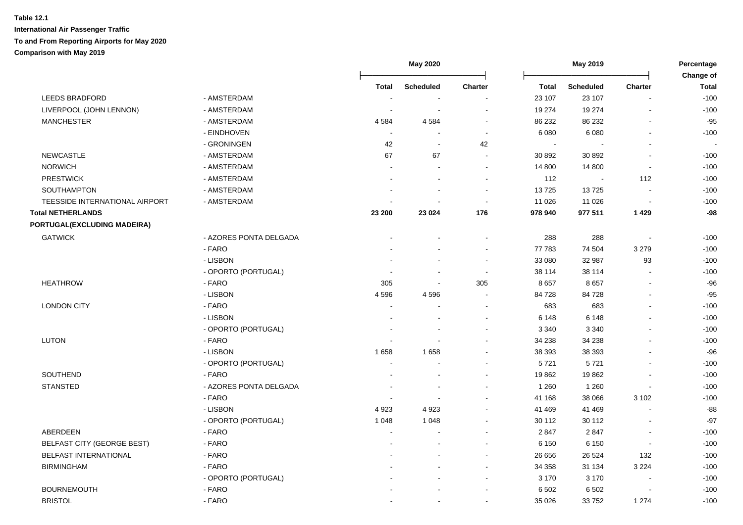|                                |                        |                | May 2020         |                |                | May 2019         |                          | Percentage<br>Change of |
|--------------------------------|------------------------|----------------|------------------|----------------|----------------|------------------|--------------------------|-------------------------|
|                                |                        | <b>Total</b>   | <b>Scheduled</b> | <b>Charter</b> | <b>Total</b>   | <b>Scheduled</b> | Charter                  | <b>Total</b>            |
| <b>LEEDS BRADFORD</b>          | - AMSTERDAM            |                |                  |                | 23 107         | 23 107           |                          | $-100$                  |
| LIVERPOOL (JOHN LENNON)        | - AMSTERDAM            | ÷              | ÷                |                | 19 274         | 19 274           | $\overline{a}$           | $-100$                  |
| <b>MANCHESTER</b>              | - AMSTERDAM            | 4 5 8 4        | 4584             | $\sim$         | 86 232         | 86 232           |                          | $-95$                   |
|                                | - EINDHOVEN            |                |                  | $\sim$         | 6 0 8 0        | 6 0 8 0          |                          | $-100$                  |
|                                | - GRONINGEN            | 42             | $\blacksquare$   | 42             | $\blacksquare$ | $\blacksquare$   | $\overline{a}$           |                         |
| <b>NEWCASTLE</b>               | - AMSTERDAM            | 67             | 67               | $\sim$         | 30 892         | 30 892           | $\overline{a}$           | $-100$                  |
| <b>NORWICH</b>                 | - AMSTERDAM            |                | $\blacksquare$   |                | 14 800         | 14 800           | $\overline{\phantom{a}}$ | $-100$                  |
| <b>PRESTWICK</b>               | - AMSTERDAM            |                |                  |                | 112            | $\sim$           | 112                      | $-100$                  |
| <b>SOUTHAMPTON</b>             | - AMSTERDAM            |                |                  | $\sim$         | 13725          | 13725            |                          | $-100$                  |
| TEESSIDE INTERNATIONAL AIRPORT | - AMSTERDAM            |                |                  | $\sim$         | 11 0 26        | 11 0 26          |                          | $-100$                  |
| <b>Total NETHERLANDS</b>       |                        | 23 200         | 23 0 24          | 176            | 978 940        | 977 511          | 1 4 2 9                  | -98                     |
| PORTUGAL(EXCLUDING MADEIRA)    |                        |                |                  |                |                |                  |                          |                         |
| <b>GATWICK</b>                 | - AZORES PONTA DELGADA |                |                  |                | 288            | 288              |                          | $-100$                  |
|                                | - FARO                 |                |                  | $\sim$         | 77 783         | 74 504           | 3 2 7 9                  | $-100$                  |
|                                | - LISBON               |                |                  | $\sim$         | 33 080         | 32 987           | 93                       | $-100$                  |
|                                | - OPORTO (PORTUGAL)    |                | $\sim$           | $\sim$         | 38 114         | 38 114           |                          | $-100$                  |
| <b>HEATHROW</b>                | - FARO                 | 305            | $\sim$           | 305            | 8657           | 8657             | $\sim$                   | $-96$                   |
|                                | - LISBON               | 4596           | 4596             |                | 84 728         | 84728            |                          | $-95$                   |
| <b>LONDON CITY</b>             | - FARO                 | $\sim$         |                  |                | 683            | 683              |                          | $-100$                  |
|                                | - LISBON               |                |                  |                | 6 1 4 8        | 6 1 4 8          |                          | $-100$                  |
|                                | - OPORTO (PORTUGAL)    |                |                  |                | 3 3 4 0        | 3 3 4 0          |                          | $-100$                  |
| <b>LUTON</b>                   | - FARO                 |                |                  |                | 34 238         | 34 238           |                          | $-100$                  |
|                                | - LISBON               | 1658           | 1658             |                | 38 393         | 38 393           |                          | $-96$                   |
|                                | - OPORTO (PORTUGAL)    | $\sim$         |                  |                | 5721           | 5721             |                          | $-100$                  |
| SOUTHEND                       | - FARO                 |                |                  |                | 19862          | 19862            |                          | $-100$                  |
| <b>STANSTED</b>                | - AZORES PONTA DELGADA |                |                  |                | 1 2 6 0        | 1 2 6 0          |                          | $-100$                  |
|                                | - FARO                 |                |                  |                | 41 168         | 38 066           | 3 1 0 2                  | $-100$                  |
|                                | - LISBON               | 4923           | 4923             |                | 41 469         | 41 469           |                          | $-88$                   |
|                                | - OPORTO (PORTUGAL)    | 1 0 4 8        | 1 0 4 8          |                | 30 112         | 30 112           |                          | $-97$                   |
| <b>ABERDEEN</b>                | - FARO                 | $\blacksquare$ |                  |                | 2847           | 2847             | $\overline{\phantom{a}}$ | $-100$                  |
| BELFAST CITY (GEORGE BEST)     | - FARO                 |                |                  |                | 6 1 5 0        | 6 1 5 0          |                          | $-100$                  |
| BELFAST INTERNATIONAL          | - FARO                 |                |                  |                | 26 656         | 26 5 24          | 132                      | $-100$                  |
| <b>BIRMINGHAM</b>              | - FARO                 |                |                  |                | 34 358         | 31 134           | 3 2 2 4                  | $-100$                  |
|                                | - OPORTO (PORTUGAL)    |                |                  |                | 3 1 7 0        | 3 1 7 0          | $\overline{\phantom{a}}$ | $-100$                  |
| <b>BOURNEMOUTH</b>             | - FARO                 |                |                  |                | 6 5 0 2        | 6 5 0 2          |                          | $-100$                  |
| <b>BRISTOL</b>                 | - FARO                 |                |                  |                | 35 0 26        | 33752            | 1 2 7 4                  | $-100$                  |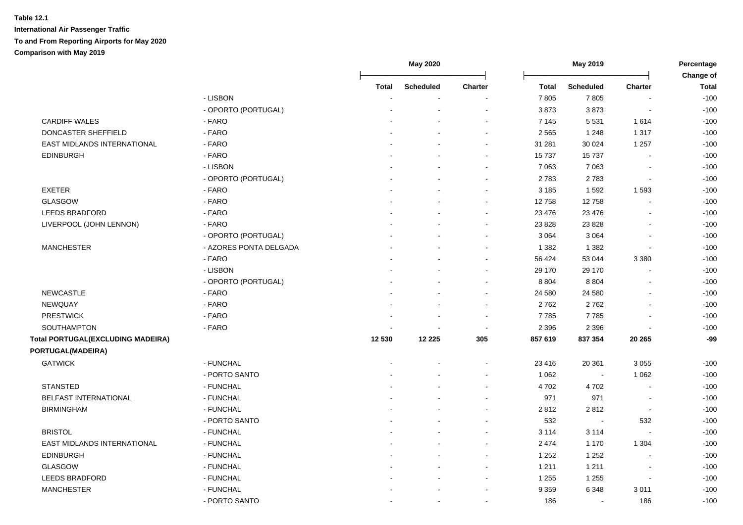|                                          |                        |                | May 2020         |                |              | May 2019         |                          | Percentage<br>Change of |
|------------------------------------------|------------------------|----------------|------------------|----------------|--------------|------------------|--------------------------|-------------------------|
|                                          |                        | <b>Total</b>   | <b>Scheduled</b> | <b>Charter</b> | <b>Total</b> | <b>Scheduled</b> | <b>Charter</b>           | <b>Total</b>            |
|                                          | - LISBON               |                |                  |                | 7805         | 7805             |                          | $-100$                  |
|                                          | - OPORTO (PORTUGAL)    |                |                  |                | 3873         | 3873             |                          | $-100$                  |
| <b>CARDIFF WALES</b>                     | - FARO                 |                |                  |                | 7 1 4 5      | 5 5 3 1          | 1614                     | $-100$                  |
| DONCASTER SHEFFIELD                      | - FARO                 |                |                  |                | 2 5 6 5      | 1 2 4 8          | 1 3 1 7                  | $-100$                  |
| EAST MIDLANDS INTERNATIONAL              | - FARO                 |                |                  | $\sim$         | 31 281       | 30 0 24          | 1 2 5 7                  | $-100$                  |
| <b>EDINBURGH</b>                         | - FARO                 |                |                  |                | 15737        | 15737            |                          | $-100$                  |
|                                          | - LISBON               |                |                  |                | 7 0 63       | 7 0 6 3          | $\blacksquare$           | $-100$                  |
|                                          | - OPORTO (PORTUGAL)    |                |                  |                | 2783         | 2783             | $\blacksquare$           | $-100$                  |
| <b>EXETER</b>                            | - FARO                 |                |                  |                | 3 1 8 5      | 1592             | 1593                     | $-100$                  |
| <b>GLASGOW</b>                           | - FARO                 |                |                  | $\sim$         | 12758        | 12758            |                          | $-100$                  |
| <b>LEEDS BRADFORD</b>                    | - FARO                 |                |                  | $\sim$         | 23 4 76      | 23 4 76          | $\overline{\phantom{a}}$ | $-100$                  |
| LIVERPOOL (JOHN LENNON)                  | - FARO                 |                |                  | $\sim$         | 23 8 28      | 23 8 28          |                          | $-100$                  |
|                                          | - OPORTO (PORTUGAL)    |                |                  |                | 3 0 6 4      | 3 0 6 4          | $\overline{a}$           | $-100$                  |
| <b>MANCHESTER</b>                        | - AZORES PONTA DELGADA |                |                  |                | 1 3 8 2      | 1 3 8 2          |                          | $-100$                  |
|                                          | - FARO                 |                |                  |                | 56 424       | 53 044           | 3 3 8 0                  | $-100$                  |
|                                          | - LISBON               |                |                  |                | 29 170       | 29 170           |                          | $-100$                  |
|                                          | - OPORTO (PORTUGAL)    |                |                  | $\sim$         | 8 8 0 4      | 8 8 0 4          |                          | $-100$                  |
| <b>NEWCASTLE</b>                         | - FARO                 |                |                  |                | 24 580       | 24 580           |                          | $-100$                  |
| <b>NEWQUAY</b>                           | - FARO                 |                |                  |                | 2762         | 2762             |                          | $-100$                  |
| <b>PRESTWICK</b>                         | - FARO                 |                |                  | $\sim$         | 7785         | 7785             | $\overline{a}$           | $-100$                  |
| SOUTHAMPTON                              | - FARO                 |                |                  | $\sim$         | 2 3 9 6      | 2 3 9 6          | $\overline{\phantom{a}}$ | $-100$                  |
| <b>Total PORTUGAL(EXCLUDING MADEIRA)</b> |                        | 12 530         | 12 2 2 5         | 305            | 857 619      | 837 354          | 20 265                   | -99                     |
| PORTUGAL(MADEIRA)                        |                        |                |                  |                |              |                  |                          |                         |
| <b>GATWICK</b>                           | - FUNCHAL              |                |                  |                | 23 4 16      | 20 361           | 3 0 5 5                  | $-100$                  |
|                                          | - PORTO SANTO          |                |                  |                | 1 0 6 2      | $\blacksquare$   | 1 0 6 2                  | $-100$                  |
| <b>STANSTED</b>                          | - FUNCHAL              |                |                  |                | 4702         | 4702             |                          | $-100$                  |
| <b>BELFAST INTERNATIONAL</b>             | - FUNCHAL              |                |                  |                | 971          | 971              | $\overline{\phantom{a}}$ | $-100$                  |
| <b>BIRMINGHAM</b>                        | - FUNCHAL              |                |                  |                | 2812         | 2812             | $\overline{\phantom{a}}$ | $-100$                  |
|                                          | - PORTO SANTO          |                |                  |                | 532          | $\blacksquare$   | 532                      | $-100$                  |
| <b>BRISTOL</b>                           | - FUNCHAL              |                |                  |                | 3 1 1 4      | 3 1 1 4          |                          | $-100$                  |
| EAST MIDLANDS INTERNATIONAL              | - FUNCHAL              |                |                  |                | 2 4 7 4      | 1 1 7 0          | 1 3 0 4                  | $-100$                  |
| <b>EDINBURGH</b>                         | - FUNCHAL              |                |                  |                | 1 2 5 2      | 1 2 5 2          |                          | $-100$                  |
| <b>GLASGOW</b>                           | - FUNCHAL              |                |                  |                | 1 2 1 1      | 1 2 1 1          |                          | $-100$                  |
| <b>LEEDS BRADFORD</b>                    | - FUNCHAL              |                |                  |                | 1 2 5 5      | 1 2 5 5          | $\overline{a}$           | $-100$                  |
| <b>MANCHESTER</b>                        | - FUNCHAL              |                |                  |                | 9 3 5 9      | 6 3 4 8          | 3011                     | $-100$                  |
|                                          | - PORTO SANTO          | $\blacksquare$ | $\sim$           |                | 186          | $\mathbf{r}$     | 186                      | $-100$                  |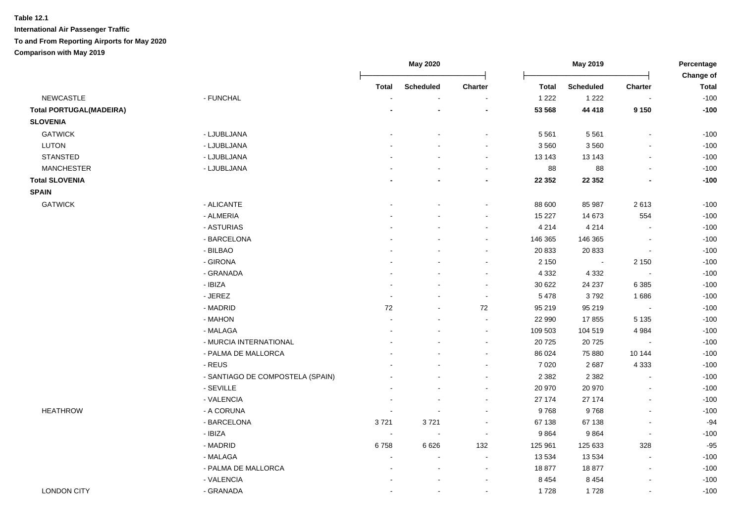|                                |                                  |                | May 2020                 |                          |              | May 2019         |                          | Percentage<br>Change of |
|--------------------------------|----------------------------------|----------------|--------------------------|--------------------------|--------------|------------------|--------------------------|-------------------------|
|                                |                                  | <b>Total</b>   | <b>Scheduled</b>         | Charter                  | <b>Total</b> | <b>Scheduled</b> | <b>Charter</b>           | <b>Total</b>            |
| <b>NEWCASTLE</b>               | - FUNCHAL                        |                | $\sim$                   |                          | 1 2 2 2      | 1 2 2 2          |                          | $-100$                  |
| <b>Total PORTUGAL(MADEIRA)</b> |                                  |                |                          | ٠                        | 53 568       | 44 418           | 9 1 5 0                  | $-100$                  |
| <b>SLOVENIA</b>                |                                  |                |                          |                          |              |                  |                          |                         |
| <b>GATWICK</b>                 | - LJUBLJANA                      |                |                          | $\blacksquare$           | 5 5 6 1      | 5 5 6 1          | $\overline{a}$           | $-100$                  |
| <b>LUTON</b>                   | - LJUBLJANA                      |                |                          |                          | 3 5 6 0      | 3560             |                          | $-100$                  |
| <b>STANSTED</b>                | - LJUBLJANA                      |                |                          | $\blacksquare$           | 13 143       | 13 143           | $\blacksquare$           | $-100$                  |
| <b>MANCHESTER</b>              | - LJUBLJANA                      |                |                          | ÷                        | 88           | 88               | $\mathbf{r}$             | $-100$                  |
| <b>Total SLOVENIA</b>          |                                  |                |                          |                          | 22 352       | 22 352           |                          | $-100$                  |
| <b>SPAIN</b>                   |                                  |                |                          |                          |              |                  |                          |                         |
| <b>GATWICK</b>                 | - ALICANTE                       |                | ۰                        | $\blacksquare$           | 88 600       | 85 987           | 2613                     | $-100$                  |
|                                | - ALMERIA                        |                |                          |                          | 15 227       | 14 673           | 554                      | $-100$                  |
|                                | - ASTURIAS                       |                |                          | $\blacksquare$           | 4 2 1 4      | 4 2 1 4          | $\overline{a}$           | $-100$                  |
|                                | - BARCELONA                      |                |                          | $\blacksquare$           | 146 365      | 146 365          | $\overline{a}$           | $-100$                  |
|                                | - BILBAO                         |                |                          | $\overline{\phantom{a}}$ | 20 833       | 20 833           | $\overline{\phantom{a}}$ | $-100$                  |
|                                | - GIRONA                         |                |                          |                          | 2 1 5 0      | $\blacksquare$   | 2 1 5 0                  | $-100$                  |
|                                | - GRANADA                        |                |                          | $\blacksquare$           | 4 3 3 2      | 4 3 3 2          |                          | $-100$                  |
|                                | - IBIZA                          |                |                          | $\sim$                   | 30 622       | 24 237           | 6 3 8 5                  | $-100$                  |
|                                | - JEREZ                          | $\sim$         | $\sim$                   | $\sim$                   | 5 4 7 8      | 3792             | 1686                     | $-100$                  |
|                                | - MADRID                         | 72             |                          | 72                       | 95 219       | 95 219           | $\blacksquare$           | $-100$                  |
|                                | - MAHON                          |                | $\blacksquare$           | L,                       | 22 990       | 17855            | 5 1 3 5                  | $-100$                  |
|                                | - MALAGA                         | ÷              | ÷                        | $\sim$                   | 109 503      | 104 519          | 4 9 8 4                  | $-100$                  |
|                                | - MURCIA INTERNATIONAL           |                |                          | $\overline{\phantom{a}}$ | 20 7 25      | 20725            | $\overline{\phantom{a}}$ | $-100$                  |
|                                | - PALMA DE MALLORCA              |                | $\sim$                   | $\sim$                   | 86 0 24      | 75 880           | 10 144                   | $-100$                  |
|                                | - REUS                           |                |                          | $\sim$                   | 7 0 20       | 2687             | 4 3 3 3                  | $-100$                  |
|                                | - SANTIAGO DE COMPOSTELA (SPAIN) |                | $\overline{\phantom{a}}$ | $\blacksquare$           | 2 3 8 2      | 2 3 8 2          | L.                       | $-100$                  |
|                                | - SEVILLE                        | $\blacksquare$ | $\blacksquare$           | $\blacksquare$           | 20 970       | 20 970           | $\overline{a}$           | $-100$                  |
|                                | - VALENCIA                       | $\blacksquare$ | $\blacksquare$           | $\blacksquare$           | 27 174       | 27 174           | $\overline{\phantom{a}}$ | $-100$                  |
| <b>HEATHROW</b>                | - A CORUNA                       | $\blacksquare$ | $\blacksquare$           | $\blacksquare$           | 9768         | 9768             | $\overline{\phantom{a}}$ | $-100$                  |
|                                | - BARCELONA                      | 3721           | 3721                     | $\sim$                   | 67 138       | 67 138           | $\blacksquare$           | $-94$                   |
|                                | - IBIZA                          | $\sim$         | $\sim$                   | $\sim$                   | 9864         | 9864             | $\sim$                   | $-100$                  |
|                                | - MADRID                         | 6758           | 6626                     | 132                      | 125 961      | 125 633          | 328                      | $-95$                   |
|                                | - MALAGA                         | $\blacksquare$ | $\blacksquare$           | $\blacksquare$           | 13 5 34      | 13 5 34          | $\sim$                   | $-100$                  |
|                                | - PALMA DE MALLORCA              |                | $\blacksquare$           | $\sim$                   | 18877        | 18877            | $\sim$                   | $-100$                  |
|                                | - VALENCIA                       |                | $\blacksquare$           | $\blacksquare$           | 8 4 5 4      | 8 4 5 4          | $\overline{\phantom{a}}$ | $-100$                  |
| <b>LONDON CITY</b>             | - GRANADA                        |                | ۰                        | $\blacksquare$           | 1728         | 1728             | $\blacksquare$           | $-100$                  |
|                                |                                  |                |                          |                          |              |                  |                          |                         |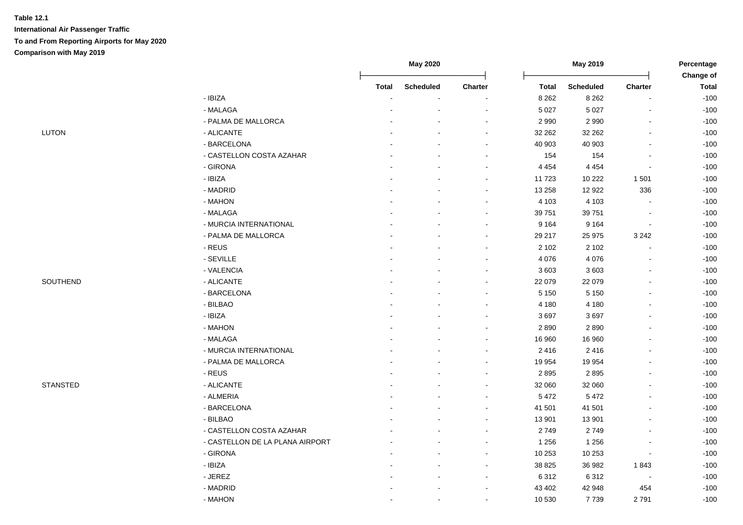| : ש. | ı | UN |  |
|------|---|----|--|
|      |   |    |  |

|                 |                                 |        | <b>May 2020</b>  |                          |         | May 2019         |                          | Percentage<br>Change of |
|-----------------|---------------------------------|--------|------------------|--------------------------|---------|------------------|--------------------------|-------------------------|
|                 |                                 | Total  | <b>Scheduled</b> | Charter                  | Total   | <b>Scheduled</b> | Charter                  | <b>Total</b>            |
|                 | - IBIZA                         | $\sim$ | $\sim$           |                          | 8 2 6 2 | 8 2 6 2          | $\blacksquare$           | $-100$                  |
|                 | - MALAGA                        |        |                  |                          | 5 0 27  | 5 0 27           | $\blacksquare$           | $-100$                  |
|                 | - PALMA DE MALLORCA             |        |                  |                          | 2 9 9 0 | 2 9 9 0          | $\blacksquare$           | $-100$                  |
| LUTON           | - ALICANTE                      |        |                  | $\overline{\phantom{a}}$ | 32 262  | 32 26 2          |                          | $-100$                  |
|                 | - BARCELONA                     |        |                  |                          | 40 903  | 40 903           | $\blacksquare$           | $-100$                  |
|                 | - CASTELLON COSTA AZAHAR        |        |                  |                          | 154     | 154              |                          | $-100$                  |
|                 | - GIRONA                        |        |                  |                          | 4 4 5 4 | 4 4 5 4          |                          | $-100$                  |
|                 | - IBIZA                         |        |                  |                          | 11 723  | 10 222           | 1501                     | $-100$                  |
|                 | - MADRID                        |        |                  |                          | 13 258  | 12 9 22          | 336                      | $-100$                  |
|                 | - MAHON                         |        |                  | $\sim$                   | 4 1 0 3 | 4 1 0 3          | $\blacksquare$           | $-100$                  |
|                 | - MALAGA                        |        |                  | $\sim$                   | 39 751  | 39 751           | $\overline{\phantom{a}}$ | $-100$                  |
|                 | - MURCIA INTERNATIONAL          |        |                  | $\blacksquare$           | 9 1 6 4 | 9 1 6 4          | $\blacksquare$           | $-100$                  |
|                 | - PALMA DE MALLORCA             |        |                  | $\sim$                   | 29 217  | 25 975           | 3 2 4 2                  | $-100$                  |
|                 | - REUS                          |        |                  | $\sim$                   | 2 1 0 2 | 2 1 0 2          | $\blacksquare$           | $-100$                  |
|                 | - SEVILLE                       |        |                  |                          | 4 0 7 6 | 4 0 7 6          | $\blacksquare$           | $-100$                  |
|                 | - VALENCIA                      |        |                  | $\sim$                   | 3603    | 3603             | $\blacksquare$           | $-100$                  |
| SOUTHEND        | - ALICANTE                      |        |                  | $\overline{\phantom{a}}$ | 22 079  | 22 079           | $\blacksquare$           | $-100$                  |
|                 | - BARCELONA                     |        |                  | $\overline{\phantom{a}}$ | 5 1 5 0 | 5 1 5 0          | $\blacksquare$           | $-100$                  |
|                 | - BILBAO                        |        |                  |                          | 4 180   | 4 1 8 0          | $\blacksquare$           | $-100$                  |
|                 | - IBIZA                         |        |                  |                          | 3697    | 3697             |                          | $-100$                  |
|                 | - MAHON                         |        |                  |                          | 2890    | 2890             |                          | $-100$                  |
|                 | - MALAGA                        |        |                  | ÷                        | 16 960  | 16 960           |                          | $-100$                  |
|                 | - MURCIA INTERNATIONAL          |        |                  | ÷                        | 2 4 1 6 | 2 4 1 6          |                          | $-100$                  |
|                 | - PALMA DE MALLORCA             |        |                  | $\overline{\phantom{a}}$ | 19 9 54 | 19 954           |                          | $-100$                  |
|                 | - REUS                          |        |                  | $\blacksquare$           | 2895    | 2895             |                          | $-100$                  |
| <b>STANSTED</b> | - ALICANTE                      |        |                  | $\sim$                   | 32 060  | 32 060           | $\sim$                   | $-100$                  |
|                 | - ALMERIA                       |        |                  |                          | 5 4 7 2 | 5 4 7 2          | $\blacksquare$           | $-100$                  |
|                 | - BARCELONA                     |        |                  |                          | 41 501  | 41 501           |                          | $-100$                  |
|                 | - BILBAO                        |        |                  | $\blacksquare$           | 13 901  | 13 901           |                          | $-100$                  |
|                 | - CASTELLON COSTA AZAHAR        |        |                  | $\blacksquare$           | 2749    | 2749             |                          | $-100$                  |
|                 | - CASTELLON DE LA PLANA AIRPORT |        |                  | $\overline{\phantom{a}}$ | 1 2 5 6 | 1 2 5 6          | $\overline{\phantom{a}}$ | $-100$                  |
|                 | - GIRONA                        |        |                  |                          | 10 253  | 10 253           | $\blacksquare$           | $-100$                  |
|                 | - IBIZA                         |        |                  |                          | 38 825  | 36 982           | 1843                     | $-100$                  |
|                 | - JEREZ                         |        |                  |                          | 6312    | 6312             | $\blacksquare$           | $-100$                  |
|                 | - MADRID                        |        |                  |                          | 43 402  | 42 948           | 454                      | $-100$                  |
|                 | - MAHON                         |        | $\blacksquare$   | $\sim$                   | 10 530  | 7739             | 2791                     | $-100$                  |
|                 |                                 |        |                  |                          |         |                  |                          |                         |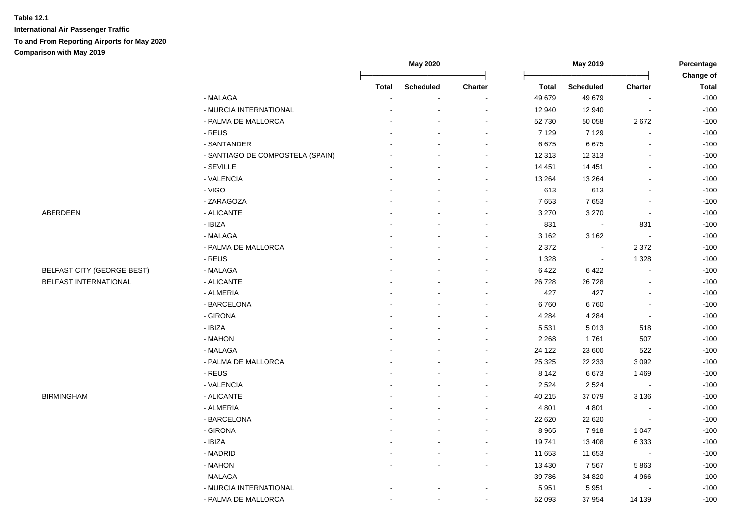|                                   |                                  |              | May 2020         |         |         | May 2019                 |                          | Percentage                |
|-----------------------------------|----------------------------------|--------------|------------------|---------|---------|--------------------------|--------------------------|---------------------------|
|                                   |                                  | <b>Total</b> | <b>Scheduled</b> | Charter | Total   | <b>Scheduled</b>         | Charter                  | Change of<br><b>Total</b> |
|                                   | - MALAGA                         |              |                  |         | 49 679  | 49 679                   |                          | $-100$                    |
|                                   | - MURCIA INTERNATIONAL           |              |                  |         | 12 940  | 12 940                   | $\blacksquare$           | $-100$                    |
|                                   | - PALMA DE MALLORCA              |              |                  |         | 52 730  | 50 058                   | 2672                     | $-100$                    |
|                                   | - REUS                           |              |                  |         | 7 1 2 9 | 7 1 2 9                  | $\mathbf{r}$             | $-100$                    |
|                                   | - SANTANDER                      |              |                  |         | 6675    | 6675                     | $\blacksquare$           | $-100$                    |
|                                   | - SANTIAGO DE COMPOSTELA (SPAIN) |              |                  |         | 12 313  | 12 3 13                  | ä,                       | $-100$                    |
|                                   | - SEVILLE                        |              |                  |         | 14 451  | 14 451                   | $\blacksquare$           | $-100$                    |
|                                   | - VALENCIA                       |              |                  |         | 13 2 64 | 13 2 64                  | $\blacksquare$           | $-100$                    |
|                                   | - VIGO                           |              |                  |         | 613     | 613                      | $\blacksquare$           | $-100$                    |
|                                   | - ZARAGOZA                       |              |                  |         | 7653    | 7653                     | ä,                       | $-100$                    |
| ABERDEEN                          | - ALICANTE                       |              |                  |         | 3 2 7 0 | 3 2 7 0                  | $\blacksquare$           | $-100$                    |
|                                   | - IBIZA                          |              |                  |         | 831     | $\overline{\phantom{a}}$ | 831                      | $-100$                    |
|                                   | - MALAGA                         |              |                  |         | 3 1 6 2 | 3 1 6 2                  | $\overline{\phantom{a}}$ | $-100$                    |
|                                   | - PALMA DE MALLORCA              |              |                  |         | 2 3 7 2 | $\sim$                   | 2 3 7 2                  | $-100$                    |
|                                   | - REUS                           |              |                  |         | 1 3 2 8 | $\bullet$                | 1 3 2 8                  | $-100$                    |
| <b>BELFAST CITY (GEORGE BEST)</b> | - MALAGA                         |              |                  |         | 6422    | 6422                     |                          | $-100$                    |
| BELFAST INTERNATIONAL             | - ALICANTE                       |              |                  |         | 26 728  | 26 7 28                  | $\blacksquare$           | $-100$                    |
|                                   | - ALMERIA                        |              |                  |         | 427     | 427                      |                          | $-100$                    |
|                                   | - BARCELONA                      |              |                  |         | 6760    | 6760                     | $\blacksquare$           | $-100$                    |
|                                   | - GIRONA                         |              |                  |         | 4 2 8 4 | 4 2 8 4                  | $\overline{\phantom{a}}$ | $-100$                    |
|                                   | - IBIZA                          |              |                  |         | 5 5 3 1 | 5 0 1 3                  | 518                      | $-100$                    |
|                                   | - MAHON                          |              |                  |         | 2 2 6 8 | 1761                     | 507                      | $-100$                    |
|                                   | - MALAGA                         |              |                  |         | 24 122  | 23 600                   | 522                      | $-100$                    |
|                                   | - PALMA DE MALLORCA              |              |                  |         | 25 3 25 | 22 233                   | 3 0 9 2                  | $-100$                    |
|                                   | - REUS                           |              |                  |         | 8 1 4 2 | 6673                     | 1 4 6 9                  | $-100$                    |
|                                   | - VALENCIA                       |              |                  |         | 2 5 2 4 | 2 5 2 4                  | $\sim$                   | $-100$                    |
| <b>BIRMINGHAM</b>                 | - ALICANTE                       |              |                  |         | 40 215  | 37 079                   | 3 1 3 6                  | $-100$                    |
|                                   | - ALMERIA                        |              |                  |         | 4 8 0 1 | 4 8 0 1                  | $\overline{\phantom{a}}$ | $-100$                    |
|                                   | - BARCELONA                      |              |                  |         | 22 6 20 | 22 6 20                  | ÷,                       | $-100$                    |
|                                   | - GIRONA                         |              |                  |         | 8965    | 7918                     | 1 0 4 7                  | $-100$                    |
|                                   | - IBIZA                          |              |                  |         | 19741   | 13 4 08                  | 6 3 3 3                  | $-100$                    |
|                                   | - MADRID                         |              |                  |         | 11 653  | 11 653                   | $\overline{\phantom{a}}$ | $-100$                    |
|                                   | - MAHON                          |              |                  |         | 13 4 30 | 7567                     | 5863                     | $-100$                    |
|                                   | - MALAGA                         |              |                  |         | 39 786  | 34 8 20                  | 4 9 6 6                  | $-100$                    |
|                                   | - MURCIA INTERNATIONAL           |              |                  |         | 5 9 5 1 | 5951                     |                          | $-100$                    |
|                                   | - PALMA DE MALLORCA              |              |                  |         | 52 093  | 37 954                   | 14 139                   | $-100$                    |

### BELFAST CITY (GEORGE BEST) BELFAST INTERNATIONAL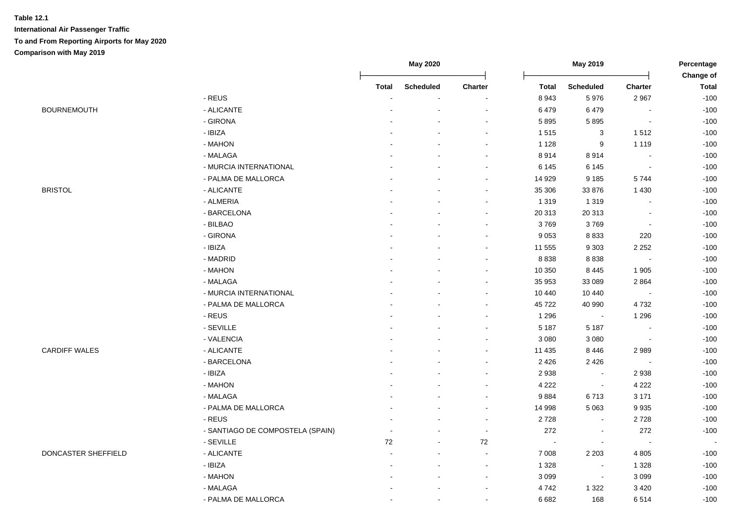|                      |                                  |                | <b>May 2020</b>  |                          |              | May 2019<br>Percentage<br>Change of |                          |              |
|----------------------|----------------------------------|----------------|------------------|--------------------------|--------------|-------------------------------------|--------------------------|--------------|
|                      |                                  | <b>Total</b>   | <b>Scheduled</b> | Charter                  | <b>Total</b> | <b>Scheduled</b>                    | <b>Charter</b>           | <b>Total</b> |
|                      | - REUS                           |                |                  |                          | 8943         | 5976                                | 2967                     | $-100$       |
| <b>BOURNEMOUTH</b>   | - ALICANTE                       |                |                  |                          | 6479         | 6479                                |                          | $-100$       |
|                      | - GIRONA                         |                |                  |                          | 5895         | 5895                                |                          | $-100$       |
|                      | - IBIZA                          |                |                  |                          | 1515         | $\ensuremath{\mathsf{3}}$           | 1512                     | $-100$       |
|                      | - MAHON                          |                |                  |                          | 1 1 2 8      | 9                                   | 1 1 1 9                  | $-100$       |
|                      | - MALAGA                         |                |                  |                          | 8914         | 8914                                | $\overline{\phantom{a}}$ | $-100$       |
|                      | - MURCIA INTERNATIONAL           |                |                  | $\sim$                   | 6 1 4 5      | 6 1 4 5                             | $\sim$                   | $-100$       |
|                      | - PALMA DE MALLORCA              |                |                  | $\sim$                   | 14 9 29      | 9 1 8 5                             | 5744                     | $-100$       |
| <b>BRISTOL</b>       | - ALICANTE                       |                |                  |                          | 35 30 6      | 33 876                              | 1 4 3 0                  | $-100$       |
|                      | - ALMERIA                        |                |                  |                          | 1 3 1 9      | 1 3 1 9                             | $\overline{a}$           | $-100$       |
|                      | - BARCELONA                      |                |                  |                          | 20 313       | 20 31 3                             | $\blacksquare$           | $-100$       |
|                      | - BILBAO                         |                |                  | $\sim$                   | 3769         | 3769                                | $\blacksquare$           | $-100$       |
|                      | - GIRONA                         |                |                  |                          | 9 0 5 3      | 8 8 3 3                             | 220                      | $-100$       |
|                      | - IBIZA                          |                |                  |                          | 11 555       | 9 3 0 3                             | 2 2 5 2                  | $-100$       |
|                      | - MADRID                         |                |                  |                          | 8 8 3 8      | 8838                                | $\blacksquare$           | $-100$       |
|                      | - MAHON                          |                |                  |                          | 10 350       | 8 4 4 5                             | 1905                     | $-100$       |
|                      | - MALAGA                         |                |                  |                          | 35 953       | 33 089                              | 2864                     | $-100$       |
|                      | - MURCIA INTERNATIONAL           |                |                  |                          | 10 440       | 10 440                              | $\overline{a}$           | $-100$       |
|                      | - PALMA DE MALLORCA              |                |                  |                          | 45 722       | 40 990                              | 4732                     | $-100$       |
|                      | - REUS                           |                |                  |                          | 1 2 9 6      | $\sim$                              | 1 2 9 6                  | $-100$       |
|                      | - SEVILLE                        |                |                  |                          | 5 1 8 7      | 5 1 8 7                             | $\sim$                   | $-100$       |
|                      | - VALENCIA                       |                |                  |                          | 3 0 8 0      | 3 0 8 0                             | $\blacksquare$           | $-100$       |
| <b>CARDIFF WALES</b> | - ALICANTE                       |                |                  |                          | 11 435       | 8 4 4 6                             | 2989                     | $-100$       |
|                      | - BARCELONA                      |                |                  |                          | 2 4 2 6      | 2 4 2 6                             | $\blacksquare$           | $-100$       |
|                      | - IBIZA                          |                |                  |                          | 2 9 3 8      | $\sim$                              | 2938                     | $-100$       |
|                      | - MAHON                          |                |                  | $\sim$                   | 4 2 2 2      | $\sim$                              | 4 2 2 2                  | $-100$       |
|                      | - MALAGA                         |                |                  | $\sim$                   | 9884         | 6713                                | 3 1 7 1                  | $-100$       |
|                      | - PALMA DE MALLORCA              |                |                  | $\sim$                   | 14 998       | 5 0 6 3                             | 9935                     | $-100$       |
|                      | - REUS                           |                |                  |                          | 2728         | $\sim$                              | 2728                     | $-100$       |
|                      | - SANTIAGO DE COMPOSTELA (SPAIN) |                |                  |                          | 272          | $\blacksquare$                      | 272                      | $-100$       |
|                      | - SEVILLE                        | 72             |                  | $72\,$                   |              | $\blacksquare$                      | $\blacksquare$           |              |
| DONCASTER SHEFFIELD  | - ALICANTE                       |                |                  | $\sim$                   | 7 0 0 8      | 2 2 0 3                             | 4 8 0 5                  | $-100$       |
|                      | - IBIZA                          |                |                  | $\sim$                   | 1 3 2 8      | $\sim$                              | 1 3 2 8                  | $-100$       |
|                      | - MAHON                          |                |                  | $\sim$                   | 3 0 9 9      | $\sim$                              | 3 0 9 9                  | $-100$       |
|                      | - MALAGA                         |                |                  |                          | 4742         | 1 3 2 2                             | 3 4 2 0                  | $-100$       |
|                      | - PALMA DE MALLORCA              | $\blacksquare$ | $\sim$           | $\overline{\phantom{a}}$ | 6 6 8 2      | 168                                 | 6514                     | $-100$       |
|                      |                                  |                |                  |                          |              |                                     |                          |              |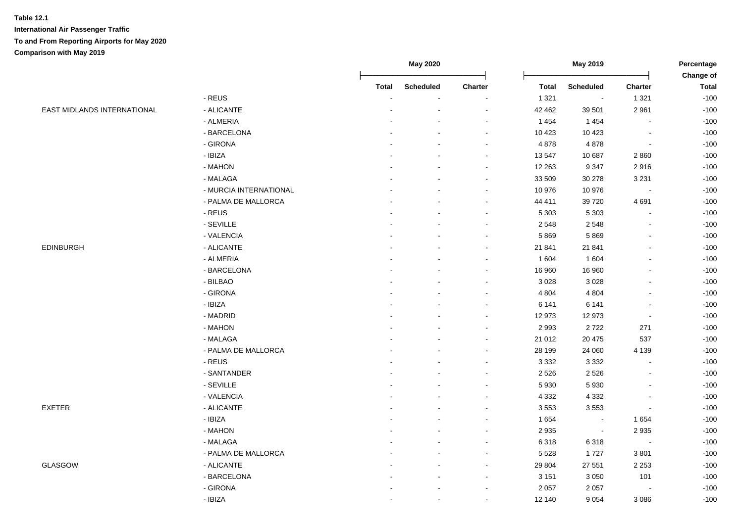|                                    |                        |              | May 2020         |         |              | May 2019         |                          | Percentage                |
|------------------------------------|------------------------|--------------|------------------|---------|--------------|------------------|--------------------------|---------------------------|
|                                    |                        | <b>Total</b> | <b>Scheduled</b> | Charter | <b>Total</b> | <b>Scheduled</b> | Charter                  | Change of<br><b>Total</b> |
|                                    | - REUS                 |              |                  |         | 1 3 2 1      | $\bullet$        | 1 3 2 1                  | $-100$                    |
| <b>EAST MIDLANDS INTERNATIONAL</b> | - ALICANTE             |              |                  |         | 42 462       | 39 501           | 2 9 6 1                  | $-100$                    |
|                                    | - ALMERIA              |              |                  |         | 1 4 5 4      | 1 4 5 4          | $\blacksquare$           | $-100$                    |
|                                    | - BARCELONA            |              |                  |         | 10 4 23      | 10 4 23          | $\blacksquare$           | $-100$                    |
|                                    | - GIRONA               |              |                  |         | 4 8 7 8      | 4878             | $\blacksquare$           | $-100$                    |
|                                    | - IBIZA                |              |                  | $\sim$  | 13 547       | 10 687           | 2860                     | $-100$                    |
|                                    | - MAHON                |              |                  | $\sim$  | 12 263       | 9 3 4 7          | 2916                     | $-100$                    |
|                                    | - MALAGA               |              |                  | $\sim$  | 33 509       | 30 278           | 3 2 3 1                  | $-100$                    |
|                                    | - MURCIA INTERNATIONAL |              |                  |         | 10 976       | 10 976           | $\overline{\phantom{a}}$ | $-100$                    |
|                                    | - PALMA DE MALLORCA    |              |                  | $\sim$  | 44 411       | 39720            | 4691                     | $-100$                    |
|                                    | - REUS                 |              |                  | $\sim$  | 5 3 0 3      | 5 3 0 3          | ÷,                       | $-100$                    |
|                                    | - SEVILLE              |              |                  |         | 2 5 4 8      | 2548             | $\blacksquare$           | $-100$                    |
|                                    | - VALENCIA             |              |                  | $\sim$  | 5869         | 5869             | $\blacksquare$           | $-100$                    |
| <b>EDINBURGH</b>                   | - ALICANTE             |              |                  | $\sim$  | 21 841       | 21 841           | $\blacksquare$           | $-100$                    |
|                                    | - ALMERIA              |              |                  |         | 1 604        | 1 604            | $\blacksquare$           | $-100$                    |
|                                    | - BARCELONA            |              |                  |         | 16 960       | 16 960           | $\overline{a}$           | $-100$                    |
|                                    | - BILBAO               |              |                  |         | 3 0 28       | 3 0 28           | $\sim$                   | $-100$                    |
|                                    | - GIRONA               |              |                  |         | 4 8 0 4      | 4 8 0 4          | $\sim$                   | $-100$                    |
|                                    | - IBIZA                |              |                  |         | 6 141        | 6 1 4 1          | $\blacksquare$           | $-100$                    |
|                                    | - MADRID               | ٠            |                  | $\sim$  | 12 973       | 12 973           | $\blacksquare$           | $-100$                    |
|                                    | - MAHON                |              |                  |         | 2993         | 2722             | 271                      | $-100$                    |
|                                    | - MALAGA               |              |                  |         | 21 012       | 20 4 75          | 537                      | $-100$                    |
|                                    | - PALMA DE MALLORCA    |              |                  |         | 28 199       | 24 060           | 4 1 3 9                  | $-100$                    |
|                                    | - REUS                 |              |                  |         | 3 3 3 2      | 3 3 3 2          | $\blacksquare$           | $-100$                    |
|                                    | - SANTANDER            |              |                  | $\sim$  | 2 5 2 6      | 2526             | $\blacksquare$           | $-100$                    |
|                                    | - SEVILLE              |              |                  |         | 5 9 3 0      | 5 9 3 0          | $\blacksquare$           | $-100$                    |
|                                    | - VALENCIA             |              |                  |         | 4 3 3 2      | 4 3 3 2          | $\overline{a}$           | $-100$                    |
| <b>EXETER</b>                      | - ALICANTE             |              |                  |         | 3553         | 3553             | $\blacksquare$           | $-100$                    |
|                                    | - IBIZA                |              |                  |         | 1 6 5 4      | $\bullet$        | 1654                     | $-100$                    |
|                                    | - MAHON                |              |                  |         | 2 9 3 5      | $\sim$           | 2935                     | $-100$                    |
|                                    | - MALAGA               |              |                  |         | 6318         | 6318             | $\overline{\phantom{a}}$ | $-100$                    |
|                                    | - PALMA DE MALLORCA    |              |                  |         | 5 5 28       | 1727             | 3801                     | $-100$                    |
| GLASGOW                            | - ALICANTE             |              |                  |         | 29 804       | 27 551           | 2 2 5 3                  | $-100$                    |
|                                    | - BARCELONA            |              |                  | $\sim$  | 3 1 5 1      | 3 0 5 0          | 101                      | $-100$                    |
|                                    | - GIRONA               |              | $\sim$           | $\sim$  | 2 0 5 7      | 2 0 5 7          | $\blacksquare$           | $-100$                    |
|                                    | - IBIZA                |              | $\blacksquare$   | $\sim$  | 12 140       | 9 0 5 4          | 3 0 8 6                  | $-100$                    |
|                                    |                        |              |                  |         |              |                  |                          |                           |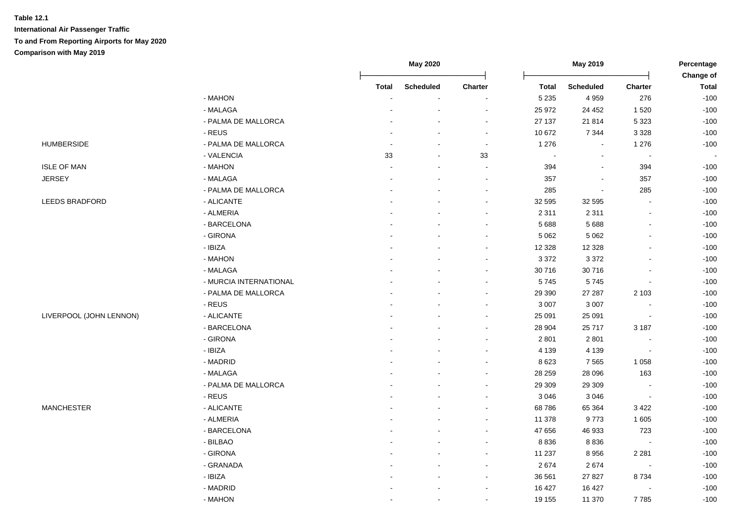|                         |                               |                          | May 2020                 |                          |                | May 2019         |                | Percentage<br>Change of |
|-------------------------|-------------------------------|--------------------------|--------------------------|--------------------------|----------------|------------------|----------------|-------------------------|
|                         |                               | <b>Total</b>             | <b>Scheduled</b>         | Charter                  | <b>Total</b>   | <b>Scheduled</b> | Charter        | <b>Total</b>            |
|                         | - MAHON                       |                          |                          |                          | 5 2 3 5        | 4 9 5 9          | 276            | $-100$                  |
|                         | - MALAGA                      |                          | $\overline{\phantom{a}}$ |                          | 25 972         | 24 45 2          | 1 5 2 0        | $-100$                  |
|                         | - PALMA DE MALLORCA           |                          | $\overline{\phantom{a}}$ | $\sim$                   | 27 137         | 21 814           | 5 3 2 3        | $-100$                  |
|                         | - REUS                        |                          | $\blacksquare$           | $\sim$                   | 10 672         | 7 3 4 4          | 3 3 2 8        | $-100$                  |
| <b>HUMBERSIDE</b>       | - PALMA DE MALLORCA           |                          | $\overline{\phantom{a}}$ | $\blacksquare$           | 1 2 7 6        | $\blacksquare$   | 1 2 7 6        | $-100$                  |
|                         | - VALENCIA                    | 33                       | $\sim$                   | 33                       | $\blacksquare$ | $\mathbf{r}$     | $\blacksquare$ |                         |
| <b>ISLE OF MAN</b>      | - MAHON                       | $\overline{\phantom{a}}$ | $\sim$                   | $\overline{\phantom{a}}$ | 394            | $\blacksquare$   | 394            | $-100$                  |
| <b>JERSEY</b>           | - MALAGA                      |                          |                          | $\blacksquare$           | 357            | $\blacksquare$   | 357            | $-100$                  |
|                         | - PALMA DE MALLORCA           |                          |                          | $\overline{\phantom{a}}$ | 285            | $\overline{a}$   | 285            | $-100$                  |
| LEEDS BRADFORD          | - ALICANTE                    |                          |                          | $\sim$                   | 32 595         | 32 595           | $\blacksquare$ | $-100$                  |
|                         | - ALMERIA                     |                          |                          | $\overline{\phantom{a}}$ | 2 3 1 1        | 2 3 1 1          | $\blacksquare$ | $-100$                  |
|                         | - BARCELONA                   |                          |                          |                          | 5688           | 5 6 8 8          | $\blacksquare$ | $-100$                  |
|                         | - GIRONA                      |                          |                          |                          | 5 0 6 2        | 5 0 6 2          | $\blacksquare$ | $-100$                  |
|                         | - IBIZA                       |                          |                          |                          | 12 3 28        | 12 3 28          |                | $-100$                  |
|                         | - MAHON                       |                          |                          |                          | 3 3 7 2        | 3 3 7 2          |                | $-100$                  |
|                         | - MALAGA                      |                          |                          | ÷                        | 30 716         | 30716            |                | $-100$                  |
|                         | - MURCIA INTERNATIONAL        |                          |                          | $\overline{\phantom{a}}$ | 5745           | 5745             | $\overline{a}$ | $-100$                  |
|                         | - PALMA DE MALLORCA           |                          |                          | $\sim$                   | 29 390         | 27 287           | 2 1 0 3        | $-100$                  |
|                         | $\overline{\phantom{a}}$ REUS |                          |                          | $\blacksquare$           | 3 0 0 7        | 3 0 0 7          | $\blacksquare$ | $-100$                  |
| LIVERPOOL (JOHN LENNON) | - ALICANTE                    |                          |                          | $\blacksquare$           | 25 091         | 25 091           | $\blacksquare$ | $-100$                  |
|                         | - BARCELONA                   |                          |                          | $\overline{\phantom{a}}$ | 28 904         | 25717            | 3 1 8 7        | $-100$                  |
|                         | - GIRONA                      |                          |                          | $\sim$                   | 2 8 0 1        | 2 8 0 1          | $\blacksquare$ | $-100$                  |
|                         | - IBIZA                       |                          |                          | $\overline{\phantom{a}}$ | 4 1 3 9        | 4 1 3 9          | $\blacksquare$ | $-100$                  |
|                         | - MADRID                      |                          |                          | $\sim$                   | 8 6 23         | 7 5 6 5          | 1 0 5 8        | $-100$                  |
|                         | - MALAGA                      |                          |                          | $\overline{\phantom{a}}$ | 28 25 9        | 28 096           | 163            | $-100$                  |
|                         | - PALMA DE MALLORCA           |                          |                          |                          | 29 30 9        | 29 30 9          | $\blacksquare$ | $-100$                  |
|                         | - REUS                        |                          |                          |                          | 3 0 4 6        | 3 0 4 6          | $\blacksquare$ | $-100$                  |
| <b>MANCHESTER</b>       | - ALICANTE                    |                          |                          |                          | 68786          | 65 364           | 3 4 2 2        | $-100$                  |
|                         | - ALMERIA                     |                          |                          |                          | 11 378         | 9773             | 1 605          | $-100$                  |
|                         | - BARCELONA                   |                          |                          | $\sim$                   | 47 656         | 46 933           | 723            | $-100$                  |
|                         | - BILBAO                      |                          | $\overline{a}$           | $\sim$                   | 8 8 3 6        | 8836             | $\overline{a}$ | $-100$                  |
|                         | - GIRONA                      |                          |                          | $\sim$                   | 11 237         | 8956             | 2 2 8 1        | $-100$                  |
|                         | - GRANADA                     |                          |                          | $\blacksquare$           | 2674           | 2674             | $\blacksquare$ | $-100$                  |
|                         | - IBIZA                       |                          | $\blacksquare$           | $\blacksquare$           | 36 561         | 27 8 27          | 8734           | $-100$                  |
|                         | - MADRID                      |                          |                          | $\blacksquare$           | 16 427         | 16 427           | $\blacksquare$ | $-100$                  |
|                         | - MAHON                       |                          |                          | $\blacksquare$           | 19 155         | 11 370           | 7785           | $-100$                  |
|                         |                               |                          |                          |                          |                |                  |                |                         |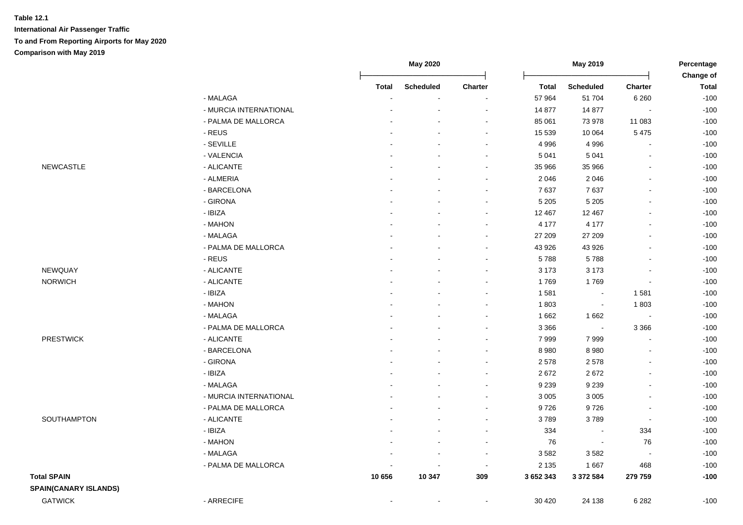|                              |                           |              | <b>May 2020</b>  |         |              | May 2019         |                          | Percentage                |
|------------------------------|---------------------------|--------------|------------------|---------|--------------|------------------|--------------------------|---------------------------|
|                              |                           | <b>Total</b> | <b>Scheduled</b> | Charter | <b>Total</b> | <b>Scheduled</b> | <b>Charter</b>           | Change of<br><b>Total</b> |
|                              | - MALAGA                  |              |                  |         | 57 964       | 51 704           | 6 2 6 0                  | $-100$                    |
|                              | - MURCIA INTERNATIONAL    |              |                  |         | 14 877       | 14 877           | $\blacksquare$           | $-100$                    |
|                              | - PALMA DE MALLORCA       |              |                  |         | 85 061       | 73 978           | 11 083                   | $-100$                    |
|                              | $\text{-}\,\textsf{REUS}$ |              |                  |         | 15 539       | 10 064           | 5 4 7 5                  | $-100$                    |
|                              | - SEVILLE                 |              |                  |         | 4 9 9 6      | 4 9 9 6          | $\sim$                   | $-100$                    |
|                              | - VALENCIA                |              |                  |         | 5 0 4 1      | 5 0 4 1          | $\blacksquare$           | $-100$                    |
| <b>NEWCASTLE</b>             | - ALICANTE                |              |                  |         | 35 966       | 35 966           | $\blacksquare$           | $-100$                    |
|                              | - ALMERIA                 |              |                  |         | 2 0 4 6      | 2 0 4 6          | $\overline{a}$           | $-100$                    |
|                              | - BARCELONA               |              |                  |         | 7637         | 7637             | $\blacksquare$           | $-100$                    |
|                              | - GIRONA                  |              |                  |         | 5 2 0 5      | 5 2 0 5          | $\blacksquare$           | $-100$                    |
|                              | - IBIZA                   |              |                  |         | 12 467       | 12 4 67          | $\blacksquare$           | $-100$                    |
|                              | - MAHON                   |              |                  |         | 4 177        | 4 1 7 7          | $\overline{a}$           | $-100$                    |
|                              | - MALAGA                  |              |                  |         | 27 209       | 27 209           | $\overline{a}$           | $-100$                    |
|                              | - PALMA DE MALLORCA       |              |                  |         | 43 926       | 43 926           |                          | $-100$                    |
|                              | - REUS                    |              |                  |         | 5788         | 5788             | $\blacksquare$           | $-100$                    |
| NEWQUAY                      | - ALICANTE                |              |                  | $\sim$  | 3 1 7 3      | 3 1 7 3          | $\blacksquare$           | $-100$                    |
| <b>NORWICH</b>               | - ALICANTE                |              |                  | $\sim$  | 1769         | 1769             | $\sim$                   | $-100$                    |
|                              | - IBIZA                   |              |                  |         | 1581         | $\sim$           | 1581                     | $-100$                    |
|                              | - MAHON                   |              |                  |         | 1803         | $\blacksquare$   | 1803                     | $-100$                    |
|                              | - MALAGA                  |              |                  |         | 1662         | 1 6 6 2          | $\sim$                   | $-100$                    |
|                              | - PALMA DE MALLORCA       |              |                  |         | 3 3 6 6      | $\blacksquare$   | 3 3 6 6                  | $-100$                    |
| <b>PRESTWICK</b>             | - ALICANTE                |              |                  |         | 7999         | 7999             | $\blacksquare$           | $-100$                    |
|                              | - BARCELONA               |              |                  |         | 8 9 8 0      | 8 9 8 0          | $\blacksquare$           | $-100$                    |
|                              | - GIRONA                  |              |                  |         | 2578         | 2578             | $\blacksquare$           | $-100$                    |
|                              | - IBIZA                   |              |                  |         | 2672         | 2672             | $\blacksquare$           | $-100$                    |
|                              | - MALAGA                  |              |                  | $\sim$  | 9 2 3 9      | 9 2 3 9          | $\blacksquare$           | $-100$                    |
|                              | - MURCIA INTERNATIONAL    |              |                  |         | 3 0 0 5      | 3 0 0 5          | $\blacksquare$           | $-100$                    |
|                              | - PALMA DE MALLORCA       |              |                  | $\sim$  | 9726         | 9726             | $\overline{\phantom{a}}$ | $-100$                    |
| SOUTHAMPTON                  | - ALICANTE                |              |                  |         | 3789         | 3789             | $\sim$                   | $-100$                    |
|                              | - IBIZA                   |              |                  |         | 334          |                  | 334                      | $-100$                    |
|                              | - MAHON                   |              |                  | $\sim$  | 76           | $\sim$           | 76                       | $-100$                    |
|                              | - MALAGA                  |              |                  |         | 3582         | 3582             | $\sim$                   | $-100$                    |
|                              | - PALMA DE MALLORCA       |              |                  | $\sim$  | 2 1 3 5      | 1667             | 468                      | $-100$                    |
| <b>Total SPAIN</b>           |                           | 10 656       | 10 347           | 309     | 3652343      | 3 372 584        | 279 759                  | $-100$                    |
| <b>SPAIN(CANARY ISLANDS)</b> |                           |              |                  |         |              |                  |                          |                           |
| <b>GATWICK</b>               | - ARRECIFE                |              |                  |         | 30 4 20      | 24 138           | 6 2 8 2                  | $-100$                    |
|                              |                           |              |                  |         |              |                  |                          |                           |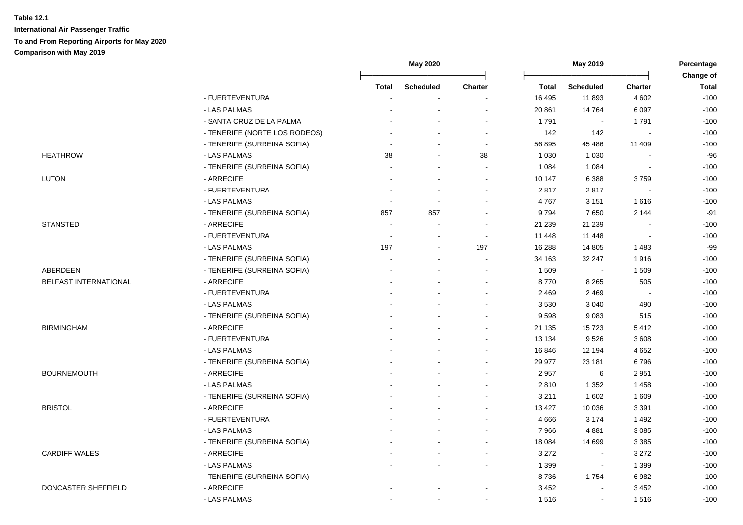|                       |                               |                | May 2020         |                          |              | May 2019         |                          | Percentage<br>Change of |
|-----------------------|-------------------------------|----------------|------------------|--------------------------|--------------|------------------|--------------------------|-------------------------|
|                       |                               | <b>Total</b>   | <b>Scheduled</b> | <b>Charter</b>           | <b>Total</b> | <b>Scheduled</b> | <b>Charter</b>           | <b>Total</b>            |
|                       | - FUERTEVENTURA               |                |                  |                          | 16 4 95      | 11893            | 4 6 0 2                  | $-100$                  |
|                       | - LAS PALMAS                  |                |                  |                          | 20 861       | 14764            | 6 0 9 7                  | $-100$                  |
|                       | - SANTA CRUZ DE LA PALMA      |                |                  |                          | 1791         |                  | 1791                     | $-100$                  |
|                       | - TENERIFE (NORTE LOS RODEOS) |                |                  | $\overline{\phantom{a}}$ | 142          | 142              | $\overline{\phantom{a}}$ | $-100$                  |
|                       | - TENERIFE (SURREINA SOFIA)   |                |                  | $\blacksquare$           | 56 895       | 45 4 86          | 11 409                   | $-100$                  |
| <b>HEATHROW</b>       | - LAS PALMAS                  | 38             | $\overline{a}$   | 38                       | 1 0 3 0      | 1 0 3 0          |                          | $-96$                   |
|                       | - TENERIFE (SURREINA SOFIA)   |                |                  | $\blacksquare$           | 1 0 8 4      | 1 0 8 4          | $\blacksquare$           | $-100$                  |
| <b>LUTON</b>          | - ARRECIFE                    |                |                  |                          | 10 147       | 6 3 8 8          | 3759                     | $-100$                  |
|                       | - FUERTEVENTURA               |                |                  |                          | 2817         | 2817             |                          | $-100$                  |
|                       | - LAS PALMAS                  | $\blacksquare$ |                  |                          | 4767         | 3 1 5 1          | 1616                     | $-100$                  |
|                       | - TENERIFE (SURREINA SOFIA)   | 857            | 857              |                          | 9794         | 7650             | 2 1 4 4                  | $-91$                   |
| <b>STANSTED</b>       | - ARRECIFE                    |                |                  |                          | 21 239       | 21 239           |                          | $-100$                  |
|                       | - FUERTEVENTURA               |                |                  |                          | 11 448       | 11 448           |                          | $-100$                  |
|                       | - LAS PALMAS                  | 197            |                  | 197                      | 16 288       | 14 805           | 1483                     | $-99$                   |
|                       | - TENERIFE (SURREINA SOFIA)   |                |                  |                          | 34 163       | 32 247           | 1916                     | $-100$                  |
| ABERDEEN              | - TENERIFE (SURREINA SOFIA)   |                |                  |                          | 1 509        | $\sim$           | 1509                     | $-100$                  |
| BELFAST INTERNATIONAL | - ARRECIFE                    |                |                  |                          | 8770         | 8 2 6 5          | 505                      | $-100$                  |
|                       | - FUERTEVENTURA               |                |                  |                          | 2 4 6 9      | 2 4 6 9          | $\overline{\phantom{a}}$ | $-100$                  |
|                       | - LAS PALMAS                  |                |                  |                          | 3530         | 3 0 4 0          | 490                      | $-100$                  |
|                       | - TENERIFE (SURREINA SOFIA)   |                |                  |                          | 9598         | 9083             | 515                      | $-100$                  |
| <b>BIRMINGHAM</b>     | - ARRECIFE                    |                |                  |                          | 21 135       | 15723            | 5412                     | $-100$                  |
|                       | - FUERTEVENTURA               |                |                  |                          | 13 134       | 9526             | 3 6 0 8                  | $-100$                  |
|                       | - LAS PALMAS                  |                |                  |                          | 16 846       | 12 194           | 4 6 5 2                  | $-100$                  |
|                       | - TENERIFE (SURREINA SOFIA)   |                |                  |                          | 29 977       | 23 181           | 6796                     | $-100$                  |
| <b>BOURNEMOUTH</b>    | - ARRECIFE                    |                |                  |                          | 2 9 5 7      | 6                | 2951                     | $-100$                  |
|                       | - LAS PALMAS                  |                |                  |                          | 2810         | 1 3 5 2          | 1458                     | $-100$                  |
|                       | - TENERIFE (SURREINA SOFIA)   |                |                  |                          | 3 2 1 1      | 1 602            | 1 609                    | $-100$                  |
| <b>BRISTOL</b>        | - ARRECIFE                    |                |                  |                          | 13 4 27      | 10 0 36          | 3 3 9 1                  | $-100$                  |
|                       | - FUERTEVENTURA               |                |                  |                          | 4 6 6 6      | 3 1 7 4          | 1 4 9 2                  | $-100$                  |
|                       | - LAS PALMAS                  |                |                  |                          | 7966         | 4881             | 3 0 8 5                  | $-100$                  |
|                       | - TENERIFE (SURREINA SOFIA)   |                |                  |                          | 18 0 84      | 14 699           | 3 3 8 5                  | $-100$                  |
| <b>CARDIFF WALES</b>  | - ARRECIFE                    |                |                  |                          | 3 2 7 2      | $\sim$           | 3 2 7 2                  | $-100$                  |
|                       | - LAS PALMAS                  |                |                  |                          | 1 3 9 9      | $\blacksquare$   | 1 3 9 9                  | $-100$                  |
|                       | - TENERIFE (SURREINA SOFIA)   |                |                  | $\sim$                   | 8736         | 1754             | 6982                     | $-100$                  |
| DONCASTER SHEFFIELD   | - ARRECIFE                    |                |                  |                          | 3 4 5 2      | $\Delta$         | 3 4 5 2                  | $-100$                  |
|                       | - LAS PALMAS                  |                |                  | $\sim$                   | 1516         | $\blacksquare$   | 1516                     | $-100$                  |
|                       |                               |                |                  |                          |              |                  |                          |                         |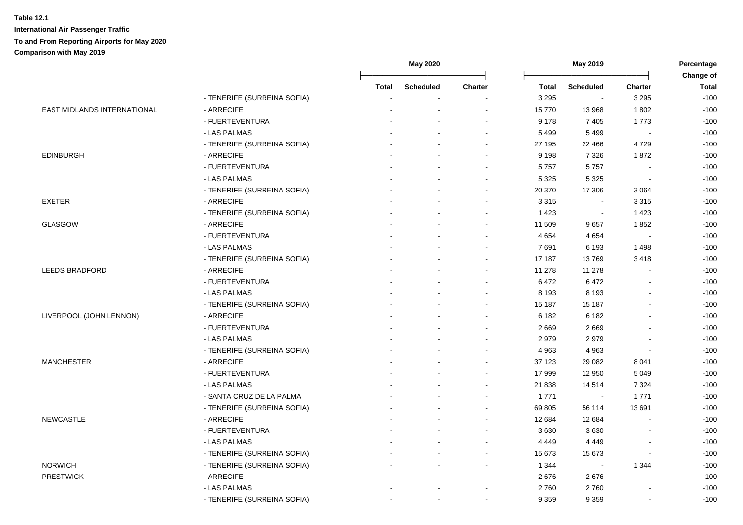|                             |                             |       | May 2019<br><b>May 2020</b> |                | Percentage   |                  |                          |                           |
|-----------------------------|-----------------------------|-------|-----------------------------|----------------|--------------|------------------|--------------------------|---------------------------|
|                             |                             | Total | <b>Scheduled</b>            | <b>Charter</b> | <b>Total</b> | <b>Scheduled</b> | Charter                  | Change of<br><b>Total</b> |
|                             | - TENERIFE (SURREINA SOFIA) |       |                             |                | 3 2 9 5      | $\blacksquare$   | 3 2 9 5                  | $-100$                    |
| EAST MIDLANDS INTERNATIONAL | - ARRECIFE                  |       |                             |                | 15770        | 13 968           | 1802                     | $-100$                    |
|                             | - FUERTEVENTURA             |       |                             |                | 9 1 7 8      | 7 4 0 5          | 1773                     | $-100$                    |
|                             | - LAS PALMAS                |       |                             |                | 5 4 9 9      | 5499             |                          | $-100$                    |
|                             | - TENERIFE (SURREINA SOFIA) |       |                             |                | 27 195       | 22 4 66          | 4729                     | $-100$                    |
| <b>EDINBURGH</b>            | - ARRECIFE                  |       |                             |                | 9 1 9 8      | 7 3 2 6          | 1872                     | $-100$                    |
|                             | - FUERTEVENTURA             |       | ÷                           | $\sim$         | 5757         | 5757             | $\overline{\phantom{a}}$ | $-100$                    |
|                             | - LAS PALMAS                |       |                             |                | 5 3 2 5      | 5 3 2 5          | $\overline{\phantom{a}}$ | $-100$                    |
|                             | - TENERIFE (SURREINA SOFIA) |       |                             | $\sim$         | 20 370       | 17 30 6          | 3 0 6 4                  | $-100$                    |
| <b>EXETER</b>               | - ARRECIFE                  |       |                             | $\sim$         | 3 3 1 5      | $\blacksquare$   | 3 3 1 5                  | $-100$                    |
|                             | - TENERIFE (SURREINA SOFIA) |       |                             | $\sim$         | 1 4 2 3      | $\blacksquare$   | 1 4 2 3                  | $-100$                    |
| <b>GLASGOW</b>              | - ARRECIFE                  |       |                             | $\blacksquare$ | 11 509       | 9657             | 1852                     | $-100$                    |
|                             | - FUERTEVENTURA             |       |                             |                | 4 6 5 4      | 4 6 5 4          |                          | $-100$                    |
|                             | - LAS PALMAS                |       |                             |                | 7691         | 6 1 9 3          | 1498                     | $-100$                    |
|                             | - TENERIFE (SURREINA SOFIA) |       |                             |                | 17 187       | 13769            | 3418                     | $-100$                    |
| <b>LEEDS BRADFORD</b>       | - ARRECIFE                  |       |                             |                | 11 278       | 11 278           |                          | $-100$                    |
|                             | - FUERTEVENTURA             |       |                             |                | 6472         | 6472             |                          | $-100$                    |
|                             | - LAS PALMAS                |       |                             |                | 8 1 9 3      | 8 1 9 3          |                          | $-100$                    |
|                             | - TENERIFE (SURREINA SOFIA) |       |                             |                | 15 187       | 15 187           |                          | $-100$                    |
| LIVERPOOL (JOHN LENNON)     | - ARRECIFE                  |       |                             | $\sim$         | 6 1 8 2      | 6 182            |                          | $-100$                    |
|                             | - FUERTEVENTURA             |       |                             | $\sim$         | 2 6 6 9      | 2 6 6 9          |                          | $-100$                    |
|                             | - LAS PALMAS                |       |                             | $\sim$         | 2979         | 2979             |                          | $-100$                    |
|                             | - TENERIFE (SURREINA SOFIA) |       |                             | $\sim$         | 4 9 6 3      | 4 9 6 3          |                          | $-100$                    |
| <b>MANCHESTER</b>           | - ARRECIFE                  |       |                             |                | 37 123       | 29 082           | 8 0 4 1                  | $-100$                    |
|                             | - FUERTEVENTURA             |       |                             |                | 17 999       | 12 950           | 5 0 4 9                  | $-100$                    |
|                             | - LAS PALMAS                |       |                             |                | 21 838       | 14514            | 7 3 2 4                  | $-100$                    |
|                             | - SANTA CRUZ DE LA PALMA    |       |                             |                | 1 771        |                  | 1771                     | $-100$                    |
|                             | - TENERIFE (SURREINA SOFIA) |       |                             |                | 69 805       | 56 114           | 13691                    | $-100$                    |
| <b>NEWCASTLE</b>            | - ARRECIFE                  |       |                             |                | 12 684       | 12 684           |                          | $-100$                    |
|                             | - FUERTEVENTURA             |       |                             |                | 3630         | 3630             |                          | $-100$                    |
|                             | - LAS PALMAS                |       |                             |                | 4 4 4 9      | 4 4 4 9          |                          | $-100$                    |
|                             | - TENERIFE (SURREINA SOFIA) |       |                             |                | 15 673       | 15 673           |                          | $-100$                    |
| <b>NORWICH</b>              | - TENERIFE (SURREINA SOFIA) |       | $\blacksquare$              | $\blacksquare$ | 1 3 4 4      | $\sim$           | 1 3 4 4                  | $-100$                    |
| <b>PRESTWICK</b>            | - ARRECIFE                  |       |                             | $\blacksquare$ | 2676         | 2676             |                          | $-100$                    |
|                             | - LAS PALMAS                |       |                             | $\sim$         | 2760         | 2760             |                          | $-100$                    |
|                             | - TENERIFE (SURREINA SOFIA) |       | $\blacksquare$              | $\sim$         | 9 3 5 9      | 9 3 5 9          |                          | $-100$                    |
|                             |                             |       |                             |                |              |                  |                          |                           |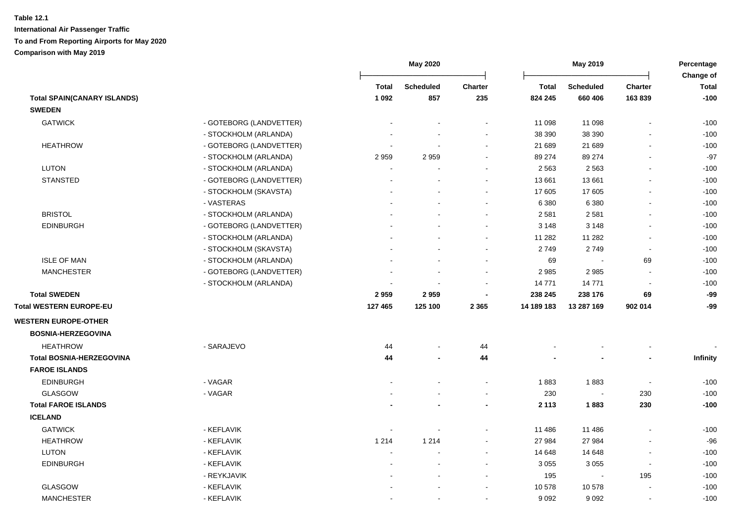|                                    |                         |                          | May 2020         |         |              | May 2019                 |                          | Percentage<br>Change of |  |
|------------------------------------|-------------------------|--------------------------|------------------|---------|--------------|--------------------------|--------------------------|-------------------------|--|
|                                    |                         | <b>Total</b>             | <b>Scheduled</b> | Charter | <b>Total</b> | Scheduled                | <b>Charter</b>           | <b>Total</b>            |  |
| <b>Total SPAIN(CANARY ISLANDS)</b> |                         | 1 0 9 2                  | 857              | 235     | 824 245      | 660 406                  | 163839                   | $-100$                  |  |
| <b>SWEDEN</b>                      |                         |                          |                  |         |              |                          |                          |                         |  |
| <b>GATWICK</b>                     | - GOTEBORG (LANDVETTER) |                          |                  |         | 11 098       | 11 098                   | $\blacksquare$           | $-100$                  |  |
|                                    | - STOCKHOLM (ARLANDA)   |                          |                  |         | 38 390       | 38 390                   |                          | $-100$                  |  |
| <b>HEATHROW</b>                    | - GOTEBORG (LANDVETTER) |                          |                  |         | 21 689       | 21 689                   |                          | $-100$                  |  |
|                                    | - STOCKHOLM (ARLANDA)   | 2959                     | 2959             |         | 89 274       | 89 274                   | L,                       | $-97$                   |  |
| <b>LUTON</b>                       | - STOCKHOLM (ARLANDA)   | $\overline{a}$           |                  |         | 2 5 6 3      | 2 5 6 3                  | $\mathbf{r}$             | $-100$                  |  |
| <b>STANSTED</b>                    | - GOTEBORG (LANDVETTER) | $\overline{a}$           |                  |         | 13 661       | 13 661                   | $\blacksquare$           | $-100$                  |  |
|                                    | - STOCKHOLM (SKAVSTA)   |                          |                  |         | 17 605       | 17 605                   | $\blacksquare$           | $-100$                  |  |
|                                    | - VASTERAS              |                          |                  |         | 6 3 8 0      | 6 3 8 0                  | $\blacksquare$           | $-100$                  |  |
| <b>BRISTOL</b>                     | - STOCKHOLM (ARLANDA)   |                          |                  |         | 2 5 8 1      | 2581                     | $\blacksquare$           | $-100$                  |  |
| <b>EDINBURGH</b>                   | - GOTEBORG (LANDVETTER) |                          |                  |         | 3 1 4 8      | 3 1 4 8                  | $\blacksquare$           | $-100$                  |  |
|                                    | - STOCKHOLM (ARLANDA)   |                          |                  |         | 11 282       | 11 282                   | $\blacksquare$           | $-100$                  |  |
|                                    | - STOCKHOLM (SKAVSTA)   |                          |                  |         | 2749         | 2749                     | $\sim$                   | $-100$                  |  |
| <b>ISLE OF MAN</b>                 | - STOCKHOLM (ARLANDA)   |                          |                  |         | 69           |                          | 69                       | $-100$                  |  |
| <b>MANCHESTER</b>                  | - GOTEBORG (LANDVETTER) |                          |                  | $\sim$  | 2 9 8 5      | 2985                     | $\blacksquare$           | $-100$                  |  |
|                                    | - STOCKHOLM (ARLANDA)   |                          |                  |         | 14 771       | 14771                    | $\overline{\phantom{a}}$ | $-100$                  |  |
| <b>Total SWEDEN</b>                |                         | 2959                     | 2959             |         | 238 245      | 238 176                  | 69                       | -99                     |  |
| Total WESTERN EUROPE-EU            |                         | 127 465                  | 125 100          | 2 3 6 5 | 14 189 183   | 13 287 169               | 902 014                  | -99                     |  |
| <b>WESTERN EUROPE-OTHER</b>        |                         |                          |                  |         |              |                          |                          |                         |  |
| <b>BOSNIA-HERZEGOVINA</b>          |                         |                          |                  |         |              |                          |                          |                         |  |
| <b>HEATHROW</b>                    | - SARAJEVO              | 44                       |                  | 44      |              |                          |                          |                         |  |
| <b>Total BOSNIA-HERZEGOVINA</b>    |                         | 44                       |                  | 44      |              |                          | $\overline{a}$           | Infinity                |  |
| <b>FAROE ISLANDS</b>               |                         |                          |                  |         |              |                          |                          |                         |  |
| <b>EDINBURGH</b>                   | - VAGAR                 |                          |                  |         | 1883         | 1883                     | $\blacksquare$           | $-100$                  |  |
| GLASGOW                            | - VAGAR                 |                          |                  |         | 230          |                          | 230                      | $-100$                  |  |
| <b>Total FAROE ISLANDS</b>         |                         |                          |                  |         | 2 1 1 3      | 1883                     | 230                      | $-100$                  |  |
| <b>ICELAND</b>                     |                         |                          |                  |         |              |                          |                          |                         |  |
| <b>GATWICK</b>                     | - KEFLAVIK              | $\overline{\phantom{a}}$ |                  |         | 11 486       | 11 486                   | $\blacksquare$           | $-100$                  |  |
| <b>HEATHROW</b>                    | - KEFLAVIK              | 1 2 1 4                  | 1 2 1 4          |         | 27 984       | 27 984                   |                          | $-96$                   |  |
| <b>LUTON</b>                       | - KEFLAVIK              |                          |                  |         | 14 648       | 14 648                   |                          | $-100$                  |  |
| <b>EDINBURGH</b>                   | - KEFLAVIK              |                          |                  |         | 3 0 5 5      | 3 0 5 5                  | L,                       | $-100$                  |  |
|                                    | - REYKJAVIK             |                          |                  |         | 195          | $\overline{\phantom{a}}$ | 195                      | $-100$                  |  |
| <b>GLASGOW</b>                     | - KEFLAVIK              |                          |                  |         | 10 578       | 10 578                   |                          | $-100$                  |  |
| <b>MANCHESTER</b>                  | - KEFLAVIK              | $\blacksquare$           |                  | $\sim$  | 9 0 9 2      | 9 0 9 2                  | $\blacksquare$           | $-100$                  |  |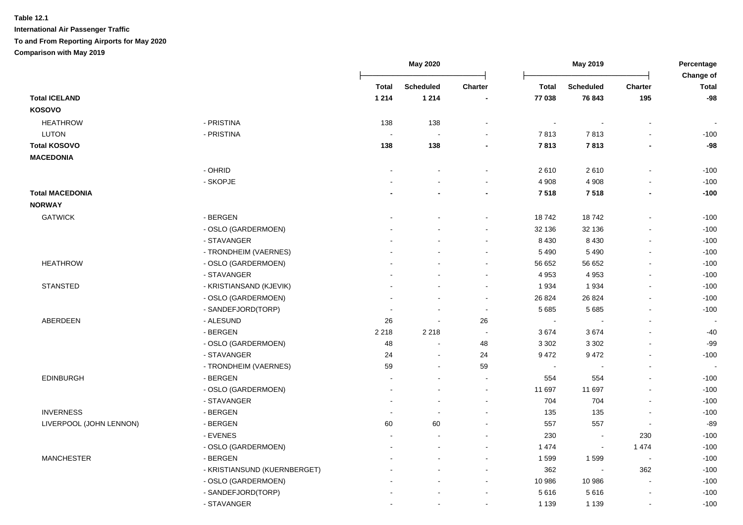|                         |                              |                          | May 2020         |                |              | May 2019                 |                          | Percentage<br>Change of  |
|-------------------------|------------------------------|--------------------------|------------------|----------------|--------------|--------------------------|--------------------------|--------------------------|
|                         |                              | <b>Total</b>             | <b>Scheduled</b> | <b>Charter</b> | <b>Total</b> | <b>Scheduled</b>         | <b>Charter</b>           | <b>Total</b>             |
| <b>Total ICELAND</b>    |                              | 1 2 1 4                  | 1 2 1 4          |                | 77 038       | 76 843                   | 195                      | $-98$                    |
| <b>KOSOVO</b>           |                              |                          |                  |                |              |                          |                          |                          |
| <b>HEATHROW</b>         | - PRISTINA                   | 138                      | 138              |                |              |                          |                          |                          |
| LUTON                   | - PRISTINA                   | $\overline{\phantom{a}}$ |                  |                | 7813         | 7813                     | $\overline{a}$           | $-100$                   |
| <b>Total KOSOVO</b>     |                              | 138                      | 138              | $\blacksquare$ | 7813         | 7813                     | $\blacksquare$           | -98                      |
| <b>MACEDONIA</b>        |                              |                          |                  |                |              |                          |                          |                          |
|                         | - OHRID                      |                          |                  |                | 2610         | 2610                     | $\overline{a}$           | $-100$                   |
|                         | - SKOPJE                     |                          |                  | $\blacksquare$ | 4 9 0 8      | 4 9 0 8                  | $\blacksquare$           | $-100$                   |
| <b>Total MACEDONIA</b>  |                              |                          |                  | $\blacksquare$ | 7518         | 7518                     | $\blacksquare$           | $-100$                   |
| <b>NORWAY</b>           |                              |                          |                  |                |              |                          |                          |                          |
| <b>GATWICK</b>          | - BERGEN                     |                          |                  | ÷.             | 18742        | 18742                    | $\blacksquare$           | $-100$                   |
|                         | - OSLO (GARDERMOEN)          |                          |                  | $\blacksquare$ | 32 136       | 32 136                   | $\blacksquare$           | $-100$                   |
|                         | - STAVANGER                  |                          |                  | $\blacksquare$ | 8 4 3 0      | 8 4 3 0                  | $\blacksquare$           | $-100$                   |
|                         | - TRONDHEIM (VAERNES)        |                          |                  | $\blacksquare$ | 5 4 9 0      | 5 4 9 0                  | ä,                       | $-100$                   |
| <b>HEATHROW</b>         | - OSLO (GARDERMOEN)          |                          |                  | $\sim$         | 56 652       | 56 652                   | $\blacksquare$           | $-100$                   |
|                         | - STAVANGER                  |                          |                  | $\blacksquare$ | 4 9 5 3      | 4 9 5 3                  | $\blacksquare$           | $-100$                   |
| <b>STANSTED</b>         | - KRISTIANSAND (KJEVIK)      |                          |                  | $\sim$         | 1 9 3 4      | 1934                     | $\blacksquare$           | $-100$                   |
|                         | - OSLO (GARDERMOEN)          |                          |                  | $\sim$         | 26 8 24      | 26 8 24                  |                          | $-100$                   |
|                         | - SANDEFJORD(TORP)           |                          |                  | $\sim$         | 5 6 8 5      | 5 6 8 5                  |                          | $-100$                   |
| ABERDEEN                | - ALESUND                    | 26                       |                  | 26             | $\sim$       |                          | $\blacksquare$           |                          |
|                         | - BERGEN                     | 2 2 1 8                  | 2 2 1 8          | $\sim$         | 3674         | 3674                     | $\blacksquare$           | $-40$                    |
|                         | - OSLO (GARDERMOEN)          | 48                       |                  | 48             | 3 3 0 2      | 3 3 0 2                  | ä,                       | $-99$                    |
|                         | - STAVANGER                  | 24                       | $\sim$           | 24             | 9 4 7 2      | 9472                     | $\blacksquare$           | $-100$                   |
|                         | - TRONDHEIM (VAERNES)        | 59                       |                  | 59             | $\sim$       |                          |                          | $\overline{\phantom{a}}$ |
| <b>EDINBURGH</b>        | - BERGEN                     |                          |                  | $\sim$         | 554          | 554                      | $\blacksquare$           | $-100$                   |
|                         | - OSLO (GARDERMOEN)          |                          |                  | $\sim$         | 11 697       | 11 697                   | $\blacksquare$           | $-100$                   |
|                         | - STAVANGER                  |                          |                  | $\blacksquare$ | 704          | 704                      | L,                       | $-100$                   |
| <b>INVERNESS</b>        | - BERGEN                     |                          |                  |                | 135          | 135                      |                          | $-100$                   |
| LIVERPOOL (JOHN LENNON) | - BERGEN                     | 60                       | 60               |                | 557          | 557                      | $\blacksquare$           | $-89$                    |
|                         | - EVENES                     |                          |                  |                | 230          | $\sim$                   | 230                      | $-100$                   |
|                         | - OSLO (GARDERMOEN)          |                          |                  | $\sim$         | 1 4 7 4      | $\blacksquare$           | 1 4 7 4                  | $-100$                   |
| <b>MANCHESTER</b>       | - BERGEN                     |                          |                  | $\blacksquare$ | 1 5 9 9      | 1599                     | $\blacksquare$           | $-100$                   |
|                         | - KRISTIANSUND (KUERNBERGET) |                          |                  | $\sim$         | 362          | $\overline{\phantom{a}}$ | 362                      | $-100$                   |
|                         | - OSLO (GARDERMOEN)          |                          |                  | $\sim$         | 10 986       | 10 986                   | $\sim$                   | $-100$                   |
|                         | - SANDEFJORD(TORP)           |                          |                  | ۰              | 5616         | 5616                     | $\overline{\phantom{a}}$ | $-100$                   |
|                         | - STAVANGER                  |                          |                  | $\blacksquare$ | 1 1 3 9      | 1 1 3 9                  | $\blacksquare$           | $-100$                   |
|                         |                              |                          |                  |                |              |                          |                          |                          |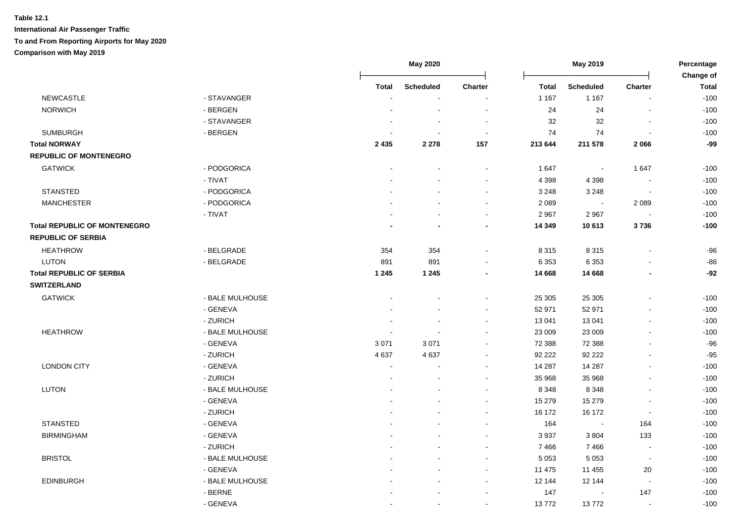|                                     |                 |              | <b>May 2020</b>  |                          |              | May 2019                 |                          | Percentage                |
|-------------------------------------|-----------------|--------------|------------------|--------------------------|--------------|--------------------------|--------------------------|---------------------------|
|                                     |                 | <b>Total</b> | <b>Scheduled</b> | Charter                  | <b>Total</b> | <b>Scheduled</b>         | Charter                  | Change of<br><b>Total</b> |
| <b>NEWCASTLE</b>                    | - STAVANGER     |              |                  | ÷,                       | 1 1 6 7      | 1 1 6 7                  |                          | $-100$                    |
| <b>NORWICH</b>                      | - BERGEN        |              |                  | $\overline{a}$           | 24           | 24                       |                          | $-100$                    |
|                                     | - STAVANGER     |              |                  | $\overline{\phantom{a}}$ | 32           | 32                       | $\sim$                   | $-100$                    |
| <b>SUMBURGH</b>                     | - BERGEN        |              |                  | $\overline{\phantom{a}}$ | 74           | 74                       | $\sim$                   | $-100$                    |
| <b>Total NORWAY</b>                 |                 | 2 4 3 5      | 2 2 7 8          | 157                      | 213 644      | 211 578                  | 2066                     | $-99$                     |
| <b>REPUBLIC OF MONTENEGRO</b>       |                 |              |                  |                          |              |                          |                          |                           |
| <b>GATWICK</b>                      | - PODGORICA     |              |                  |                          | 1647         | $\overline{\phantom{a}}$ | 1647                     | $-100$                    |
|                                     | - TIVAT         |              |                  | $\sim$                   | 4 3 9 8      | 4 3 9 8                  | $\sim$                   | $-100$                    |
| <b>STANSTED</b>                     | - PODGORICA     |              |                  | $\sim$                   | 3 2 4 8      | 3 2 4 8                  | $\sim$                   | $-100$                    |
| <b>MANCHESTER</b>                   | - PODGORICA     |              |                  | $\sim$                   | 2 0 8 9      | $\blacksquare$           | 2 0 8 9                  | $-100$                    |
|                                     | - TIVAT         |              |                  | $\sim$                   | 2 9 6 7      | 2 9 6 7                  | $\sim$                   | $-100$                    |
| <b>Total REPUBLIC OF MONTENEGRO</b> |                 |              |                  | $\blacksquare$           | 14 349       | 10 613                   | 3736                     | $-100$                    |
| <b>REPUBLIC OF SERBIA</b>           |                 |              |                  |                          |              |                          |                          |                           |
| <b>HEATHROW</b>                     | - BELGRADE      | 354          | 354              | $\blacksquare$           | 8 3 1 5      | 8 3 1 5                  |                          | $-96$                     |
| <b>LUTON</b>                        | - BELGRADE      | 891          | 891              | $\blacksquare$           | 6 3 5 3      | 6 3 5 3                  |                          | $-86$                     |
| <b>Total REPUBLIC OF SERBIA</b>     |                 | 1 2 4 5      | 1 2 4 5          | $\blacksquare$           | 14 668       | 14 668                   | $\blacksquare$           | $-92$                     |
| <b>SWITZERLAND</b>                  |                 |              |                  |                          |              |                          |                          |                           |
| <b>GATWICK</b>                      | - BALE MULHOUSE |              |                  | $\blacksquare$           | 25 30 5      | 25 30 5                  |                          | $-100$                    |
|                                     | - GENEVA        |              |                  | $\sim$                   | 52 971       | 52 971                   |                          | $-100$                    |
|                                     | - ZURICH        |              |                  | $\blacksquare$           | 13 041       | 13 041                   | $\sim$                   | $-100$                    |
| <b>HEATHROW</b>                     | - BALE MULHOUSE |              |                  | $\blacksquare$           | 23 009       | 23 009                   | $\sim$                   | $-100$                    |
|                                     | - GENEVA        | 3 0 7 1      | 3 0 7 1          | $\blacksquare$           | 72 388       | 72 388                   | $\overline{\phantom{a}}$ | $-96$                     |
|                                     | - ZURICH        | 4637         | 4637             | $\blacksquare$           | 92 222       | 92 222                   |                          | $-95$                     |
| <b>LONDON CITY</b>                  | - GENEVA        | $\sim$       |                  |                          | 14 287       | 14 287                   |                          | $-100$                    |
|                                     | - ZURICH        |              |                  | ÷,                       | 35 968       | 35 968                   |                          | $-100$                    |
| <b>LUTON</b>                        | - BALE MULHOUSE |              |                  | $\sim$                   | 8 3 4 8      | 8 3 4 8                  |                          | $-100$                    |
|                                     | - GENEVA        |              |                  | $\sim$                   | 15 279       | 15 279                   | $\sim$                   | $-100$                    |
|                                     | - ZURICH        |              |                  | $\sim$                   | 16 172       | 16 172                   | $\sim$                   | $-100$                    |
| <b>STANSTED</b>                     | - GENEVA        |              |                  | $\sim$                   | 164          | $\blacksquare$           | 164                      | $-100$                    |
| <b>BIRMINGHAM</b>                   | - GENEVA        |              |                  | $\blacksquare$           | 3 9 3 7      | 3804                     | 133                      | $-100$                    |
|                                     | - ZURICH        |              |                  | $\blacksquare$           | 7466         | 7466                     | $\blacksquare$           | $-100$                    |
| <b>BRISTOL</b>                      | - BALE MULHOUSE |              |                  | $\blacksquare$           | 5 0 5 3      | 5 0 5 3                  | $\sim$                   | $-100$                    |
|                                     | - GENEVA        |              |                  | $\blacksquare$           | 11 475       | 11 455                   | 20                       | $-100$                    |
| <b>EDINBURGH</b>                    | - BALE MULHOUSE |              |                  | $\sim$                   | 12 144       | 12 144                   | $\Delta$                 | $-100$                    |
|                                     | - BERNE         |              |                  | $\overline{\phantom{a}}$ | 147          |                          | 147                      | $-100$                    |
|                                     | - GENEVA        |              |                  |                          | 13772        | 13772                    |                          | $-100$                    |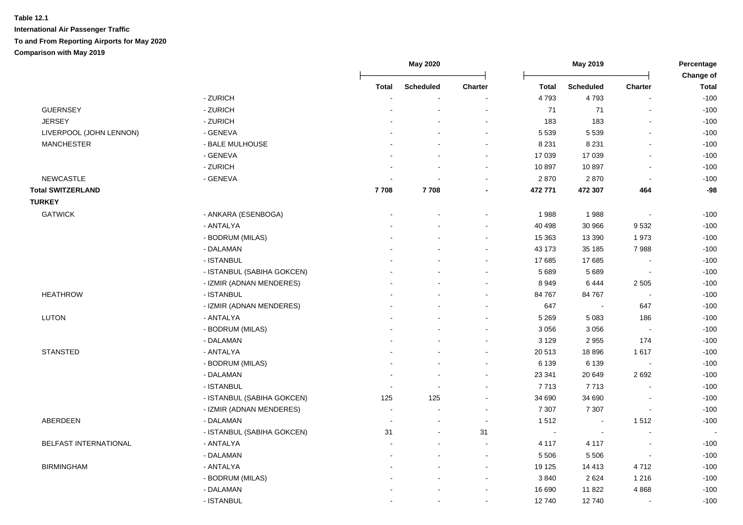|                          |                            | May 2020                 |                          |                | May 2019 |                  | Percentage               |                           |
|--------------------------|----------------------------|--------------------------|--------------------------|----------------|----------|------------------|--------------------------|---------------------------|
|                          |                            | <b>Total</b>             | <b>Scheduled</b>         | Charter        | Total    | <b>Scheduled</b> | Charter                  | Change of<br><b>Total</b> |
|                          | - ZURICH                   |                          |                          |                | 4793     | 4793             |                          | $-100$                    |
| <b>GUERNSEY</b>          | - ZURICH                   |                          |                          |                | 71       | 71               | $\overline{a}$           | $-100$                    |
| <b>JERSEY</b>            | - ZURICH                   |                          |                          |                | 183      | 183              | ä,                       | $-100$                    |
| LIVERPOOL (JOHN LENNON)  | - GENEVA                   |                          |                          |                | 5 5 3 9  | 5 5 3 9          | $\overline{a}$           | $-100$                    |
| <b>MANCHESTER</b>        | - BALE MULHOUSE            |                          |                          |                | 8 2 3 1  | 8 2 3 1          | $\blacksquare$           | $-100$                    |
|                          | - GENEVA                   |                          |                          | $\sim$         | 17 039   | 17 039           | $\blacksquare$           | $-100$                    |
|                          | - ZURICH                   |                          |                          | $\sim$         | 10 897   | 10897            | $\blacksquare$           | $-100$                    |
| <b>NEWCASTLE</b>         | - GENEVA                   |                          |                          |                | 2870     | 2870             | $\sim$                   | $-100$                    |
| <b>Total SWITZERLAND</b> |                            | 7708                     | 7708                     |                | 472 771  | 472 307          | 464                      | $-98$                     |
| <b>TURKEY</b>            |                            |                          |                          |                |          |                  |                          |                           |
| <b>GATWICK</b>           | - ANKARA (ESENBOGA)        |                          |                          |                | 1988     | 1988             | $\overline{\phantom{a}}$ | $-100$                    |
|                          | - ANTALYA                  |                          |                          |                | 40 498   | 30 966           | 9532                     | $-100$                    |
|                          | - BODRUM (MILAS)           |                          |                          |                | 15 3 63  | 13 390           | 1973                     | $-100$                    |
|                          | - DALAMAN                  |                          |                          |                | 43 173   | 35 185           | 7988                     | $-100$                    |
|                          | - ISTANBUL                 |                          |                          |                | 17 685   | 17 685           | $\blacksquare$           | $-100$                    |
|                          | - ISTANBUL (SABIHA GOKCEN) |                          |                          |                | 5 6 8 9  | 5 6 8 9          | $\blacksquare$           | $-100$                    |
|                          | - IZMIR (ADNAN MENDERES)   |                          |                          |                | 8949     | 6444             | 2 5 0 5                  | $-100$                    |
| <b>HEATHROW</b>          | - ISTANBUL                 |                          |                          |                | 84 767   | 84 767           |                          | $-100$                    |
|                          | - IZMIR (ADNAN MENDERES)   |                          |                          |                | 647      | ÷.               | 647                      | $-100$                    |
| <b>LUTON</b>             | - ANTALYA                  |                          |                          |                | 5 2 6 9  | 5 0 8 3          | 186                      | $-100$                    |
|                          | - BODRUM (MILAS)           |                          |                          |                | 3 0 5 6  | 3 0 5 6          | $\overline{\phantom{a}}$ | $-100$                    |
|                          | - DALAMAN                  |                          |                          | $\sim$         | 3 1 2 9  | 2955             | 174                      | $-100$                    |
| <b>STANSTED</b>          | - ANTALYA                  |                          |                          |                | 20 513   | 18896            | 1617                     | $-100$                    |
|                          | - BODRUM (MILAS)           |                          |                          |                | 6 1 3 9  | 6 1 3 9          | $\overline{\phantom{a}}$ | $-100$                    |
|                          | - DALAMAN                  |                          |                          |                | 23 341   | 20 649           | 2692                     | $-100$                    |
|                          | - ISTANBUL                 |                          |                          |                | 7 7 1 3  | 7713             |                          | $-100$                    |
|                          | - ISTANBUL (SABIHA GOKCEN) | 125                      | 125                      | $\sim$         | 34 690   | 34 690           |                          | $-100$                    |
|                          | - IZMIR (ADNAN MENDERES)   | $\sim$                   | $\overline{\phantom{a}}$ | $\sim$         | 7 3 0 7  | 7 3 0 7          | $\blacksquare$           | $-100$                    |
| ABERDEEN                 | - DALAMAN                  | $\overline{\phantom{a}}$ | $\sim$                   | $\blacksquare$ | 1512     | $\sim$           | 1512                     | $-100$                    |
|                          | - ISTANBUL (SABIHA GOKCEN) | 31                       |                          | 31             | $\sim$   |                  |                          |                           |
| BELFAST INTERNATIONAL    | - ANTALYA                  |                          |                          |                | 4 1 1 7  | 4 1 1 7          | $\blacksquare$           | $-100$                    |
|                          | - DALAMAN                  |                          |                          | $\sim$         | 5 5 0 6  | 5 5 0 6          | $\blacksquare$           | $-100$                    |
| <b>BIRMINGHAM</b>        | - ANTALYA                  |                          |                          | $\sim$         | 19 125   | 14 4 13          | 4712                     | $-100$                    |
|                          | - BODRUM (MILAS)           |                          |                          | $\sim$         | 3840     | 2624             | 1 2 1 6                  | $-100$                    |
|                          | - DALAMAN                  |                          |                          | $\sim$         | 16 690   | 11822            | 4868                     | $-100$                    |
|                          | - ISTANBUL                 |                          | $\blacksquare$           | $\sim$         | 12740    | 12740            | $\blacksquare$           | $-100$                    |
|                          |                            |                          |                          |                |          |                  |                          |                           |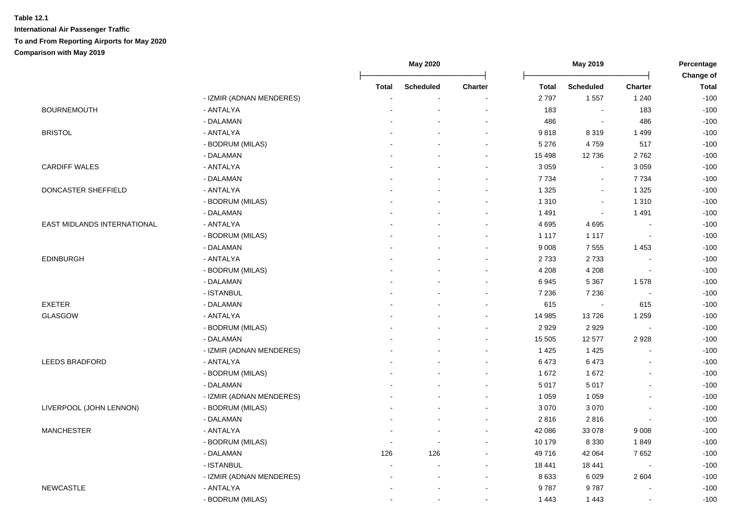|                                    |                          |                | <b>May 2020</b>  |                          | May 2019     |                  | Percentage               |                           |
|------------------------------------|--------------------------|----------------|------------------|--------------------------|--------------|------------------|--------------------------|---------------------------|
|                                    |                          | <b>Total</b>   | <b>Scheduled</b> | <b>Charter</b>           | <b>Total</b> | <b>Scheduled</b> | <b>Charter</b>           | Change of<br><b>Total</b> |
|                                    | - IZMIR (ADNAN MENDERES) |                |                  | $\overline{\phantom{a}}$ | 2797         | 1557             | 1 2 4 0                  | $-100$                    |
| <b>BOURNEMOUTH</b>                 | - ANTALYA                |                |                  | $\overline{a}$           | 183          | $\blacksquare$   | 183                      | $-100$                    |
|                                    | - DALAMAN                |                |                  | $\blacksquare$           | 486          | $\blacksquare$   | 486                      | $-100$                    |
| <b>BRISTOL</b>                     | - ANTALYA                |                |                  | $\overline{a}$           | 9818         | 8 3 1 9          | 1 4 9 9                  | $-100$                    |
|                                    | - BODRUM (MILAS)         |                |                  | $\blacksquare$           | 5 2 7 6      | 4759             | 517                      | $-100$                    |
|                                    | - DALAMAN                |                |                  | $\sim$                   | 15 4 98      | 12736            | 2762                     | $-100$                    |
| <b>CARDIFF WALES</b>               | - ANTALYA                |                |                  | $\sim$                   | 3 0 5 9      | $\sim$           | 3 0 5 9                  | $-100$                    |
|                                    | - DALAMAN                |                |                  | $\blacksquare$           | 7 7 3 4      | $\blacksquare$   | 7734                     | $-100$                    |
| DONCASTER SHEFFIELD                | - ANTALYA                |                |                  | $\blacksquare$           | 1 3 2 5      | $\sim$           | 1 3 2 5                  | $-100$                    |
|                                    | - BODRUM (MILAS)         |                |                  | $\blacksquare$           | 1 3 1 0      | $\blacksquare$   | 1 3 1 0                  | $-100$                    |
|                                    | - DALAMAN                |                |                  | $\sim$                   | 1491         | $\blacksquare$   | 1 4 9 1                  | $-100$                    |
| <b>EAST MIDLANDS INTERNATIONAL</b> | - ANTALYA                |                |                  | $\blacksquare$           | 4 6 9 5      | 4695             |                          | $-100$                    |
|                                    | - BODRUM (MILAS)         |                |                  | $\blacksquare$           | 1 1 1 7      | 1 1 1 7          | $\sim$                   | $-100$                    |
|                                    | - DALAMAN                |                |                  | $\blacksquare$           | 9 0 0 8      | 7 5 5 5          | 1453                     | $-100$                    |
| <b>EDINBURGH</b>                   | - ANTALYA                |                |                  | $\overline{\phantom{a}}$ | 2733         | 2733             |                          | $-100$                    |
|                                    | - BODRUM (MILAS)         |                |                  |                          | 4 2 0 8      | 4 2 0 8          |                          | $-100$                    |
|                                    | - DALAMAN                |                |                  |                          | 6945         | 5 3 6 7          | 1578                     | $-100$                    |
|                                    | - ISTANBUL               |                |                  | $\blacksquare$           | 7 2 3 6      | 7 2 3 6          | $\sim$                   | $-100$                    |
| <b>EXETER</b>                      | - DALAMAN                |                |                  | $\sim$                   | 615          | $\sim$           | 615                      | $-100$                    |
| GLASGOW                            | - ANTALYA                |                |                  | $\sim$                   | 14 985       | 13726            | 1 2 5 9                  | $-100$                    |
|                                    | - BODRUM (MILAS)         |                |                  | $\blacksquare$           | 2929         | 2929             | $\sim$                   | $-100$                    |
|                                    | - DALAMAN                |                |                  | $\blacksquare$           | 15 505       | 12 577           | 2928                     | $-100$                    |
|                                    | - IZMIR (ADNAN MENDERES) |                |                  | $\sim$                   | 1 4 2 5      | 1 4 2 5          |                          | $-100$                    |
| <b>LEEDS BRADFORD</b>              | - ANTALYA                |                |                  | $\blacksquare$           | 6473         | 6473             |                          | $-100$                    |
|                                    | - BODRUM (MILAS)         |                |                  | $\sim$                   | 1 672        | 1672             |                          | $-100$                    |
|                                    | - DALAMAN                |                |                  | $\sim$                   | 5 0 1 7      | 5017             |                          | $-100$                    |
|                                    | - IZMIR (ADNAN MENDERES) |                |                  | $\blacksquare$           | 1 0 5 9      | 1 0 5 9          |                          | $-100$                    |
| LIVERPOOL (JOHN LENNON)            | - BODRUM (MILAS)         |                |                  | $\sim$                   | 3 0 7 0      | 3 0 7 0          |                          | $-100$                    |
|                                    | - DALAMAN                |                |                  | $\blacksquare$           | 2816         | 2816             |                          | $-100$                    |
| <b>MANCHESTER</b>                  | - ANTALYA                |                |                  | $\sim$                   | 42 086       | 33 078           | 9 0 0 8                  | $-100$                    |
|                                    | - BODRUM (MILAS)         |                |                  | $\sim$                   | 10 179       | 8 3 3 0          | 1849                     | $-100$                    |
|                                    | - DALAMAN                | 126            | 126              | $\sim$                   | 49 716       | 42 064           | 7652                     | $-100$                    |
|                                    | - ISTANBUL               | ÷              |                  | $\sim$                   | 18 441       | 18 441           | $\overline{\phantom{a}}$ | $-100$                    |
|                                    | - IZMIR (ADNAN MENDERES) |                |                  | $\sim$                   | 8633         | 6029             | 2604                     | $-100$                    |
| <b>NEWCASTLE</b>                   | - ANTALYA                |                |                  | $\overline{\phantom{a}}$ | 9787         | 9787             |                          | $-100$                    |
|                                    | - BODRUM (MILAS)         | $\blacksquare$ |                  | $\blacksquare$           | 1 4 4 3      | 1443             |                          | $-100$                    |
|                                    |                          |                |                  |                          |              |                  |                          |                           |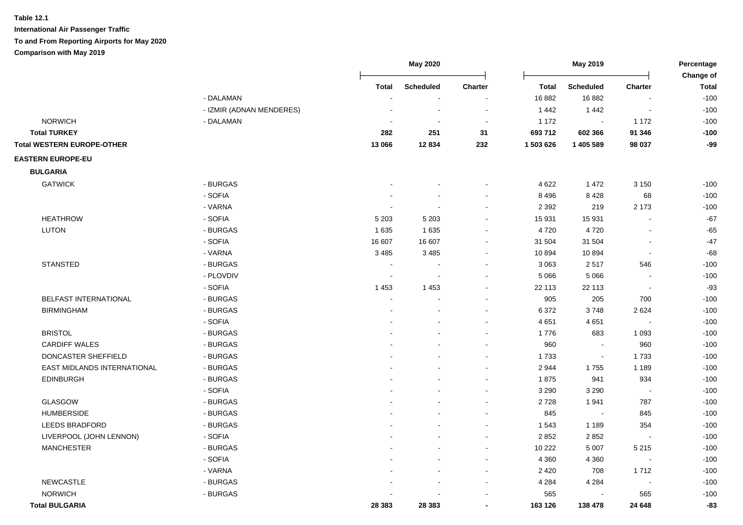|                                   |                          |                | <b>May 2020</b>  |                | May 2019     |                          | Percentage               |                           |
|-----------------------------------|--------------------------|----------------|------------------|----------------|--------------|--------------------------|--------------------------|---------------------------|
|                                   |                          | <b>Total</b>   | <b>Scheduled</b> | Charter        | <b>Total</b> | <b>Scheduled</b>         | <b>Charter</b>           | Change of<br><b>Total</b> |
|                                   | - DALAMAN                |                |                  |                | 16 882       | 16882                    |                          | $-100$                    |
|                                   | - IZMIR (ADNAN MENDERES) |                |                  |                | 1442         | 1 4 4 2                  |                          | $-100$                    |
| <b>NORWICH</b>                    | - DALAMAN                |                | $\blacksquare$   | $\blacksquare$ | 1 1 7 2      | $\sim$                   | 1 1 7 2                  | $-100$                    |
| <b>Total TURKEY</b>               |                          | 282            | 251              | 31             | 693 712      | 602 366                  | 91 346                   | $-100$                    |
| <b>Total WESTERN EUROPE-OTHER</b> |                          | 13 066         | 12834            | 232            | 1 503 626    | 1 405 589                | 98 037                   | $-99$                     |
| <b>EASTERN EUROPE-EU</b>          |                          |                |                  |                |              |                          |                          |                           |
| <b>BULGARIA</b>                   |                          |                |                  |                |              |                          |                          |                           |
| <b>GATWICK</b>                    | - BURGAS                 |                |                  |                | 4 6 22       | 1 4 7 2                  | 3 1 5 0                  | $-100$                    |
|                                   | - SOFIA                  |                |                  |                | 8 4 9 6      | 8 4 2 8                  | 68                       | $-100$                    |
|                                   | - VARNA                  |                |                  |                | 2 3 9 2      | 219                      | 2 1 7 3                  | $-100$                    |
| <b>HEATHROW</b>                   | - SOFIA                  | 5 2 0 3        | 5 2 0 3          |                | 15 931       | 15 931                   |                          | $-67$                     |
| <b>LUTON</b>                      | - BURGAS                 | 1635           | 1 6 3 5          |                | 4720         | 4720                     | ä,                       | $-65$                     |
|                                   | - SOFIA                  | 16 607         | 16 607           |                | 31 504       | 31 504                   | ä,                       | $-47$                     |
|                                   | - VARNA                  | 3 4 8 5        | 3 4 8 5          |                | 10894        | 10894                    | $\blacksquare$           | $-68$                     |
| <b>STANSTED</b>                   | - BURGAS                 | $\blacksquare$ |                  |                | 3 0 6 3      | 2517                     | 546                      | $-100$                    |
|                                   | - PLOVDIV                | ä,             | $\overline{a}$   |                | 5 0 6 6      | 5 0 6 6                  | $\blacksquare$           | $-100$                    |
|                                   | - SOFIA                  | 1 4 5 3        | 1 4 5 3          |                | 22 113       | 22 113                   | $\sim$                   | $-93$                     |
| BELFAST INTERNATIONAL             | - BURGAS                 |                |                  |                | 905          | 205                      | 700                      | $-100$                    |
| <b>BIRMINGHAM</b>                 | - BURGAS                 |                |                  |                | 6 3 7 2      | 3748                     | 2624                     | $-100$                    |
|                                   | - SOFIA                  |                |                  |                | 4651         | 4651                     |                          | $-100$                    |
| <b>BRISTOL</b>                    | - BURGAS                 |                |                  |                | 1776         | 683                      | 1 0 9 3                  | $-100$                    |
| <b>CARDIFF WALES</b>              | - BURGAS                 |                |                  |                | 960          | $\blacksquare$           | 960                      | $-100$                    |
| DONCASTER SHEFFIELD               | - BURGAS                 |                |                  |                | 1733         | $\sim$                   | 1733                     | $-100$                    |
| EAST MIDLANDS INTERNATIONAL       | - BURGAS                 |                |                  |                | 2944         | 1755                     | 1 1 8 9                  | $-100$                    |
| <b>EDINBURGH</b>                  | - BURGAS                 |                |                  |                | 1875         | 941                      | 934                      | $-100$                    |
|                                   | - SOFIA                  |                |                  |                | 3 2 9 0      | 3 2 9 0                  | $\overline{\phantom{a}}$ | $-100$                    |
| <b>GLASGOW</b>                    | - BURGAS                 |                |                  |                | 2728         | 1941                     | 787                      | $-100$                    |
| <b>HUMBERSIDE</b>                 | - BURGAS                 |                |                  |                | 845          | $\overline{\phantom{a}}$ | 845                      | $-100$                    |
| <b>LEEDS BRADFORD</b>             | - BURGAS                 |                |                  |                | 1 5 4 3      | 1 1 8 9                  | 354                      | $-100$                    |
| LIVERPOOL (JOHN LENNON)           | - SOFIA                  |                |                  |                | 2852         | 2852                     | ÷,                       | $-100$                    |
| <b>MANCHESTER</b>                 | - BURGAS                 |                |                  |                | 10 222       | 5 0 0 7                  | 5 2 1 5                  | $-100$                    |
|                                   | - SOFIA                  |                |                  |                | 4 3 6 0      | 4 3 6 0                  |                          | $-100$                    |
|                                   | - VARNA                  |                |                  |                | 2 4 2 0      | 708                      | 1712                     | $-100$                    |
| <b>NEWCASTLE</b>                  | - BURGAS                 |                |                  |                | 4 2 8 4      | 4 2 8 4                  | $\sim$                   | $-100$                    |
| <b>NORWICH</b>                    | - BURGAS                 |                |                  |                | 565          |                          | 565                      | $-100$                    |
| <b>Total BULGARIA</b>             |                          | 28 383         | 28 3 8 3         |                | 163 126      | 138 478                  | 24 648                   | $-83$                     |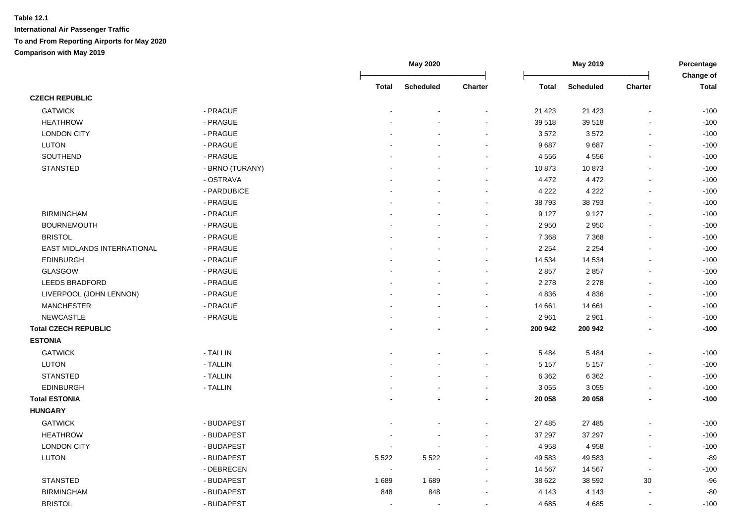|                             |                 |                | <b>May 2020</b>  |                          | May 2019     |                  | Percentage<br>Change of  |              |
|-----------------------------|-----------------|----------------|------------------|--------------------------|--------------|------------------|--------------------------|--------------|
|                             |                 | Total          | <b>Scheduled</b> | <b>Charter</b>           | <b>Total</b> | <b>Scheduled</b> | <b>Charter</b>           | <b>Total</b> |
| <b>CZECH REPUBLIC</b>       |                 |                |                  |                          |              |                  |                          |              |
| <b>GATWICK</b>              | - PRAGUE        |                |                  |                          | 21 4 23      | 21 4 23          | $\blacksquare$           | $-100$       |
| <b>HEATHROW</b>             | - PRAGUE        |                |                  |                          | 39 518       | 39 518           |                          | $-100$       |
| <b>LONDON CITY</b>          | - PRAGUE        |                |                  |                          | 3572         | 3572             | $\overline{\phantom{a}}$ | $-100$       |
| <b>LUTON</b>                | - PRAGUE        |                |                  |                          | 9687         | 9687             | $\overline{\phantom{a}}$ | $-100$       |
| SOUTHEND                    | - PRAGUE        |                |                  |                          | 4 5 5 6      | 4556             | $\sim$                   | $-100$       |
| <b>STANSTED</b>             | - BRNO (TURANY) |                |                  | $\blacksquare$           | 10873        | 10873            | $\blacksquare$           | $-100$       |
|                             | - OSTRAVA       |                |                  | $\blacksquare$           | 4 4 7 2      | 4 4 7 2          | $\blacksquare$           | $-100$       |
|                             | - PARDUBICE     |                |                  |                          | 4 2 2 2      | 4 2 2 2          | $\overline{a}$           | $-100$       |
|                             | - PRAGUE        |                |                  | $\sim$                   | 38 793       | 38793            | $\sim$                   | $-100$       |
| <b>BIRMINGHAM</b>           | - PRAGUE        |                |                  | $\sim$                   | 9 1 2 7      | 9 1 2 7          | $\blacksquare$           | $-100$       |
| <b>BOURNEMOUTH</b>          | - PRAGUE        |                |                  |                          | 2 9 5 0      | 2 9 5 0          | $\overline{a}$           | $-100$       |
| <b>BRISTOL</b>              | - PRAGUE        |                |                  | $\sim$                   | 7 3 6 8      | 7 3 6 8          | $\blacksquare$           | $-100$       |
| EAST MIDLANDS INTERNATIONAL | - PRAGUE        |                |                  |                          | 2 2 5 4      | 2 2 5 4          |                          | $-100$       |
| <b>EDINBURGH</b>            | - PRAGUE        |                |                  |                          | 14 534       | 14 534           | L,                       | $-100$       |
| <b>GLASGOW</b>              | - PRAGUE        |                |                  |                          | 2857         | 2857             | ÷.                       | $-100$       |
| <b>LEEDS BRADFORD</b>       | - PRAGUE        |                |                  |                          | 2 2 7 8      | 2 2 7 8          | $\overline{a}$           | $-100$       |
| LIVERPOOL (JOHN LENNON)     | - PRAGUE        |                |                  | $\sim$                   | 4836         | 4836             | $\overline{a}$           | $-100$       |
| <b>MANCHESTER</b>           | - PRAGUE        |                |                  | $\sim$                   | 14 661       | 14 661           | $\blacksquare$           | $-100$       |
| <b>NEWCASTLE</b>            | - PRAGUE        |                |                  | $\overline{\phantom{a}}$ | 2 9 6 1      | 2961             | $\blacksquare$           | $-100$       |
| <b>Total CZECH REPUBLIC</b> |                 |                |                  |                          | 200 942      | 200 942          | ٠                        | $-100$       |
| <b>ESTONIA</b>              |                 |                |                  |                          |              |                  |                          |              |
| <b>GATWICK</b>              | - TALLIN        |                |                  |                          | 5 4 8 4      | 5 4 8 4          |                          | $-100$       |
| <b>LUTON</b>                | - TALLIN        |                |                  |                          | 5 1 5 7      | 5 1 5 7          | $\blacksquare$           | $-100$       |
| <b>STANSTED</b>             | - TALLIN        |                |                  | $\sim$                   | 6 3 6 2      | 6 3 6 2          | $\blacksquare$           | $-100$       |
| <b>EDINBURGH</b>            | - TALLIN        |                |                  |                          | 3 0 5 5      | 3 0 5 5          | $\overline{a}$           | $-100$       |
| <b>Total ESTONIA</b>        |                 |                |                  |                          | 20 058       | 20 058           | ٠                        | $-100$       |
| <b>HUNGARY</b>              |                 |                |                  |                          |              |                  |                          |              |
| <b>GATWICK</b>              | - BUDAPEST      |                |                  |                          | 27 485       | 27 485           |                          | $-100$       |
| <b>HEATHROW</b>             | - BUDAPEST      |                |                  |                          | 37 297       | 37 297           | L,                       | $-100$       |
| <b>LONDON CITY</b>          | - BUDAPEST      |                |                  |                          | 4 9 5 8      | 4 9 5 8          |                          | $-100$       |
| <b>LUTON</b>                | - BUDAPEST      | 5 5 2 2        | 5 5 2 2          |                          | 49 583       | 49 583           | $\overline{a}$           | $-89$        |
|                             | - DEBRECEN      | $\overline{a}$ |                  |                          | 14 5 67      | 14 5 67          | $\overline{\phantom{a}}$ | $-100$       |
| <b>STANSTED</b>             | - BUDAPEST      | 1689           | 1689             |                          | 38 622       | 38 592           | 30                       | $-96$        |
| <b>BIRMINGHAM</b>           | - BUDAPEST      | 848            | 848              |                          | 4 1 4 3      | 4 1 4 3          | L,                       | $-80$        |
| <b>BRISTOL</b>              | - BUDAPEST      | $\overline{a}$ | $\overline{a}$   | $\sim$                   | 4685         | 4685             | $\blacksquare$           | $-100$       |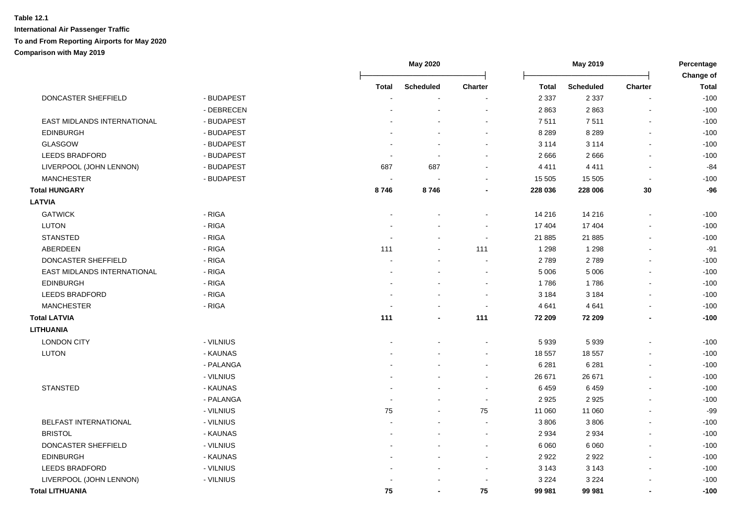|                              |            |              | May 2020         |                |              | May 2019         |                          | Percentage<br>Change of |  |
|------------------------------|------------|--------------|------------------|----------------|--------------|------------------|--------------------------|-------------------------|--|
|                              |            | <b>Total</b> | <b>Scheduled</b> | <b>Charter</b> | <b>Total</b> | <b>Scheduled</b> | <b>Charter</b>           | <b>Total</b>            |  |
| DONCASTER SHEFFIELD          | - BUDAPEST |              |                  |                | 2 3 3 7      | 2 3 3 7          | $\blacksquare$           | $-100$                  |  |
|                              | - DEBRECEN |              |                  |                | 2863         | 2863             | ÷,                       | $-100$                  |  |
| EAST MIDLANDS INTERNATIONAL  | - BUDAPEST |              |                  |                | 7511         | 7511             | $\blacksquare$           | $-100$                  |  |
| <b>EDINBURGH</b>             | - BUDAPEST |              |                  |                | 8 2 8 9      | 8 2 8 9          | $\blacksquare$           | $-100$                  |  |
| <b>GLASGOW</b>               | - BUDAPEST |              |                  |                | 3 1 1 4      | 3 1 1 4          | $\blacksquare$           | $-100$                  |  |
| <b>LEEDS BRADFORD</b>        | - BUDAPEST |              |                  |                | 2666         | 2666             | $\blacksquare$           | $-100$                  |  |
| LIVERPOOL (JOHN LENNON)      | - BUDAPEST | 687          | 687              |                | 4411         | 4411             | $\blacksquare$           | $-84$                   |  |
| <b>MANCHESTER</b>            | - BUDAPEST |              |                  |                | 15 505       | 15 505           | $\blacksquare$           | $-100$                  |  |
| <b>Total HUNGARY</b>         |            | 8746         | 8746             |                | 228 036      | 228 006          | $30\,$                   | $-96$                   |  |
| <b>LATVIA</b>                |            |              |                  |                |              |                  |                          |                         |  |
| <b>GATWICK</b>               | - RIGA     |              |                  |                | 14 216       | 14 216           | $\blacksquare$           | $-100$                  |  |
| <b>LUTON</b>                 | - RIGA     |              |                  |                | 17 404       | 17 404           | $\blacksquare$           | $-100$                  |  |
| <b>STANSTED</b>              | - RIGA     |              |                  |                | 21 885       | 21 885           | $\blacksquare$           | $-100$                  |  |
| ABERDEEN                     | - RIGA     | 111          |                  | 111            | 1 2 9 8      | 1 2 9 8          | $\overline{\phantom{a}}$ | $-91$                   |  |
| DONCASTER SHEFFIELD          | - RIGA     |              |                  |                | 2789         | 2789             | $\sim$                   | $-100$                  |  |
| EAST MIDLANDS INTERNATIONAL  | - RIGA     |              |                  |                | 5 0 0 6      | 5 0 0 6          |                          | $-100$                  |  |
| <b>EDINBURGH</b>             | - RIGA     |              |                  |                | 1786         | 1786             | $\blacksquare$           | $-100$                  |  |
| <b>LEEDS BRADFORD</b>        | - RIGA     |              |                  |                | 3 1 8 4      | 3 1 8 4          | $\blacksquare$           | $-100$                  |  |
| <b>MANCHESTER</b>            | - RIGA     |              |                  | $\sim$         | 4 6 4 1      | 4 6 4 1          |                          | $-100$                  |  |
| <b>Total LATVIA</b>          |            | 111          |                  | 111            | 72 209       | 72 209           |                          | $-100$                  |  |
| <b>LITHUANIA</b>             |            |              |                  |                |              |                  |                          |                         |  |
| <b>LONDON CITY</b>           | - VILNIUS  |              |                  |                | 5939         | 5939             | $\overline{\phantom{a}}$ | $-100$                  |  |
| LUTON                        | - KAUNAS   |              |                  | $\sim$         | 18 557       | 18 557           |                          | $-100$                  |  |
|                              | - PALANGA  |              |                  |                | 6 2 8 1      | 6 2 8 1          | $\sim$                   | $-100$                  |  |
|                              | - VILNIUS  |              |                  |                | 26 671       | 26 671           | $\sim$                   | $-100$                  |  |
| <b>STANSTED</b>              | - KAUNAS   |              |                  |                | 6459         | 6459             |                          | $-100$                  |  |
|                              | - PALANGA  |              |                  |                | 2 9 2 5      | 2925             | $\blacksquare$           | $-100$                  |  |
|                              | - VILNIUS  | 75           |                  | 75             | 11 060       | 11 060           |                          | $-99$                   |  |
| <b>BELFAST INTERNATIONAL</b> | - VILNIUS  |              |                  |                | 3 8 0 6      | 3806             | ÷,                       | $-100$                  |  |
| <b>BRISTOL</b>               | - KAUNAS   |              |                  | $\sim$         | 2 9 3 4      | 2934             | $\sim$                   | $-100$                  |  |
| DONCASTER SHEFFIELD          | - VILNIUS  |              |                  | $\sim$         | 6 0 6 0      | 6 0 6 0          | $\sim$                   | $-100$                  |  |
| <b>EDINBURGH</b>             | - KAUNAS   |              |                  | $\sim$         | 2922         | 2922             | $\sim$                   | $-100$                  |  |
| <b>LEEDS BRADFORD</b>        | - VILNIUS  |              |                  | $\sim$         | 3 1 4 3      | 3 1 4 3          | $\sim$                   | $-100$                  |  |
| LIVERPOOL (JOHN LENNON)      | - VILNIUS  |              |                  |                | 3 2 2 4      | 3 2 2 4          |                          | $-100$                  |  |
| <b>Total LITHUANIA</b>       |            | 75           |                  | 75             | 99 981       | 99 981           | ٠                        | $-100$                  |  |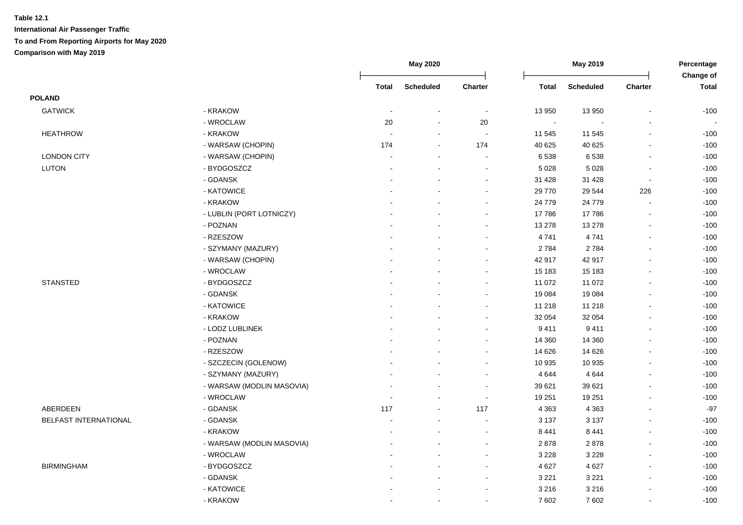|                       |                           |                          | May 2020         |                          |              | May 2019         |                          | Percentage<br>Change of  |
|-----------------------|---------------------------|--------------------------|------------------|--------------------------|--------------|------------------|--------------------------|--------------------------|
|                       |                           | <b>Total</b>             | <b>Scheduled</b> | Charter                  | <b>Total</b> | <b>Scheduled</b> | Charter                  | <b>Total</b>             |
| <b>POLAND</b>         |                           |                          |                  |                          |              |                  |                          |                          |
| <b>GATWICK</b>        | - KRAKOW                  |                          |                  | $\sim$                   | 13 950       | 13 950           |                          | $-100$                   |
|                       | - WROCLAW                 | 20                       | $\blacksquare$   | 20                       | $\sim$       |                  |                          | $\overline{\phantom{a}}$ |
| <b>HEATHROW</b>       | - KRAKOW                  | $\sim$                   | $\sim$           | $\sim$                   | 11 545       | 11 545           | $\overline{\phantom{a}}$ | $-100$                   |
|                       | - WARSAW (CHOPIN)         | 174                      | $\blacksquare$   | 174                      | 40 625       | 40 625           | L.                       | $-100$                   |
| <b>LONDON CITY</b>    | - WARSAW (CHOPIN)         | $\overline{\phantom{a}}$ | $\sim$           | $\sim$                   | 6 5 38       | 6538             | $\sim$                   | $-100$                   |
| <b>LUTON</b>          | - BYDGOSZCZ               |                          |                  | $\blacksquare$           | 5 0 28       | 5 0 28           | $\blacksquare$           | $-100$                   |
|                       | - GDANSK                  |                          |                  | $\blacksquare$           | 31 4 28      | 31 4 28          | $\blacksquare$           | $-100$                   |
|                       | - KATOWICE                |                          |                  | $\blacksquare$           | 29 770       | 29 544           | 226                      | $-100$                   |
|                       | - KRAKOW                  |                          |                  | $\blacksquare$           | 24 779       | 24 779           | $\overline{a}$           | $-100$                   |
|                       | - LUBLIN (PORT LOTNICZY)  |                          |                  | $\blacksquare$           | 17786        | 17786            | $\blacksquare$           | $-100$                   |
|                       | - POZNAN                  |                          |                  | $\blacksquare$           | 13 278       | 13 278           | $\blacksquare$           | $-100$                   |
|                       | - RZESZOW                 |                          |                  | $\blacksquare$           | 4741         | 4741             | $\overline{a}$           | $-100$                   |
|                       | - SZYMANY (MAZURY)        |                          |                  |                          | 2 7 8 4      | 2784             | $\blacksquare$           | $-100$                   |
|                       | - WARSAW (CHOPIN)         |                          |                  |                          | 42 917       | 42 917           |                          | $-100$                   |
|                       | - WROCLAW                 |                          |                  |                          | 15 183       | 15 183           |                          | $-100$                   |
| <b>STANSTED</b>       | - BYDGOSZCZ               |                          |                  | $\blacksquare$           | 11 072       | 11 072           |                          | $-100$                   |
|                       | - GDANSK                  |                          |                  | $\sim$                   | 19 084       | 19 0 84          |                          | $-100$                   |
|                       | - KATOWICE                |                          |                  | $\sim$                   | 11 218       | 11 218           |                          | $-100$                   |
|                       | - KRAKOW                  |                          |                  | $\blacksquare$           | 32 054       | 32 054           |                          | $-100$                   |
|                       | - LODZ LUBLINEK           |                          |                  | $\blacksquare$           | 9 4 1 1      | 9411             | $\blacksquare$           | $-100$                   |
|                       | - POZNAN                  |                          |                  | $\blacksquare$           | 14 360       | 14 3 60          | $\blacksquare$           | $-100$                   |
|                       | - RZESZOW                 |                          |                  |                          | 14 6 26      | 14 6 26          |                          | $-100$                   |
|                       | - SZCZECIN (GOLENOW)      |                          |                  | $\overline{a}$           | 10 935       | 10 935           | $\overline{a}$           | $-100$                   |
|                       | - SZYMANY (MAZURY)        |                          |                  | $\blacksquare$           | 4 6 4 4      | 4 6 4 4          |                          | $-100$                   |
|                       | - WARSAW (MODLIN MASOVIA) |                          |                  | $\sim$                   | 39 621       | 39 621           |                          | $-100$                   |
|                       | - WROCLAW                 |                          |                  | $\sim$                   | 19 251       | 19 251           | $\overline{a}$           | $-100$                   |
| ABERDEEN              | - GDANSK                  | 117                      |                  | 117                      | 4 3 6 3      | 4 3 6 3          |                          | $-97$                    |
| BELFAST INTERNATIONAL | - GDANSK                  |                          |                  |                          | 3 1 3 7      | 3 1 3 7          |                          | $-100$                   |
|                       | - KRAKOW                  |                          |                  | $\sim$                   | 8 4 4 1      | 8 4 4 1          | $\overline{a}$           | $-100$                   |
|                       | - WARSAW (MODLIN MASOVIA) |                          | $\blacksquare$   | $\sim$                   | 2878         | 2878             |                          | $-100$                   |
|                       | - WROCLAW                 |                          |                  | $\sim$                   | 3 2 2 8      | 3 2 2 8          | $\blacksquare$           | $-100$                   |
| <b>BIRMINGHAM</b>     | - BYDGOSZCZ               |                          | $\blacksquare$   | $\blacksquare$           | 4 6 27       | 4 6 27           | $\blacksquare$           | $-100$                   |
|                       | - GDANSK                  |                          | $\sim$           | $\overline{\phantom{a}}$ | 3 2 2 1      | 3 2 2 1          | $\blacksquare$           | $-100$                   |
|                       | - KATOWICE                |                          |                  | $\blacksquare$           | 3 2 1 6      | 3 2 1 6          | $\blacksquare$           | $-100$                   |
|                       | - KRAKOW                  |                          | $\sim$           | $\overline{a}$           | 7 602        | 7602             | $\blacksquare$           | $-100$                   |
|                       |                           |                          |                  |                          |              |                  |                          |                          |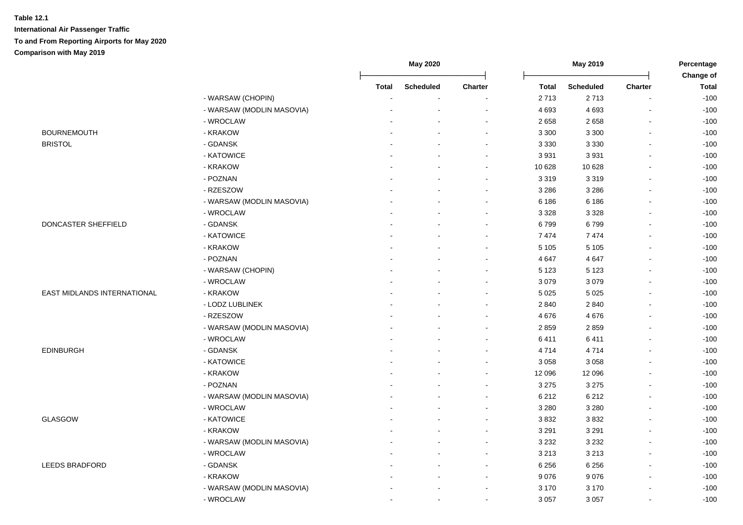|                             |                           | May 2020     |                  |                | May 2019     |                  | Percentage<br>Change of |              |
|-----------------------------|---------------------------|--------------|------------------|----------------|--------------|------------------|-------------------------|--------------|
|                             |                           | <b>Total</b> | <b>Scheduled</b> | Charter        | <b>Total</b> | <b>Scheduled</b> | Charter                 | <b>Total</b> |
|                             | - WARSAW (CHOPIN)         |              |                  |                | 2713         | 2713             |                         | $-100$       |
|                             | - WARSAW (MODLIN MASOVIA) |              |                  |                | 4 6 9 3      | 4 6 9 3          |                         | $-100$       |
|                             | - WROCLAW                 |              |                  |                | 2 6 5 8      | 2658             |                         | $-100$       |
| <b>BOURNEMOUTH</b>          | - KRAKOW                  |              |                  | $\blacksquare$ | 3 3 0 0      | 3 3 0 0          | $\blacksquare$          | $-100$       |
| <b>BRISTOL</b>              | - GDANSK                  |              |                  | $\blacksquare$ | 3 3 3 0      | 3 3 3 0          | $\blacksquare$          | $-100$       |
|                             | - KATOWICE                |              | $\blacksquare$   | $\blacksquare$ | 3931         | 3931             | $\sim$                  | $-100$       |
|                             | - KRAKOW                  |              |                  | $\sim$         | 10 628       | 10 628           |                         | $-100$       |
|                             | - POZNAN                  |              |                  |                | 3 3 1 9      | 3319             |                         | $-100$       |
|                             | - RZESZOW                 |              |                  | $\sim$         | 3 2 8 6      | 3 2 8 6          |                         | $-100$       |
|                             | - WARSAW (MODLIN MASOVIA) |              |                  | $\blacksquare$ | 6 18 6       | 6 18 6           | $\sim$                  | $-100$       |
|                             | - WROCLAW                 |              |                  |                | 3 3 2 8      | 3 3 2 8          |                         | $-100$       |
| DONCASTER SHEFFIELD         | - GDANSK                  |              |                  | $\blacksquare$ | 6799         | 6799             | $\sim$                  | $-100$       |
|                             | - KATOWICE                |              |                  | $\sim$         | 7474         | 7474             |                         | $-100$       |
|                             | - KRAKOW                  |              |                  |                | 5 1 0 5      | 5 1 0 5          |                         | $-100$       |
|                             | - POZNAN                  |              |                  |                | 4 6 4 7      | 4 6 4 7          |                         | $-100$       |
|                             | - WARSAW (CHOPIN)         |              |                  |                | 5 1 2 3      | 5 1 2 3          |                         | $-100$       |
|                             | - WROCLAW                 |              |                  |                | 3 0 7 9      | 3079             |                         | $-100$       |
| EAST MIDLANDS INTERNATIONAL | - KRAKOW                  |              |                  | $\sim$         | 5 0 2 5      | 5 0 2 5          |                         | $-100$       |
|                             | - LODZ LUBLINEK           |              |                  | $\sim$         | 2 8 4 0      | 2840             |                         | $-100$       |
|                             | - RZESZOW                 |              |                  | $\sim$         | 4676         | 4676             |                         | $-100$       |
|                             | - WARSAW (MODLIN MASOVIA) |              |                  | $\sim$         | 2859         | 2859             |                         | $-100$       |
|                             | - WROCLAW                 |              |                  | $\blacksquare$ | 6411         | 6411             |                         | $-100$       |
| <b>EDINBURGH</b>            | - GDANSK                  |              |                  | $\sim$         | 4714         | 4714             |                         | $-100$       |
|                             | - KATOWICE                |              |                  | $\sim$         | 3 0 5 8      | 3 0 5 8          | $\overline{a}$          | $-100$       |
|                             | - KRAKOW                  |              |                  | $\sim$         | 12 096       | 12 096           |                         | $-100$       |
|                             | - POZNAN                  |              |                  | $\sim$         | 3 2 7 5      | 3 2 7 5          |                         | $-100$       |
|                             | - WARSAW (MODLIN MASOVIA) |              |                  | $\sim$         | 6 2 1 2      | 6 2 1 2          |                         | $-100$       |
|                             | - WROCLAW                 |              |                  |                | 3 2 8 0      | 3 2 8 0          |                         | $-100$       |
| <b>GLASGOW</b>              | - KATOWICE                |              |                  | $\overline{a}$ | 3832         | 3832             | $\sim$                  | $-100$       |
|                             | - KRAKOW                  |              |                  | $\sim$         | 3 2 9 1      | 3 2 9 1          |                         | $-100$       |
|                             | - WARSAW (MODLIN MASOVIA) |              |                  | ÷              | 3 2 3 2      | 3 2 3 2          | $\sim$                  | $-100$       |
|                             | - WROCLAW                 |              |                  | $\blacksquare$ | 3 2 1 3      | 3 2 1 3          | $\mathbf{r}$            | $-100$       |
| <b>LEEDS BRADFORD</b>       | - GDANSK                  |              | $\blacksquare$   | $\blacksquare$ | 6 2 5 6      | 6 2 5 6          | $\blacksquare$          | $-100$       |
|                             | - KRAKOW                  |              |                  | $\blacksquare$ | 9076         | 9076             | $\blacksquare$          | $-100$       |
|                             | - WARSAW (MODLIN MASOVIA) |              |                  | $\blacksquare$ | 3 1 7 0      | 3 1 7 0          |                         | $-100$       |
|                             | - WROCLAW                 |              | $\blacksquare$   | $\blacksquare$ | 3 0 5 7      | 3 0 5 7          |                         | $-100$       |
|                             |                           |              |                  |                |              |                  |                         |              |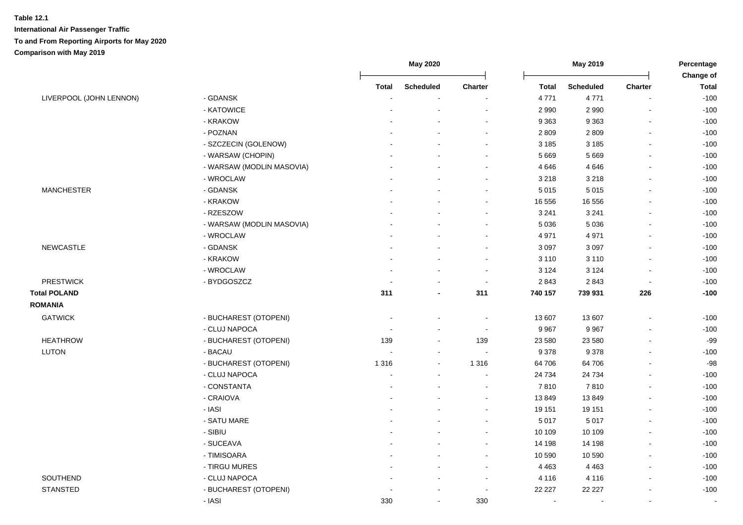|                         |                           |                          | May 2020         |                          | May 2019     |                  | Percentage               |                           |
|-------------------------|---------------------------|--------------------------|------------------|--------------------------|--------------|------------------|--------------------------|---------------------------|
|                         |                           | <b>Total</b>             | <b>Scheduled</b> | <b>Charter</b>           | <b>Total</b> | <b>Scheduled</b> | <b>Charter</b>           | Change of<br><b>Total</b> |
| LIVERPOOL (JOHN LENNON) | - GDANSK                  |                          |                  |                          | 4 7 7 1      | 4 7 7 1          |                          | $-100$                    |
|                         | - KATOWICE                |                          |                  |                          | 2 9 9 0      | 2 9 9 0          |                          | $-100$                    |
|                         | - KRAKOW                  |                          |                  | $\overline{\phantom{a}}$ | 9 3 6 3      | 9 3 6 3          | $\overline{\phantom{a}}$ | $-100$                    |
|                         | - POZNAN                  |                          |                  | $\sim$                   | 2 8 0 9      | 2809             | $\sim$                   | $-100$                    |
|                         | - SZCZECIN (GOLENOW)      |                          |                  | $\blacksquare$           | 3 1 8 5      | 3 1 8 5          |                          | $-100$                    |
|                         | - WARSAW (CHOPIN)         |                          | $\overline{a}$   | $\blacksquare$           | 5 6 6 9      | 5 6 6 9          | $\blacksquare$           | $-100$                    |
|                         | - WARSAW (MODLIN MASOVIA) |                          |                  | $\blacksquare$           | 4 6 4 6      | 4646             | $\blacksquare$           | $-100$                    |
|                         | - WROCLAW                 |                          |                  |                          | 3 2 1 8      | 3 2 1 8          | $\blacksquare$           | $-100$                    |
| <b>MANCHESTER</b>       | - GDANSK                  |                          |                  | $\overline{\phantom{a}}$ | 5 0 1 5      | 5 0 1 5          | $\blacksquare$           | $-100$                    |
|                         | - KRAKOW                  |                          |                  | $\blacksquare$           | 16 556       | 16 556           | $\blacksquare$           | $-100$                    |
|                         | - RZESZOW                 |                          |                  | $\overline{\phantom{a}}$ | 3 2 4 1      | 3 2 4 1          | $\blacksquare$           | $-100$                    |
|                         | - WARSAW (MODLIN MASOVIA) |                          |                  | $\sim$                   | 5 0 36       | 5 0 3 6          | $\blacksquare$           | $-100$                    |
|                         | - WROCLAW                 |                          |                  |                          | 4 9 7 1      | 4 9 7 1          |                          | $-100$                    |
| <b>NEWCASTLE</b>        | - GDANSK                  |                          |                  |                          | 3 0 9 7      | 3 0 9 7          |                          | $-100$                    |
|                         | - KRAKOW                  |                          |                  | $\sim$                   | 3 1 1 0      | 3 1 1 0          | $\sim$                   | $-100$                    |
|                         | - WROCLAW                 |                          |                  | $\sim$                   | 3 1 2 4      | 3 1 2 4          | $\sim$                   | $-100$                    |
| <b>PRESTWICK</b>        | - BYDGOSZCZ               |                          |                  | $\overline{\phantom{a}}$ | 2843         | 2843             | $\blacksquare$           | $-100$                    |
| <b>Total POLAND</b>     |                           | 311                      | $\blacksquare$   | 311                      | 740 157      | 739 931          | 226                      | $-100$                    |
| <b>ROMANIA</b>          |                           |                          |                  |                          |              |                  |                          |                           |
| <b>GATWICK</b>          | - BUCHAREST (OTOPENI)     | $\overline{\phantom{a}}$ | $\blacksquare$   | $\sim$                   | 13 607       | 13 607           |                          | $-100$                    |
|                         | - CLUJ NAPOCA             | $\sim$                   | $\blacksquare$   | $\overline{\phantom{a}}$ | 9 9 6 7      | 9 9 6 7          |                          | $-100$                    |
| <b>HEATHROW</b>         | - BUCHAREST (OTOPENI)     | 139                      | $\sim$           | 139                      | 23 580       | 23 580           | $\blacksquare$           | $-99$                     |
| <b>LUTON</b>            | - BACAU                   |                          | $\blacksquare$   |                          | 9 3 7 8      | 9378             | $\blacksquare$           | $-100$                    |
|                         | - BUCHAREST (OTOPENI)     | 1 3 1 6                  | $\blacksquare$   | 1 3 1 6                  | 64 706       | 64 706           | $\sim$                   | $-98$                     |
|                         | - CLUJ NAPOCA             | $\blacksquare$           | $\blacksquare$   | $\blacksquare$           | 24 734       | 24 7 34          | $\blacksquare$           | $-100$                    |
|                         | - CONSTANTA               |                          |                  | $\blacksquare$           | 7810         | 7810             | $\blacksquare$           | $-100$                    |
|                         | - CRAIOVA                 |                          |                  | $\overline{\phantom{a}}$ | 13849        | 13849            | $\blacksquare$           | $-100$                    |
|                         | - IASI                    |                          |                  |                          | 19 151       | 19 151           |                          | $-100$                    |
|                         | - SATU MARE               |                          |                  |                          | 5 0 1 7      | 5017             | $\blacksquare$           | $-100$                    |
|                         | - SIBIU                   |                          |                  | $\overline{\phantom{a}}$ | 10 109       | 10 109           | $\sim$                   | $-100$                    |
|                         | - SUCEAVA                 |                          |                  | $\sim$                   | 14 198       | 14 198           | $\sim$                   | $-100$                    |
|                         | - TIMISOARA               |                          |                  | $\blacksquare$           | 10 590       | 10 590           | $\blacksquare$           | $-100$                    |
|                         | - TIRGU MURES             |                          | $\blacksquare$   | $\blacksquare$           | 4 4 6 3      | 4 4 6 3          | $\blacksquare$           | $-100$                    |
| SOUTHEND                | - CLUJ NAPOCA             |                          | $\blacksquare$   | $\overline{\phantom{a}}$ | 4 1 1 6      | 4 1 1 6          | $\blacksquare$           | $-100$                    |
| <b>STANSTED</b>         | - BUCHAREST (OTOPENI)     |                          |                  | $\overline{\phantom{a}}$ | 22 227       | 22 227           | $\blacksquare$           | $-100$                    |
|                         | - IASI                    | 330                      | $\blacksquare$   | 330                      | $\sim$       |                  | $\sim$                   | $\sim$                    |
|                         |                           |                          |                  |                          |              |                  |                          |                           |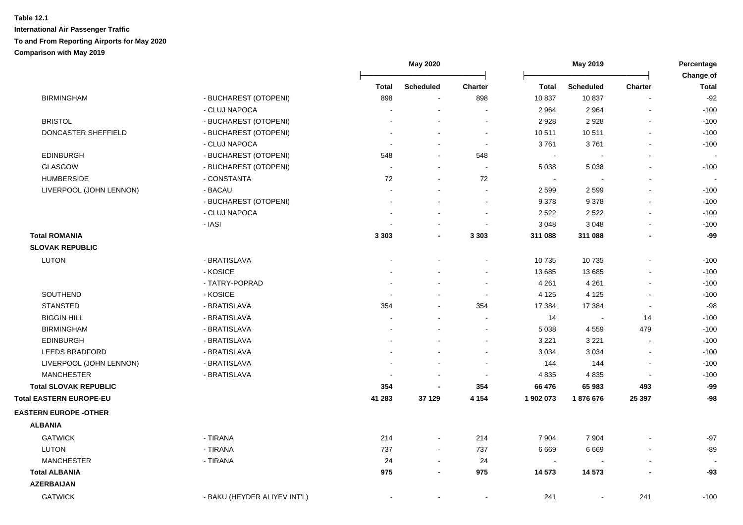|                                |                              |                | May 2020                 |                          | May 2019       |                  |                          | Percentage<br>Change of |  |
|--------------------------------|------------------------------|----------------|--------------------------|--------------------------|----------------|------------------|--------------------------|-------------------------|--|
|                                |                              | <b>Total</b>   | <b>Scheduled</b>         | <b>Charter</b>           | <b>Total</b>   | <b>Scheduled</b> | <b>Charter</b>           | <b>Total</b>            |  |
| <b>BIRMINGHAM</b>              | - BUCHAREST (OTOPENI)        | 898            |                          | 898                      | 10 837         | 10837            |                          | $-92$                   |  |
|                                | - CLUJ NAPOCA                |                |                          |                          | 2 9 6 4        | 2 9 6 4          | $\blacksquare$           | $-100$                  |  |
| <b>BRISTOL</b>                 | - BUCHAREST (OTOPENI)        |                |                          | $\overline{a}$           | 2928           | 2928             | $\overline{a}$           | $-100$                  |  |
| DONCASTER SHEFFIELD            | - BUCHAREST (OTOPENI)        | $\overline{a}$ | ÷,                       | $\sim$                   | 10 511         | 10511            | $\blacksquare$           | $-100$                  |  |
|                                | - CLUJ NAPOCA                |                | $\overline{a}$           | $\blacksquare$           | 3761           | 3761             | $\blacksquare$           | $-100$                  |  |
| <b>EDINBURGH</b>               | - BUCHAREST (OTOPENI)        | 548            | $\blacksquare$           | 548                      | $\blacksquare$ |                  | $\blacksquare$           |                         |  |
| <b>GLASGOW</b>                 | - BUCHAREST (OTOPENI)        |                | $\blacksquare$           | $\blacksquare$           | 5 0 38         | 5 0 38           | $\mathbf{r}$             | $-100$                  |  |
| <b>HUMBERSIDE</b>              | - CONSTANTA                  | 72             | $\sim$                   | 72                       | $\sim$         |                  |                          |                         |  |
| LIVERPOOL (JOHN LENNON)        | - BACAU                      |                |                          | $\blacksquare$           | 2 5 9 9        | 2 5 9 9          |                          | $-100$                  |  |
|                                | - BUCHAREST (OTOPENI)        |                |                          | $\sim$                   | 9 3 7 8        | 9378             | $\blacksquare$           | $-100$                  |  |
|                                | - CLUJ NAPOCA                |                |                          | $\overline{\phantom{a}}$ | 2 5 2 2        | 2 5 2 2          | $\overline{\phantom{a}}$ | $-100$                  |  |
|                                | - IASI                       |                |                          |                          | 3 0 4 8        | 3 0 4 8          | $\blacksquare$           | $-100$                  |  |
| <b>Total ROMANIA</b>           |                              | 3 3 0 3        | $\overline{\phantom{a}}$ | 3 3 0 3                  | 311 088        | 311 088          |                          | -99                     |  |
| <b>SLOVAK REPUBLIC</b>         |                              |                |                          |                          |                |                  |                          |                         |  |
| <b>LUTON</b>                   | - BRATISLAVA                 |                |                          |                          | 10 735         | 10735            | $\blacksquare$           | $-100$                  |  |
|                                | - KOSICE                     |                |                          | $\blacksquare$           | 13 685         | 13 685           |                          | $-100$                  |  |
|                                | - TATRY-POPRAD               |                |                          |                          | 4 2 6 1        | 4 2 6 1          | $\overline{a}$           | $-100$                  |  |
| SOUTHEND                       | - KOSICE                     |                |                          | $\sim$                   | 4 1 2 5        | 4 1 2 5          | $\blacksquare$           | $-100$                  |  |
| <b>STANSTED</b>                | - BRATISLAVA                 | 354            |                          | 354                      | 17 384         | 17 384           |                          | $-98$                   |  |
| <b>BIGGIN HILL</b>             | - BRATISLAVA                 |                |                          |                          | 14             |                  | 14                       | $-100$                  |  |
| <b>BIRMINGHAM</b>              | - BRATISLAVA                 |                |                          | $\sim$                   | 5 0 38         | 4 5 5 9          | 479                      | $-100$                  |  |
| <b>EDINBURGH</b>               | - BRATISLAVA                 |                |                          | $\sim$                   | 3 2 2 1        | 3 2 2 1          | $\blacksquare$           | $-100$                  |  |
| <b>LEEDS BRADFORD</b>          | - BRATISLAVA                 |                |                          |                          | 3 0 3 4        | 3 0 3 4          | $\overline{a}$           | $-100$                  |  |
| LIVERPOOL (JOHN LENNON)        | - BRATISLAVA                 |                |                          |                          | 144            | 144              | $\blacksquare$           | $-100$                  |  |
| <b>MANCHESTER</b>              | - BRATISLAVA                 |                | $\blacksquare$           | $\overline{\phantom{a}}$ | 4 8 3 5        | 4835             | $\blacksquare$           | $-100$                  |  |
| <b>Total SLOVAK REPUBLIC</b>   |                              | 354            | $\blacksquare$           | 354                      | 66 476         | 65 983           | 493                      | -99                     |  |
| <b>Total EASTERN EUROPE-EU</b> |                              | 41 283         | 37 129                   | 4 1 5 4                  | 1 902 073      | 1876676          | 25 397                   | $-98$                   |  |
| <b>EASTERN EUROPE -OTHER</b>   |                              |                |                          |                          |                |                  |                          |                         |  |
| <b>ALBANIA</b>                 |                              |                |                          |                          |                |                  |                          |                         |  |
| <b>GATWICK</b>                 | - TIRANA                     | 214            | $\blacksquare$           | 214                      | 7 9 0 4        | 7 9 0 4          |                          | $-97$                   |  |
| <b>LUTON</b>                   | - TIRANA                     | 737            | $\blacksquare$           | 737                      | 6 6 6 9        | 6 6 6 9          | $\blacksquare$           | $-89$                   |  |
| <b>MANCHESTER</b>              | - TIRANA                     | 24             | $\blacksquare$           | 24                       | $\sim$         |                  |                          |                         |  |
| <b>Total ALBANIA</b>           |                              | 975            | $\blacksquare$           | 975                      | 14 573         | 14 573           |                          | $-93$                   |  |
| <b>AZERBAIJAN</b>              |                              |                |                          |                          |                |                  |                          |                         |  |
| <b>GATWICK</b>                 | - BAKU (HEYDER ALIYEV INT'L) |                |                          |                          | 241            | $\blacksquare$   | 241                      | $-100$                  |  |
|                                |                              |                |                          |                          |                |                  |                          |                         |  |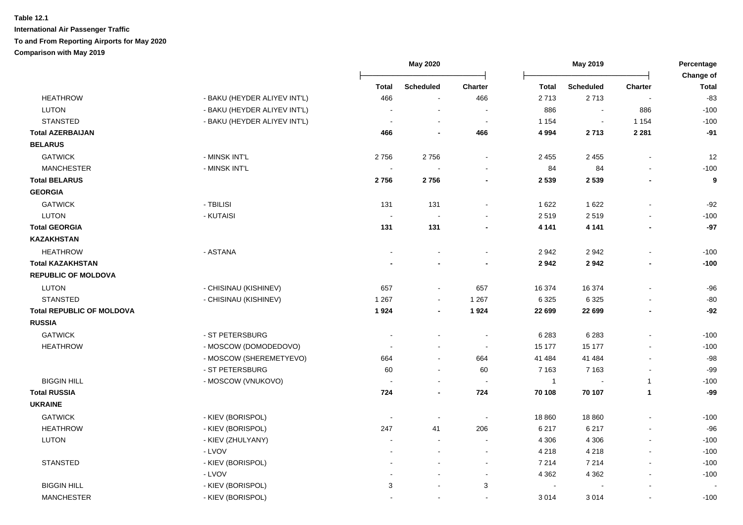|                                  |                              |                          | May 2020             |                          | May 2019                 |                  |                | Percentage<br>Change of |
|----------------------------------|------------------------------|--------------------------|----------------------|--------------------------|--------------------------|------------------|----------------|-------------------------|
|                                  |                              | <b>Total</b>             | <b>Scheduled</b>     | <b>Charter</b>           | <b>Total</b>             | <b>Scheduled</b> | <b>Charter</b> | <b>Total</b>            |
| <b>HEATHROW</b>                  | - BAKU (HEYDER ALIYEV INT'L) | 466                      |                      | 466                      | 2713                     | 2713             |                | $-83$                   |
| <b>LUTON</b>                     | - BAKU (HEYDER ALIYEV INT'L) |                          | ÷,                   | $\sim$                   | 886                      | $\sim$           | 886            | $-100$                  |
| <b>STANSTED</b>                  | - BAKU (HEYDER ALIYEV INT'L) |                          |                      | $\blacksquare$           | 1 1 5 4                  | $\sim$           | 1 1 5 4        | $-100$                  |
| <b>Total AZERBAIJAN</b>          |                              | 466                      | $\blacksquare$       | 466                      | 4 9 9 4                  | 2713             | 2 2 8 1        | $-91$                   |
| <b>BELARUS</b>                   |                              |                          |                      |                          |                          |                  |                |                         |
| <b>GATWICK</b>                   | - MINSK INT'L                | 2756                     | 2756                 |                          | 2 4 5 5                  | 2 4 5 5          | $\overline{a}$ | 12                      |
| <b>MANCHESTER</b>                | - MINSK INT'L                | $\overline{\phantom{a}}$ |                      |                          | 84                       | 84               | $\overline{a}$ | $-100$                  |
| <b>Total BELARUS</b>             |                              | 2756                     | 2756                 |                          | 2 5 3 9                  | 2 5 3 9          | $\blacksquare$ | $\boldsymbol{9}$        |
| <b>GEORGIA</b>                   |                              |                          |                      |                          |                          |                  |                |                         |
| <b>GATWICK</b>                   | - TBILISI                    | 131                      | 131                  |                          | 1 6 2 2                  | 1 6 2 2          |                | $-92$                   |
| <b>LUTON</b>                     | - KUTAISI                    | $\overline{\phantom{a}}$ |                      |                          | 2519                     | 2519             | ÷.             | $-100$                  |
| <b>Total GEORGIA</b>             |                              | 131                      | 131                  |                          | 4 1 4 1                  | 4 1 4 1          | $\blacksquare$ | $-97$                   |
| <b>KAZAKHSTAN</b>                |                              |                          |                      |                          |                          |                  |                |                         |
| <b>HEATHROW</b>                  | - ASTANA                     |                          |                      |                          | 2942                     | 2942             | $\overline{a}$ | $-100$                  |
| <b>Total KAZAKHSTAN</b>          |                              |                          |                      |                          | 2942                     | 2942             | ٠              | $-100$                  |
| <b>REPUBLIC OF MOLDOVA</b>       |                              |                          |                      |                          |                          |                  |                |                         |
| <b>LUTON</b>                     | - CHISINAU (KISHINEV)        | 657                      | ä,                   | 657                      | 16 374                   | 16 374           |                | $-96$                   |
| <b>STANSTED</b>                  | - CHISINAU (KISHINEV)        | 1 2 6 7                  | ÷,                   | 1 2 6 7                  | 6 3 2 5                  | 6 3 2 5          |                | $-80$                   |
| <b>Total REPUBLIC OF MOLDOVA</b> |                              | 1924                     | $\blacksquare$       | 1924                     | 22 699                   | 22 699           | $\blacksquare$ | $-92$                   |
| <b>RUSSIA</b>                    |                              |                          |                      |                          |                          |                  |                |                         |
| <b>GATWICK</b>                   | - ST PETERSBURG              |                          |                      |                          | 6 2 8 3                  | 6 2 8 3          | $\overline{a}$ | $-100$                  |
| <b>HEATHROW</b>                  | - MOSCOW (DOMODEDOVO)        |                          |                      | $\sim$                   | 15 177                   | 15 177           |                | $-100$                  |
|                                  | - MOSCOW (SHEREMETYEVO)      | 664                      | $\ddot{\phantom{a}}$ | 664                      | 41 484                   | 41 484           | L,             | $-98$                   |
|                                  | - ST PETERSBURG              | 60                       | $\blacksquare$       | 60                       | 7 1 6 3                  | 7 1 6 3          | $\blacksquare$ | $-99$                   |
| <b>BIGGIN HILL</b>               | - MOSCOW (VNUKOVO)           |                          | ÷,                   | $\overline{\phantom{a}}$ | $\overline{1}$           | $\sim$           | $\mathbf{1}$   | $-100$                  |
| <b>Total RUSSIA</b>              |                              | 724                      | $\blacksquare$       | 724                      | 70 108                   | 70 107           | $\mathbf{1}$   | $-99$                   |
| <b>UKRAINE</b>                   |                              |                          |                      |                          |                          |                  |                |                         |
| <b>GATWICK</b>                   | - KIEV (BORISPOL)            |                          | $\blacksquare$       | $\overline{\phantom{a}}$ | 18 860                   | 18 860           | $\blacksquare$ | $-100$                  |
| <b>HEATHROW</b>                  | - KIEV (BORISPOL)            | 247                      | 41                   | 206                      | 6 2 1 7                  | 6 2 1 7          | $\overline{a}$ | $-96$                   |
| LUTON                            | - KIEV (ZHULYANY)            | $\overline{a}$           | ÷,                   | $\sim$                   | 4 3 0 6                  | 4 3 0 6          | $\sim$         | $-100$                  |
|                                  | - LVOV                       |                          |                      | $\blacksquare$           | 4 2 1 8                  | 4 2 1 8          | $\blacksquare$ | $-100$                  |
| <b>STANSTED</b>                  | - KIEV (BORISPOL)            | $\blacksquare$           | $\overline{a}$       | $\sim$                   | 7 2 1 4                  | 7 2 1 4          | $\blacksquare$ | $-100$                  |
|                                  | - LVOV                       | $\overline{a}$           |                      | $\blacksquare$           | 4 3 6 2                  | 4 3 6 2          | $\blacksquare$ | $-100$                  |
| <b>BIGGIN HILL</b>               | - KIEV (BORISPOL)            | 3                        | ÷,                   | 3                        | $\overline{\phantom{a}}$ |                  |                |                         |
| <b>MANCHESTER</b>                | - KIEV (BORISPOL)            |                          | $\blacksquare$       | $\blacksquare$           | 3 0 1 4                  | 3014             | $\blacksquare$ | $-100$                  |
|                                  |                              |                          |                      |                          |                          |                  |                |                         |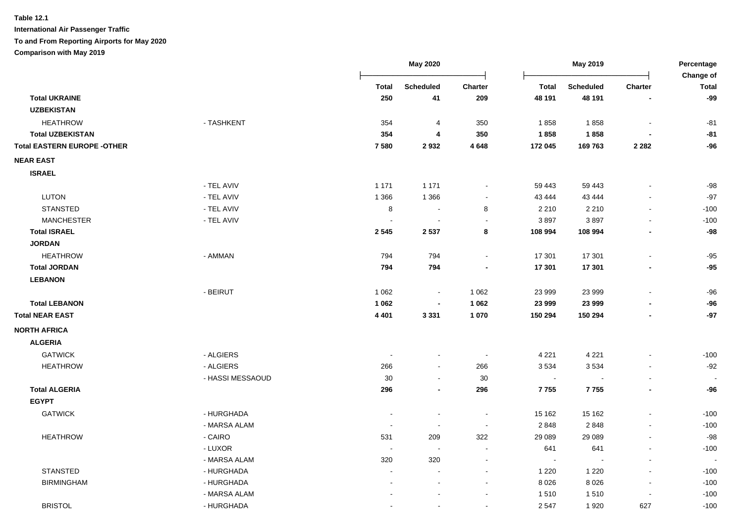|                                    |                  |                          | <b>May 2020</b>          |                          | May 2019       |           |                          | Percentage<br>Change of |
|------------------------------------|------------------|--------------------------|--------------------------|--------------------------|----------------|-----------|--------------------------|-------------------------|
|                                    |                  | <b>Total</b>             | Scheduled                | Charter                  | <b>Total</b>   | Scheduled | Charter                  | <b>Total</b>            |
| <b>Total UKRAINE</b>               |                  | 250                      | 41                       | 209                      | 48 191         | 48 191    |                          | $-99$                   |
| <b>UZBEKISTAN</b>                  |                  |                          |                          |                          |                |           |                          |                         |
| <b>HEATHROW</b>                    | - TASHKENT       | 354                      | 4                        | 350                      | 1858           | 1858      |                          | $-81$                   |
| <b>Total UZBEKISTAN</b>            |                  | 354                      | $\overline{4}$           | 350                      | 1858           | 1858      |                          | $-81$                   |
| <b>Total EASTERN EUROPE -OTHER</b> |                  | 7580                     | 2932                     | 4648                     | 172 045        | 169 763   | 2 2 8 2                  | $-96$                   |
| <b>NEAR EAST</b>                   |                  |                          |                          |                          |                |           |                          |                         |
| <b>ISRAEL</b>                      |                  |                          |                          |                          |                |           |                          |                         |
|                                    | - TEL AVIV       | 1 1 7 1                  | 1 1 7 1                  |                          | 59 443         | 59 443    |                          | $-98$                   |
| <b>LUTON</b>                       | - TEL AVIV       | 1 3 6 6                  | 1 3 6 6                  |                          | 43 444         | 43 444    |                          | $-97$                   |
| <b>STANSTED</b>                    | - TEL AVIV       | 8                        | $\overline{\phantom{a}}$ | 8                        | 2 2 1 0        | 2 2 1 0   | $\overline{a}$           | $-100$                  |
| <b>MANCHESTER</b>                  | - TEL AVIV       | $\overline{\phantom{a}}$ |                          |                          | 3897           | 3897      |                          | $-100$                  |
| <b>Total ISRAEL</b>                |                  | 2 5 4 5                  | 2 5 3 7                  | 8                        | 108 994        | 108 994   |                          | $-98$                   |
| <b>JORDAN</b>                      |                  |                          |                          |                          |                |           |                          |                         |
| <b>HEATHROW</b>                    | - AMMAN          | 794                      | 794                      |                          | 17 301         | 17 301    |                          | $-95$                   |
| <b>Total JORDAN</b>                |                  | 794                      | 794                      |                          | 17 301         | 17 301    |                          | $-95$                   |
| <b>LEBANON</b>                     |                  |                          |                          |                          |                |           |                          |                         |
|                                    | - BEIRUT         | 1 0 6 2                  | $\blacksquare$           | 1 0 6 2                  | 23 999         | 23 999    |                          | $-96$                   |
| <b>Total LEBANON</b>               |                  | 1 0 6 2                  |                          | 1 0 6 2                  | 23 999         | 23 999    |                          | $-96$                   |
| <b>Total NEAR EAST</b>             |                  | 4 4 0 1                  | 3 3 3 1                  | 1 0 7 0                  | 150 294        | 150 294   |                          | $-97$                   |
| <b>NORTH AFRICA</b>                |                  |                          |                          |                          |                |           |                          |                         |
| <b>ALGERIA</b>                     |                  |                          |                          |                          |                |           |                          |                         |
| <b>GATWICK</b>                     | - ALGIERS        |                          | $\overline{a}$           | $\sim$                   | 4 2 2 1        | 4 2 2 1   |                          | $-100$                  |
| <b>HEATHROW</b>                    | - ALGIERS        | 266                      | $\blacksquare$           | 266                      | 3534           | 3534      |                          | $-92$                   |
|                                    | - HASSI MESSAOUD | 30                       | $\blacksquare$           | 30                       | $\sim$         |           |                          |                         |
| <b>Total ALGERIA</b>               |                  | 296                      | $\blacksquare$           | 296                      | 7755           | 7755      | $\blacksquare$           | $-96$                   |
| <b>EGYPT</b>                       |                  |                          |                          |                          |                |           |                          |                         |
| <b>GATWICK</b>                     | - HURGHADA       | $\blacksquare$           | ÷,                       | $\blacksquare$           | 15 162         | 15 162    |                          | $-100$                  |
|                                    | - MARSA ALAM     | $\overline{\phantom{a}}$ | $\blacksquare$           | $\overline{\phantom{a}}$ | 2 8 4 8        | 2848      |                          | $-100$                  |
| <b>HEATHROW</b>                    | - CAIRO          | 531                      | 209                      | 322                      | 29 08 9        | 29 0 89   |                          | $-98$                   |
|                                    | - LUXOR          |                          |                          |                          | 641            | 641       |                          | $-100$                  |
|                                    | - MARSA ALAM     | 320                      | 320                      |                          | $\blacksquare$ |           |                          |                         |
| <b>STANSTED</b>                    | - HURGHADA       | $\overline{a}$           |                          | $\sim$                   | 1 2 2 0        | 1 2 2 0   | L,                       | $-100$                  |
| <b>BIRMINGHAM</b>                  | - HURGHADA       |                          | $\overline{a}$           | $\sim$                   | 8 0 2 6        | 8026      | $\overline{\phantom{a}}$ | $-100$                  |
|                                    | - MARSA ALAM     |                          |                          | $\overline{\phantom{a}}$ | 1510           | 1510      | $\overline{a}$           | $-100$                  |
| <b>BRISTOL</b>                     | - HURGHADA       |                          |                          |                          | 2 5 4 7        | 1920      | 627                      | $-100$                  |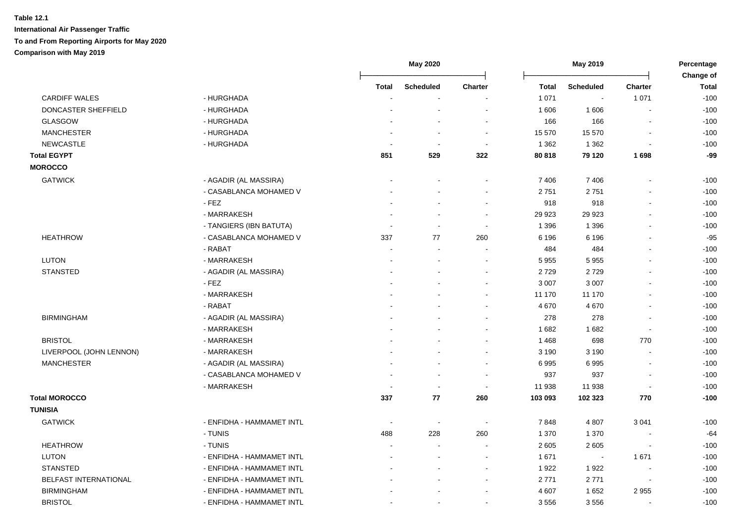|                            |                           |        | May 2020                 |                | May 2019 |                          |                          | Percentage                |
|----------------------------|---------------------------|--------|--------------------------|----------------|----------|--------------------------|--------------------------|---------------------------|
|                            |                           | Total  | <b>Scheduled</b>         | <b>Charter</b> | Total    | <b>Scheduled</b>         | <b>Charter</b>           | Change of<br><b>Total</b> |
| <b>CARDIFF WALES</b>       | - HURGHADA                |        |                          |                | 1 0 7 1  | $\overline{\phantom{a}}$ | 1 0 7 1                  | $-100$                    |
| <b>DONCASTER SHEFFIELD</b> | - HURGHADA                |        |                          |                | 1 606    | 1 606                    |                          | $-100$                    |
| <b>GLASGOW</b>             | - HURGHADA                |        |                          |                | 166      | 166                      | $\overline{\phantom{a}}$ | $-100$                    |
| <b>MANCHESTER</b>          | - HURGHADA                |        |                          | $\sim$         | 15 570   | 15 570                   | $\overline{\phantom{a}}$ | $-100$                    |
| <b>NEWCASTLE</b>           | - HURGHADA                |        | $\overline{\phantom{a}}$ | $\sim$         | 1 3 6 2  | 1 3 6 2                  | $\overline{a}$           | $-100$                    |
| <b>Total EGYPT</b>         |                           | 851    | 529                      | 322            | 80 818   | 79 120                   | 1698                     | -99                       |
| <b>MOROCCO</b>             |                           |        |                          |                |          |                          |                          |                           |
| <b>GATWICK</b>             | - AGADIR (AL MASSIRA)     |        |                          |                | 7 4 0 6  | 7 4 0 6                  |                          | $-100$                    |
|                            | - CASABLANCA MOHAMED V    |        |                          |                | 2751     | 2751                     |                          | $-100$                    |
|                            | $-$ FEZ                   |        |                          |                | 918      | 918                      | $\sim$                   | $-100$                    |
|                            | - MARRAKESH               |        |                          |                | 29 9 23  | 29 9 23                  |                          | $-100$                    |
|                            | - TANGIERS (IBN BATUTA)   |        | $\sim$                   | $\sim$         | 1 3 9 6  | 1 3 9 6                  | $\overline{a}$           | $-100$                    |
| <b>HEATHROW</b>            | - CASABLANCA MOHAMED V    | 337    | 77                       | 260            | 6 1 9 6  | 6 1 9 6                  |                          | $-95$                     |
|                            | - RABAT                   |        |                          |                | 484      | 484                      |                          | $-100$                    |
| LUTON                      | - MARRAKESH               |        |                          |                | 5 9 5 5  | 5955                     |                          | $-100$                    |
| <b>STANSTED</b>            | - AGADIR (AL MASSIRA)     |        |                          |                | 2729     | 2729                     |                          | $-100$                    |
|                            | - FEZ                     |        |                          |                | 3 0 0 7  | 3 0 0 7                  |                          | $-100$                    |
|                            | - MARRAKESH               |        |                          |                | 11 170   | 11 170                   |                          | $-100$                    |
|                            | - RABAT                   |        |                          |                | 4 6 7 0  | 4 6 7 0                  |                          | $-100$                    |
| <b>BIRMINGHAM</b>          | - AGADIR (AL MASSIRA)     |        |                          |                | 278      | 278                      | $\overline{\phantom{a}}$ | $-100$                    |
|                            | - MARRAKESH               |        |                          |                | 1682     | 1682                     | $\blacksquare$           | $-100$                    |
| <b>BRISTOL</b>             | - MARRAKESH               |        |                          |                | 1468     | 698                      | 770                      | $-100$                    |
| LIVERPOOL (JOHN LENNON)    | - MARRAKESH               |        |                          |                | 3 1 9 0  | 3 1 9 0                  |                          | $-100$                    |
| <b>MANCHESTER</b>          | - AGADIR (AL MASSIRA)     |        |                          |                | 6995     | 6995                     |                          | $-100$                    |
|                            | - CASABLANCA MOHAMED V    |        | $\overline{\phantom{a}}$ | $\sim$         | 937      | 937                      |                          | $-100$                    |
|                            | - MARRAKESH               |        | $\overline{\phantom{a}}$ | $\sim$         | 11 938   | 11 938                   |                          | $-100$                    |
| <b>Total MOROCCO</b>       |                           | 337    | 77                       | 260            | 103 093  | 102 323                  | 770                      | $-100$                    |
| <b>TUNISIA</b>             |                           |        |                          |                |          |                          |                          |                           |
| <b>GATWICK</b>             | - ENFIDHA - HAMMAMET INTL | $\sim$ | $\sim$                   | $\sim$         | 7848     | 4 8 0 7                  | 3 0 4 1                  | $-100$                    |
|                            | - TUNIS                   | 488    | 228                      | 260            | 1 370    | 1 370                    |                          | $-64$                     |
| <b>HEATHROW</b>            | - TUNIS                   |        | $\blacksquare$           |                | 2 6 0 5  | 2 6 0 5                  | $\overline{a}$           | $-100$                    |
| LUTON                      | - ENFIDHA - HAMMAMET INTL |        |                          |                | 1671     |                          | 1671                     | $-100$                    |
| <b>STANSTED</b>            | - ENFIDHA - HAMMAMET INTL |        |                          |                | 1922     | 1922                     |                          | $-100$                    |
| BELFAST INTERNATIONAL      | - ENFIDHA - HAMMAMET INTL |        |                          |                | 2771     | 2771                     | $\overline{\phantom{a}}$ | $-100$                    |
| <b>BIRMINGHAM</b>          | - ENFIDHA - HAMMAMET INTL |        |                          |                | 4 607    | 1652                     | 2955                     | $-100$                    |
| <b>BRISTOL</b>             | - ENFIDHA - HAMMAMET INTL |        |                          |                | 3556     | 3556                     |                          | $-100$                    |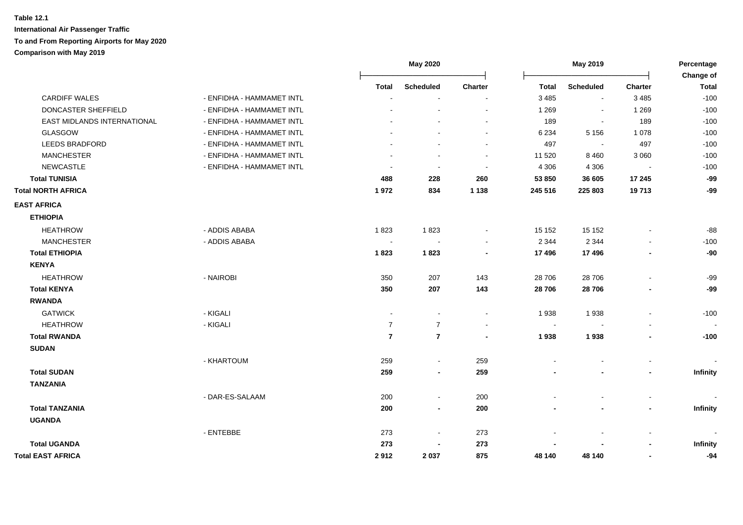|                             |                           | May 2020       |                  | May 2019                 |              |                          | Percentage               |                 |
|-----------------------------|---------------------------|----------------|------------------|--------------------------|--------------|--------------------------|--------------------------|-----------------|
|                             |                           |                |                  |                          |              |                          |                          | Change of       |
|                             |                           | <b>Total</b>   | <b>Scheduled</b> | <b>Charter</b>           | <b>Total</b> | <b>Scheduled</b>         | <b>Charter</b>           | <b>Total</b>    |
| <b>CARDIFF WALES</b>        | - ENFIDHA - HAMMAMET INTL |                | $\sim$           | $\sim$                   | 3 4 8 5      | $\sim$                   | 3 4 8 5                  | $-100$          |
| DONCASTER SHEFFIELD         | - ENFIDHA - HAMMAMET INTL |                |                  | $\sim$                   | 1 2 6 9      | $\blacksquare$           | 1 2 6 9                  | $-100$          |
| EAST MIDLANDS INTERNATIONAL | - ENFIDHA - HAMMAMET INTL |                |                  | $\sim$                   | 189          | $\overline{\phantom{a}}$ | 189                      | $-100$          |
| GLASGOW                     | - ENFIDHA - HAMMAMET INTL |                |                  |                          | 6 2 3 4      | 5 1 5 6                  | 1 0 7 8                  | $-100$          |
| <b>LEEDS BRADFORD</b>       | - ENFIDHA - HAMMAMET INTL |                |                  | $\blacksquare$           | 497          | $\overline{\phantom{a}}$ | 497                      | $-100$          |
| <b>MANCHESTER</b>           | - ENFIDHA - HAMMAMET INTL |                |                  | $\sim$                   | 11 520       | 8 4 6 0                  | 3 0 6 0                  | $-100$          |
| <b>NEWCASTLE</b>            | - ENFIDHA - HAMMAMET INTL |                |                  | $\sim$                   | 4 3 0 6      | 4 3 0 6                  | $\overline{\phantom{a}}$ | $-100$          |
| <b>Total TUNISIA</b>        |                           | 488            | 228              | 260                      | 53 850       | 36 605                   | 17 245                   | $-99$           |
| <b>Total NORTH AFRICA</b>   |                           | 1972           | 834              | 1 1 3 8                  | 245 516      | 225 803                  | 19713                    | -99             |
| <b>EAST AFRICA</b>          |                           |                |                  |                          |              |                          |                          |                 |
| <b>ETHIOPIA</b>             |                           |                |                  |                          |              |                          |                          |                 |
| <b>HEATHROW</b>             | - ADDIS ABABA             | 1823           | 1823             | $\blacksquare$           | 15 152       | 15 15 2                  | $\blacksquare$           | $-88$           |
| <b>MANCHESTER</b>           | - ADDIS ABABA             |                |                  | $\overline{\phantom{a}}$ | 2 3 4 4      | 2 3 4 4                  |                          | $-100$          |
| <b>Total ETHIOPIA</b>       |                           | 1823           | 1823             | $\blacksquare$           | 17 496       | 17 496                   | $\overline{\phantom{a}}$ | $-90$           |
| <b>KENYA</b>                |                           |                |                  |                          |              |                          |                          |                 |
| <b>HEATHROW</b>             | - NAIROBI                 | 350            | 207              | 143                      | 28 706       | 28 706                   | $\blacksquare$           | $-99$           |
| <b>Total KENYA</b>          |                           | 350            | 207              | 143                      | 28 706       | 28 706                   | $\blacksquare$           | $-99$           |
| <b>RWANDA</b>               |                           |                |                  |                          |              |                          |                          |                 |
| <b>GATWICK</b>              | - KIGALI                  | $\sim$         |                  | $\blacksquare$           | 1938         | 1938                     | $\overline{a}$           | $-100$          |
| <b>HEATHROW</b>             | - KIGALI                  | $\overline{7}$ | $\overline{7}$   | $\blacksquare$           | $\sim$       |                          |                          |                 |
| <b>Total RWANDA</b>         |                           | $\overline{7}$ | $\overline{7}$   | $\blacksquare$           | 1938         | 1938                     | $\overline{\phantom{a}}$ | $-100$          |
| <b>SUDAN</b>                |                           |                |                  |                          |              |                          |                          |                 |
|                             | - KHARTOUM                | 259            | $\sim$           | 259                      |              |                          |                          |                 |
| <b>Total SUDAN</b>          |                           | 259            | $\blacksquare$   | 259                      |              | $\blacksquare$           | $\blacksquare$           | <b>Infinity</b> |
| <b>TANZANIA</b>             |                           |                |                  |                          |              |                          |                          |                 |
|                             | - DAR-ES-SALAAM           | 200            | $\sim$           | 200                      |              | $\blacksquare$           | $\blacksquare$           |                 |
| <b>Total TANZANIA</b>       |                           | 200            | $\blacksquare$   | 200                      |              |                          | $\blacksquare$           | <b>Infinity</b> |
|                             |                           |                |                  |                          |              |                          |                          |                 |
| <b>UGANDA</b>               |                           |                |                  |                          |              |                          |                          |                 |
|                             | - ENTEBBE                 | 273            | $\sim$           | 273                      |              | $\sim$                   | $\blacksquare$           |                 |
| <b>Total UGANDA</b>         |                           | 273            |                  | 273                      |              |                          | $\blacksquare$           | Infinity        |
| <b>Total EAST AFRICA</b>    |                           | 2912           | 2037             | 875                      | 48 140       | 48 140                   | $\overline{\phantom{0}}$ | $-94$           |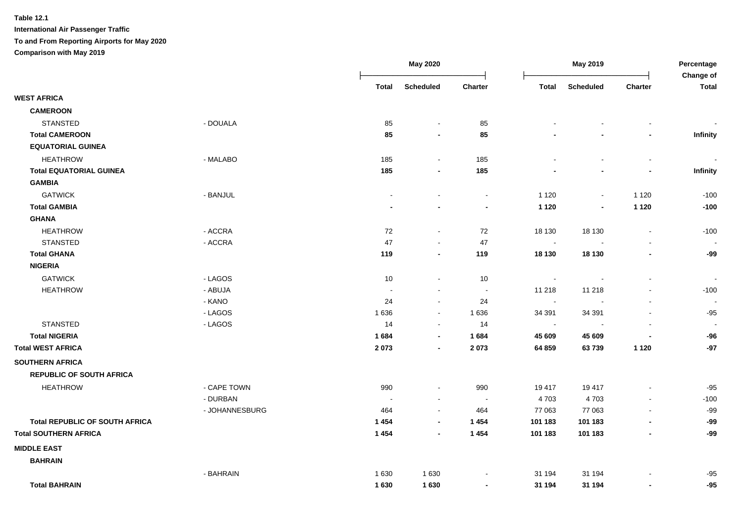| <b>Scheduled</b><br>Charter<br><b>Total</b><br><b>Scheduled</b><br>Charter<br><b>Total</b><br>Total<br><b>WEST AFRICA</b><br><b>CAMEROON</b><br><b>STANSTED</b><br>- DOUALA<br>85<br>85<br>$\blacksquare$<br>$\blacksquare$<br><b>Total CAMEROON</b><br>85<br>85<br>Infinity<br>$\blacksquare$<br><b>EQUATORIAL GUINEA</b><br><b>HEATHROW</b><br>- MALABO<br>185<br>185<br>$\blacksquare$<br>$\blacksquare$<br><b>Total EQUATORIAL GUINEA</b><br>185<br>185<br>Infinity<br>$\blacksquare$<br><b>GAMBIA</b><br><b>GATWICK</b><br>- BANJUL<br>1 1 2 0<br>1 1 2 0<br>$-100$<br>$\blacksquare$<br>$\blacksquare$<br>$\blacksquare$<br>$\blacksquare$<br>$-100$<br><b>Total GAMBIA</b><br>1 1 2 0<br>1 1 2 0<br>$\blacksquare$<br>$\blacksquare$<br><b>GHANA</b><br><b>HEATHROW</b><br>- ACCRA<br>72<br>72<br>18 130<br>18 130<br>$-100$<br>$\blacksquare$<br>$\blacksquare$<br>- ACCRA<br><b>STANSTED</b><br>47<br>47<br>$\sim$<br>$\sim$<br><b>Total GHANA</b><br>119<br>119<br>18 130<br>18 130<br>-99<br>$\blacksquare$<br>$\blacksquare$<br><b>NIGERIA</b><br><b>GATWICK</b><br>- LAGOS<br>10<br>10<br>$\sim$<br>$\sim$<br><b>HEATHROW</b><br>- ABUJA<br>11 218<br>11 218<br>$-100$<br>$\sim$<br>$\sim$<br>$\overline{\phantom{a}}$<br>$\sim$<br>- KANO<br>24<br>24<br>$\sim$<br>$\sim$<br>- LAGOS<br>1636<br>1 6 3 6<br>34 391<br>34 391<br>$-95$<br>$\sim$<br>$\blacksquare$<br><b>STANSTED</b><br>- LAGOS<br>14<br>14<br>$\blacksquare$<br>$\sim$<br>$\overline{\phantom{a}}$<br><b>Total NIGERIA</b><br>1684<br>1684<br>45 609<br>45 609<br>$-96$<br>$\blacksquare$<br>$\blacksquare$<br><b>Total WEST AFRICA</b><br>2 0 7 3<br>2073<br>64 859<br>63739<br>1 1 2 0<br>-97<br>$\blacksquare$<br><b>SOUTHERN AFRICA</b><br><b>REPUBLIC OF SOUTH AFRICA</b><br><b>HEATHROW</b><br>- CAPE TOWN<br>990<br>990<br>19 417<br>19417<br>$-95$<br>$\blacksquare$<br>- DURBAN<br>4703<br>4703<br>$-100$<br>$\blacksquare$<br>$\sim$<br>- JOHANNESBURG<br>464<br>464<br>77 063<br>77 063<br>$-99$<br>$\blacksquare$<br><b>Total REPUBLIC OF SOUTH AFRICA</b><br>1 4 5 4<br>1 4 5 4<br>101 183<br>101 183<br>$-99$<br>$\blacksquare$<br>$\overline{\phantom{a}}$<br><b>Total SOUTHERN AFRICA</b><br>1454<br>1 4 5 4<br>101 183<br>101 183<br>-99<br>$\overline{\phantom{a}}$<br><b>MIDDLE EAST</b><br><b>BAHRAIN</b><br>- BAHRAIN<br>1 6 3 0<br>1630<br>31 194<br>31 194<br>$-95$<br><b>Total BAHRAIN</b><br>1630<br>1630<br>$-95$<br>31 194<br>31 194<br>$\blacksquare$<br>$\blacksquare$ |  | <b>May 2020</b> |  | May 2019 |  |  | Percentage<br>Change of |
|-----------------------------------------------------------------------------------------------------------------------------------------------------------------------------------------------------------------------------------------------------------------------------------------------------------------------------------------------------------------------------------------------------------------------------------------------------------------------------------------------------------------------------------------------------------------------------------------------------------------------------------------------------------------------------------------------------------------------------------------------------------------------------------------------------------------------------------------------------------------------------------------------------------------------------------------------------------------------------------------------------------------------------------------------------------------------------------------------------------------------------------------------------------------------------------------------------------------------------------------------------------------------------------------------------------------------------------------------------------------------------------------------------------------------------------------------------------------------------------------------------------------------------------------------------------------------------------------------------------------------------------------------------------------------------------------------------------------------------------------------------------------------------------------------------------------------------------------------------------------------------------------------------------------------------------------------------------------------------------------------------------------------------------------------------------------------------------------------------------------------------------------------------------------------------------------------------------------------------------------------------------------------------------------------------------------------------------------------------------------------------------------------------------------------------------------------------------------------------------|--|-----------------|--|----------|--|--|-------------------------|
|                                                                                                                                                                                                                                                                                                                                                                                                                                                                                                                                                                                                                                                                                                                                                                                                                                                                                                                                                                                                                                                                                                                                                                                                                                                                                                                                                                                                                                                                                                                                                                                                                                                                                                                                                                                                                                                                                                                                                                                                                                                                                                                                                                                                                                                                                                                                                                                                                                                                                   |  |                 |  |          |  |  |                         |
|                                                                                                                                                                                                                                                                                                                                                                                                                                                                                                                                                                                                                                                                                                                                                                                                                                                                                                                                                                                                                                                                                                                                                                                                                                                                                                                                                                                                                                                                                                                                                                                                                                                                                                                                                                                                                                                                                                                                                                                                                                                                                                                                                                                                                                                                                                                                                                                                                                                                                   |  |                 |  |          |  |  |                         |
|                                                                                                                                                                                                                                                                                                                                                                                                                                                                                                                                                                                                                                                                                                                                                                                                                                                                                                                                                                                                                                                                                                                                                                                                                                                                                                                                                                                                                                                                                                                                                                                                                                                                                                                                                                                                                                                                                                                                                                                                                                                                                                                                                                                                                                                                                                                                                                                                                                                                                   |  |                 |  |          |  |  |                         |
|                                                                                                                                                                                                                                                                                                                                                                                                                                                                                                                                                                                                                                                                                                                                                                                                                                                                                                                                                                                                                                                                                                                                                                                                                                                                                                                                                                                                                                                                                                                                                                                                                                                                                                                                                                                                                                                                                                                                                                                                                                                                                                                                                                                                                                                                                                                                                                                                                                                                                   |  |                 |  |          |  |  |                         |
|                                                                                                                                                                                                                                                                                                                                                                                                                                                                                                                                                                                                                                                                                                                                                                                                                                                                                                                                                                                                                                                                                                                                                                                                                                                                                                                                                                                                                                                                                                                                                                                                                                                                                                                                                                                                                                                                                                                                                                                                                                                                                                                                                                                                                                                                                                                                                                                                                                                                                   |  |                 |  |          |  |  |                         |
|                                                                                                                                                                                                                                                                                                                                                                                                                                                                                                                                                                                                                                                                                                                                                                                                                                                                                                                                                                                                                                                                                                                                                                                                                                                                                                                                                                                                                                                                                                                                                                                                                                                                                                                                                                                                                                                                                                                                                                                                                                                                                                                                                                                                                                                                                                                                                                                                                                                                                   |  |                 |  |          |  |  |                         |
|                                                                                                                                                                                                                                                                                                                                                                                                                                                                                                                                                                                                                                                                                                                                                                                                                                                                                                                                                                                                                                                                                                                                                                                                                                                                                                                                                                                                                                                                                                                                                                                                                                                                                                                                                                                                                                                                                                                                                                                                                                                                                                                                                                                                                                                                                                                                                                                                                                                                                   |  |                 |  |          |  |  |                         |
|                                                                                                                                                                                                                                                                                                                                                                                                                                                                                                                                                                                                                                                                                                                                                                                                                                                                                                                                                                                                                                                                                                                                                                                                                                                                                                                                                                                                                                                                                                                                                                                                                                                                                                                                                                                                                                                                                                                                                                                                                                                                                                                                                                                                                                                                                                                                                                                                                                                                                   |  |                 |  |          |  |  |                         |
|                                                                                                                                                                                                                                                                                                                                                                                                                                                                                                                                                                                                                                                                                                                                                                                                                                                                                                                                                                                                                                                                                                                                                                                                                                                                                                                                                                                                                                                                                                                                                                                                                                                                                                                                                                                                                                                                                                                                                                                                                                                                                                                                                                                                                                                                                                                                                                                                                                                                                   |  |                 |  |          |  |  |                         |
|                                                                                                                                                                                                                                                                                                                                                                                                                                                                                                                                                                                                                                                                                                                                                                                                                                                                                                                                                                                                                                                                                                                                                                                                                                                                                                                                                                                                                                                                                                                                                                                                                                                                                                                                                                                                                                                                                                                                                                                                                                                                                                                                                                                                                                                                                                                                                                                                                                                                                   |  |                 |  |          |  |  |                         |
|                                                                                                                                                                                                                                                                                                                                                                                                                                                                                                                                                                                                                                                                                                                                                                                                                                                                                                                                                                                                                                                                                                                                                                                                                                                                                                                                                                                                                                                                                                                                                                                                                                                                                                                                                                                                                                                                                                                                                                                                                                                                                                                                                                                                                                                                                                                                                                                                                                                                                   |  |                 |  |          |  |  |                         |
|                                                                                                                                                                                                                                                                                                                                                                                                                                                                                                                                                                                                                                                                                                                                                                                                                                                                                                                                                                                                                                                                                                                                                                                                                                                                                                                                                                                                                                                                                                                                                                                                                                                                                                                                                                                                                                                                                                                                                                                                                                                                                                                                                                                                                                                                                                                                                                                                                                                                                   |  |                 |  |          |  |  |                         |
|                                                                                                                                                                                                                                                                                                                                                                                                                                                                                                                                                                                                                                                                                                                                                                                                                                                                                                                                                                                                                                                                                                                                                                                                                                                                                                                                                                                                                                                                                                                                                                                                                                                                                                                                                                                                                                                                                                                                                                                                                                                                                                                                                                                                                                                                                                                                                                                                                                                                                   |  |                 |  |          |  |  |                         |
|                                                                                                                                                                                                                                                                                                                                                                                                                                                                                                                                                                                                                                                                                                                                                                                                                                                                                                                                                                                                                                                                                                                                                                                                                                                                                                                                                                                                                                                                                                                                                                                                                                                                                                                                                                                                                                                                                                                                                                                                                                                                                                                                                                                                                                                                                                                                                                                                                                                                                   |  |                 |  |          |  |  |                         |
|                                                                                                                                                                                                                                                                                                                                                                                                                                                                                                                                                                                                                                                                                                                                                                                                                                                                                                                                                                                                                                                                                                                                                                                                                                                                                                                                                                                                                                                                                                                                                                                                                                                                                                                                                                                                                                                                                                                                                                                                                                                                                                                                                                                                                                                                                                                                                                                                                                                                                   |  |                 |  |          |  |  |                         |
|                                                                                                                                                                                                                                                                                                                                                                                                                                                                                                                                                                                                                                                                                                                                                                                                                                                                                                                                                                                                                                                                                                                                                                                                                                                                                                                                                                                                                                                                                                                                                                                                                                                                                                                                                                                                                                                                                                                                                                                                                                                                                                                                                                                                                                                                                                                                                                                                                                                                                   |  |                 |  |          |  |  |                         |
|                                                                                                                                                                                                                                                                                                                                                                                                                                                                                                                                                                                                                                                                                                                                                                                                                                                                                                                                                                                                                                                                                                                                                                                                                                                                                                                                                                                                                                                                                                                                                                                                                                                                                                                                                                                                                                                                                                                                                                                                                                                                                                                                                                                                                                                                                                                                                                                                                                                                                   |  |                 |  |          |  |  |                         |
|                                                                                                                                                                                                                                                                                                                                                                                                                                                                                                                                                                                                                                                                                                                                                                                                                                                                                                                                                                                                                                                                                                                                                                                                                                                                                                                                                                                                                                                                                                                                                                                                                                                                                                                                                                                                                                                                                                                                                                                                                                                                                                                                                                                                                                                                                                                                                                                                                                                                                   |  |                 |  |          |  |  |                         |
|                                                                                                                                                                                                                                                                                                                                                                                                                                                                                                                                                                                                                                                                                                                                                                                                                                                                                                                                                                                                                                                                                                                                                                                                                                                                                                                                                                                                                                                                                                                                                                                                                                                                                                                                                                                                                                                                                                                                                                                                                                                                                                                                                                                                                                                                                                                                                                                                                                                                                   |  |                 |  |          |  |  |                         |
|                                                                                                                                                                                                                                                                                                                                                                                                                                                                                                                                                                                                                                                                                                                                                                                                                                                                                                                                                                                                                                                                                                                                                                                                                                                                                                                                                                                                                                                                                                                                                                                                                                                                                                                                                                                                                                                                                                                                                                                                                                                                                                                                                                                                                                                                                                                                                                                                                                                                                   |  |                 |  |          |  |  |                         |
|                                                                                                                                                                                                                                                                                                                                                                                                                                                                                                                                                                                                                                                                                                                                                                                                                                                                                                                                                                                                                                                                                                                                                                                                                                                                                                                                                                                                                                                                                                                                                                                                                                                                                                                                                                                                                                                                                                                                                                                                                                                                                                                                                                                                                                                                                                                                                                                                                                                                                   |  |                 |  |          |  |  |                         |
|                                                                                                                                                                                                                                                                                                                                                                                                                                                                                                                                                                                                                                                                                                                                                                                                                                                                                                                                                                                                                                                                                                                                                                                                                                                                                                                                                                                                                                                                                                                                                                                                                                                                                                                                                                                                                                                                                                                                                                                                                                                                                                                                                                                                                                                                                                                                                                                                                                                                                   |  |                 |  |          |  |  |                         |
|                                                                                                                                                                                                                                                                                                                                                                                                                                                                                                                                                                                                                                                                                                                                                                                                                                                                                                                                                                                                                                                                                                                                                                                                                                                                                                                                                                                                                                                                                                                                                                                                                                                                                                                                                                                                                                                                                                                                                                                                                                                                                                                                                                                                                                                                                                                                                                                                                                                                                   |  |                 |  |          |  |  |                         |
|                                                                                                                                                                                                                                                                                                                                                                                                                                                                                                                                                                                                                                                                                                                                                                                                                                                                                                                                                                                                                                                                                                                                                                                                                                                                                                                                                                                                                                                                                                                                                                                                                                                                                                                                                                                                                                                                                                                                                                                                                                                                                                                                                                                                                                                                                                                                                                                                                                                                                   |  |                 |  |          |  |  |                         |
|                                                                                                                                                                                                                                                                                                                                                                                                                                                                                                                                                                                                                                                                                                                                                                                                                                                                                                                                                                                                                                                                                                                                                                                                                                                                                                                                                                                                                                                                                                                                                                                                                                                                                                                                                                                                                                                                                                                                                                                                                                                                                                                                                                                                                                                                                                                                                                                                                                                                                   |  |                 |  |          |  |  |                         |
|                                                                                                                                                                                                                                                                                                                                                                                                                                                                                                                                                                                                                                                                                                                                                                                                                                                                                                                                                                                                                                                                                                                                                                                                                                                                                                                                                                                                                                                                                                                                                                                                                                                                                                                                                                                                                                                                                                                                                                                                                                                                                                                                                                                                                                                                                                                                                                                                                                                                                   |  |                 |  |          |  |  |                         |
|                                                                                                                                                                                                                                                                                                                                                                                                                                                                                                                                                                                                                                                                                                                                                                                                                                                                                                                                                                                                                                                                                                                                                                                                                                                                                                                                                                                                                                                                                                                                                                                                                                                                                                                                                                                                                                                                                                                                                                                                                                                                                                                                                                                                                                                                                                                                                                                                                                                                                   |  |                 |  |          |  |  |                         |
|                                                                                                                                                                                                                                                                                                                                                                                                                                                                                                                                                                                                                                                                                                                                                                                                                                                                                                                                                                                                                                                                                                                                                                                                                                                                                                                                                                                                                                                                                                                                                                                                                                                                                                                                                                                                                                                                                                                                                                                                                                                                                                                                                                                                                                                                                                                                                                                                                                                                                   |  |                 |  |          |  |  |                         |
|                                                                                                                                                                                                                                                                                                                                                                                                                                                                                                                                                                                                                                                                                                                                                                                                                                                                                                                                                                                                                                                                                                                                                                                                                                                                                                                                                                                                                                                                                                                                                                                                                                                                                                                                                                                                                                                                                                                                                                                                                                                                                                                                                                                                                                                                                                                                                                                                                                                                                   |  |                 |  |          |  |  |                         |
|                                                                                                                                                                                                                                                                                                                                                                                                                                                                                                                                                                                                                                                                                                                                                                                                                                                                                                                                                                                                                                                                                                                                                                                                                                                                                                                                                                                                                                                                                                                                                                                                                                                                                                                                                                                                                                                                                                                                                                                                                                                                                                                                                                                                                                                                                                                                                                                                                                                                                   |  |                 |  |          |  |  |                         |
|                                                                                                                                                                                                                                                                                                                                                                                                                                                                                                                                                                                                                                                                                                                                                                                                                                                                                                                                                                                                                                                                                                                                                                                                                                                                                                                                                                                                                                                                                                                                                                                                                                                                                                                                                                                                                                                                                                                                                                                                                                                                                                                                                                                                                                                                                                                                                                                                                                                                                   |  |                 |  |          |  |  |                         |
|                                                                                                                                                                                                                                                                                                                                                                                                                                                                                                                                                                                                                                                                                                                                                                                                                                                                                                                                                                                                                                                                                                                                                                                                                                                                                                                                                                                                                                                                                                                                                                                                                                                                                                                                                                                                                                                                                                                                                                                                                                                                                                                                                                                                                                                                                                                                                                                                                                                                                   |  |                 |  |          |  |  |                         |
|                                                                                                                                                                                                                                                                                                                                                                                                                                                                                                                                                                                                                                                                                                                                                                                                                                                                                                                                                                                                                                                                                                                                                                                                                                                                                                                                                                                                                                                                                                                                                                                                                                                                                                                                                                                                                                                                                                                                                                                                                                                                                                                                                                                                                                                                                                                                                                                                                                                                                   |  |                 |  |          |  |  |                         |
|                                                                                                                                                                                                                                                                                                                                                                                                                                                                                                                                                                                                                                                                                                                                                                                                                                                                                                                                                                                                                                                                                                                                                                                                                                                                                                                                                                                                                                                                                                                                                                                                                                                                                                                                                                                                                                                                                                                                                                                                                                                                                                                                                                                                                                                                                                                                                                                                                                                                                   |  |                 |  |          |  |  |                         |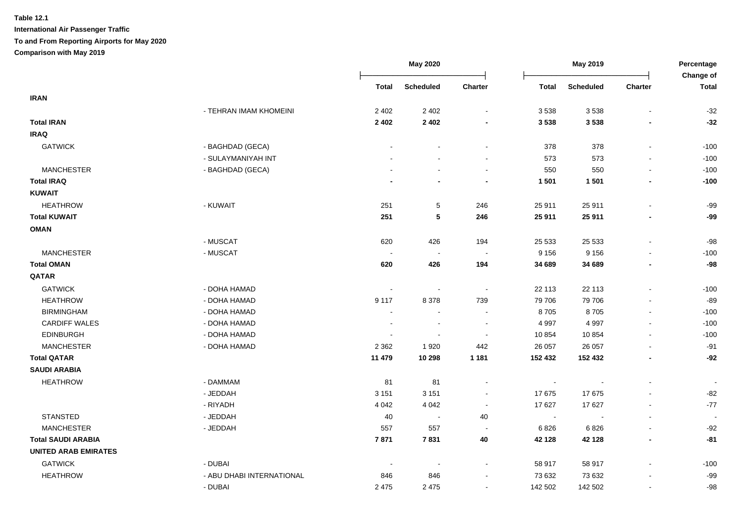|                             |                           | <b>May 2020</b>          |                  |                          | May 2019     |                  |                          | Percentage<br><b>Change of</b> |
|-----------------------------|---------------------------|--------------------------|------------------|--------------------------|--------------|------------------|--------------------------|--------------------------------|
|                             |                           | <b>Total</b>             | <b>Scheduled</b> | <b>Charter</b>           | <b>Total</b> | <b>Scheduled</b> | <b>Charter</b>           | <b>Total</b>                   |
| <b>IRAN</b>                 |                           |                          |                  |                          |              |                  |                          |                                |
|                             | - TEHRAN IMAM KHOMEINI    | 2 4 0 2                  | 2 4 0 2          | $\blacksquare$           | 3 5 3 8      | 3 5 3 8          | $\blacksquare$           | $-32$                          |
| <b>Total IRAN</b>           |                           | 2 4 0 2                  | 2 4 0 2          |                          | 3 5 3 8      | 3 5 3 8          |                          | $-32$                          |
| <b>IRAQ</b>                 |                           |                          |                  |                          |              |                  |                          |                                |
| <b>GATWICK</b>              | - BAGHDAD (GECA)          |                          |                  |                          | 378          | 378              | L.                       | $-100$                         |
|                             | - SULAYMANIYAH INT        |                          |                  |                          | 573          | 573              |                          | $-100$                         |
| <b>MANCHESTER</b>           | - BAGHDAD (GECA)          |                          |                  | $\sim$                   | 550          | 550              | $\sim$                   | $-100$                         |
| <b>Total IRAQ</b>           |                           |                          |                  |                          | 1 5 0 1      | 1 5 0 1          | $\blacksquare$           | $-100$                         |
| <b>KUWAIT</b>               |                           |                          |                  |                          |              |                  |                          |                                |
| <b>HEATHROW</b>             | - KUWAIT                  | 251                      | $\sqrt{5}$       | 246                      | 25 911       | 25 911           | L,                       | $-99$                          |
| <b>Total KUWAIT</b>         |                           | 251                      | 5                | 246                      | 25 911       | 25 911           |                          | $-99$                          |
| <b>OMAN</b>                 |                           |                          |                  |                          |              |                  |                          |                                |
|                             | - MUSCAT                  | 620                      | 426              | 194                      | 25 5 33      | 25 5 33          | $\overline{\phantom{a}}$ | $-98$                          |
| <b>MANCHESTER</b>           | - MUSCAT                  | $\sim$                   | $\sim$           | $\overline{\phantom{a}}$ | 9 1 5 6      | 9 1 5 6          |                          | $-100$                         |
| <b>Total OMAN</b>           |                           | 620                      | 426              | 194                      | 34 689       | 34 689           | $\blacksquare$           | $-98$                          |
| QATAR                       |                           |                          |                  |                          |              |                  |                          |                                |
| <b>GATWICK</b>              | - DOHA HAMAD              | $\sim$                   |                  | $\sim$                   | 22 113       | 22 113           | L,                       | $-100$                         |
| <b>HEATHROW</b>             | - DOHA HAMAD              | 9 1 1 7                  | 8 3 7 8          | 739                      | 79 706       | 79 706           | $\blacksquare$           | $-89$                          |
| <b>BIRMINGHAM</b>           | - DOHA HAMAD              | $\blacksquare$           | $\blacksquare$   | $\sim$                   | 8705         | 8705             | $\blacksquare$           | $-100$                         |
| <b>CARDIFF WALES</b>        | - DOHA HAMAD              | $\overline{\phantom{a}}$ | $\overline{a}$   | $\blacksquare$           | 4 9 9 7      | 4 9 9 7          | $\blacksquare$           | $-100$                         |
| <b>EDINBURGH</b>            | - DOHA HAMAD              |                          |                  |                          | 10 854       | 10854            | $\blacksquare$           | $-100$                         |
| <b>MANCHESTER</b>           | - DOHA HAMAD              | 2 3 6 2                  | 1920             | 442                      | 26 057       | 26 057           | $\blacksquare$           | $-91$                          |
| <b>Total QATAR</b>          |                           | 11 479                   | 10 298           | 1 1 8 1                  | 152 432      | 152 432          | $\overline{\phantom{a}}$ | $-92$                          |
| <b>SAUDI ARABIA</b>         |                           |                          |                  |                          |              |                  |                          |                                |
| <b>HEATHROW</b>             | - DAMMAM                  | 81                       | 81               |                          | $\sim$       |                  |                          | $\sim$                         |
|                             | - JEDDAH                  | 3 1 5 1                  | 3 1 5 1          | $\blacksquare$           | 17 675       | 17675            |                          | $-82$                          |
|                             | - RIYADH                  | 4 0 4 2                  | 4 0 4 2          | $\sim$                   | 17 627       | 17 627           | $\overline{a}$           | $-77$                          |
| <b>STANSTED</b>             | - JEDDAH                  | 40                       | $\blacksquare$   | 40                       | $\sim$       |                  | $\mathbf{r}$             | $\overline{\phantom{a}}$       |
| <b>MANCHESTER</b>           | - JEDDAH                  | 557                      | 557              | $\sim$                   | 6826         | 6826             | $\blacksquare$           | $-92$                          |
| <b>Total SAUDI ARABIA</b>   |                           | 7871                     | 7831             | 40                       | 42 128       | 42 128           | $\overline{\phantom{a}}$ | $-81$                          |
| <b>UNITED ARAB EMIRATES</b> |                           |                          |                  |                          |              |                  |                          |                                |
| <b>GATWICK</b>              | - DUBAI                   |                          |                  |                          | 58 917       | 58 917           |                          | $-100$                         |
| <b>HEATHROW</b>             | - ABU DHABI INTERNATIONAL | 846                      | 846              |                          | 73 632       | 73 632           |                          | $-99$                          |
|                             | - DUBAI                   | 2 4 7 5                  | 2 4 7 5          | $\sim$                   | 142 502      | 142 502          | $\mathbf{r}$             | $-98$                          |
|                             |                           |                          |                  |                          |              |                  |                          |                                |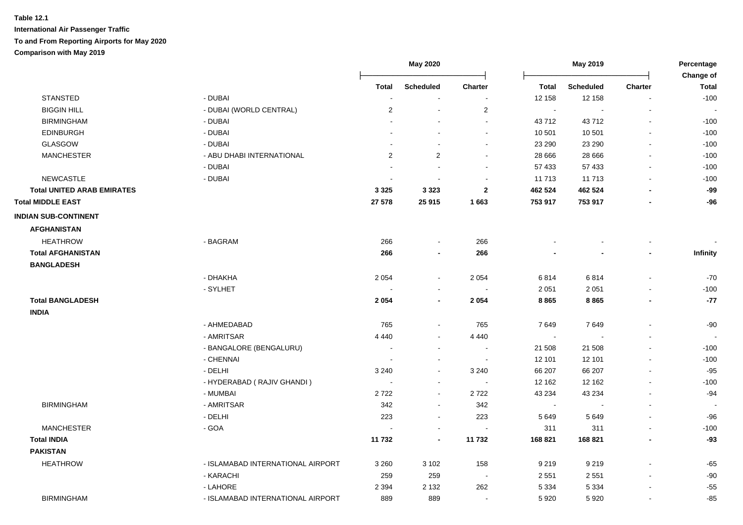|                                   |                                   | <b>May 2020</b>          |                          | May 2019                 |              |                  | Percentage<br>Change of  |              |
|-----------------------------------|-----------------------------------|--------------------------|--------------------------|--------------------------|--------------|------------------|--------------------------|--------------|
|                                   |                                   | <b>Total</b>             | <b>Scheduled</b>         | Charter                  | <b>Total</b> | <b>Scheduled</b> | <b>Charter</b>           | <b>Total</b> |
| <b>STANSTED</b>                   | - DUBAI                           | $\overline{\phantom{a}}$ | $\blacksquare$           | $\blacksquare$           | 12 158       | 12 158           | $\blacksquare$           | $-100$       |
| <b>BIGGIN HILL</b>                | - DUBAI (WORLD CENTRAL)           | 2                        | $\sim$                   | $\overline{2}$           | $\sim$       |                  |                          |              |
| <b>BIRMINGHAM</b>                 | - DUBAI                           |                          |                          | $\overline{a}$           | 43712        | 43712            | $\blacksquare$           | $-100$       |
| <b>EDINBURGH</b>                  | - DUBAI                           |                          |                          | $\overline{a}$           | 10 501       | 10 501           | $\sim$                   | $-100$       |
| <b>GLASGOW</b>                    | - DUBAI                           |                          |                          | $\blacksquare$           | 23 290       | 23 290           |                          | $-100$       |
| <b>MANCHESTER</b>                 | - ABU DHABI INTERNATIONAL         | 2                        | 2                        | $\sim$                   | 28 666       | 28 6 66          | $\overline{\phantom{a}}$ | $-100$       |
|                                   | - DUBAI                           | ÷,                       | $\sim$                   | $\sim$                   | 57 433       | 57 433           | $\sim$                   | $-100$       |
| <b>NEWCASTLE</b>                  | - DUBAI                           | $\overline{\phantom{a}}$ | $\sim$                   | $\sim$                   | 11 713       | 11 713           | $\blacksquare$           | $-100$       |
| <b>Total UNITED ARAB EMIRATES</b> |                                   | 3 3 2 5                  | 3 3 2 3                  | $\mathbf{2}$             | 462 524      | 462 524          |                          | $-99$        |
| <b>Total MIDDLE EAST</b>          |                                   | 27 578                   | 25 915                   | 1663                     | 753 917      | 753 917          |                          | $-96$        |
| <b>INDIAN SUB-CONTINENT</b>       |                                   |                          |                          |                          |              |                  |                          |              |
| <b>AFGHANISTAN</b>                |                                   |                          |                          |                          |              |                  |                          |              |
| <b>HEATHROW</b>                   | - BAGRAM                          | 266                      | $\blacksquare$           | 266                      |              |                  |                          |              |
| <b>Total AFGHANISTAN</b>          |                                   | 266                      | $\blacksquare$           | 266                      |              |                  |                          | Infinity     |
| <b>BANGLADESH</b>                 |                                   |                          |                          |                          |              |                  |                          |              |
|                                   | - DHAKHA                          | 2 0 5 4                  | $\blacksquare$           | 2 0 5 4                  | 6814         | 6814             | $\overline{\phantom{a}}$ | $-70$        |
|                                   | - SYLHET                          |                          | $\blacksquare$           |                          | 2 0 5 1      | 2 0 5 1          |                          | $-100$       |
| <b>Total BANGLADESH</b>           |                                   | 2 0 5 4                  | $\overline{\phantom{a}}$ | 2 0 5 4                  | 8865         | 8865             | $\overline{\phantom{a}}$ | $-77$        |
| <b>INDIA</b>                      |                                   |                          |                          |                          |              |                  |                          |              |
|                                   | - AHMEDABAD                       | 765                      | $\blacksquare$           | 765                      | 7649         | 7649             |                          | $-90$        |
|                                   | - AMRITSAR                        | 4 4 4 0                  | $\blacksquare$           | 4 4 4 0                  | $\sim$       |                  |                          |              |
|                                   | - BANGALORE (BENGALURU)           | $\overline{\phantom{a}}$ | $\blacksquare$           | $\sim$                   | 21 508       | 21 508           | $\blacksquare$           | $-100$       |
|                                   | - CHENNAI                         |                          | $\blacksquare$           |                          | 12 101       | 12 101           |                          | $-100$       |
|                                   | - DELHI                           | 3 2 4 0                  | $\blacksquare$           | 3 2 4 0                  | 66 207       | 66 207           |                          | $-95$        |
|                                   | - HYDERABAD (RAJIV GHANDI)        |                          | $\blacksquare$           |                          | 12 162       | 12 162           | $\overline{\phantom{a}}$ | $-100$       |
|                                   | - MUMBAI                          | 2722                     | $\sim$                   | 2722                     | 43 234       | 43 234           |                          | $-94$        |
| <b>BIRMINGHAM</b>                 | - AMRITSAR                        | 342                      | $\blacksquare$           | 342                      | $\sim$       |                  |                          |              |
|                                   | - DELHI                           | 223                      | $\sim$                   | 223                      | 5 6 4 9      | 5 6 4 9          |                          | $-96$        |
| <b>MANCHESTER</b>                 | $-GOA$                            |                          | $\blacksquare$           | $\overline{\phantom{a}}$ | 311          | 311              | $\overline{\phantom{a}}$ | $-100$       |
| <b>Total INDIA</b>                |                                   | 11 732                   | $\overline{\phantom{a}}$ | 11732                    | 168 821      | 168 821          | $\blacksquare$           | $-93$        |
| <b>PAKISTAN</b>                   |                                   |                          |                          |                          |              |                  |                          |              |
| <b>HEATHROW</b>                   | - ISLAMABAD INTERNATIONAL AIRPORT | 3 2 6 0                  | 3 1 0 2                  | 158                      | 9 2 1 9      | 9 2 1 9          |                          | $-65$        |
|                                   | - KARACHI                         | 259                      | 259                      | $\sim$                   | 2 5 5 1      | 2 5 5 1          | $\overline{\phantom{a}}$ | $-90$        |
|                                   | - LAHORE                          | 2 3 9 4                  | 2 1 3 2                  | 262                      | 5 3 3 4      | 5 3 3 4          |                          | $-55$        |
| <b>BIRMINGHAM</b>                 | - ISLAMABAD INTERNATIONAL AIRPORT | 889                      | 889                      | $\overline{\phantom{a}}$ | 5 9 20       | 5920             | $\blacksquare$           | $-85$        |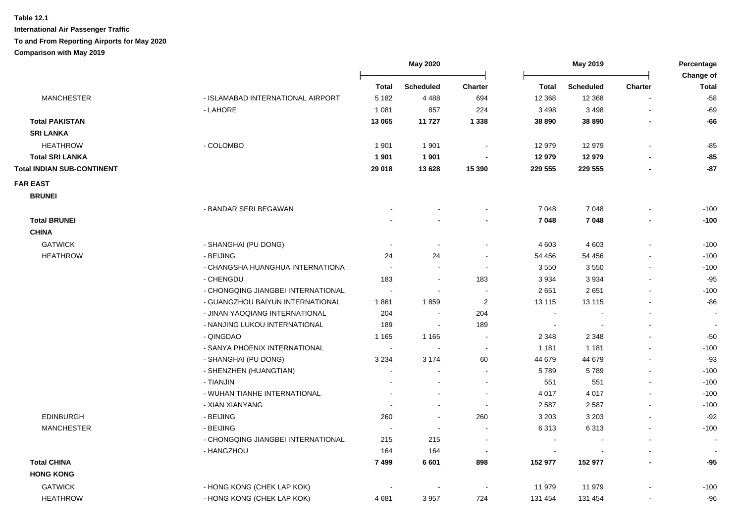|                                   |                                    | <b>May 2020</b>          |                          |                          | May 2019                 |                  |                          | Percentage                |
|-----------------------------------|------------------------------------|--------------------------|--------------------------|--------------------------|--------------------------|------------------|--------------------------|---------------------------|
|                                   |                                    | <b>Total</b>             | <b>Scheduled</b>         | <b>Charter</b>           | Total                    | <b>Scheduled</b> | <b>Charter</b>           | Change of<br><b>Total</b> |
| <b>MANCHESTER</b>                 | - ISLAMABAD INTERNATIONAL AIRPORT  | 5 1 8 2                  | 4 4 8 8                  | 694                      | 12 3 68                  | 12 3 68          |                          | $-58$                     |
|                                   | - LAHORE                           | 1 0 8 1                  | 857                      | 224                      | 3 4 9 8                  | 3 4 9 8          |                          | $-69$                     |
| <b>Total PAKISTAN</b>             |                                    | 13 065                   | 11 727                   | 1 3 3 8                  | 38 890                   | 38 890           |                          | $-66$                     |
| <b>SRI LANKA</b>                  |                                    |                          |                          |                          |                          |                  |                          |                           |
| <b>HEATHROW</b>                   | - COLOMBO                          | 1901                     | 1901                     |                          | 12 979                   | 12 979           | L,                       | $-85$                     |
| <b>Total SRI LANKA</b>            |                                    | 1901                     | 1 9 0 1                  |                          | 12 979                   | 12 979           |                          | $-85$                     |
|                                   |                                    |                          |                          |                          |                          |                  |                          |                           |
| <b>Total INDIAN SUB-CONTINENT</b> |                                    | 29 018                   | 13 6 28                  | 15 3 90                  | 229 555                  | 229 555          |                          | $-87$                     |
| <b>FAR EAST</b>                   |                                    |                          |                          |                          |                          |                  |                          |                           |
| <b>BRUNEI</b>                     |                                    |                          |                          |                          |                          |                  |                          |                           |
|                                   | - BANDAR SERI BEGAWAN              |                          |                          |                          | 7 0 4 8                  | 7 0 4 8          |                          | $-100$                    |
| <b>Total BRUNEI</b>               |                                    |                          |                          |                          | 7 0 4 8                  | 7 0 4 8          |                          | $-100$                    |
| <b>CHINA</b>                      |                                    |                          |                          |                          |                          |                  |                          |                           |
| <b>GATWICK</b>                    | - SHANGHAI (PU DONG)               | $\sim$                   | ÷,                       | $\blacksquare$           | 4 6 0 3                  | 4 6 0 3          | $\blacksquare$           | $-100$                    |
| <b>HEATHROW</b>                   | - BEIJING                          | 24                       | 24                       |                          | 54 456                   | 54 456           |                          | $-100$                    |
|                                   | - CHANGSHA HUANGHUA INTERNATIONA   | $\overline{\phantom{a}}$ | $\overline{a}$           | $\sim$                   | 3550                     | 3550             | $\blacksquare$           | $-100$                    |
|                                   | - CHENGDU                          | 183                      | $\overline{\phantom{a}}$ | 183                      | 3 9 3 4                  | 3 9 3 4          | $\blacksquare$           | $-95$                     |
|                                   | - CHONGQING JIANGBEI INTERNATIONAL | $\overline{\phantom{a}}$ | $\overline{a}$           | $\overline{\phantom{a}}$ | 2651                     | 2651             | $\overline{a}$           | $-100$                    |
|                                   | - GUANGZHOU BAIYUN INTERNATIONAL   | 1861                     | 1859                     | $\overline{2}$           | 13 115                   | 13 115           | L,                       | -86                       |
|                                   | - JINAN YAOQIANG INTERNATIONAL     | 204                      | $\overline{\phantom{a}}$ | 204                      | $\sim$                   |                  |                          |                           |
|                                   | - NANJING LUKOU INTERNATIONAL      | 189                      | $\sim$                   | 189                      | $\sim$                   |                  |                          |                           |
|                                   | - QINGDAO                          | 1 1 6 5                  | 1 1 6 5                  | ÷,                       | 2 3 4 8                  | 2 3 4 8          | $\blacksquare$           | $-50$                     |
|                                   | - SANYA PHOENIX INTERNATIONAL      | $\blacksquare$           | $\overline{\phantom{a}}$ | $\blacksquare$           | 1 1 8 1                  | 1 1 8 1          | $\blacksquare$           | $-100$                    |
|                                   | - SHANGHAI (PU DONG)               | 3 2 3 4                  | 3 1 7 4                  | 60                       | 44 679                   | 44 679           | $\sim$                   | $-93$                     |
|                                   | - SHENZHEN (HUANGTIAN)             | $\blacksquare$           | $\overline{a}$           | $\blacksquare$           | 5789                     | 5789             | $\blacksquare$           | $-100$                    |
|                                   | - TIANJIN                          |                          |                          | $\blacksquare$           | 551                      | 551              | $\blacksquare$           | $-100$                    |
|                                   | - WUHAN TIANHE INTERNATIONAL       |                          | $\overline{a}$           | $\sim$                   | 4 0 1 7                  | 4 0 1 7          | $\sim$                   | $-100$                    |
|                                   | - XIAN XIANYANG                    |                          | $\overline{a}$           | $\blacksquare$           | 2 5 8 7                  | 2587             | $\overline{\phantom{a}}$ | $-100$                    |
| <b>EDINBURGH</b>                  | - BEIJING                          | 260                      | $\blacksquare$           | 260                      | 3 2 0 3                  | 3 2 0 3          | $\overline{\phantom{a}}$ | $-92$                     |
| <b>MANCHESTER</b>                 | - BEIJING                          | ÷                        | $\overline{\phantom{a}}$ | $\overline{\phantom{a}}$ | 6 3 1 3                  | 6313             | $\sim$                   | $-100$                    |
|                                   | - CHONGQING JIANGBEI INTERNATIONAL | 215                      | 215                      | $\overline{\phantom{a}}$ | $\sim$                   |                  |                          |                           |
|                                   | - HANGZHOU                         | 164                      | 164                      |                          | $\overline{\phantom{a}}$ |                  |                          |                           |
| <b>Total CHINA</b>                |                                    | 7499                     | 6 601                    | 898                      | 152 977                  | 152 977          | $\overline{a}$           | $-95$                     |
| <b>HONG KONG</b>                  |                                    |                          |                          |                          |                          |                  |                          |                           |
| <b>GATWICK</b>                    | - HONG KONG (CHEK LAP KOK)         |                          |                          |                          | 11 979                   | 11 979           |                          | $-100$                    |
| <b>HEATHROW</b>                   | - HONG KONG (CHEK LAP KOK)         | 4681                     | 3957                     | 724                      | 131 454                  | 131 454          |                          | $-96$                     |
|                                   |                                    |                          |                          |                          |                          |                  |                          |                           |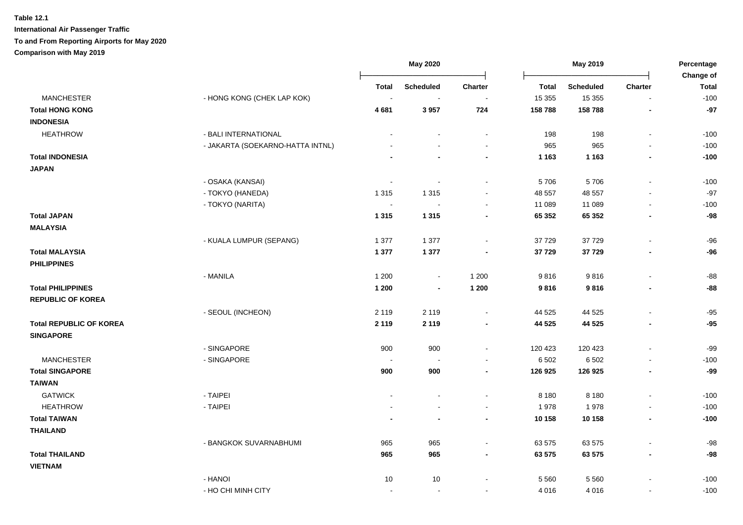|                                |                                  | <b>May 2020</b>          |                  | May 2019       |              | Percentage<br>Change of |                          |              |
|--------------------------------|----------------------------------|--------------------------|------------------|----------------|--------------|-------------------------|--------------------------|--------------|
|                                |                                  | Total                    | <b>Scheduled</b> | Charter        | <b>Total</b> | Scheduled               | <b>Charter</b>           | <b>Total</b> |
| <b>MANCHESTER</b>              | - HONG KONG (CHEK LAP KOK)       | $\blacksquare$           | $\blacksquare$   | $\sim$         | 15 355       | 15 3 55                 | $\blacksquare$           | $-100$       |
| <b>Total HONG KONG</b>         |                                  | 4681                     | 3957             | 724            | 158 788      | 158 788                 |                          | $-97$        |
| <b>INDONESIA</b>               |                                  |                          |                  |                |              |                         |                          |              |
| <b>HEATHROW</b>                | - BALI INTERNATIONAL             |                          |                  | $\sim$         | 198          | 198                     | $\blacksquare$           | $-100$       |
|                                | - JAKARTA (SOEKARNO-HATTA INTNL) |                          |                  |                | 965          | 965                     |                          | $-100$       |
| <b>Total INDONESIA</b>         |                                  |                          |                  | $\blacksquare$ | 1 1 6 3      | 1 1 6 3                 | $\blacksquare$           | $-100$       |
| <b>JAPAN</b>                   |                                  |                          |                  |                |              |                         |                          |              |
|                                | - OSAKA (KANSAI)                 | $\overline{a}$           | $\sim$           | $\sim$         | 5706         | 5706                    | $\blacksquare$           | $-100$       |
|                                | - TOKYO (HANEDA)                 | 1 3 1 5                  | 1 3 1 5          |                | 48 557       | 48 557                  |                          | $-97$        |
|                                | - TOKYO (NARITA)                 | $\overline{\phantom{a}}$ | $\sim$           | $\sim$         | 11 089       | 11 089                  | $\sim$                   | $-100$       |
| <b>Total JAPAN</b>             |                                  | 1 3 1 5                  | 1 3 1 5          |                | 65 352       | 65 352                  | ×,                       | $-98$        |
| <b>MALAYSIA</b>                |                                  |                          |                  |                |              |                         |                          |              |
|                                | - KUALA LUMPUR (SEPANG)          | 1 377                    | 1 377            | $\sim$         | 37 729       | 37729                   | $\sim$                   | $-96$        |
| <b>Total MALAYSIA</b>          |                                  | 1 3 7 7                  | 1 3 7 7          |                | 37 729       | 37729                   |                          | $-96$        |
| <b>PHILIPPINES</b>             |                                  |                          |                  |                |              |                         |                          |              |
|                                | - MANILA                         | 1 200                    | $\blacksquare$   | 1 200          | 9816         | 9816                    | $\blacksquare$           | $-88$        |
| <b>Total PHILIPPINES</b>       |                                  | 1 200                    | $\blacksquare$   | 1 200          | 9816         | 9816                    | $\blacksquare$           | $-88$        |
| <b>REPUBLIC OF KOREA</b>       |                                  |                          |                  |                |              |                         |                          |              |
|                                | - SEOUL (INCHEON)                | 2 1 1 9                  | 2 1 1 9          | $\mathbf{r}$   | 44 525       | 44 525                  | $\blacksquare$           | $-95$        |
| <b>Total REPUBLIC OF KOREA</b> |                                  | 2 1 1 9                  | 2 1 1 9          | $\blacksquare$ | 44 5 25      | 44 525                  | $\overline{\phantom{a}}$ | $-95$        |
| <b>SINGAPORE</b>               |                                  |                          |                  |                |              |                         |                          |              |
|                                | - SINGAPORE                      | 900                      | 900              | $\blacksquare$ | 120 423      | 120 423                 |                          | $-99$        |
| <b>MANCHESTER</b>              | - SINGAPORE                      | $\overline{\phantom{a}}$ | $\sim$           | $\sim$         | 6 5 0 2      | 6 5 0 2                 | $\blacksquare$           | $-100$       |
| <b>Total SINGAPORE</b>         |                                  | 900                      | 900              | $\blacksquare$ | 126 925      | 126 925                 | $\blacksquare$           | $-99$        |
| <b>TAIWAN</b>                  |                                  |                          |                  |                |              |                         |                          |              |
| <b>GATWICK</b>                 | - TAIPEI                         |                          |                  | $\sim$         | 8 1 8 0      | 8 1 8 0                 |                          | $-100$       |
| <b>HEATHROW</b>                | - TAIPEI                         |                          |                  | $\sim$         | 1978         | 1978                    | $\blacksquare$           | $-100$       |
| <b>Total TAIWAN</b>            |                                  |                          |                  | $\blacksquare$ | 10 158       | 10 158                  | $\overline{\phantom{a}}$ | $-100$       |
| <b>THAILAND</b>                |                                  |                          |                  |                |              |                         |                          |              |
|                                | - BANGKOK SUVARNABHUMI           | 965                      | 965              | $\sim$         | 63 575       | 63 575                  | $\blacksquare$           | $-98$        |
| <b>Total THAILAND</b>          |                                  | 965                      | 965              | $\blacksquare$ | 63 575       | 63 575                  | $\overline{\phantom{a}}$ | $-98$        |
| <b>VIETNAM</b>                 |                                  |                          |                  |                |              |                         |                          |              |
|                                | - HANOI                          | 10                       | 10               |                | 5 5 6 0      | 5 5 6 0                 |                          | $-100$       |
|                                | - HO CHI MINH CITY               | $\overline{a}$           | $\sim$           | $\sim$         | 4 0 16       | 4 0 1 6                 | $\sim$                   | $-100$       |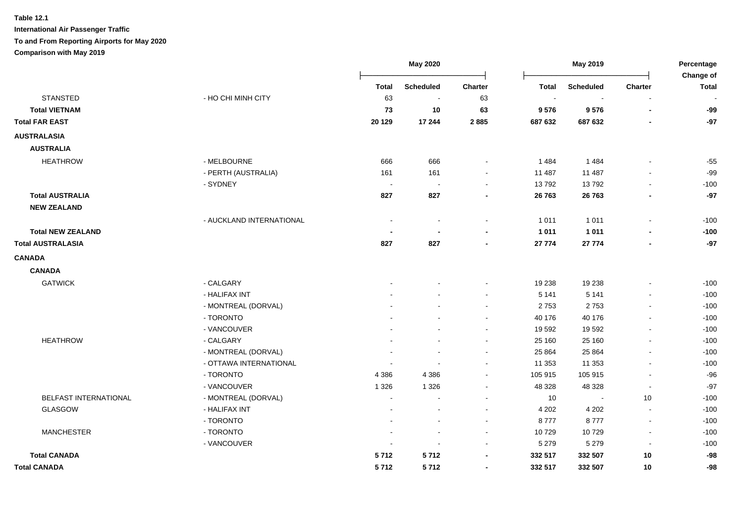**Table 12.1 International Air Passenger Traffic To and From Reporting Airports for May 2020**

### **Comparison with May 2019**

|                          |                          | May 2020     |                          | May 2019                 |              |                  | Percentage<br>Change of |              |
|--------------------------|--------------------------|--------------|--------------------------|--------------------------|--------------|------------------|-------------------------|--------------|
|                          |                          | <b>Total</b> | <b>Scheduled</b>         | Charter                  | <b>Total</b> | <b>Scheduled</b> | Charter                 | <b>Total</b> |
| <b>STANSTED</b>          | - HO CHI MINH CITY       | 63           | $\sim$                   | 63                       |              |                  |                         |              |
| <b>Total VIETNAM</b>     |                          | 73           | 10                       | 63                       | 9576         | 9576             | $\blacksquare$          | -99          |
| <b>Total FAR EAST</b>    |                          | 20 1 29      | 17 244                   | 2885                     | 687 632      | 687 632          |                         | $-97$        |
| <b>AUSTRALASIA</b>       |                          |              |                          |                          |              |                  |                         |              |
| <b>AUSTRALIA</b>         |                          |              |                          |                          |              |                  |                         |              |
| <b>HEATHROW</b>          | - MELBOURNE              | 666          | 666                      |                          | 1484         | 1484             |                         | $-55$        |
|                          | - PERTH (AUSTRALIA)      | 161          | 161                      |                          | 11 487       | 11 487           |                         | $-99$        |
|                          | - SYDNEY                 |              | $\overline{\phantom{a}}$ |                          | 13792        | 13792            |                         | $-100$       |
| <b>Total AUSTRALIA</b>   |                          | 827          | 827                      |                          | 26 763       | 26 763           |                         | $-97$        |
| <b>NEW ZEALAND</b>       |                          |              |                          |                          |              |                  |                         |              |
|                          | - AUCKLAND INTERNATIONAL |              |                          | $\blacksquare$           | 1 0 1 1      | 1 0 1 1          | $\overline{a}$          | $-100$       |
| <b>Total NEW ZEALAND</b> |                          |              |                          |                          | 1 0 1 1      | 1011             |                         | $-100$       |
| <b>Total AUSTRALASIA</b> |                          | 827          | 827                      |                          | 27 774       | 27 774           |                         | $-97$        |
| <b>CANADA</b>            |                          |              |                          |                          |              |                  |                         |              |
| <b>CANADA</b>            |                          |              |                          |                          |              |                  |                         |              |
| <b>GATWICK</b>           | - CALGARY                |              |                          |                          | 19 238       | 19 238           |                         | $-100$       |
|                          | - HALIFAX INT            |              |                          |                          | 5 1 4 1      | 5 1 4 1          |                         | $-100$       |
|                          | - MONTREAL (DORVAL)      |              |                          | $\sim$                   | 2753         | 2753             |                         | $-100$       |
|                          | - TORONTO                |              |                          |                          | 40 176       | 40 176           |                         | $-100$       |
|                          | - VANCOUVER              |              |                          | $\sim$                   | 19 592       | 19592            |                         | $-100$       |
| <b>HEATHROW</b>          | - CALGARY                |              |                          | $\sim$                   | 25 160       | 25 160           |                         | $-100$       |
|                          | - MONTREAL (DORVAL)      |              |                          | $\blacksquare$           | 25 8 64      | 25 8 64          |                         | $-100$       |
|                          | - OTTAWA INTERNATIONAL   |              |                          |                          | 11 353       | 11 353           |                         | $-100$       |
|                          | - TORONTO                | 4 3 8 6      | 4 3 8 6                  |                          | 105 915      | 105 915          |                         | $-96$        |
|                          | - VANCOUVER              | 1 3 2 6      | 1 3 2 6                  |                          | 48 328       | 48 328           |                         | $-97$        |
| BELFAST INTERNATIONAL    | - MONTREAL (DORVAL)      |              |                          |                          | 10           |                  | 10                      | $-100$       |
| GLASGOW                  | - HALIFAX INT            |              |                          |                          | 4 2 0 2      | 4 2 0 2          |                         | $-100$       |
|                          | - TORONTO                |              |                          |                          | 8777         | 8777             |                         | $-100$       |
| <b>MANCHESTER</b>        | - TORONTO                |              |                          |                          | 10729        | 10729            |                         | $-100$       |
|                          | - VANCOUVER              |              |                          |                          | 5 2 7 9      | 5 2 7 9          |                         | $-100$       |
| <b>Total CANADA</b>      |                          | 5712         | 5712                     |                          | 332 517      | 332 507          | $10$                    | $-98$        |
| <b>Total CANADA</b>      |                          | 5712         | 5712                     | $\overline{\phantom{a}}$ | 332 517      | 332 507          | 10                      | $-98$        |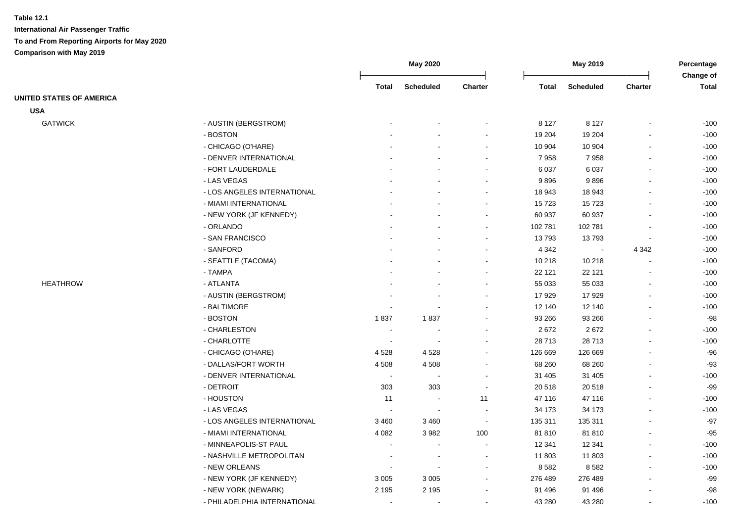|                                 |                              | <b>May 2020</b> |                          |                          | May 2019     |                  |                          | Percentage<br>Change of |
|---------------------------------|------------------------------|-----------------|--------------------------|--------------------------|--------------|------------------|--------------------------|-------------------------|
|                                 |                              | <b>Total</b>    | <b>Scheduled</b>         | <b>Charter</b>           | <b>Total</b> | <b>Scheduled</b> | <b>Charter</b>           | <b>Total</b>            |
| <b>UNITED STATES OF AMERICA</b> |                              |                 |                          |                          |              |                  |                          |                         |
| <b>USA</b>                      |                              |                 |                          |                          |              |                  |                          |                         |
| <b>GATWICK</b>                  | - AUSTIN (BERGSTROM)         |                 |                          |                          | 8 1 2 7      | 8 1 2 7          |                          | $-100$                  |
|                                 | - BOSTON                     |                 |                          |                          | 19 204       | 19 204           |                          | $-100$                  |
|                                 | - CHICAGO (O'HARE)           |                 |                          |                          | 10 904       | 10 904           | $\blacksquare$           | $-100$                  |
|                                 | - DENVER INTERNATIONAL       |                 |                          |                          | 7958         | 7958             |                          | $-100$                  |
|                                 | - FORT LAUDERDALE            |                 |                          |                          | 6 0 37       | 6 0 3 7          |                          | $-100$                  |
|                                 | - LAS VEGAS                  |                 |                          |                          | 9896         | 9896             |                          | $-100$                  |
|                                 | - LOS ANGELES INTERNATIONAL  |                 |                          |                          | 18 943       | 18 943           |                          | $-100$                  |
|                                 | - MIAMI INTERNATIONAL        |                 |                          | $\sim$                   | 15723        | 15723            | $\blacksquare$           | $-100$                  |
|                                 | - NEW YORK (JF KENNEDY)      |                 |                          |                          | 60 937       | 60 937           | $\blacksquare$           | $-100$                  |
|                                 | - ORLANDO                    |                 |                          |                          | 102 781      | 102 781          | $\overline{a}$           | $-100$                  |
|                                 | - SAN FRANCISCO              |                 |                          |                          | 13793        | 13793            | $\overline{\phantom{a}}$ | $-100$                  |
|                                 | - SANFORD                    |                 |                          |                          | 4 3 4 2      |                  | 4 3 4 2                  | $-100$                  |
|                                 | - SEATTLE (TACOMA)           |                 |                          |                          | 10 218       | 10 218           | $\blacksquare$           | $-100$                  |
|                                 | - TAMPA                      |                 |                          |                          | 22 121       | 22 121           |                          | $-100$                  |
| <b>HEATHROW</b>                 | - ATLANTA                    |                 |                          |                          | 55 033       | 55 033           |                          | $-100$                  |
|                                 | - AUSTIN (BERGSTROM)         |                 |                          |                          | 17929        | 17929            |                          | $-100$                  |
|                                 | - BALTIMORE                  |                 |                          |                          | 12 140       | 12 140           |                          | $-100$                  |
|                                 | - BOSTON                     | 1837            | 1837                     |                          | 93 266       | 93 266           |                          | $-98$                   |
|                                 | - CHARLESTON                 | $\sim$          |                          |                          | 2672         | 2672             |                          | $-100$                  |
|                                 | - CHARLOTTE                  |                 |                          |                          | 28713        | 28713            | $\blacksquare$           | $-100$                  |
|                                 | - CHICAGO (O'HARE)           | 4528            | 4528                     |                          | 126 669      | 126 669          |                          | $-96$                   |
|                                 | - DALLAS/FORT WORTH          | 4508            | 4508                     |                          | 68 260       | 68 260           |                          | $-93$                   |
|                                 | - DENVER INTERNATIONAL       |                 |                          |                          | 31 405       | 31 405           | $\sim$                   | $-100$                  |
|                                 | - DETROIT                    | 303             | 303                      | $\overline{\phantom{a}}$ | 20 518       | 20 518           | $\overline{\phantom{a}}$ | $-99$                   |
|                                 | - HOUSTON                    | 11              | $\overline{\phantom{a}}$ | 11                       | 47 116       | 47 116           |                          | $-100$                  |
|                                 | - LAS VEGAS                  |                 |                          |                          | 34 173       | 34 173           | $\blacksquare$           | $-100$                  |
|                                 | - LOS ANGELES INTERNATIONAL  | 3 4 6 0         | 3 4 6 0                  |                          | 135 311      | 135 311          |                          | $-97$                   |
|                                 | - MIAMI INTERNATIONAL        | 4 0 8 2         | 3 9 8 2                  | 100                      | 81810        | 81810            |                          | $-95$                   |
|                                 | - MINNEAPOLIS-ST PAUL        |                 | $\overline{\phantom{a}}$ | $\overline{\phantom{a}}$ | 12 341       | 12 341           |                          | $-100$                  |
|                                 | - NASHVILLE METROPOLITAN     |                 | $\sim$                   | $\sim$                   | 11 803       | 11 803           | $\blacksquare$           | $-100$                  |
|                                 | - NEW ORLEANS                |                 |                          |                          | 8582         | 8582             | $\blacksquare$           | $-100$                  |
|                                 | - NEW YORK (JF KENNEDY)      | 3 0 0 5         | 3 0 0 5                  |                          | 276 489      | 276 489          |                          | $-99$                   |
|                                 | - NEW YORK (NEWARK)          | 2 1 9 5         | 2 1 9 5                  |                          | 91 496       | 91 496           |                          | $-98$                   |
|                                 | - PHILADELPHIA INTERNATIONAL |                 |                          |                          | 43 280       | 43 280           | $\blacksquare$           | $-100$                  |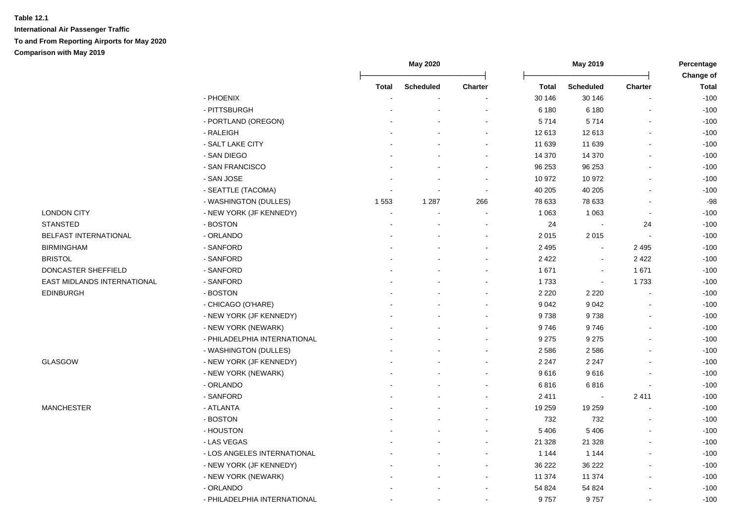|                                    |                              | <b>May 2020</b> |                  |                          |                  | May 2019         |                |                                  |
|------------------------------------|------------------------------|-----------------|------------------|--------------------------|------------------|------------------|----------------|----------------------------------|
|                                    |                              | Total           | <b>Scheduled</b> | Charter                  | <b>Total</b>     | <b>Scheduled</b> | Charter        | <b>Change of</b><br><b>Total</b> |
|                                    | - PHOENIX                    |                 |                  |                          | 30 146           | 30 146           |                | $-100$                           |
|                                    | - PITTSBURGH                 |                 |                  |                          | 6 180            | 6 180            |                | $-100$                           |
|                                    | - PORTLAND (OREGON)          |                 |                  |                          | 5714             | 5714             |                | $-100$                           |
|                                    | - RALEIGH                    |                 |                  | $\overline{a}$           | 12 613           | 12 613           |                | $-100$                           |
|                                    | - SALT LAKE CITY             |                 |                  | $\sim$                   | 11 639           |                  |                | $-100$                           |
|                                    | - SAN DIEGO                  |                 |                  | $\sim$                   |                  | 11 639           |                | $-100$                           |
|                                    |                              |                 |                  | $\sim$                   | 14 370           | 14 370<br>96 253 |                |                                  |
|                                    | - SAN FRANCISCO              |                 |                  |                          | 96 253           |                  |                | $-100$                           |
|                                    | - SAN JOSE                   |                 |                  |                          | 10 972           | 10 972           |                | $-100$                           |
|                                    | - SEATTLE (TACOMA)           |                 | 1 2 8 7          | $\sim$                   | 40 205<br>78 633 | 40 205<br>78 633 |                | $-100$<br>$-98$                  |
|                                    | - WASHINGTON (DULLES)        | 1 5 5 3         |                  | 266                      |                  |                  |                |                                  |
| <b>LONDON CITY</b>                 | - NEW YORK (JF KENNEDY)      |                 |                  | $\overline{\phantom{a}}$ | 1 0 6 3          | 1 0 6 3          | $\blacksquare$ | $-100$                           |
| <b>STANSTED</b>                    | - BOSTON                     |                 |                  | $\overline{\phantom{a}}$ | 24               |                  | 24             | $-100$                           |
| BELFAST INTERNATIONAL              | - ORLANDO                    |                 |                  |                          | 2 0 1 5          | 2015             |                | $-100$                           |
| <b>BIRMINGHAM</b>                  | - SANFORD                    |                 |                  |                          | 2 4 9 5          |                  | 2 4 9 5        | $-100$                           |
| <b>BRISTOL</b>                     | - SANFORD                    |                 |                  |                          | 2 4 2 2          |                  | 2422           | $-100$                           |
| DONCASTER SHEFFIELD                | - SANFORD                    |                 |                  |                          | 1671             |                  | 1671           | $-100$                           |
| <b>EAST MIDLANDS INTERNATIONAL</b> | - SANFORD                    |                 |                  |                          | 1733             | $\blacksquare$   | 1733           | $-100$                           |
| <b>EDINBURGH</b>                   | - BOSTON                     |                 |                  |                          | 2 2 2 0          | 2 2 2 0          |                | $-100$                           |
|                                    | - CHICAGO (O'HARE)           |                 |                  |                          | 9 0 4 2          | 9 0 4 2          |                | $-100$                           |
|                                    | - NEW YORK (JF KENNEDY)      |                 |                  |                          | 9738             | 9738             |                | $-100$                           |
|                                    | - NEW YORK (NEWARK)          |                 |                  |                          | 9746             | 9746             |                | $-100$                           |
|                                    | - PHILADELPHIA INTERNATIONAL |                 |                  |                          | 9 2 7 5          | 9 2 7 5          |                | $-100$                           |
|                                    | - WASHINGTON (DULLES)        |                 |                  |                          | 2 5 8 6          | 2586             |                | $-100$                           |
| GLASGOW                            | - NEW YORK (JF KENNEDY)      |                 |                  |                          | 2 2 4 7          | 2 2 4 7          |                | $-100$                           |
|                                    | - NEW YORK (NEWARK)          |                 |                  |                          | 9616             | 9616             |                | $-100$                           |
|                                    | - ORLANDO                    |                 |                  |                          | 6816             | 6816             |                | $-100$                           |
|                                    | - SANFORD                    |                 |                  |                          | 2411             |                  | 2411           | $-100$                           |
| <b>MANCHESTER</b>                  | - ATLANTA                    |                 |                  |                          | 19 259           | 19 259           |                | $-100$                           |
|                                    | - BOSTON                     |                 |                  |                          | 732              | 732              |                | $-100$                           |
|                                    | - HOUSTON                    |                 |                  |                          | 5 4 0 6          | 5 4 0 6          |                | $-100$                           |
|                                    | - LAS VEGAS                  |                 |                  |                          | 21 3 28          | 21 3 28          |                | $-100$                           |
|                                    | - LOS ANGELES INTERNATIONAL  |                 |                  | $\sim$                   | 1 1 4 4          | 1 1 4 4          |                | $-100$                           |
|                                    | - NEW YORK (JF KENNEDY)      |                 |                  | $\overline{\phantom{a}}$ | 36 222           | 36 222           |                | $-100$                           |
|                                    | - NEW YORK (NEWARK)          |                 |                  |                          | 11 374           | 11 374           |                | $-100$                           |
|                                    | - ORLANDO                    |                 |                  |                          | 54 824           | 54 824           |                | $-100$                           |
|                                    | - PHILADELPHIA INTERNATIONAL |                 |                  |                          | 9757             | 9757             |                | $-100$                           |
|                                    |                              |                 |                  |                          |                  |                  |                |                                  |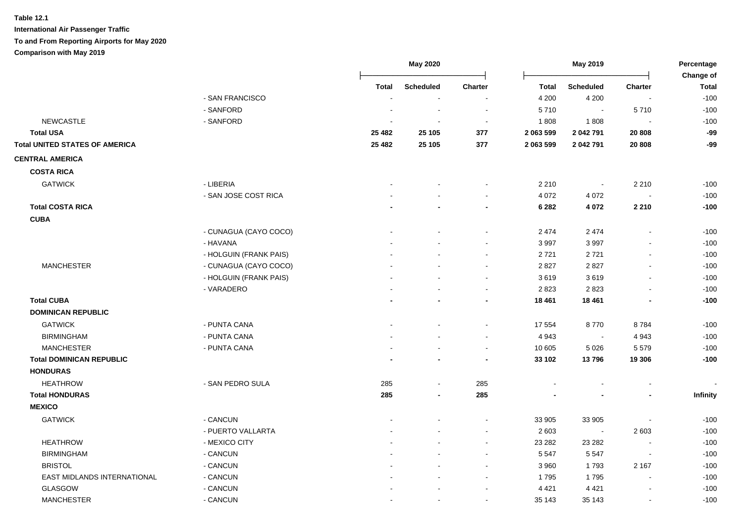| Change of<br><b>Scheduled</b><br>Charter<br><b>Scheduled</b><br><b>Total</b><br><b>Total</b><br><b>Total</b><br><b>Charter</b><br>- SAN FRANCISCO<br>$-100$<br>4 200<br>4 200<br>$\sim$<br>$\overline{\phantom{a}}$<br>- SANFORD<br>5710<br>$-100$<br>5710<br>$\sim$<br><b>NEWCASTLE</b><br>- SANFORD<br>$-100$<br>1808<br>1808<br>$\overline{\phantom{a}}$<br>$\sim$<br>$-99$<br><b>Total USA</b><br>25 105<br>2 063 599<br>2 042 791<br>20 808<br>25 4 82<br>377<br>$-99$<br><b>Total UNITED STATES OF AMERICA</b><br>25 4 82<br>25 105<br>377<br>2 063 599<br>2 042 791<br>20 808<br><b>COSTA RICA</b><br><b>GATWICK</b><br>- LIBERIA<br>2 2 1 0<br>2 2 1 0<br>$-100$<br>$\sim$<br>- SAN JOSE COST RICA<br>4 0 7 2<br>4 0 7 2<br>$-100$<br>$\overline{\phantom{a}}$<br><b>Total COSTA RICA</b><br>4 0 7 2<br>2 2 1 0<br>$-100$<br>6 2 8 2<br><b>CUBA</b><br>- CUNAGUA (CAYO COCO)<br>2 4 7 4<br>2 4 7 4<br>$-100$<br>$\blacksquare$<br>- HAVANA<br>3997<br>$-100$<br>3 9 9 7<br>- HOLGUIN (FRANK PAIS)<br>$-100$<br>2721<br>2721<br><b>MANCHESTER</b><br>2827<br>$-100$<br>- CUNAGUA (CAYO COCO)<br>2 8 2 7<br>- HOLGUIN (FRANK PAIS)<br>3619<br>3619<br>$-100$<br>$\sim$<br>$\blacksquare$<br>2823<br>$-100$<br>- VARADERO<br>2 8 2 3<br><b>Total CUBA</b><br>$-100$<br>18 4 61<br>18 4 61<br><b>DOMINICAN REPUBLIC</b><br><b>GATWICK</b><br>- PUNTA CANA<br>8770<br>17 554<br>8784<br>$-100$<br><b>BIRMINGHAM</b><br>- PUNTA CANA<br>4 9 4 3<br>4 9 4 3<br>$-100$<br>$\overline{\phantom{a}}$<br>$-100$<br><b>MANCHESTER</b><br>- PUNTA CANA<br>10 605<br>5 0 26<br>5579<br>$\sim$<br>13796<br>$-100$<br><b>Total DOMINICAN REPUBLIC</b><br>33 102<br>19 306<br><b>HONDURAS</b><br><b>HEATHROW</b><br>- SAN PEDRO SULA<br>285<br>285<br>$\overline{\phantom{a}}$<br><b>Total HONDURAS</b><br>285<br>285<br>Infinity<br><b>MEXICO</b><br>- CANCUN<br><b>GATWICK</b><br>33 905<br>33 905<br>$-100$<br>$-100$<br>- PUERTO VALLARTA<br>2 6 0 3<br>2 6 0 3<br>$\sim$<br><b>HEATHROW</b><br>- MEXICO CITY<br>23 28 2<br>$-100$<br>23 28 2<br><b>BIRMINGHAM</b><br>- CANCUN<br>5 5 4 7<br>5 5 4 7<br>$-100$<br><b>BRISTOL</b><br>- CANCUN<br>3 9 6 0<br>1793<br>2 1 6 7<br>$-100$<br>EAST MIDLANDS INTERNATIONAL<br>- CANCUN<br>$-100$<br>1795<br>1795<br>$\sim$<br><b>GLASGOW</b><br>- CANCUN<br>4 4 2 1<br>4 4 2 1<br>$-100$<br><b>MANCHESTER</b><br>- CANCUN<br>$-100$<br>35 143<br>35 143<br>$\blacksquare$<br>$\sim$<br>$\blacksquare$ |                        | <b>May 2020</b> |  | May 2019 |  |  | Percentage |  |
|-------------------------------------------------------------------------------------------------------------------------------------------------------------------------------------------------------------------------------------------------------------------------------------------------------------------------------------------------------------------------------------------------------------------------------------------------------------------------------------------------------------------------------------------------------------------------------------------------------------------------------------------------------------------------------------------------------------------------------------------------------------------------------------------------------------------------------------------------------------------------------------------------------------------------------------------------------------------------------------------------------------------------------------------------------------------------------------------------------------------------------------------------------------------------------------------------------------------------------------------------------------------------------------------------------------------------------------------------------------------------------------------------------------------------------------------------------------------------------------------------------------------------------------------------------------------------------------------------------------------------------------------------------------------------------------------------------------------------------------------------------------------------------------------------------------------------------------------------------------------------------------------------------------------------------------------------------------------------------------------------------------------------------------------------------------------------------------------------------------------------------------------------------------------------------------------------------------------------------------------------------------------------------------------------------------------------------------------------------------------------------------------------------------------------------------------|------------------------|-----------------|--|----------|--|--|------------|--|
|                                                                                                                                                                                                                                                                                                                                                                                                                                                                                                                                                                                                                                                                                                                                                                                                                                                                                                                                                                                                                                                                                                                                                                                                                                                                                                                                                                                                                                                                                                                                                                                                                                                                                                                                                                                                                                                                                                                                                                                                                                                                                                                                                                                                                                                                                                                                                                                                                                           |                        |                 |  |          |  |  |            |  |
|                                                                                                                                                                                                                                                                                                                                                                                                                                                                                                                                                                                                                                                                                                                                                                                                                                                                                                                                                                                                                                                                                                                                                                                                                                                                                                                                                                                                                                                                                                                                                                                                                                                                                                                                                                                                                                                                                                                                                                                                                                                                                                                                                                                                                                                                                                                                                                                                                                           |                        |                 |  |          |  |  |            |  |
|                                                                                                                                                                                                                                                                                                                                                                                                                                                                                                                                                                                                                                                                                                                                                                                                                                                                                                                                                                                                                                                                                                                                                                                                                                                                                                                                                                                                                                                                                                                                                                                                                                                                                                                                                                                                                                                                                                                                                                                                                                                                                                                                                                                                                                                                                                                                                                                                                                           |                        |                 |  |          |  |  |            |  |
|                                                                                                                                                                                                                                                                                                                                                                                                                                                                                                                                                                                                                                                                                                                                                                                                                                                                                                                                                                                                                                                                                                                                                                                                                                                                                                                                                                                                                                                                                                                                                                                                                                                                                                                                                                                                                                                                                                                                                                                                                                                                                                                                                                                                                                                                                                                                                                                                                                           |                        |                 |  |          |  |  |            |  |
|                                                                                                                                                                                                                                                                                                                                                                                                                                                                                                                                                                                                                                                                                                                                                                                                                                                                                                                                                                                                                                                                                                                                                                                                                                                                                                                                                                                                                                                                                                                                                                                                                                                                                                                                                                                                                                                                                                                                                                                                                                                                                                                                                                                                                                                                                                                                                                                                                                           |                        |                 |  |          |  |  |            |  |
|                                                                                                                                                                                                                                                                                                                                                                                                                                                                                                                                                                                                                                                                                                                                                                                                                                                                                                                                                                                                                                                                                                                                                                                                                                                                                                                                                                                                                                                                                                                                                                                                                                                                                                                                                                                                                                                                                                                                                                                                                                                                                                                                                                                                                                                                                                                                                                                                                                           |                        |                 |  |          |  |  |            |  |
|                                                                                                                                                                                                                                                                                                                                                                                                                                                                                                                                                                                                                                                                                                                                                                                                                                                                                                                                                                                                                                                                                                                                                                                                                                                                                                                                                                                                                                                                                                                                                                                                                                                                                                                                                                                                                                                                                                                                                                                                                                                                                                                                                                                                                                                                                                                                                                                                                                           |                        |                 |  |          |  |  |            |  |
|                                                                                                                                                                                                                                                                                                                                                                                                                                                                                                                                                                                                                                                                                                                                                                                                                                                                                                                                                                                                                                                                                                                                                                                                                                                                                                                                                                                                                                                                                                                                                                                                                                                                                                                                                                                                                                                                                                                                                                                                                                                                                                                                                                                                                                                                                                                                                                                                                                           | <b>CENTRAL AMERICA</b> |                 |  |          |  |  |            |  |
|                                                                                                                                                                                                                                                                                                                                                                                                                                                                                                                                                                                                                                                                                                                                                                                                                                                                                                                                                                                                                                                                                                                                                                                                                                                                                                                                                                                                                                                                                                                                                                                                                                                                                                                                                                                                                                                                                                                                                                                                                                                                                                                                                                                                                                                                                                                                                                                                                                           |                        |                 |  |          |  |  |            |  |
|                                                                                                                                                                                                                                                                                                                                                                                                                                                                                                                                                                                                                                                                                                                                                                                                                                                                                                                                                                                                                                                                                                                                                                                                                                                                                                                                                                                                                                                                                                                                                                                                                                                                                                                                                                                                                                                                                                                                                                                                                                                                                                                                                                                                                                                                                                                                                                                                                                           |                        |                 |  |          |  |  |            |  |
|                                                                                                                                                                                                                                                                                                                                                                                                                                                                                                                                                                                                                                                                                                                                                                                                                                                                                                                                                                                                                                                                                                                                                                                                                                                                                                                                                                                                                                                                                                                                                                                                                                                                                                                                                                                                                                                                                                                                                                                                                                                                                                                                                                                                                                                                                                                                                                                                                                           |                        |                 |  |          |  |  |            |  |
|                                                                                                                                                                                                                                                                                                                                                                                                                                                                                                                                                                                                                                                                                                                                                                                                                                                                                                                                                                                                                                                                                                                                                                                                                                                                                                                                                                                                                                                                                                                                                                                                                                                                                                                                                                                                                                                                                                                                                                                                                                                                                                                                                                                                                                                                                                                                                                                                                                           |                        |                 |  |          |  |  |            |  |
|                                                                                                                                                                                                                                                                                                                                                                                                                                                                                                                                                                                                                                                                                                                                                                                                                                                                                                                                                                                                                                                                                                                                                                                                                                                                                                                                                                                                                                                                                                                                                                                                                                                                                                                                                                                                                                                                                                                                                                                                                                                                                                                                                                                                                                                                                                                                                                                                                                           |                        |                 |  |          |  |  |            |  |
|                                                                                                                                                                                                                                                                                                                                                                                                                                                                                                                                                                                                                                                                                                                                                                                                                                                                                                                                                                                                                                                                                                                                                                                                                                                                                                                                                                                                                                                                                                                                                                                                                                                                                                                                                                                                                                                                                                                                                                                                                                                                                                                                                                                                                                                                                                                                                                                                                                           |                        |                 |  |          |  |  |            |  |
|                                                                                                                                                                                                                                                                                                                                                                                                                                                                                                                                                                                                                                                                                                                                                                                                                                                                                                                                                                                                                                                                                                                                                                                                                                                                                                                                                                                                                                                                                                                                                                                                                                                                                                                                                                                                                                                                                                                                                                                                                                                                                                                                                                                                                                                                                                                                                                                                                                           |                        |                 |  |          |  |  |            |  |
|                                                                                                                                                                                                                                                                                                                                                                                                                                                                                                                                                                                                                                                                                                                                                                                                                                                                                                                                                                                                                                                                                                                                                                                                                                                                                                                                                                                                                                                                                                                                                                                                                                                                                                                                                                                                                                                                                                                                                                                                                                                                                                                                                                                                                                                                                                                                                                                                                                           |                        |                 |  |          |  |  |            |  |
|                                                                                                                                                                                                                                                                                                                                                                                                                                                                                                                                                                                                                                                                                                                                                                                                                                                                                                                                                                                                                                                                                                                                                                                                                                                                                                                                                                                                                                                                                                                                                                                                                                                                                                                                                                                                                                                                                                                                                                                                                                                                                                                                                                                                                                                                                                                                                                                                                                           |                        |                 |  |          |  |  |            |  |
|                                                                                                                                                                                                                                                                                                                                                                                                                                                                                                                                                                                                                                                                                                                                                                                                                                                                                                                                                                                                                                                                                                                                                                                                                                                                                                                                                                                                                                                                                                                                                                                                                                                                                                                                                                                                                                                                                                                                                                                                                                                                                                                                                                                                                                                                                                                                                                                                                                           |                        |                 |  |          |  |  |            |  |
|                                                                                                                                                                                                                                                                                                                                                                                                                                                                                                                                                                                                                                                                                                                                                                                                                                                                                                                                                                                                                                                                                                                                                                                                                                                                                                                                                                                                                                                                                                                                                                                                                                                                                                                                                                                                                                                                                                                                                                                                                                                                                                                                                                                                                                                                                                                                                                                                                                           |                        |                 |  |          |  |  |            |  |
|                                                                                                                                                                                                                                                                                                                                                                                                                                                                                                                                                                                                                                                                                                                                                                                                                                                                                                                                                                                                                                                                                                                                                                                                                                                                                                                                                                                                                                                                                                                                                                                                                                                                                                                                                                                                                                                                                                                                                                                                                                                                                                                                                                                                                                                                                                                                                                                                                                           |                        |                 |  |          |  |  |            |  |
|                                                                                                                                                                                                                                                                                                                                                                                                                                                                                                                                                                                                                                                                                                                                                                                                                                                                                                                                                                                                                                                                                                                                                                                                                                                                                                                                                                                                                                                                                                                                                                                                                                                                                                                                                                                                                                                                                                                                                                                                                                                                                                                                                                                                                                                                                                                                                                                                                                           |                        |                 |  |          |  |  |            |  |
|                                                                                                                                                                                                                                                                                                                                                                                                                                                                                                                                                                                                                                                                                                                                                                                                                                                                                                                                                                                                                                                                                                                                                                                                                                                                                                                                                                                                                                                                                                                                                                                                                                                                                                                                                                                                                                                                                                                                                                                                                                                                                                                                                                                                                                                                                                                                                                                                                                           |                        |                 |  |          |  |  |            |  |
|                                                                                                                                                                                                                                                                                                                                                                                                                                                                                                                                                                                                                                                                                                                                                                                                                                                                                                                                                                                                                                                                                                                                                                                                                                                                                                                                                                                                                                                                                                                                                                                                                                                                                                                                                                                                                                                                                                                                                                                                                                                                                                                                                                                                                                                                                                                                                                                                                                           |                        |                 |  |          |  |  |            |  |
|                                                                                                                                                                                                                                                                                                                                                                                                                                                                                                                                                                                                                                                                                                                                                                                                                                                                                                                                                                                                                                                                                                                                                                                                                                                                                                                                                                                                                                                                                                                                                                                                                                                                                                                                                                                                                                                                                                                                                                                                                                                                                                                                                                                                                                                                                                                                                                                                                                           |                        |                 |  |          |  |  |            |  |
|                                                                                                                                                                                                                                                                                                                                                                                                                                                                                                                                                                                                                                                                                                                                                                                                                                                                                                                                                                                                                                                                                                                                                                                                                                                                                                                                                                                                                                                                                                                                                                                                                                                                                                                                                                                                                                                                                                                                                                                                                                                                                                                                                                                                                                                                                                                                                                                                                                           |                        |                 |  |          |  |  |            |  |
|                                                                                                                                                                                                                                                                                                                                                                                                                                                                                                                                                                                                                                                                                                                                                                                                                                                                                                                                                                                                                                                                                                                                                                                                                                                                                                                                                                                                                                                                                                                                                                                                                                                                                                                                                                                                                                                                                                                                                                                                                                                                                                                                                                                                                                                                                                                                                                                                                                           |                        |                 |  |          |  |  |            |  |
|                                                                                                                                                                                                                                                                                                                                                                                                                                                                                                                                                                                                                                                                                                                                                                                                                                                                                                                                                                                                                                                                                                                                                                                                                                                                                                                                                                                                                                                                                                                                                                                                                                                                                                                                                                                                                                                                                                                                                                                                                                                                                                                                                                                                                                                                                                                                                                                                                                           |                        |                 |  |          |  |  |            |  |
|                                                                                                                                                                                                                                                                                                                                                                                                                                                                                                                                                                                                                                                                                                                                                                                                                                                                                                                                                                                                                                                                                                                                                                                                                                                                                                                                                                                                                                                                                                                                                                                                                                                                                                                                                                                                                                                                                                                                                                                                                                                                                                                                                                                                                                                                                                                                                                                                                                           |                        |                 |  |          |  |  |            |  |
|                                                                                                                                                                                                                                                                                                                                                                                                                                                                                                                                                                                                                                                                                                                                                                                                                                                                                                                                                                                                                                                                                                                                                                                                                                                                                                                                                                                                                                                                                                                                                                                                                                                                                                                                                                                                                                                                                                                                                                                                                                                                                                                                                                                                                                                                                                                                                                                                                                           |                        |                 |  |          |  |  |            |  |
|                                                                                                                                                                                                                                                                                                                                                                                                                                                                                                                                                                                                                                                                                                                                                                                                                                                                                                                                                                                                                                                                                                                                                                                                                                                                                                                                                                                                                                                                                                                                                                                                                                                                                                                                                                                                                                                                                                                                                                                                                                                                                                                                                                                                                                                                                                                                                                                                                                           |                        |                 |  |          |  |  |            |  |
|                                                                                                                                                                                                                                                                                                                                                                                                                                                                                                                                                                                                                                                                                                                                                                                                                                                                                                                                                                                                                                                                                                                                                                                                                                                                                                                                                                                                                                                                                                                                                                                                                                                                                                                                                                                                                                                                                                                                                                                                                                                                                                                                                                                                                                                                                                                                                                                                                                           |                        |                 |  |          |  |  |            |  |
|                                                                                                                                                                                                                                                                                                                                                                                                                                                                                                                                                                                                                                                                                                                                                                                                                                                                                                                                                                                                                                                                                                                                                                                                                                                                                                                                                                                                                                                                                                                                                                                                                                                                                                                                                                                                                                                                                                                                                                                                                                                                                                                                                                                                                                                                                                                                                                                                                                           |                        |                 |  |          |  |  |            |  |
|                                                                                                                                                                                                                                                                                                                                                                                                                                                                                                                                                                                                                                                                                                                                                                                                                                                                                                                                                                                                                                                                                                                                                                                                                                                                                                                                                                                                                                                                                                                                                                                                                                                                                                                                                                                                                                                                                                                                                                                                                                                                                                                                                                                                                                                                                                                                                                                                                                           |                        |                 |  |          |  |  |            |  |
|                                                                                                                                                                                                                                                                                                                                                                                                                                                                                                                                                                                                                                                                                                                                                                                                                                                                                                                                                                                                                                                                                                                                                                                                                                                                                                                                                                                                                                                                                                                                                                                                                                                                                                                                                                                                                                                                                                                                                                                                                                                                                                                                                                                                                                                                                                                                                                                                                                           |                        |                 |  |          |  |  |            |  |
|                                                                                                                                                                                                                                                                                                                                                                                                                                                                                                                                                                                                                                                                                                                                                                                                                                                                                                                                                                                                                                                                                                                                                                                                                                                                                                                                                                                                                                                                                                                                                                                                                                                                                                                                                                                                                                                                                                                                                                                                                                                                                                                                                                                                                                                                                                                                                                                                                                           |                        |                 |  |          |  |  |            |  |
|                                                                                                                                                                                                                                                                                                                                                                                                                                                                                                                                                                                                                                                                                                                                                                                                                                                                                                                                                                                                                                                                                                                                                                                                                                                                                                                                                                                                                                                                                                                                                                                                                                                                                                                                                                                                                                                                                                                                                                                                                                                                                                                                                                                                                                                                                                                                                                                                                                           |                        |                 |  |          |  |  |            |  |
|                                                                                                                                                                                                                                                                                                                                                                                                                                                                                                                                                                                                                                                                                                                                                                                                                                                                                                                                                                                                                                                                                                                                                                                                                                                                                                                                                                                                                                                                                                                                                                                                                                                                                                                                                                                                                                                                                                                                                                                                                                                                                                                                                                                                                                                                                                                                                                                                                                           |                        |                 |  |          |  |  |            |  |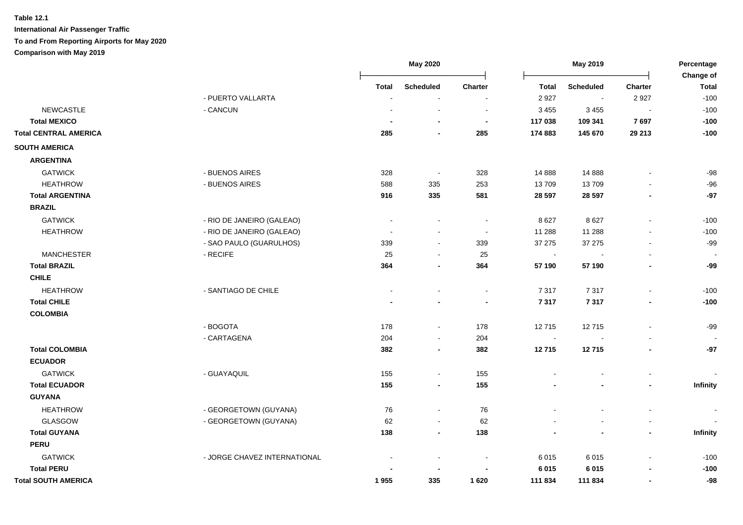|                              |                              | <b>May 2020</b> |                          | May 2019              |                         |                    | Percentage                       |                        |
|------------------------------|------------------------------|-----------------|--------------------------|-----------------------|-------------------------|--------------------|----------------------------------|------------------------|
|                              |                              |                 |                          |                       |                         |                    |                                  | Change of              |
|                              | - PUERTO VALLARTA            | <b>Total</b>    | <b>Scheduled</b>         | <b>Charter</b>        | <b>Total</b><br>2 9 2 7 | <b>Scheduled</b>   | <b>Charter</b><br>2927           | <b>Total</b><br>$-100$ |
| <b>NEWCASTLE</b>             | - CANCUN                     |                 |                          |                       |                         | $\sim$             |                                  | $-100$                 |
| <b>Total MEXICO</b>          |                              |                 |                          |                       | 3 4 5 5<br>117 038      | 3 4 5 5<br>109 341 | $\overline{\phantom{a}}$<br>7697 | $-100$                 |
| <b>Total CENTRAL AMERICA</b> |                              | 285             |                          | $\blacksquare$<br>285 | 174 883                 | 145 670            | 29 213                           | $-100$                 |
|                              |                              |                 |                          |                       |                         |                    |                                  |                        |
| <b>SOUTH AMERICA</b>         |                              |                 |                          |                       |                         |                    |                                  |                        |
| <b>ARGENTINA</b>             |                              |                 |                          |                       |                         |                    |                                  |                        |
| <b>GATWICK</b>               | - BUENOS AIRES               | 328             | $\sim$                   | 328                   | 14 8 88                 | 14 8 88            |                                  | $-98$                  |
| <b>HEATHROW</b>              | - BUENOS AIRES               | 588             | 335                      | 253                   | 13709                   | 13709              |                                  | $-96$                  |
| <b>Total ARGENTINA</b>       |                              | 916             | 335                      | 581                   | 28 5 97                 | 28 5 97            | $\overline{\phantom{a}}$         | $-97$                  |
| <b>BRAZIL</b>                |                              |                 |                          |                       |                         |                    |                                  |                        |
| <b>GATWICK</b>               | - RIO DE JANEIRO (GALEAO)    |                 |                          |                       | 8627                    | 8627               |                                  | $-100$                 |
| <b>HEATHROW</b>              | - RIO DE JANEIRO (GALEAO)    |                 |                          | $\sim$                | 11 288                  | 11 288             |                                  | $-100$                 |
|                              | - SAO PAULO (GUARULHOS)      | 339             | $\sim$                   | 339                   | 37 275                  | 37 27 5            | L,                               | $-99$                  |
| <b>MANCHESTER</b>            | - RECIFE                     | 25              | $\sim$                   | 25                    | $\blacksquare$          |                    |                                  | $\sim$                 |
| <b>Total BRAZIL</b>          |                              | 364             |                          | 364                   | 57 190                  | 57 190             |                                  | $-99$                  |
| <b>CHILE</b>                 |                              |                 |                          |                       |                         |                    |                                  |                        |
| <b>HEATHROW</b>              | - SANTIAGO DE CHILE          |                 |                          |                       | 7 3 1 7                 | 7317               | L,                               | $-100$                 |
| <b>Total CHILE</b>           |                              |                 |                          |                       | 7 3 1 7                 | 7317               |                                  | $-100$                 |
| <b>COLOMBIA</b>              |                              |                 |                          |                       |                         |                    |                                  |                        |
|                              | - BOGOTA                     | 178             | $\blacksquare$           | 178                   | 12715                   | 12715              | $\blacksquare$                   | $-99$                  |
|                              | - CARTAGENA                  | 204             |                          | 204                   | $\blacksquare$          |                    |                                  |                        |
| <b>Total COLOMBIA</b>        |                              | 382             | $\blacksquare$           | 382                   | 12715                   | 12715              | $\blacksquare$                   | $-97$                  |
| <b>ECUADOR</b>               |                              |                 |                          |                       |                         |                    |                                  |                        |
| <b>GATWICK</b>               | - GUAYAQUIL                  | 155             | $\blacksquare$           | 155                   |                         |                    | $\blacksquare$                   |                        |
| <b>Total ECUADOR</b>         |                              | 155             | $\overline{\phantom{a}}$ | 155                   |                         |                    | $\overline{\phantom{a}}$         | Infinity               |
| <b>GUYANA</b>                |                              |                 |                          |                       |                         |                    |                                  |                        |
| <b>HEATHROW</b>              | - GEORGETOWN (GUYANA)        | 76              | $\blacksquare$           | 76                    |                         |                    |                                  |                        |
| GLASGOW                      | - GEORGETOWN (GUYANA)        | 62              | $\blacksquare$           | 62                    |                         |                    |                                  |                        |
| <b>Total GUYANA</b>          |                              | 138             |                          | 138                   |                         |                    | $\overline{\phantom{a}}$         | Infinity               |
| <b>PERU</b>                  |                              |                 |                          |                       |                         |                    |                                  |                        |
| <b>GATWICK</b>               | - JORGE CHAVEZ INTERNATIONAL |                 |                          |                       | 6015                    | 6015               |                                  | $-100$                 |
| <b>Total PERU</b>            |                              |                 |                          |                       | 6 0 1 5                 | 6 0 1 5            |                                  | $-100$                 |
| <b>Total SOUTH AMERICA</b>   |                              | 1955            | 335                      | 1620                  | 111 834                 | 111 834            | ٠                                | $-98$                  |
|                              |                              |                 |                          |                       |                         |                    |                                  |                        |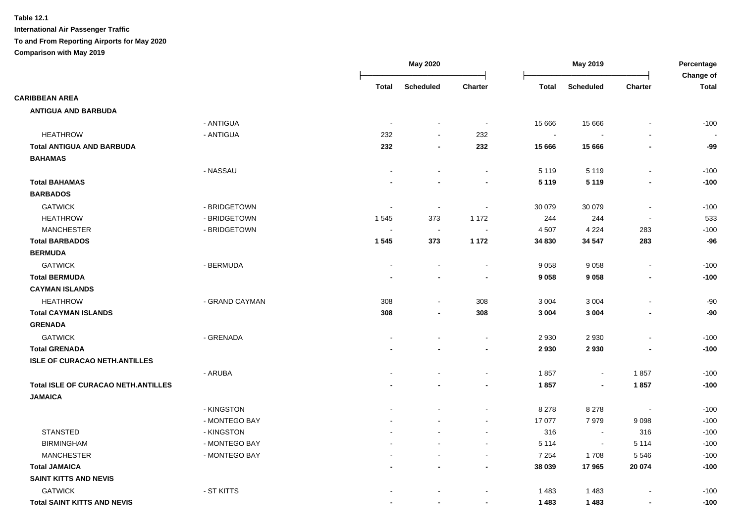|                                            |                |                          | <b>May 2020</b>          |                          | May 2019       |                  |                          | Percentage<br>Change of |
|--------------------------------------------|----------------|--------------------------|--------------------------|--------------------------|----------------|------------------|--------------------------|-------------------------|
|                                            |                | <b>Total</b>             | <b>Scheduled</b>         | Charter                  | <b>Total</b>   | <b>Scheduled</b> | Charter                  | <b>Total</b>            |
| <b>CARIBBEAN AREA</b>                      |                |                          |                          |                          |                |                  |                          |                         |
| <b>ANTIGUA AND BARBUDA</b>                 |                |                          |                          |                          |                |                  |                          |                         |
|                                            | - ANTIGUA      | $\overline{\phantom{a}}$ | $\overline{\phantom{a}}$ | $\blacksquare$           | 15 6 66        | 15 6 66          |                          | $-100$                  |
| <b>HEATHROW</b>                            | - ANTIGUA      | 232                      | $\overline{\phantom{a}}$ | 232                      | $\blacksquare$ |                  |                          |                         |
| <b>Total ANTIGUA AND BARBUDA</b>           |                | 232                      | $\blacksquare$           | 232                      | 15 666         | 15 666           |                          | -99                     |
| <b>BAHAMAS</b>                             |                |                          |                          |                          |                |                  |                          |                         |
|                                            | - NASSAU       | $\blacksquare$           | $\blacksquare$           | $\blacksquare$           | 5 1 1 9        | 5 1 1 9          | $\overline{\phantom{a}}$ | $-100$                  |
| <b>Total BAHAMAS</b>                       |                |                          |                          |                          | 5 1 1 9        | 5 1 1 9          |                          | $-100$                  |
| <b>BARBADOS</b>                            |                |                          |                          |                          |                |                  |                          |                         |
| <b>GATWICK</b>                             | - BRIDGETOWN   | $\overline{\phantom{a}}$ | $\blacksquare$           |                          | 30 079         | 30 079           | $\overline{\phantom{a}}$ | $-100$                  |
| <b>HEATHROW</b>                            | - BRIDGETOWN   | 1 5 4 5                  | 373                      | 1 172                    | 244            | 244              | $\blacksquare$           | 533                     |
| <b>MANCHESTER</b>                          | - BRIDGETOWN   | $\overline{\phantom{a}}$ | $\sim$                   |                          | 4 5 0 7        | 4 2 2 4          | 283                      | $-100$                  |
| <b>Total BARBADOS</b>                      |                | 1 5 4 5                  | 373                      | 1 1 7 2                  | 34 830         | 34 547           | 283                      | $-96$                   |
| <b>BERMUDA</b>                             |                |                          |                          |                          |                |                  |                          |                         |
| <b>GATWICK</b>                             | - BERMUDA      | $\blacksquare$           |                          | $\sim$                   | 9 0 5 8        | 9058             | $\overline{a}$           | $-100$                  |
| <b>Total BERMUDA</b>                       |                |                          | $\overline{\phantom{a}}$ | $\blacksquare$           | 9 0 5 8        | 9058             | $\blacksquare$           | $-100$                  |
| <b>CAYMAN ISLANDS</b>                      |                |                          |                          |                          |                |                  |                          |                         |
| <b>HEATHROW</b>                            | - GRAND CAYMAN | 308                      | $\blacksquare$           | 308                      | 3 0 0 4        | 3 0 0 4          |                          | $-90$                   |
| <b>Total CAYMAN ISLANDS</b>                |                | 308                      | $\blacksquare$           | 308                      | 3 0 0 4        | 3 0 0 4          | $\blacksquare$           | $-90$                   |
| <b>GRENADA</b>                             |                |                          |                          |                          |                |                  |                          |                         |
| <b>GATWICK</b>                             | - GRENADA      |                          |                          | $\sim$                   | 2 9 3 0        | 2 9 3 0          | $\blacksquare$           | $-100$                  |
| <b>Total GRENADA</b>                       |                |                          |                          | $\blacksquare$           | 2930           | 2930             |                          | $-100$                  |
| <b>ISLE OF CURACAO NETH.ANTILLES</b>       |                |                          |                          |                          |                |                  |                          |                         |
|                                            | - ARUBA        |                          |                          | $\sim$                   | 1857           | $\blacksquare$   | 1857                     | $-100$                  |
| <b>Total ISLE OF CURACAO NETH.ANTILLES</b> |                |                          |                          | $\overline{\phantom{a}}$ | 1857           | $\blacksquare$   | 1857                     | $-100$                  |
| <b>JAMAICA</b>                             |                |                          |                          |                          |                |                  |                          |                         |
|                                            | - KINGSTON     |                          |                          | $\sim$                   | 8 2 7 8        | 8 2 7 8          | $\overline{\phantom{a}}$ | $-100$                  |
|                                            | - MONTEGO BAY  |                          |                          | $\sim$                   | 17 077         | 7979             | 9098                     | $-100$                  |
| <b>STANSTED</b>                            | - KINGSTON     |                          |                          | $\sim$                   | 316            | $\sim$           | 316                      | $-100$                  |
| <b>BIRMINGHAM</b>                          | - MONTEGO BAY  |                          |                          | $\sim$                   | 5 1 1 4        | $\sim$           | 5 1 1 4                  | $-100$                  |
| <b>MANCHESTER</b>                          | - MONTEGO BAY  |                          |                          | $\sim$                   | 7 2 5 4        | 1708             | 5546                     | $-100$                  |
| <b>Total JAMAICA</b>                       |                |                          |                          | $\overline{\phantom{a}}$ | 38 039         | 17965            | 20 074                   | $-100$                  |
| <b>SAINT KITTS AND NEVIS</b>               |                |                          |                          |                          |                |                  |                          |                         |
| <b>GATWICK</b>                             | - ST KITTS     |                          |                          |                          | 1483           | 1483             |                          | $-100$                  |
| <b>Total SAINT KITTS AND NEVIS</b>         |                |                          | $\blacksquare$           | $\overline{\phantom{a}}$ | 1 4 8 3        | 1 4 8 3          |                          | $-100$                  |
|                                            |                |                          |                          |                          |                |                  |                          |                         |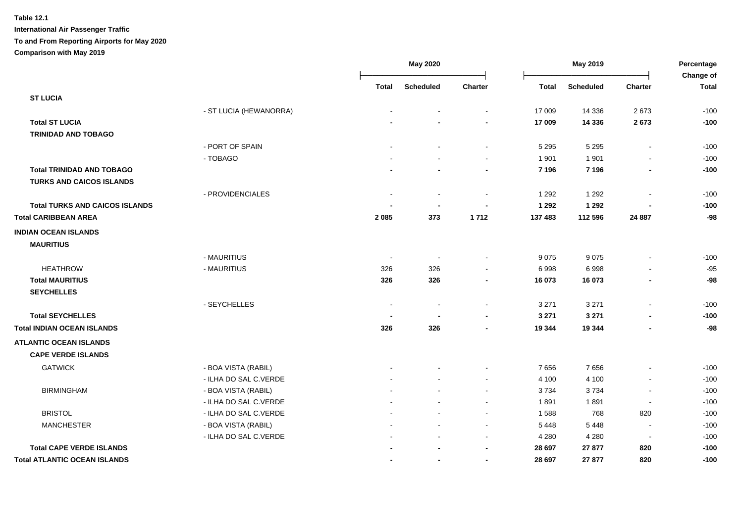|                                       |                        | May 2020       |                          | May 2019       |              |                  | Percentage<br>Change of      |              |
|---------------------------------------|------------------------|----------------|--------------------------|----------------|--------------|------------------|------------------------------|--------------|
|                                       |                        | <b>Total</b>   | <b>Scheduled</b>         | <b>Charter</b> | <b>Total</b> | <b>Scheduled</b> | Charter                      | <b>Total</b> |
| <b>ST LUCIA</b>                       |                        |                |                          |                |              |                  |                              |              |
|                                       | - ST LUCIA (HEWANORRA) |                |                          |                | 17 009       | 14 3 36          | 2673                         | $-100$       |
| <b>Total ST LUCIA</b>                 |                        |                |                          |                | 17 009       | 14 3 36          | 2673                         | $-100$       |
| <b>TRINIDAD AND TOBAGO</b>            |                        |                |                          |                |              |                  |                              |              |
|                                       | - PORT OF SPAIN        |                |                          | $\sim$         | 5 2 9 5      | 5 2 9 5          | $\blacksquare$               | $-100$       |
|                                       | - TOBAGO               |                |                          | $\blacksquare$ | 1 9 0 1      | 1 9 0 1          | ä,                           | $-100$       |
| <b>Total TRINIDAD AND TOBAGO</b>      |                        |                |                          |                | 7 1 9 6      | 7 1 9 6          | $\blacksquare$               | $-100$       |
| TURKS AND CAICOS ISLANDS              |                        |                |                          |                |              |                  |                              |              |
|                                       | - PROVIDENCIALES       | $\blacksquare$ | $\overline{\phantom{a}}$ |                | 1 2 9 2      | 1 2 9 2          |                              | $-100$       |
| <b>Total TURKS AND CAICOS ISLANDS</b> |                        |                |                          |                | 1 2 9 2      | 1 2 9 2          |                              | $-100$       |
| <b>Total CARIBBEAN AREA</b>           |                        | 2 0 8 5        | 373                      | 1712           | 137 483      | 112 596          | 24 8 87                      | $-98$        |
| <b>INDIAN OCEAN ISLANDS</b>           |                        |                |                          |                |              |                  |                              |              |
| <b>MAURITIUS</b>                      |                        |                |                          |                |              |                  |                              |              |
|                                       | - MAURITIUS            | $\sim$         | $\overline{\phantom{a}}$ |                | 9075         | 9075             | $\overline{a}$               | $-100$       |
| <b>HEATHROW</b>                       | - MAURITIUS            | 326            | 326                      |                | 6998         | 6998             | $\blacksquare$               | $-95$        |
| <b>Total MAURITIUS</b>                |                        | 326            | 326                      |                | 16 073       | 16 073           | $\overline{\phantom{0}}$     | $-98$        |
| <b>SEYCHELLES</b>                     |                        |                |                          |                |              |                  |                              |              |
|                                       | - SEYCHELLES           | $\sim$         | $\overline{\phantom{a}}$ | $\sim$         | 3 2 7 1      | 3 2 7 1          | $\sim$                       | $-100$       |
| <b>Total SEYCHELLES</b>               |                        |                | ٠                        |                | 3 2 7 1      | 3 2 7 1          |                              | $-100$       |
| <b>Total INDIAN OCEAN ISLANDS</b>     |                        | 326            | 326                      |                | 19 344       | 19 344           | $\blacksquare$               | $-98$        |
| <b>ATLANTIC OCEAN ISLANDS</b>         |                        |                |                          |                |              |                  |                              |              |
| <b>CAPE VERDE ISLANDS</b>             |                        |                |                          |                |              |                  |                              |              |
| <b>GATWICK</b>                        | - BOA VISTA (RABIL)    |                |                          |                | 7656         | 7656             | $\qquad \qquad \blacksquare$ | $-100$       |
|                                       | - ILHA DO SAL C.VERDE  |                |                          |                | 4 100        | 4 100            |                              | $-100$       |
| <b>BIRMINGHAM</b>                     | - BOA VISTA (RABIL)    |                |                          |                | 3734         | 3734             |                              | $-100$       |
|                                       | - ILHA DO SAL C.VERDE  |                |                          |                | 1891         | 1891             |                              | $-100$       |
| <b>BRISTOL</b>                        | - ILHA DO SAL C.VERDE  |                |                          |                | 1588         | 768              | 820                          | $-100$       |
| <b>MANCHESTER</b>                     | - BOA VISTA (RABIL)    |                |                          | $\sim$         | 5 4 4 8      | 5 4 4 8          | $\blacksquare$               | $-100$       |
|                                       | - ILHA DO SAL C.VERDE  |                |                          | $\sim$         | 4 2 8 0      | 4 2 8 0          | $\blacksquare$               | $-100$       |
| <b>Total CAPE VERDE ISLANDS</b>       |                        |                |                          | $\blacksquare$ | 28 697       | 27 877           | 820                          | $-100$       |
| <b>Total ATLANTIC OCEAN ISLANDS</b>   |                        |                | $\blacksquare$           | $\blacksquare$ | 28 697       | 27 877           | 820                          | $-100$       |